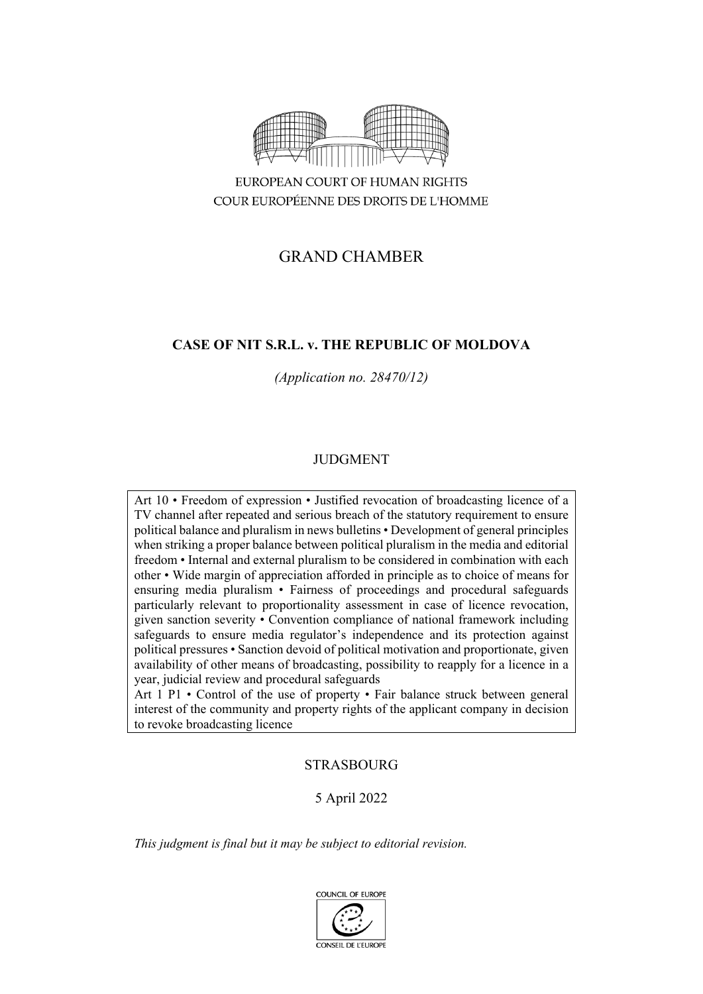

EUROPEAN COURT OF HUMAN RIGHTS COUR EUROPÉENNE DES DROITS DE L'HOMME

# GRAND CHAMBER

# **CASE OF NIT S.R.L. v. THE REPUBLIC OF MOLDOVA**

*(Application no. 28470/12)*

# JUDGMENT

Art 10 • Freedom of expression • Justified revocation of broadcasting licence of a TV channel after repeated and serious breach of the statutory requirement to ensure political balance and pluralism in news bulletins • Development of general principles when striking a proper balance between political pluralism in the media and editorial freedom • Internal and external pluralism to be considered in combination with each other • Wide margin of appreciation afforded in principle as to choice of means for ensuring media pluralism • Fairness of proceedings and procedural safeguards particularly relevant to proportionality assessment in case of licence revocation, given sanction severity • Convention compliance of national framework including safeguards to ensure media regulator's independence and its protection against political pressures • Sanction devoid of political motivation and proportionate, given availability of other means of broadcasting, possibility to reapply for a licence in a year, judicial review and procedural safeguards

Art 1 P1 • Control of the use of property • Fair balance struck between general interest of the community and property rights of the applicant company in decision to revoke broadcasting licence

# STRASBOURG

# 5 April 2022

*This judgment is final but it may be subject to editorial revision.*

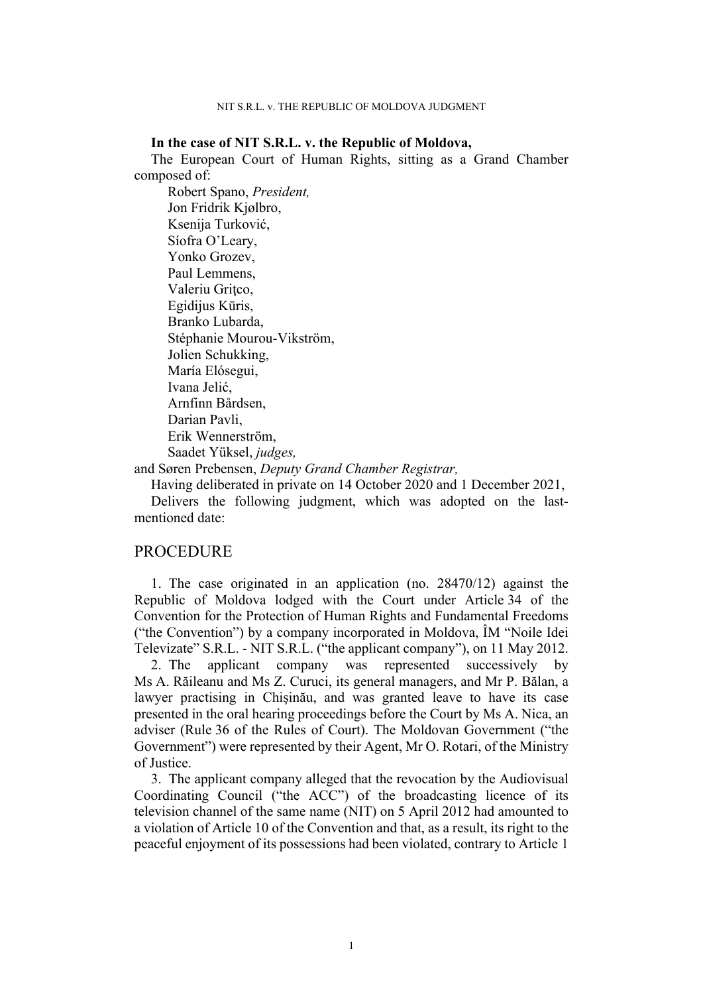# **In the case of NIT S.R.L. v. the Republic of Moldova,**

The European Court of Human Rights, sitting as a Grand Chamber composed of:

Robert Spano, *President,* Jon Fridrik Kjølbro, Ksenija Turković, Síofra O'Leary, Yonko Grozev, Paul Lemmens, Valeriu Griţco, Egidijus Kūris, Branko Lubarda, Stéphanie Mourou-Vikström, Jolien Schukking, María Elósegui, Ivana Jelić, Arnfinn Bårdsen, Darian Pavli, Erik Wennerström, Saadet Yüksel, *judges,*

and Søren Prebensen, *Deputy Grand Chamber Registrar,*

Having deliberated in private on 14 October 2020 and 1 December 2021, Delivers the following judgment, which was adopted on the lastmentioned date:

# PROCEDURE

1. The case originated in an application (no. 28470/12) against the Republic of Moldova lodged with the Court under Article 34 of the Convention for the Protection of Human Rights and Fundamental Freedoms ("the Convention") by a company incorporated in Moldova, ÎM "Noile Idei Televizate" S.R.L. - NIT S.R.L. ("the applicant company"), on 11 May 2012.

2. The applicant company was represented successively by Ms A. Răileanu and Ms Z. Curuci, its general managers, and Mr P. Bălan, a lawyer practising in Chişinău, and was granted leave to have its case presented in the oral hearing proceedings before the Court by Ms A. Nica, an adviser (Rule 36 of the Rules of Court). The Moldovan Government ("the Government") were represented by their Agent, Mr O. Rotari, of the Ministry of Justice.

3. The applicant company alleged that the revocation by the Audiovisual Coordinating Council ("the ACC") of the broadcasting licence of its television channel of the same name (NIT) on 5 April 2012 had amounted to a violation of Article 10 of the Convention and that, as a result, its right to the peaceful enjoyment of its possessions had been violated, contrary to Article 1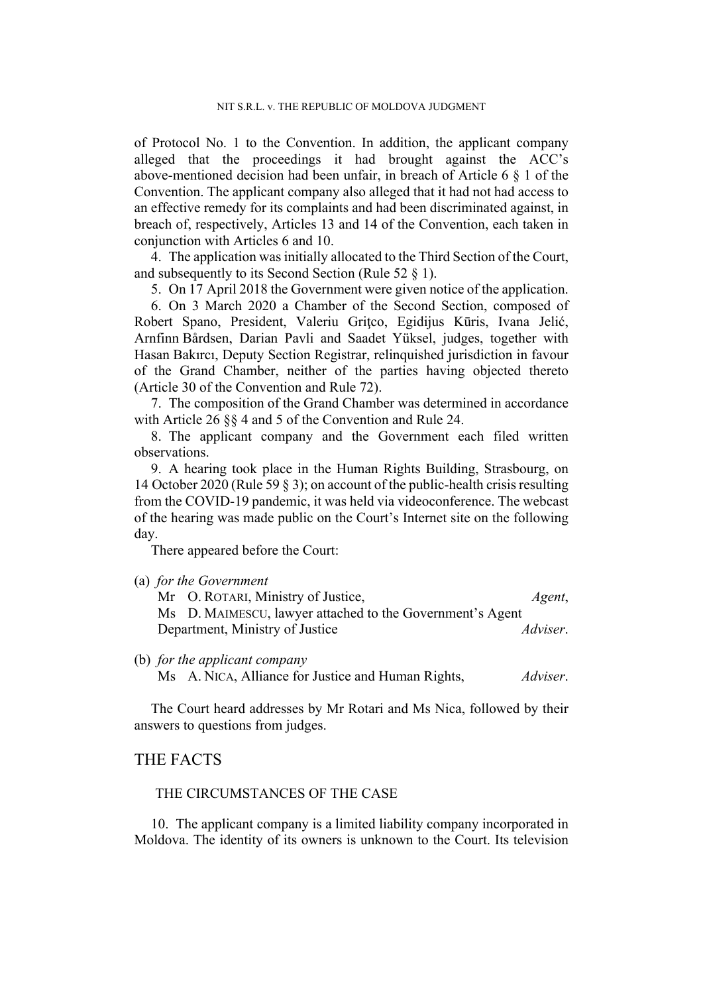of Protocol No. 1 to the Convention. In addition, the applicant company alleged that the proceedings it had brought against the ACC's above-mentioned decision had been unfair, in breach of Article 6 § 1 of the Convention. The applicant company also alleged that it had not had access to an effective remedy for its complaints and had been discriminated against, in breach of, respectively, Articles 13 and 14 of the Convention, each taken in conjunction with Articles 6 and 10.

4. The application was initially allocated to the Third Section of the Court, and subsequently to its Second Section (Rule 52 § 1).

5. On 17 April 2018 the Government were given notice of the application.

6. On 3 March 2020 a Chamber of the Second Section, composed of Robert Spano, President, Valeriu Griţco, Egidijus Kūris, Ivana Jelić, Arnfinn Bårdsen, Darian Pavli and Saadet Yüksel, judges, together with Hasan Bakırcı, Deputy Section Registrar, relinquished jurisdiction in favour of the Grand Chamber, neither of the parties having objected thereto (Article 30 of the Convention and Rule 72).

7. The composition of the Grand Chamber was determined in accordance with Article 26 §§ 4 and 5 of the Convention and Rule 24.

8. The applicant company and the Government each filed written observations.

9. A hearing took place in the Human Rights Building, Strasbourg, on 14 October 2020 (Rule 59 § 3); on account of the public-health crisis resulting from the COVID-19 pandemic, it was held via videoconference. The webcast of the hearing was made public on the Court's Internet site on the following day.

There appeared before the Court:

## (a) *for the Government*

Mr O. ROTARI, Ministry of Justice, *Agent*, Ms D. MAIMESCU, lawyer attached to the Government's Agent Department, Ministry of Justice *Adviser*.

(b) *for the applicant company*

Ms A. NICA, Alliance for Justice and Human Rights, *Adviser*.

The Court heard addresses by Mr Rotari and Ms Nica, followed by their answers to questions from judges.

# THE FACTS

# THE CIRCUMSTANCES OF THE CASE

10. The applicant company is a limited liability company incorporated in Moldova. The identity of its owners is unknown to the Court. Its television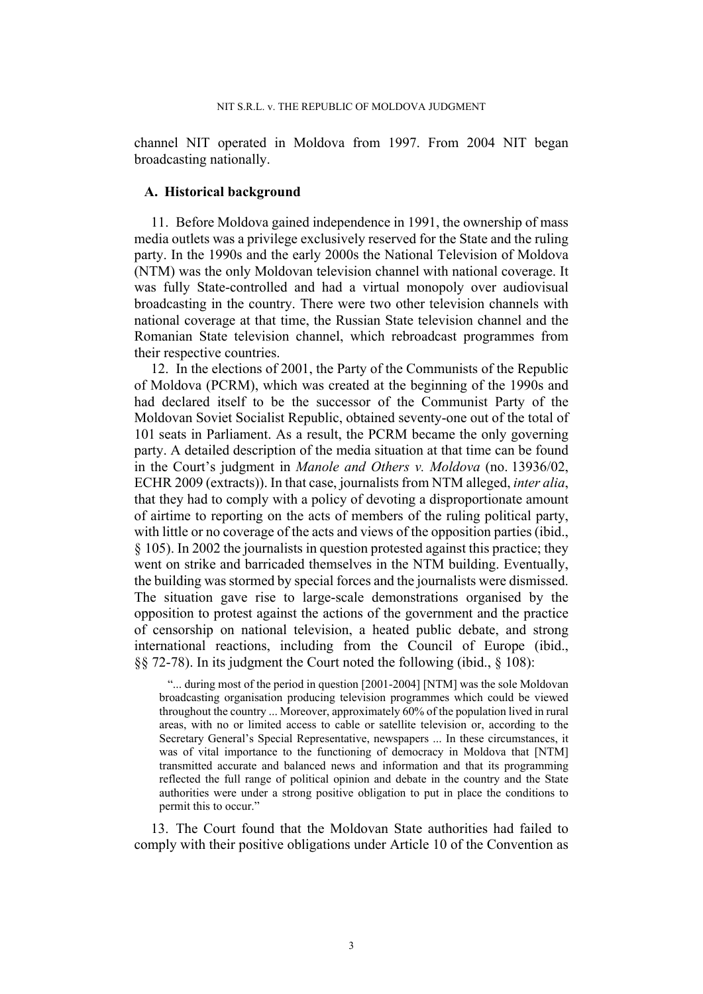channel NIT operated in Moldova from 1997. From 2004 NIT began broadcasting nationally.

# **A. Historical background**

11. Before Moldova gained independence in 1991, the ownership of mass media outlets was a privilege exclusively reserved for the State and the ruling party. In the 1990s and the early 2000s the National Television of Moldova (NTM) was the only Moldovan television channel with national coverage. It was fully State-controlled and had a virtual monopoly over audiovisual broadcasting in the country. There were two other television channels with national coverage at that time, the Russian State television channel and the Romanian State television channel, which rebroadcast programmes from their respective countries.

12. In the elections of 2001, the Party of the Communists of the Republic of Moldova (PCRM), which was created at the beginning of the 1990s and had declared itself to be the successor of the Communist Party of the Moldovan Soviet Socialist Republic, obtained seventy-one out of the total of 101 seats in Parliament. As a result, the PCRM became the only governing party. A detailed description of the media situation at that time can be found in the Court's judgment in *Manole and Others v. Moldova* (no. 13936/02, ECHR 2009 (extracts)). In that case, journalists from NTM alleged, *inter alia*, that they had to comply with a policy of devoting a disproportionate amount of airtime to reporting on the acts of members of the ruling political party, with little or no coverage of the acts and views of the opposition parties (ibid., § 105). In 2002 the journalists in question protested against this practice; they went on strike and barricaded themselves in the NTM building. Eventually, the building was stormed by special forces and the journalists were dismissed. The situation gave rise to large-scale demonstrations organised by the opposition to protest against the actions of the government and the practice of censorship on national television, a heated public debate, and strong international reactions, including from the Council of Europe (ibid., §§ 72-78). In its judgment the Court noted the following (ibid., § 108):

"... during most of the period in question [2001-2004] [NTM] was the sole Moldovan broadcasting organisation producing television programmes which could be viewed throughout the country ... Moreover, approximately 60% of the population lived in rural areas, with no or limited access to cable or satellite television or, according to the Secretary General's Special Representative, newspapers ... In these circumstances, it was of vital importance to the functioning of democracy in Moldova that [NTM] transmitted accurate and balanced news and information and that its programming reflected the full range of political opinion and debate in the country and the State authorities were under a strong positive obligation to put in place the conditions to permit this to occur."

13. The Court found that the Moldovan State authorities had failed to comply with their positive obligations under Article 10 of the Convention as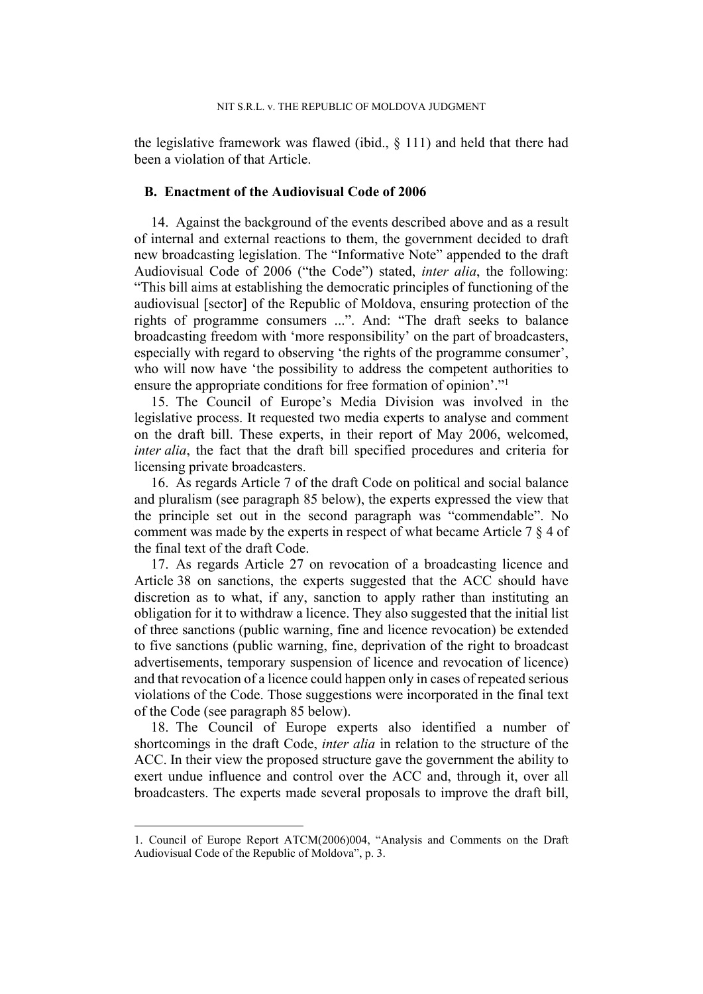the legislative framework was flawed (ibid., § 111) and held that there had been a violation of that Article.

# **B. Enactment of the Audiovisual Code of 2006**

14. Against the background of the events described above and as a result of internal and external reactions to them, the government decided to draft new broadcasting legislation. The "Informative Note" appended to the draft Audiovisual Code of 2006 ("the Code") stated, *inter alia*, the following: "This bill aims at establishing the democratic principles of functioning of the audiovisual [sector] of the Republic of Moldova, ensuring protection of the rights of programme consumers ...". And: "The draft seeks to balance broadcasting freedom with 'more responsibility' on the part of broadcasters, especially with regard to observing 'the rights of the programme consumer', who will now have 'the possibility to address the competent authorities to ensure the appropriate conditions for free formation of opinion'."<sup>1</sup>

15. The Council of Europe's Media Division was involved in the legislative process. It requested two media experts to analyse and comment on the draft bill. These experts, in their report of May 2006, welcomed, *inter alia*, the fact that the draft bill specified procedures and criteria for licensing private broadcasters.

16. As regards Article 7 of the draft Code on political and social balance and pluralism (see paragraph [85](#page-25-0) below), the experts expressed the view that the principle set out in the second paragraph was "commendable". No comment was made by the experts in respect of what became Article 7 § 4 of the final text of the draft Code.

17. As regards Article 27 on revocation of a broadcasting licence and Article 38 on sanctions, the experts suggested that the ACC should have discretion as to what, if any, sanction to apply rather than instituting an obligation for it to withdraw a licence. They also suggested that the initial list of three sanctions (public warning, fine and licence revocation) be extended to five sanctions (public warning, fine, deprivation of the right to broadcast advertisements, temporary suspension of licence and revocation of licence) and that revocation of a licence could happen only in cases of repeated serious violations of the Code. Those suggestions were incorporated in the final text of the Code (see paragraph [85](#page-25-0) below).

18. The Council of Europe experts also identified a number of shortcomings in the draft Code, *inter alia* in relation to the structure of the ACC. In their view the proposed structure gave the government the ability to exert undue influence and control over the ACC and, through it, over all broadcasters. The experts made several proposals to improve the draft bill,

<sup>1.</sup> Council of Europe Report ATCM(2006)004, "Analysis and Comments on the Draft Audiovisual Code of the Republic of Moldova", p. 3.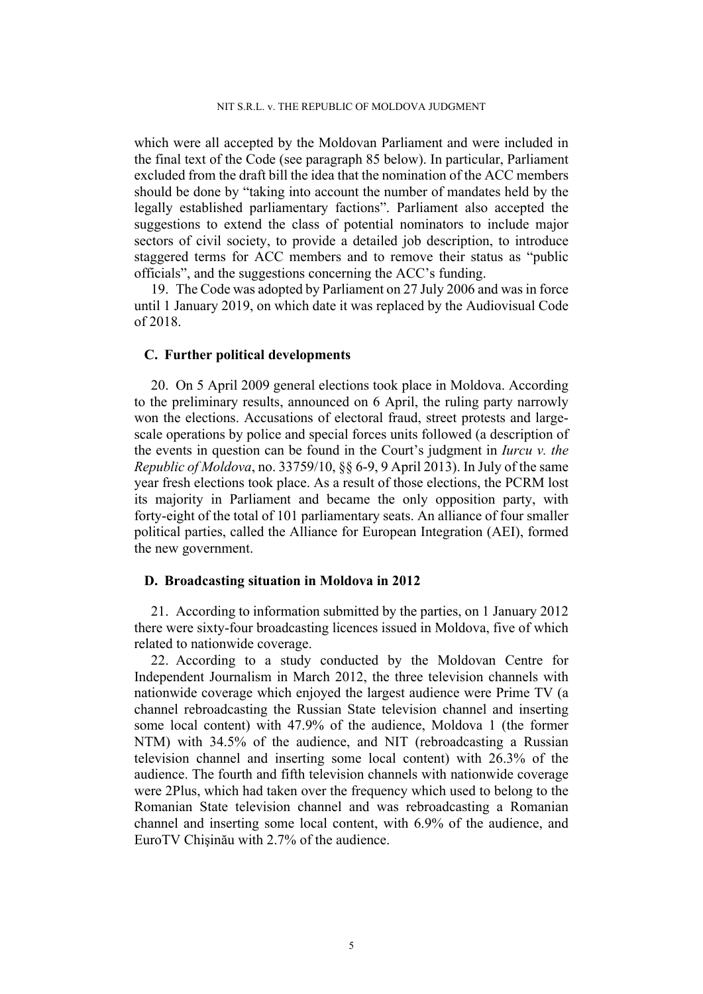which were all accepted by the Moldovan Parliament and were included in the final text of the Code (see paragraph [85](#page-25-0) below). In particular, Parliament excluded from the draft bill the idea that the nomination of the ACC members should be done by "taking into account the number of mandates held by the legally established parliamentary factions". Parliament also accepted the suggestions to extend the class of potential nominators to include major sectors of civil society, to provide a detailed job description, to introduce staggered terms for ACC members and to remove their status as "public officials", and the suggestions concerning the ACC's funding.

19. The Code was adopted by Parliament on 27 July 2006 and was in force until 1 January 2019, on which date it was replaced by the Audiovisual Code of 2018.

# **C. Further political developments**

20. On 5 April 2009 general elections took place in Moldova. According to the preliminary results, announced on 6 April, the ruling party narrowly won the elections. Accusations of electoral fraud, street protests and largescale operations by police and special forces units followed (a description of the events in question can be found in the Court's judgment in *Iurcu v. the Republic of Moldova*, no. 33759/10, §§ 6-9, 9 April 2013). In July of the same year fresh elections took place. As a result of those elections, the PCRM lost its majority in Parliament and became the only opposition party, with forty-eight of the total of 101 parliamentary seats. An alliance of four smaller political parties, called the Alliance for European Integration (AEI), formed the new government.

# **D. Broadcasting situation in Moldova in 2012**

21. According to information submitted by the parties, on 1 January 2012 there were sixty-four broadcasting licences issued in Moldova, five of which related to nationwide coverage.

22. According to a study conducted by the Moldovan Centre for Independent Journalism in March 2012, the three television channels with nationwide coverage which enjoyed the largest audience were Prime TV (a channel rebroadcasting the Russian State television channel and inserting some local content) with 47.9% of the audience, Moldova 1 (the former NTM) with 34.5% of the audience, and NIT (rebroadcasting a Russian television channel and inserting some local content) with 26.3% of the audience. The fourth and fifth television channels with nationwide coverage were 2Plus, which had taken over the frequency which used to belong to the Romanian State television channel and was rebroadcasting a Romanian channel and inserting some local content, with 6.9% of the audience, and EuroTV Chişinău with 2.7% of the audience.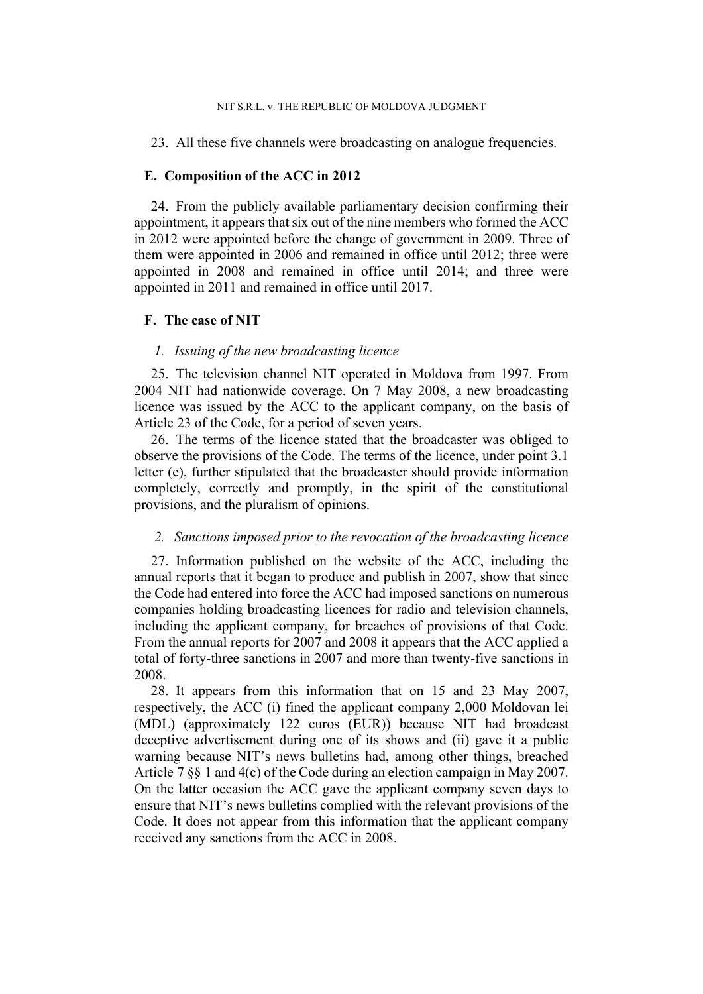23. All these five channels were broadcasting on analogue frequencies.

# **E. Composition of the ACC in 2012**

24. From the publicly available parliamentary decision confirming their appointment, it appears that six out of the nine members who formed the ACC in 2012 were appointed before the change of government in 2009. Three of them were appointed in 2006 and remained in office until 2012; three were appointed in 2008 and remained in office until 2014; and three were appointed in 2011 and remained in office until 2017.

# **F. The case of NIT**

# *1. Issuing of the new broadcasting licence*

25. The television channel NIT operated in Moldova from 1997. From 2004 NIT had nationwide coverage. On 7 May 2008, a new broadcasting licence was issued by the ACC to the applicant company, on the basis of Article 23 of the Code, for a period of seven years.

26. The terms of the licence stated that the broadcaster was obliged to observe the provisions of the Code. The terms of the licence, under point 3.1 letter (e), further stipulated that the broadcaster should provide information completely, correctly and promptly, in the spirit of the constitutional provisions, and the pluralism of opinions.

# *2. Sanctions imposed prior to the revocation of the broadcasting licence*

27. Information published on the website of the ACC, including the annual reports that it began to produce and publish in 2007, show that since the Code had entered into force the ACC had imposed sanctions on numerous companies holding broadcasting licences for radio and television channels, including the applicant company, for breaches of provisions of that Code. From the annual reports for 2007 and 2008 it appears that the ACC applied a total of forty-three sanctions in 2007 and more than twenty-five sanctions in 2008.

28. It appears from this information that on 15 and 23 May 2007, respectively, the ACC (i) fined the applicant company 2,000 Moldovan lei (MDL) (approximately 122 euros (EUR)) because NIT had broadcast deceptive advertisement during one of its shows and (ii) gave it a public warning because NIT's news bulletins had, among other things, breached Article 7 §§ 1 and 4(c) of the Code during an election campaign in May 2007. On the latter occasion the ACC gave the applicant company seven days to ensure that NIT's news bulletins complied with the relevant provisions of the Code. It does not appear from this information that the applicant company received any sanctions from the ACC in 2008.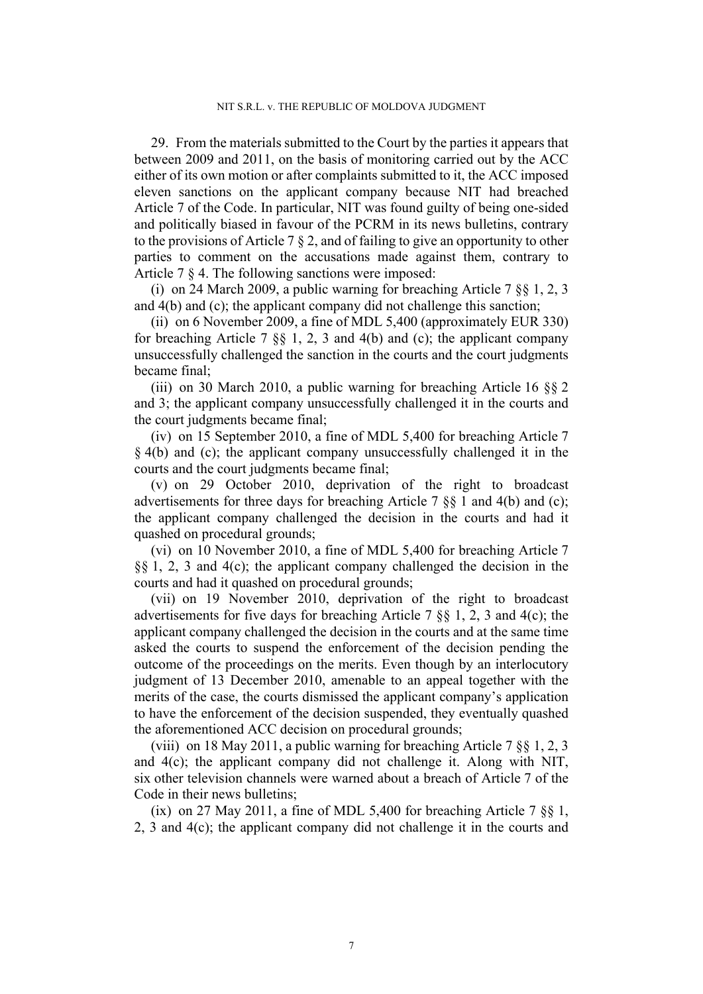29. From the materials submitted to the Court by the parties it appears that between 2009 and 2011, on the basis of monitoring carried out by the ACC either of its own motion or after complaints submitted to it, the ACC imposed eleven sanctions on the applicant company because NIT had breached Article 7 of the Code. In particular, NIT was found guilty of being one-sided and politically biased in favour of the PCRM in its news bulletins, contrary to the provisions of Article 7 § 2, and of failing to give an opportunity to other parties to comment on the accusations made against them, contrary to Article 7 § 4. The following sanctions were imposed:

(i) on 24 March 2009, a public warning for breaching Article 7 §§ 1, 2, 3 and 4(b) and (c); the applicant company did not challenge this sanction;

(ii) on 6 November 2009, a fine of MDL 5,400 (approximately EUR 330) for breaching Article 7  $\S$ , 1, 2, 3 and 4(b) and (c); the applicant company unsuccessfully challenged the sanction in the courts and the court judgments became final;

(iii) on 30 March 2010, a public warning for breaching Article 16 §§ 2 and 3; the applicant company unsuccessfully challenged it in the courts and the court judgments became final;

(iv) on 15 September 2010, a fine of MDL 5,400 for breaching Article 7 § 4(b) and (c); the applicant company unsuccessfully challenged it in the courts and the court judgments became final;

(v) on 29 October 2010, deprivation of the right to broadcast advertisements for three days for breaching Article 7 §§ 1 and 4(b) and (c); the applicant company challenged the decision in the courts and had it quashed on procedural grounds;

(vi) on 10 November 2010, a fine of MDL 5,400 for breaching Article 7 §§ 1, 2, 3 and 4(c); the applicant company challenged the decision in the courts and had it quashed on procedural grounds;

(vii) on 19 November 2010, deprivation of the right to broadcast advertisements for five days for breaching Article 7 §§ 1, 2, 3 and 4(c); the applicant company challenged the decision in the courts and at the same time asked the courts to suspend the enforcement of the decision pending the outcome of the proceedings on the merits. Even though by an interlocutory judgment of 13 December 2010, amenable to an appeal together with the merits of the case, the courts dismissed the applicant company's application to have the enforcement of the decision suspended, they eventually quashed the aforementioned ACC decision on procedural grounds;

(viii) on 18 May 2011, a public warning for breaching Article 7 §§ 1, 2, 3 and 4(c); the applicant company did not challenge it. Along with NIT, six other television channels were warned about a breach of Article 7 of the Code in their news bulletins;

(ix) on 27 May 2011, a fine of MDL 5,400 for breaching Article 7  $\S$  1, 2, 3 and 4(c); the applicant company did not challenge it in the courts and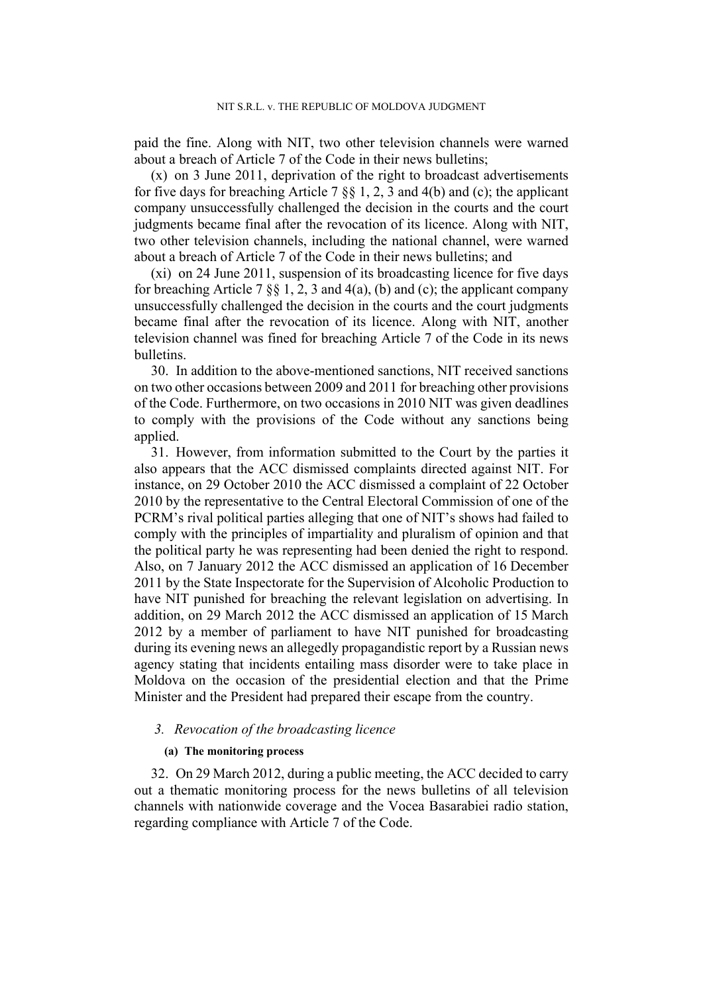paid the fine. Along with NIT, two other television channels were warned about a breach of Article 7 of the Code in their news bulletins;

(x) on 3 June 2011, deprivation of the right to broadcast advertisements for five days for breaching Article 7 §§ 1, 2, 3 and 4(b) and (c); the applicant company unsuccessfully challenged the decision in the courts and the court judgments became final after the revocation of its licence. Along with NIT, two other television channels, including the national channel, were warned about a breach of Article 7 of the Code in their news bulletins; and

(xi) on 24 June 2011, suspension of its broadcasting licence for five days for breaching Article 7  $\S$ , 1, 2, 3 and 4(a), (b) and (c); the applicant company unsuccessfully challenged the decision in the courts and the court judgments became final after the revocation of its licence. Along with NIT, another television channel was fined for breaching Article 7 of the Code in its news bulletins.

30. In addition to the above-mentioned sanctions, NIT received sanctions on two other occasions between 2009 and 2011 for breaching other provisions of the Code. Furthermore, on two occasions in 2010 NIT was given deadlines to comply with the provisions of the Code without any sanctions being applied.

31. However, from information submitted to the Court by the parties it also appears that the ACC dismissed complaints directed against NIT. For instance, on 29 October 2010 the ACC dismissed a complaint of 22 October 2010 by the representative to the Central Electoral Commission of one of the PCRM's rival political parties alleging that one of NIT's shows had failed to comply with the principles of impartiality and pluralism of opinion and that the political party he was representing had been denied the right to respond. Also, on 7 January 2012 the ACC dismissed an application of 16 December 2011 by the State Inspectorate for the Supervision of Alcoholic Production to have NIT punished for breaching the relevant legislation on advertising. In addition, on 29 March 2012 the ACC dismissed an application of 15 March 2012 by a member of parliament to have NIT punished for broadcasting during its evening news an allegedly propagandistic report by a Russian news agency stating that incidents entailing mass disorder were to take place in Moldova on the occasion of the presidential election and that the Prime Minister and the President had prepared their escape from the country.

# *3. Revocation of the broadcasting licence*

#### **(a) The monitoring process**

<span id="page-9-0"></span>32. On 29 March 2012, during a public meeting, the ACC decided to carry out a thematic monitoring process for the news bulletins of all television channels with nationwide coverage and the Vocea Basarabiei radio station, regarding compliance with Article 7 of the Code.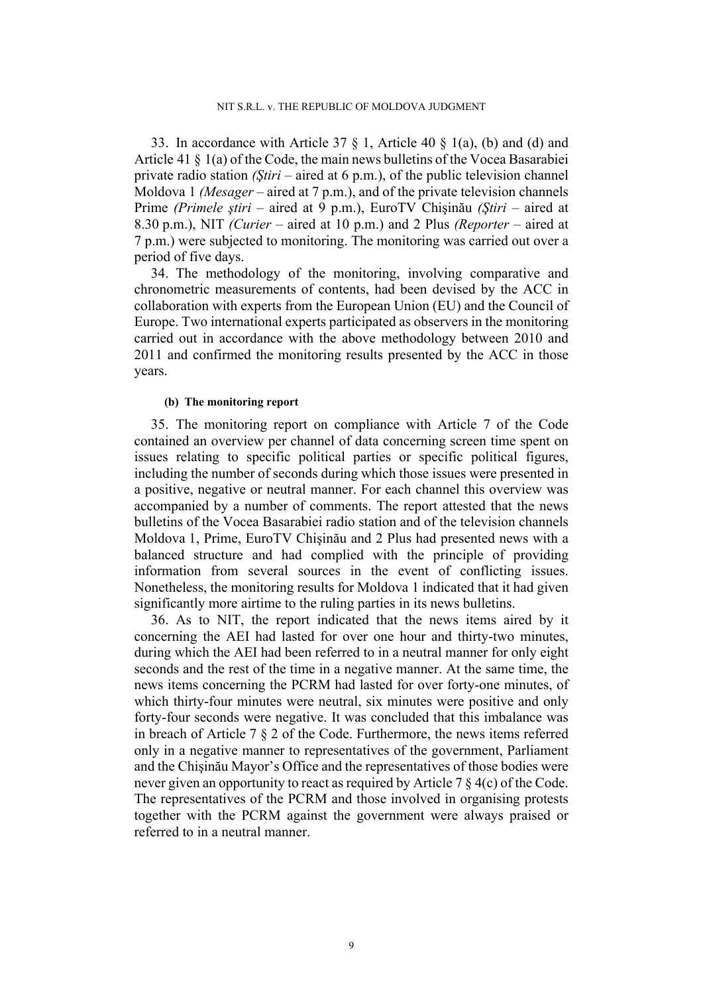33. In accordance with Article 37 § 1, Article 40 § 1(a), (b) and (d) and Article 41 § 1(a) of the Code, the main news bulletins of the Vocea Basarabiei private radio station *(Ştiri* – aired at 6 p.m.), of the public television channel Moldova 1 *(Mesager* – aired at 7 p.m.), and of the private television channels Prime *(Primele ştiri* – aired at 9 p.m.), EuroTV Chişinău *(Ştiri* – aired at 8.30 p.m.), NIT *(Curier* – aired at 10 p.m.) and 2 Plus *(Reporter* – aired at 7 p.m.) were subjected to monitoring. The monitoring was carried out over a period of five days.

34. The methodology of the monitoring, involving comparative and chronometric measurements of contents, had been devised by the ACC in collaboration with experts from the European Union (EU) and the Council of Europe. Two international experts participated as observers in the monitoring carried out in accordance with the above methodology between 2010 and 2011 and confirmed the monitoring results presented by the ACC in those years.

## **(b) The monitoring report**

<span id="page-10-0"></span>35. The monitoring report on compliance with Article 7 of the Code contained an overview per channel of data concerning screen time spent on issues relating to specific political parties or specific political figures, including the number of seconds during which those issues were presented in a positive, negative or neutral manner. For each channel this overview was accompanied by a number of comments. The report attested that the news bulletins of the Vocea Basarabiei radio station and of the television channels Moldova 1, Prime, EuroTV Chişinău and 2 Plus had presented news with a balanced structure and had complied with the principle of providing information from several sources in the event of conflicting issues. Nonetheless, the monitoring results for Moldova 1 indicated that it had given significantly more airtime to the ruling parties in its news bulletins.

36. As to NIT, the report indicated that the news items aired by it concerning the AEI had lasted for over one hour and thirty-two minutes, during which the AEI had been referred to in a neutral manner for only eight seconds and the rest of the time in a negative manner. At the same time, the news items concerning the PCRM had lasted for over forty-one minutes, of which thirty-four minutes were neutral, six minutes were positive and only forty-four seconds were negative. It was concluded that this imbalance was in breach of Article 7 § 2 of the Code. Furthermore, the news items referred only in a negative manner to representatives of the government, Parliament and the Chişinău Mayor's Office and the representatives of those bodies were never given an opportunity to react as required by Article 7 § 4(c) of the Code. The representatives of the PCRM and those involved in organising protests together with the PCRM against the government were always praised or referred to in a neutral manner.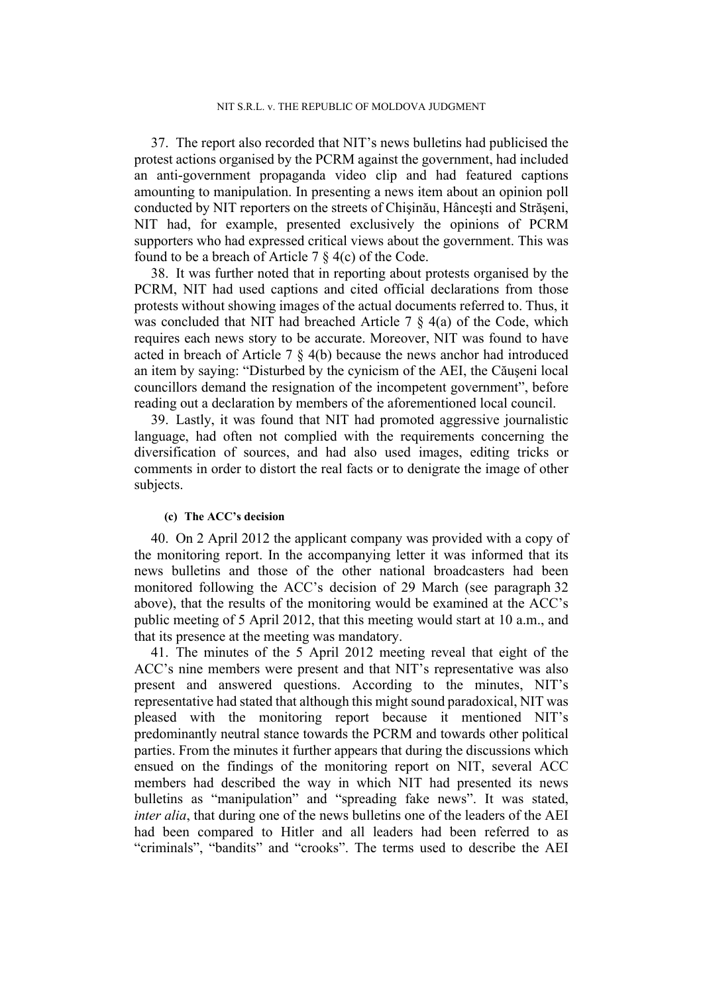37. The report also recorded that NIT's news bulletins had publicised the protest actions organised by the PCRM against the government, had included an anti-government propaganda video clip and had featured captions amounting to manipulation. In presenting a news item about an opinion poll conducted by NIT reporters on the streets of Chişinău, Hânceşti and Străşeni, NIT had, for example, presented exclusively the opinions of PCRM supporters who had expressed critical views about the government. This was found to be a breach of Article 7  $\S$  4(c) of the Code.

38. It was further noted that in reporting about protests organised by the PCRM, NIT had used captions and cited official declarations from those protests without showing images of the actual documents referred to. Thus, it was concluded that NIT had breached Article 7  $\S$  4(a) of the Code, which requires each news story to be accurate. Moreover, NIT was found to have acted in breach of Article 7 § 4(b) because the news anchor had introduced an item by saying: "Disturbed by the cynicism of the AEI, the Căuşeni local councillors demand the resignation of the incompetent government", before reading out a declaration by members of the aforementioned local council.

<span id="page-11-0"></span>39. Lastly, it was found that NIT had promoted aggressive journalistic language, had often not complied with the requirements concerning the diversification of sources, and had also used images, editing tricks or comments in order to distort the real facts or to denigrate the image of other subjects.

# **(c) The ACC's decision**

40. On 2 April 2012 the applicant company was provided with a copy of the monitoring report. In the accompanying letter it was informed that its news bulletins and those of the other national broadcasters had been monitored following the ACC's decision of 29 March (see paragraph [32](#page-9-0)  above), that the results of the monitoring would be examined at the ACC's public meeting of 5 April 2012, that this meeting would start at 10 a.m., and that its presence at the meeting was mandatory.

41. The minutes of the 5 April 2012 meeting reveal that eight of the ACC's nine members were present and that NIT's representative was also present and answered questions. According to the minutes, NIT's representative had stated that although this might sound paradoxical, NIT was pleased with the monitoring report because it mentioned NIT's predominantly neutral stance towards the PCRM and towards other political parties. From the minutes it further appears that during the discussions which ensued on the findings of the monitoring report on NIT, several ACC members had described the way in which NIT had presented its news bulletins as "manipulation" and "spreading fake news". It was stated, *inter alia*, that during one of the news bulletins one of the leaders of the AEI had been compared to Hitler and all leaders had been referred to as "criminals", "bandits" and "crooks". The terms used to describe the AEI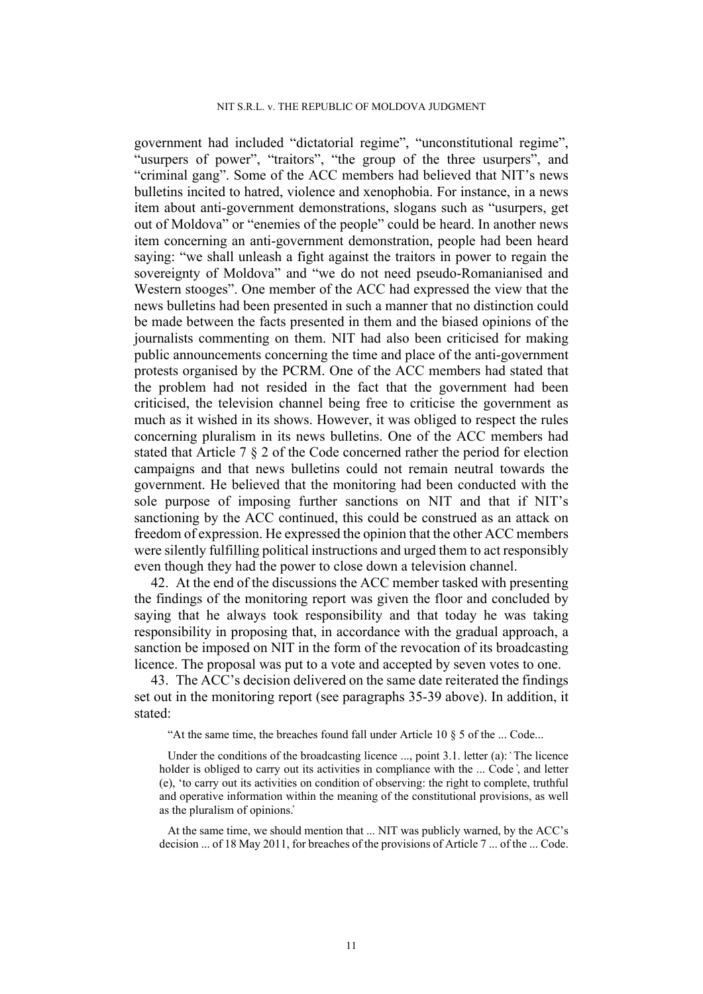government had included "dictatorial regime", "unconstitutional regime", "usurpers of power", "traitors", "the group of the three usurpers", and "criminal gang". Some of the ACC members had believed that NIT's news bulletins incited to hatred, violence and xenophobia. For instance, in a news item about anti-government demonstrations, slogans such as "usurpers, get out of Moldova" or "enemies of the people" could be heard. In another news item concerning an anti-government demonstration, people had been heard saying: "we shall unleash a fight against the traitors in power to regain the sovereignty of Moldova" and "we do not need pseudo-Romanianised and Western stooges". One member of the ACC had expressed the view that the news bulletins had been presented in such a manner that no distinction could be made between the facts presented in them and the biased opinions of the journalists commenting on them. NIT had also been criticised for making public announcements concerning the time and place of the anti-government protests organised by the PCRM. One of the ACC members had stated that the problem had not resided in the fact that the government had been criticised, the television channel being free to criticise the government as much as it wished in its shows. However, it was obliged to respect the rules concerning pluralism in its news bulletins. One of the ACC members had stated that Article 7 § 2 of the Code concerned rather the period for election campaigns and that news bulletins could not remain neutral towards the government. He believed that the monitoring had been conducted with the sole purpose of imposing further sanctions on NIT and that if NIT's sanctioning by the ACC continued, this could be construed as an attack on freedom of expression. He expressed the opinion that the other ACC members were silently fulfilling political instructions and urged them to act responsibly even though they had the power to close down a television channel.

42. At the end of the discussions the ACC member tasked with presenting the findings of the monitoring report was given the floor and concluded by saying that he always took responsibility and that today he was taking responsibility in proposing that, in accordance with the gradual approach, a sanction be imposed on NIT in the form of the revocation of its broadcasting licence. The proposal was put to a vote and accepted by seven votes to one.

43. The ACC's decision delivered on the same date reiterated the findings set out in the monitoring report (see paragraphs [35](#page-10-0)[-39](#page-11-0) above). In addition, it stated:

"At the same time, the breaches found fall under Article 10  $\S$  5 of the ... Code...

Under the conditions of the broadcasting licence  $\dots$ , point 3.1. letter (a): The licence holder is obliged to carry out its activities in compliance with the ... Code', and letter (e), 'to carry out its activities on condition of observing: the right to complete, truthful and operative information within the meaning of the constitutional provisions, as well as the pluralism of opinions.̓

At the same time, we should mention that ... NIT was publicly warned, by the ACC's decision ... of 18 May 2011, for breaches of the provisions of Article 7 ... of the ... Code.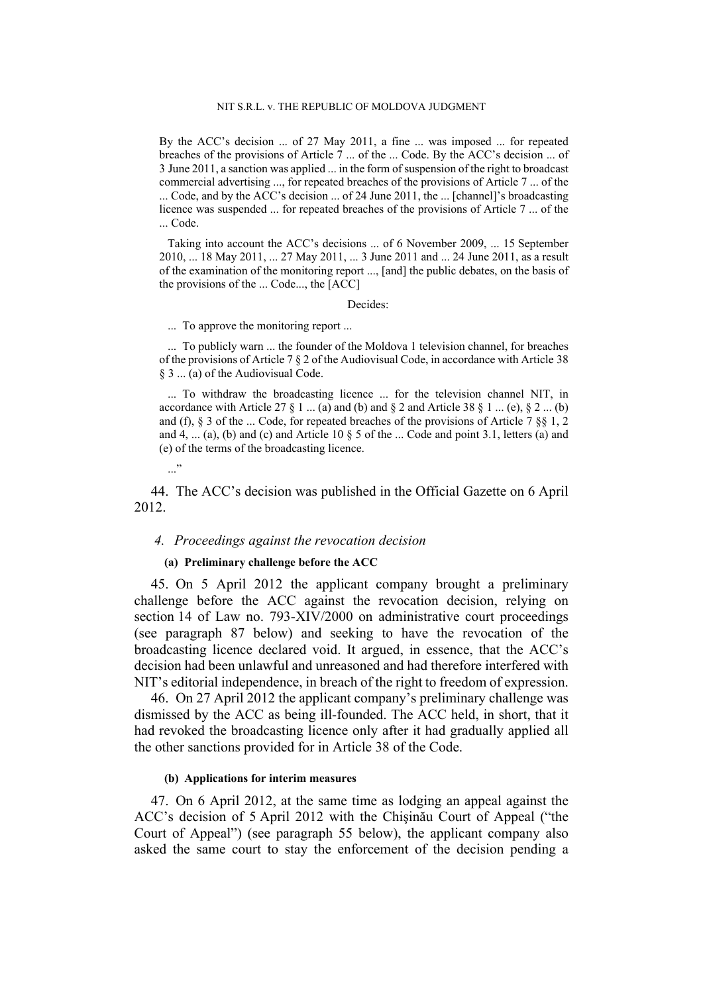By the ACC's decision ... of 27 May 2011, a fine ... was imposed ... for repeated breaches of the provisions of Article 7 ... of the ... Code. By the ACC's decision ... of 3 June 2011, a sanction was applied ... in the form of suspension of the right to broadcast commercial advertising ..., for repeated breaches of the provisions of Article 7 ... of the ... Code, and by the ACC's decision ... of 24 June 2011, the ... [channel]'s broadcasting licence was suspended ... for repeated breaches of the provisions of Article 7 ... of the ... Code.

Taking into account the ACC's decisions ... of 6 November 2009, ... 15 September 2010, ... 18 May 2011, ... 27 May 2011, ... 3 June 2011 and ... 24 June 2011, as a result of the examination of the monitoring report ..., [and] the public debates, on the basis of the provisions of the ... Code..., the [ACC]

Decides:

...To approve the monitoring report ...

 $\cdot$ ..."

...To publicly warn ... the founder of the Moldova 1 television channel, for breaches of the provisions of Article 7 § 2 of the Audiovisual Code, in accordance with Article 38 § 3 ... (a) of the Audiovisual Code.

...To withdraw the broadcasting licence ... for the television channel NIT, in accordance with Article 27  $\S$  1 ... (a) and (b) and  $\S$  2 and Article 38  $\S$  1 ... (e),  $\S$  2 ... (b) and (f),  $\S$  3 of the ... Code, for repeated breaches of the provisions of Article 7  $\S$ § 1, 2 and 4, ... (a), (b) and (c) and Article 10  $\S$  5 of the ... Code and point 3.1, letters (a) and (e) of the terms of the broadcasting licence.

44. The ACC's decision was published in the Official Gazette on 6 April 2012.

## *4. Proceedings against the revocation decision*

# **(a) Preliminary challenge before the ACC**

45. On 5 April 2012 the applicant company brought a preliminary challenge before the ACC against the revocation decision, relying on section 14 of Law no. 793-XIV/2000 on administrative court proceedings (see paragraph [87](#page-34-0) below) and seeking to have the revocation of the broadcasting licence declared void. It argued, in essence, that the ACC's decision had been unlawful and unreasoned and had therefore interfered with NIT's editorial independence, in breach of the right to freedom of expression.

46. On 27 April 2012 the applicant company's preliminary challenge was dismissed by the ACC as being ill-founded. The ACC held, in short, that it had revoked the broadcasting licence only after it had gradually applied all the other sanctions provided for in Article 38 of the Code.

### **(b) Applications for interim measures**

<span id="page-13-0"></span>47. On 6 April 2012, at the same time as lodging an appeal against the ACC's decision of 5 April 2012 with the Chişinău Court of Appeal ("the Court of Appeal") (see paragraph [55](#page-17-0) below), the applicant company also asked the same court to stay the enforcement of the decision pending a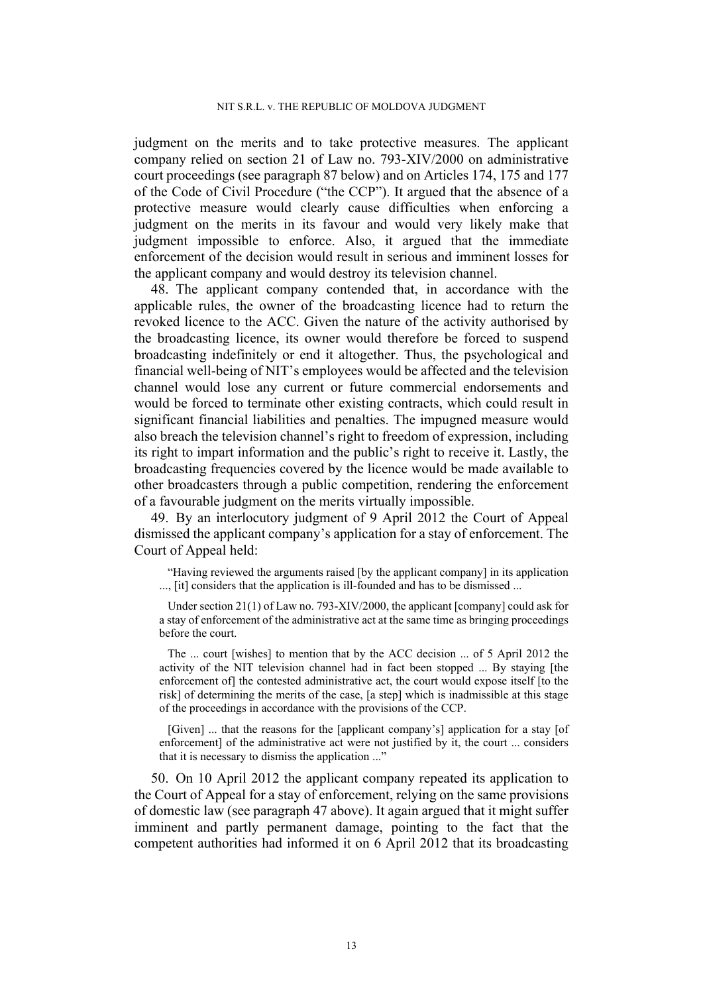judgment on the merits and to take protective measures. The applicant company relied on section 21 of Law no. 793-XIV/2000 on administrative court proceedings (see paragraph [87](#page-34-0) below) and on Articles 174, 175 and 177 of the Code of Civil Procedure ("the CCP"). It argued that the absence of a protective measure would clearly cause difficulties when enforcing a judgment on the merits in its favour and would very likely make that judgment impossible to enforce. Also, it argued that the immediate enforcement of the decision would result in serious and imminent losses for the applicant company and would destroy its television channel.

48. The applicant company contended that, in accordance with the applicable rules, the owner of the broadcasting licence had to return the revoked licence to the ACC. Given the nature of the activity authorised by the broadcasting licence, its owner would therefore be forced to suspend broadcasting indefinitely or end it altogether. Thus, the psychological and financial well-being of NIT's employees would be affected and the television channel would lose any current or future commercial endorsements and would be forced to terminate other existing contracts, which could result in significant financial liabilities and penalties. The impugned measure would also breach the television channel's right to freedom of expression, including its right to impart information and the public's right to receive it. Lastly, the broadcasting frequencies covered by the licence would be made available to other broadcasters through a public competition, rendering the enforcement of a favourable judgment on the merits virtually impossible.

49. By an interlocutory judgment of 9 April 2012 the Court of Appeal dismissed the applicant company's application for a stay of enforcement. The Court of Appeal held:

"Having reviewed the arguments raised [by the applicant company] in its application ..., [it] considers that the application is ill-founded and has to be dismissed ...

Under section 21(1) of Law no. 793-XIV/2000, the applicant [company] could ask for a stay of enforcement of the administrative act at the same time as bringing proceedings before the court.

The ... court [wishes] to mention that by the ACC decision ... of 5 April 2012 the activity of the NIT television channel had in fact been stopped ... By staying [the enforcement of] the contested administrative act, the court would expose itself [to the risk] of determining the merits of the case, [a step] which is inadmissible at this stage of the proceedings in accordance with the provisions of the CCP.

[Given] ... that the reasons for the [applicant company's] application for a stay [of enforcement] of the administrative act were not justified by it, the court ... considers that it is necessary to dismiss the application ..."

50. On 10 April 2012 the applicant company repeated its application to the Court of Appeal for a stay of enforcement, relying on the same provisions of domestic law (see paragraph [47](#page-13-0) above). It again argued that it might suffer imminent and partly permanent damage, pointing to the fact that the competent authorities had informed it on 6 April 2012 that its broadcasting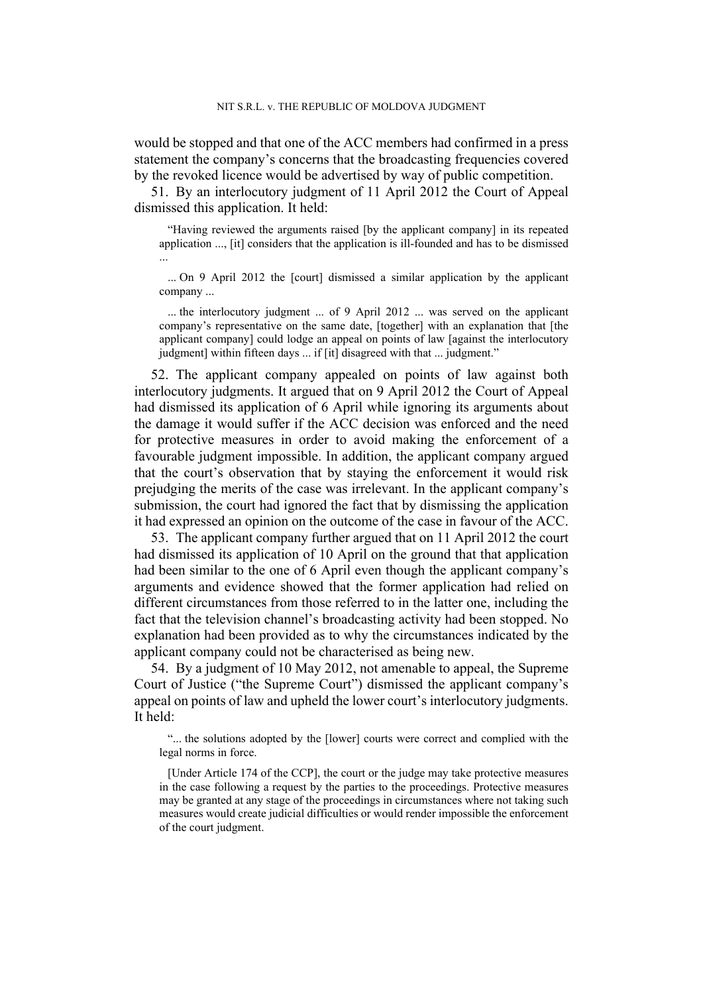would be stopped and that one of the ACC members had confirmed in a press statement the company's concerns that the broadcasting frequencies covered by the revoked licence would be advertised by way of public competition.

51. By an interlocutory judgment of 11 April 2012 the Court of Appeal dismissed this application. It held:

"Having reviewed the arguments raised [by the applicant company] in its repeated application ..., [it] considers that the application is ill-founded and has to be dismissed ...

... On 9 April 2012 the [court] dismissed a similar application by the applicant company ...

... the interlocutory judgment ... of 9 April 2012 ... was served on the applicant company's representative on the same date, [together] with an explanation that [the applicant company] could lodge an appeal on points of law [against the interlocutory judgment] within fifteen days ... if [it] disagreed with that ... judgment."

52. The applicant company appealed on points of law against both interlocutory judgments. It argued that on 9 April 2012 the Court of Appeal had dismissed its application of 6 April while ignoring its arguments about the damage it would suffer if the ACC decision was enforced and the need for protective measures in order to avoid making the enforcement of a favourable judgment impossible. In addition, the applicant company argued that the court's observation that by staying the enforcement it would risk prejudging the merits of the case was irrelevant. In the applicant company's submission, the court had ignored the fact that by dismissing the application it had expressed an opinion on the outcome of the case in favour of the ACC.

53. The applicant company further argued that on 11 April 2012 the court had dismissed its application of 10 April on the ground that that application had been similar to the one of 6 April even though the applicant company's arguments and evidence showed that the former application had relied on different circumstances from those referred to in the latter one, including the fact that the television channel's broadcasting activity had been stopped. No explanation had been provided as to why the circumstances indicated by the applicant company could not be characterised as being new.

54. By a judgment of 10 May 2012, not amenable to appeal, the Supreme Court of Justice ("the Supreme Court") dismissed the applicant company's appeal on points of law and upheld the lower court's interlocutory judgments. It held:

"... the solutions adopted by the [lower] courts were correct and complied with the legal norms in force.

[Under Article 174 of the CCP], the court or the judge may take protective measures in the case following a request by the parties to the proceedings. Protective measures may be granted at any stage of the proceedings in circumstances where not taking such measures would create judicial difficulties or would render impossible the enforcement of the court judgment.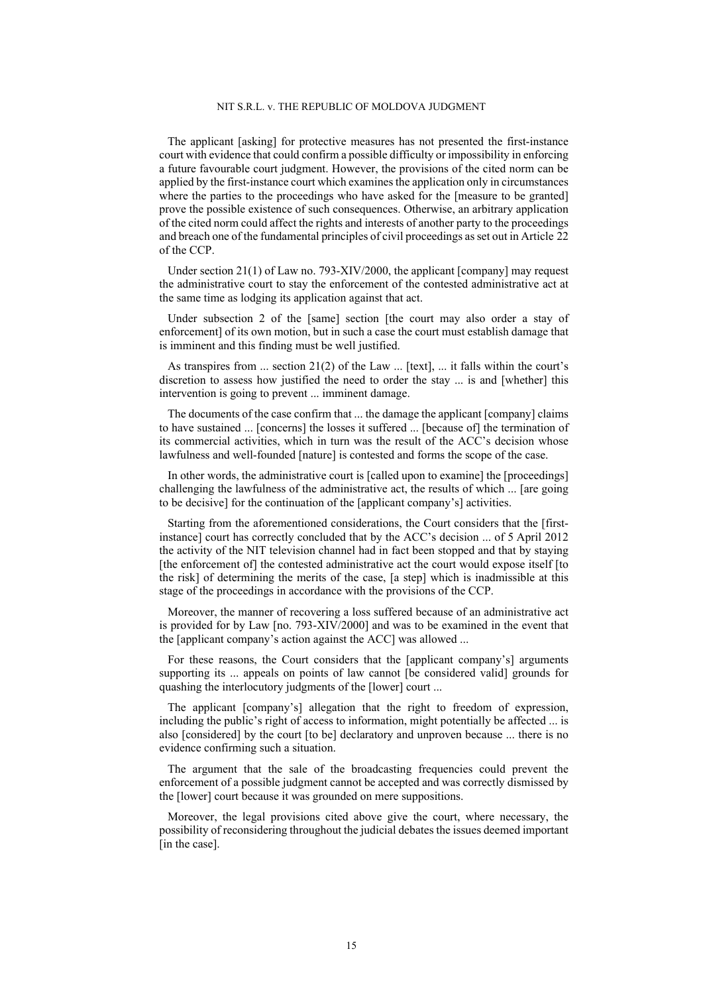#### NIT S.R.L. v. THE REPUBLIC OF MOLDOVA JUDGMENT

The applicant [asking] for protective measures has not presented the first-instance court with evidence that could confirm a possible difficulty or impossibility in enforcing a future favourable court judgment. However, the provisions of the cited norm can be applied by the first-instance court which examines the application only in circumstances where the parties to the proceedings who have asked for the [measure to be granted] prove the possible existence of such consequences. Otherwise, an arbitrary application of the cited norm could affect the rights and interests of another party to the proceedings and breach one of the fundamental principles of civil proceedings as set out in Article 22 of the CCP.

Under section 21(1) of Law no. 793-XIV/2000, the applicant [company] may request the administrative court to stay the enforcement of the contested administrative act at the same time as lodging its application against that act.

Under subsection 2 of the [same] section [the court may also order a stay of enforcement] of its own motion, but in such a case the court must establish damage that is imminent and this finding must be well justified.

As transpires from ... section  $21(2)$  of the Law ... [text], ... it falls within the court's discretion to assess how justified the need to order the stay ... is and [whether] this intervention is going to prevent ... imminent damage.

The documents of the case confirm that ... the damage the applicant [company] claims to have sustained ... [concerns] the losses it suffered ... [because of] the termination of its commercial activities, which in turn was the result of the ACC's decision whose lawfulness and well-founded [nature] is contested and forms the scope of the case.

In other words, the administrative court is [called upon to examine] the [proceedings] challenging the lawfulness of the administrative act, the results of which ... [are going to be decisive] for the continuation of the [applicant company's] activities.

Starting from the aforementioned considerations, the Court considers that the [firstinstance] court has correctly concluded that by the ACC's decision ... of 5 April 2012 the activity of the NIT television channel had in fact been stopped and that by staying [the enforcement of] the contested administrative act the court would expose itself [to the risk] of determining the merits of the case, [a step] which is inadmissible at this stage of the proceedings in accordance with the provisions of the CCP.

Moreover, the manner of recovering a loss suffered because of an administrative act is provided for by Law [no. 793-XIV/2000] and was to be examined in the event that the [applicant company's action against the ACC] was allowed ...

For these reasons, the Court considers that the [applicant company's] arguments supporting its ... appeals on points of law cannot [be considered valid] grounds for quashing the interlocutory judgments of the [lower] court ...

The applicant [company's] allegation that the right to freedom of expression, including the public's right of access to information, might potentially be affected ... is also [considered] by the court [to be] declaratory and unproven because ... there is no evidence confirming such a situation.

The argument that the sale of the broadcasting frequencies could prevent the enforcement of a possible judgment cannot be accepted and was correctly dismissed by the [lower] court because it was grounded on mere suppositions.

Moreover, the legal provisions cited above give the court, where necessary, the possibility of reconsidering throughout the judicial debates the issues deemed important [in the case].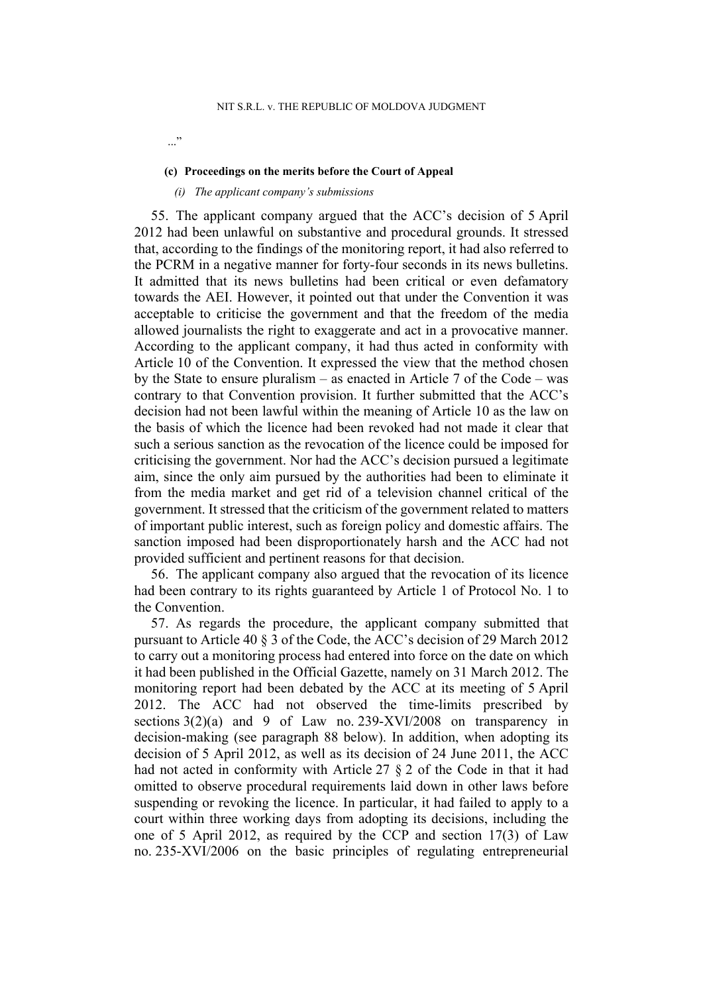..."

### **(c) Proceedings on the merits before the Court of Appeal**

*(i) The applicant company's submissions*

<span id="page-17-0"></span>55. The applicant company argued that the ACC's decision of 5 April 2012 had been unlawful on substantive and procedural grounds. It stressed that, according to the findings of the monitoring report, it had also referred to the PCRM in a negative manner for forty-four seconds in its news bulletins. It admitted that its news bulletins had been critical or even defamatory towards the AEI. However, it pointed out that under the Convention it was acceptable to criticise the government and that the freedom of the media allowed journalists the right to exaggerate and act in a provocative manner. According to the applicant company, it had thus acted in conformity with Article 10 of the Convention. It expressed the view that the method chosen by the State to ensure pluralism – as enacted in Article 7 of the Code – was contrary to that Convention provision. It further submitted that the ACC's decision had not been lawful within the meaning of Article 10 as the law on the basis of which the licence had been revoked had not made it clear that such a serious sanction as the revocation of the licence could be imposed for criticising the government. Nor had the ACC's decision pursued a legitimate aim, since the only aim pursued by the authorities had been to eliminate it from the media market and get rid of a television channel critical of the government. It stressed that the criticism of the government related to matters of important public interest, such as foreign policy and domestic affairs. The sanction imposed had been disproportionately harsh and the ACC had not provided sufficient and pertinent reasons for that decision.

56. The applicant company also argued that the revocation of its licence had been contrary to its rights guaranteed by Article 1 of Protocol No. 1 to the Convention.

<span id="page-17-1"></span>57. As regards the procedure, the applicant company submitted that pursuant to Article 40 § 3 of the Code, the ACC's decision of 29 March 2012 to carry out a monitoring process had entered into force on the date on which it had been published in the Official Gazette, namely on 31 March 2012. The monitoring report had been debated by the ACC at its meeting of 5 April 2012. The ACC had not observed the time-limits prescribed by sections  $3(2)(a)$  and 9 of Law no. 239-XVI/2008 on transparency in decision-making (see paragraph [88](#page-35-0) below). In addition, when adopting its decision of 5 April 2012, as well as its decision of 24 June 2011, the ACC had not acted in conformity with Article 27 § 2 of the Code in that it had omitted to observe procedural requirements laid down in other laws before suspending or revoking the licence. In particular, it had failed to apply to a court within three working days from adopting its decisions, including the one of 5 April 2012, as required by the CCP and section 17(3) of Law no. 235-XVI/2006 on the basic principles of regulating entrepreneurial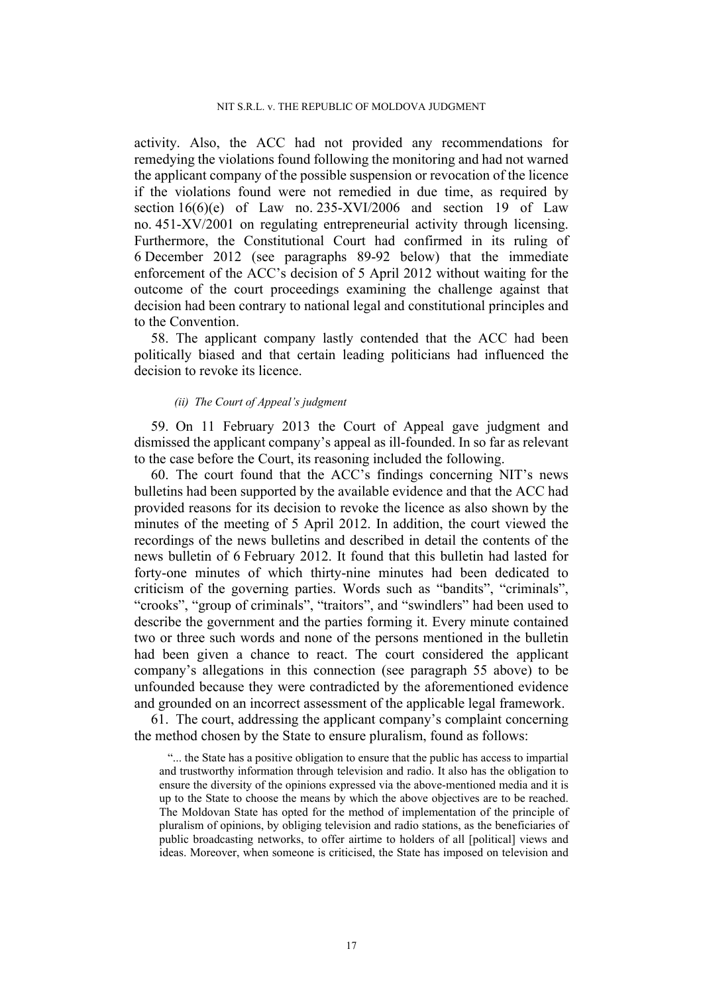activity. Also, the ACC had not provided any recommendations for remedying the violations found following the monitoring and had not warned the applicant company of the possible suspension or revocation of the licence if the violations found were not remedied in due time, as required by section  $16(6)(e)$  of Law no. 235-XVI/2006 and section 19 of Law no. 451-XV/2001 on regulating entrepreneurial activity through licensing. Furthermore, the Constitutional Court had confirmed in its ruling of 6 December 2012 (see paragraphs [89](#page-36-0)[-92](#page-37-0) below) that the immediate enforcement of the ACC's decision of 5 April 2012 without waiting for the outcome of the court proceedings examining the challenge against that decision had been contrary to national legal and constitutional principles and to the Convention.

58. The applicant company lastly contended that the ACC had been politically biased and that certain leading politicians had influenced the decision to revoke its licence.

### *(ii) The Court of Appeal's judgment*

59. On 11 February 2013 the Court of Appeal gave judgment and dismissed the applicant company's appeal as ill-founded. In so far as relevant to the case before the Court, its reasoning included the following.

60. The court found that the ACC's findings concerning NIT's news bulletins had been supported by the available evidence and that the ACC had provided reasons for its decision to revoke the licence as also shown by the minutes of the meeting of 5 April 2012. In addition, the court viewed the recordings of the news bulletins and described in detail the contents of the news bulletin of 6 February 2012. It found that this bulletin had lasted for forty-one minutes of which thirty-nine minutes had been dedicated to criticism of the governing parties. Words such as "bandits", "criminals", "crooks", "group of criminals", "traitors", and "swindlers" had been used to describe the government and the parties forming it. Every minute contained two or three such words and none of the persons mentioned in the bulletin had been given a chance to react. The court considered the applicant company's allegations in this connection (see paragraph [55](#page-17-0) above) to be unfounded because they were contradicted by the aforementioned evidence and grounded on an incorrect assessment of the applicable legal framework.

61. The court, addressing the applicant company's complaint concerning the method chosen by the State to ensure pluralism, found as follows:

"... the State has a positive obligation to ensure that the public has access to impartial and trustworthy information through television and radio. It also has the obligation to ensure the diversity of the opinions expressed via the above-mentioned media and it is up to the State to choose the means by which the above objectives are to be reached. The Moldovan State has opted for the method of implementation of the principle of pluralism of opinions, by obliging television and radio stations, as the beneficiaries of public broadcasting networks, to offer airtime to holders of all [political] views and ideas. Moreover, when someone is criticised, the State has imposed on television and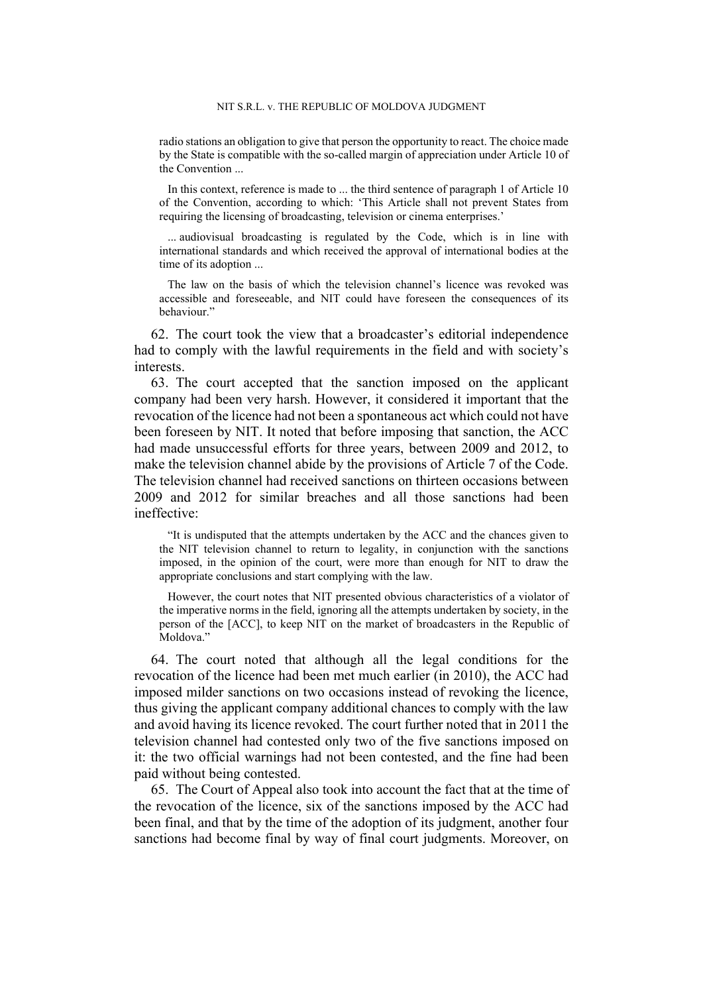radio stations an obligation to give that person the opportunity to react. The choice made by the State is compatible with the so-called margin of appreciation under Article 10 of the Convention ...

In this context, reference is made to ... the third sentence of paragraph 1 of Article 10 of the Convention, according to which: 'This Article shall not prevent States from requiring the licensing of broadcasting, television or cinema enterprises.'

... audiovisual broadcasting is regulated by the Code, which is in line with international standards and which received the approval of international bodies at the time of its adoption ...

The law on the basis of which the television channel's licence was revoked was accessible and foreseeable, and NIT could have foreseen the consequences of its behaviour."

62. The court took the view that a broadcaster's editorial independence had to comply with the lawful requirements in the field and with society's interests.

63. The court accepted that the sanction imposed on the applicant company had been very harsh. However, it considered it important that the revocation of the licence had not been a spontaneous act which could not have been foreseen by NIT. It noted that before imposing that sanction, the ACC had made unsuccessful efforts for three years, between 2009 and 2012, to make the television channel abide by the provisions of Article 7 of the Code. The television channel had received sanctions on thirteen occasions between 2009 and 2012 for similar breaches and all those sanctions had been ineffective:

"It is undisputed that the attempts undertaken by the ACC and the chances given to the NIT television channel to return to legality, in conjunction with the sanctions imposed, in the opinion of the court, were more than enough for NIT to draw the appropriate conclusions and start complying with the law.

However, the court notes that NIT presented obvious characteristics of a violator of the imperative norms in the field, ignoring all the attempts undertaken by society, in the person of the [ACC], to keep NIT on the market of broadcasters in the Republic of Moldova<sup>"</sup>

64. The court noted that although all the legal conditions for the revocation of the licence had been met much earlier (in 2010), the ACC had imposed milder sanctions on two occasions instead of revoking the licence, thus giving the applicant company additional chances to comply with the law and avoid having its licence revoked. The court further noted that in 2011 the television channel had contested only two of the five sanctions imposed on it: the two official warnings had not been contested, and the fine had been paid without being contested.

65. The Court of Appeal also took into account the fact that at the time of the revocation of the licence, six of the sanctions imposed by the ACC had been final, and that by the time of the adoption of its judgment, another four sanctions had become final by way of final court judgments. Moreover, on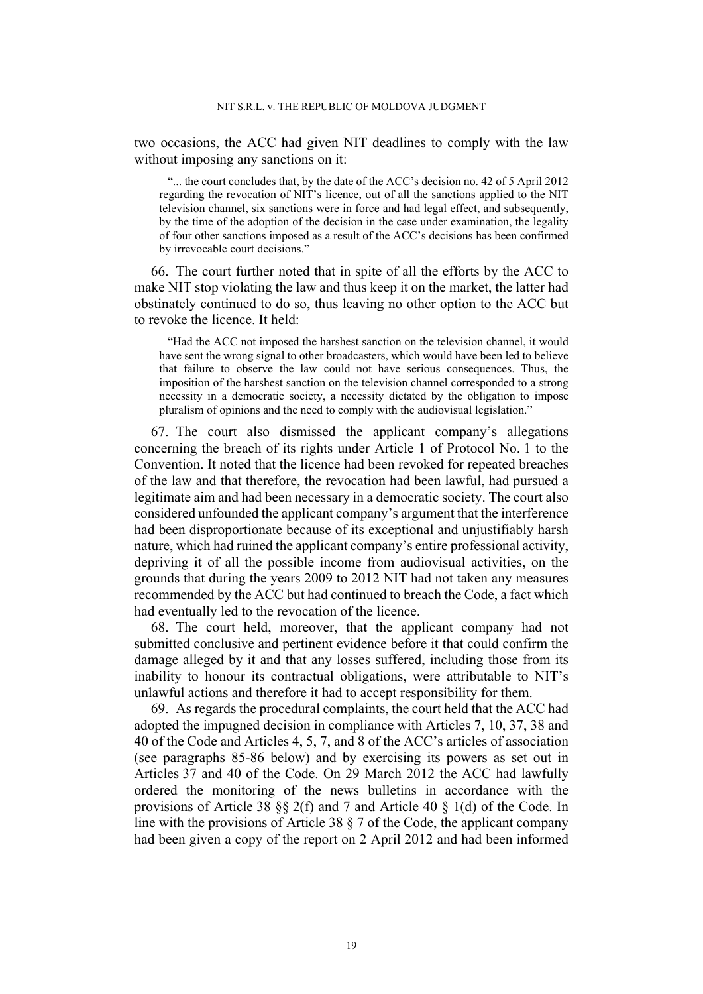two occasions, the ACC had given NIT deadlines to comply with the law without imposing any sanctions on it:

"... the court concludes that, by the date of the ACC's decision no. 42 of 5 April 2012 regarding the revocation of NIT's licence, out of all the sanctions applied to the NIT television channel, six sanctions were in force and had legal effect, and subsequently, by the time of the adoption of the decision in the case under examination, the legality of four other sanctions imposed as a result of the ACC's decisions has been confirmed by irrevocable court decisions."

66. The court further noted that in spite of all the efforts by the ACC to make NIT stop violating the law and thus keep it on the market, the latter had obstinately continued to do so, thus leaving no other option to the ACC but to revoke the licence. It held:

"Had the ACC not imposed the harshest sanction on the television channel, it would have sent the wrong signal to other broadcasters, which would have been led to believe that failure to observe the law could not have serious consequences. Thus, the imposition of the harshest sanction on the television channel corresponded to a strong necessity in a democratic society, a necessity dictated by the obligation to impose pluralism of opinions and the need to comply with the audiovisual legislation."

67. The court also dismissed the applicant company's allegations concerning the breach of its rights under Article 1 of Protocol No. 1 to the Convention. It noted that the licence had been revoked for repeated breaches of the law and that therefore, the revocation had been lawful, had pursued a legitimate aim and had been necessary in a democratic society. The court also considered unfounded the applicant company's argument that the interference had been disproportionate because of its exceptional and unjustifiably harsh nature, which had ruined the applicant company's entire professional activity, depriving it of all the possible income from audiovisual activities, on the grounds that during the years 2009 to 2012 NIT had not taken any measures recommended by the ACC but had continued to breach the Code, a fact which had eventually led to the revocation of the licence.

68. The court held, moreover, that the applicant company had not submitted conclusive and pertinent evidence before it that could confirm the damage alleged by it and that any losses suffered, including those from its inability to honour its contractual obligations, were attributable to NIT's unlawful actions and therefore it had to accept responsibility for them.

69. As regards the procedural complaints, the court held that the ACC had adopted the impugned decision in compliance with Articles 7, 10, 37, 38 and 40 of the Code and Articles 4, 5, 7, and 8 of the ACC's articles of association (see paragraphs [85-](#page-25-0)[86](#page-32-0) below) and by exercising its powers as set out in Articles 37 and 40 of the Code. On 29 March 2012 the ACC had lawfully ordered the monitoring of the news bulletins in accordance with the provisions of Article 38 §§ 2(f) and 7 and Article 40 § 1(d) of the Code. In line with the provisions of Article 38 § 7 of the Code, the applicant company had been given a copy of the report on 2 April 2012 and had been informed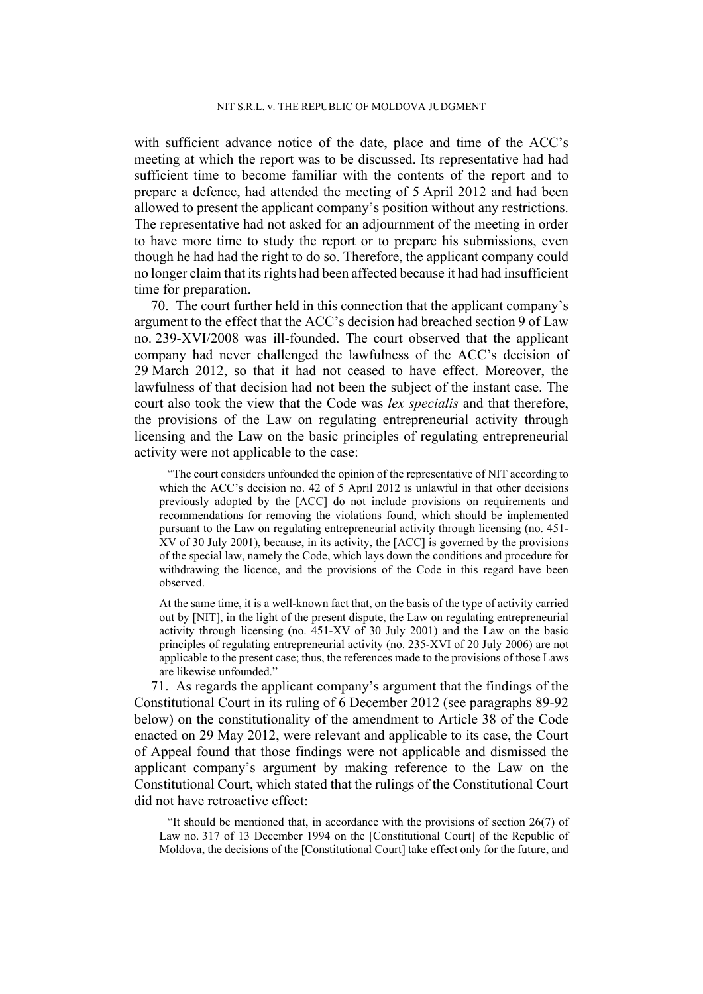with sufficient advance notice of the date, place and time of the ACC's meeting at which the report was to be discussed. Its representative had had sufficient time to become familiar with the contents of the report and to prepare a defence, had attended the meeting of 5 April 2012 and had been allowed to present the applicant company's position without any restrictions. The representative had not asked for an adjournment of the meeting in order to have more time to study the report or to prepare his submissions, even though he had had the right to do so. Therefore, the applicant company could no longer claim that its rights had been affected because it had had insufficient time for preparation.

70. The court further held in this connection that the applicant company's argument to the effect that the ACC's decision had breached section 9 of Law no. 239-XVI/2008 was ill-founded. The court observed that the applicant company had never challenged the lawfulness of the ACC's decision of 29 March 2012, so that it had not ceased to have effect. Moreover, the lawfulness of that decision had not been the subject of the instant case. The court also took the view that the Code was *lex specialis* and that therefore, the provisions of the Law on regulating entrepreneurial activity through licensing and the Law on the basic principles of regulating entrepreneurial activity were not applicable to the case:

"The court considers unfounded the opinion of the representative of NIT according to which the ACC's decision no. 42 of 5 April 2012 is unlawful in that other decisions previously adopted by the [ACC] do not include provisions on requirements and recommendations for removing the violations found, which should be implemented pursuant to the Law on regulating entrepreneurial activity through licensing (no. 451- XV of 30 July 2001), because, in its activity, the [ACC] is governed by the provisions of the special law, namely the Code, which lays down the conditions and procedure for withdrawing the licence, and the provisions of the Code in this regard have been observed.

At the same time, it is a well-known fact that, on the basis of the type of activity carried out by [NIT], in the light of the present dispute, the Law on regulating entrepreneurial activity through licensing (no. 451-XV of 30 July 2001) and the Law on the basic principles of regulating entrepreneurial activity (no. 235-XVI of 20 July 2006) are not applicable to the present case; thus, the references made to the provisions of those Laws are likewise unfounded."

71. As regards the applicant company's argument that the findings of the Constitutional Court in its ruling of 6 December 2012 (see paragraphs [89-](#page-36-0)[92](#page-37-0)  below) on the constitutionality of the amendment to Article 38 of the Code enacted on 29 May 2012, were relevant and applicable to its case, the Court of Appeal found that those findings were not applicable and dismissed the applicant company's argument by making reference to the Law on the Constitutional Court, which stated that the rulings of the Constitutional Court did not have retroactive effect:

"It should be mentioned that, in accordance with the provisions of section 26(7) of Law no. 317 of 13 December 1994 on the [Constitutional Court] of the Republic of Moldova, the decisions of the [Constitutional Court] take effect only for the future, and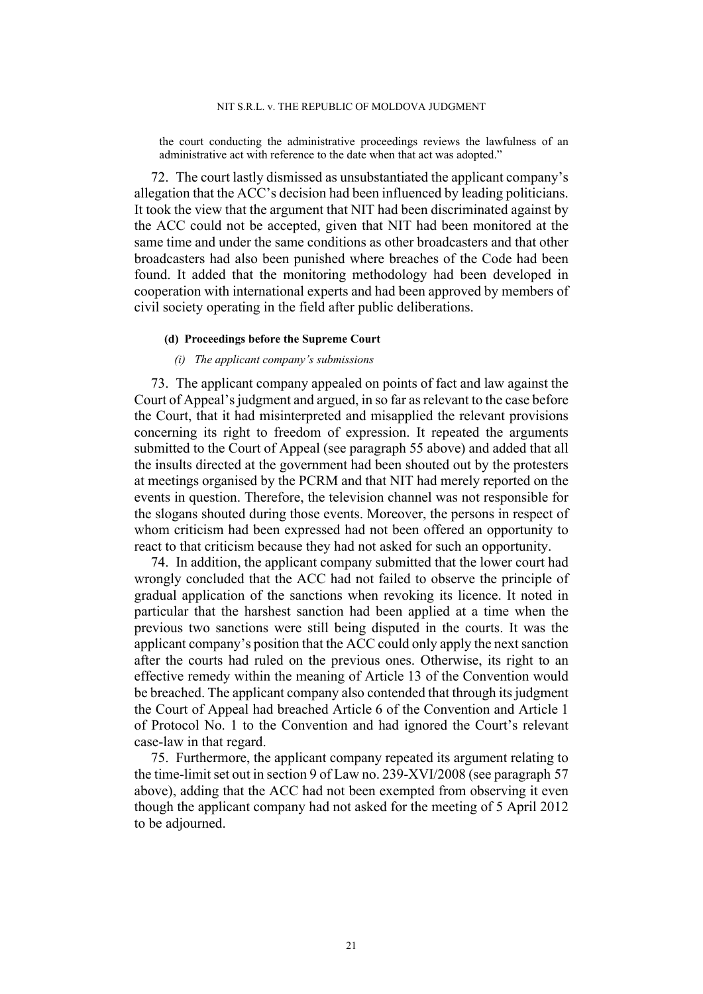#### NIT S.R.L. v. THE REPUBLIC OF MOLDOVA JUDGMENT

the court conducting the administrative proceedings reviews the lawfulness of an administrative act with reference to the date when that act was adopted."

72. The court lastly dismissed as unsubstantiated the applicant company's allegation that the ACC's decision had been influenced by leading politicians. It took the view that the argument that NIT had been discriminated against by the ACC could not be accepted, given that NIT had been monitored at the same time and under the same conditions as other broadcasters and that other broadcasters had also been punished where breaches of the Code had been found. It added that the monitoring methodology had been developed in cooperation with international experts and had been approved by members of civil society operating in the field after public deliberations.

# **(d) Proceedings before the Supreme Court**

*(i) The applicant company's submissions*

73. The applicant company appealed on points of fact and law against the Court of Appeal's judgment and argued, in so far as relevant to the case before the Court, that it had misinterpreted and misapplied the relevant provisions concerning its right to freedom of expression. It repeated the arguments submitted to the Court of Appeal (see paragraph [55](#page-17-0) above) and added that all the insults directed at the government had been shouted out by the protesters at meetings organised by the PCRM and that NIT had merely reported on the events in question. Therefore, the television channel was not responsible for the slogans shouted during those events. Moreover, the persons in respect of whom criticism had been expressed had not been offered an opportunity to react to that criticism because they had not asked for such an opportunity.

74. In addition, the applicant company submitted that the lower court had wrongly concluded that the ACC had not failed to observe the principle of gradual application of the sanctions when revoking its licence. It noted in particular that the harshest sanction had been applied at a time when the previous two sanctions were still being disputed in the courts. It was the applicant company's position that the ACC could only apply the next sanction after the courts had ruled on the previous ones. Otherwise, its right to an effective remedy within the meaning of Article 13 of the Convention would be breached. The applicant company also contended that through its judgment the Court of Appeal had breached Article 6 of the Convention and Article 1 of Protocol No. 1 to the Convention and had ignored the Court's relevant case-law in that regard.

75. Furthermore, the applicant company repeated its argument relating to the time-limit set out in section 9 of Law no. 239-XVI/2008 (see paragraph [57](#page-17-1)  above), adding that the ACC had not been exempted from observing it even though the applicant company had not asked for the meeting of 5 April 2012 to be adjourned.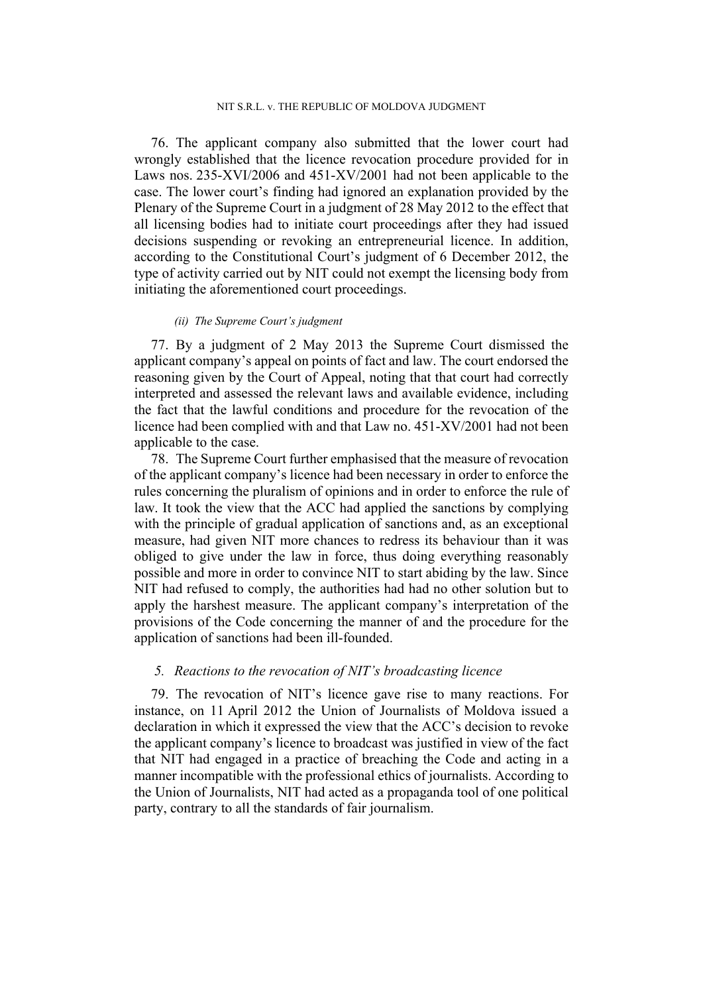76. The applicant company also submitted that the lower court had wrongly established that the licence revocation procedure provided for in Laws nos. 235-XVI/2006 and 451-XV/2001 had not been applicable to the case. The lower court's finding had ignored an explanation provided by the Plenary of the Supreme Court in a judgment of 28 May 2012 to the effect that all licensing bodies had to initiate court proceedings after they had issued decisions suspending or revoking an entrepreneurial licence. In addition, according to the Constitutional Court's judgment of 6 December 2012, the type of activity carried out by NIT could not exempt the licensing body from initiating the aforementioned court proceedings.

### *(ii) The Supreme Court's judgment*

77. By a judgment of 2 May 2013 the Supreme Court dismissed the applicant company's appeal on points of fact and law. The court endorsed the reasoning given by the Court of Appeal, noting that that court had correctly interpreted and assessed the relevant laws and available evidence, including the fact that the lawful conditions and procedure for the revocation of the licence had been complied with and that Law no. 451-XV/2001 had not been applicable to the case.

78. The Supreme Court further emphasised that the measure of revocation of the applicant company's licence had been necessary in order to enforce the rules concerning the pluralism of opinions and in order to enforce the rule of law. It took the view that the ACC had applied the sanctions by complying with the principle of gradual application of sanctions and, as an exceptional measure, had given NIT more chances to redress its behaviour than it was obliged to give under the law in force, thus doing everything reasonably possible and more in order to convince NIT to start abiding by the law. Since NIT had refused to comply, the authorities had had no other solution but to apply the harshest measure. The applicant company's interpretation of the provisions of the Code concerning the manner of and the procedure for the application of sanctions had been ill-founded.

# *5. Reactions to the revocation of NIT's broadcasting licence*

79. The revocation of NIT's licence gave rise to many reactions. For instance, on 11 April 2012 the Union of Journalists of Moldova issued a declaration in which it expressed the view that the ACC's decision to revoke the applicant company's licence to broadcast was justified in view of the fact that NIT had engaged in a practice of breaching the Code and acting in a manner incompatible with the professional ethics of journalists. According to the Union of Journalists, NIT had acted as a propaganda tool of one political party, contrary to all the standards of fair journalism.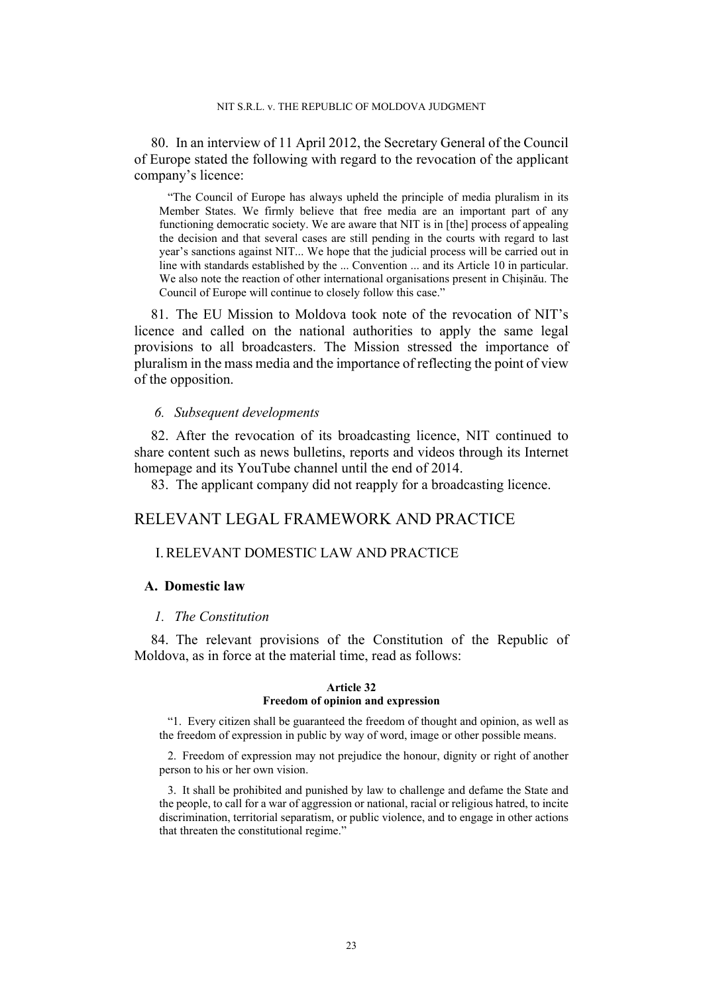80. In an interview of 11 April 2012, the Secretary General of the Council of Europe stated the following with regard to the revocation of the applicant company's licence:

"The Council of Europe has always upheld the principle of media pluralism in its Member States. We firmly believe that free media are an important part of any functioning democratic society. We are aware that NIT is in [the] process of appealing the decision and that several cases are still pending in the courts with regard to last year's sanctions against NIT... We hope that the judicial process will be carried out in line with standards established by the ... Convention ... and its Article 10 in particular. We also note the reaction of other international organisations present in Chişinău. The Council of Europe will continue to closely follow this case."

81. The EU Mission to Moldova took note of the revocation of NIT's licence and called on the national authorities to apply the same legal provisions to all broadcasters. The Mission stressed the importance of pluralism in the mass media and the importance of reflecting the point of view of the opposition.

# *6. Subsequent developments*

82. After the revocation of its broadcasting licence, NIT continued to share content such as news bulletins, reports and videos through its Internet homepage and its YouTube channel until the end of 2014.

83. The applicant company did not reapply for a broadcasting licence.

# RELEVANT LEGAL FRAMEWORK AND PRACTICE

# I. RELEVANT DOMESTIC LAW AND PRACTICE

#### **A. Domestic law**

# *1. The Constitution*

84. The relevant provisions of the Constitution of the Republic of Moldova, as in force at the material time, read as follows:

#### **Article 32 Freedom of opinion and expression**

"1. Every citizen shall be guaranteed the freedom of thought and opinion, as well as the freedom of expression in public by way of word, image or other possible means.

2. Freedom of expression may not prejudice the honour, dignity or right of another person to his or her own vision.

3. It shall be prohibited and punished by law to challenge and defame the State and the people, to call for a war of aggression or national, racial or religious hatred, to incite discrimination, territorial separatism, or public violence, and to engage in other actions that threaten the constitutional regime."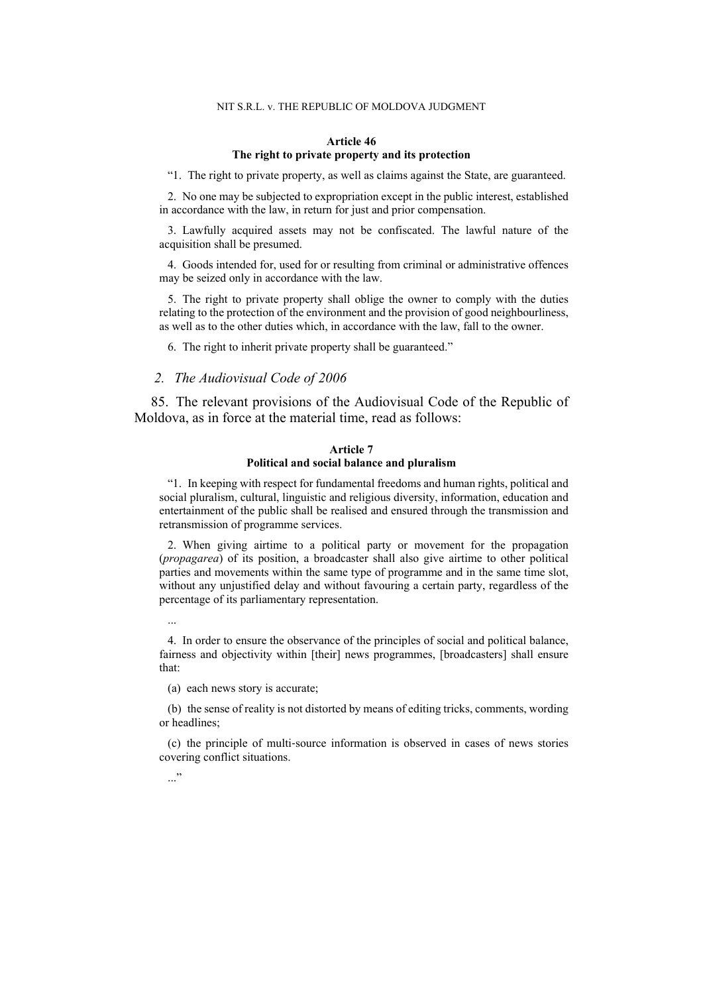#### NIT S.R.L. v. THE REPUBLIC OF MOLDOVA JUDGMENT

#### **Article 46 The right to private property and its protection**

"1. The right to private property, as well as claims against the State, are guaranteed.

2. No one may be subjected to expropriation except in the public interest, established in accordance with the law, in return for just and prior compensation.

3. Lawfully acquired assets may not be confiscated. The lawful nature of the acquisition shall be presumed.

4. Goods intended for, used for or resulting from criminal or administrative offences may be seized only in accordance with the law.

5. The right to private property shall oblige the owner to comply with the duties relating to the protection of the environment and the provision of good neighbourliness, as well as to the other duties which, in accordance with the law, fall to the owner.

6. The right to inherit private property shall be guaranteed."

## *2. The Audiovisual Code of 2006*

<span id="page-25-0"></span>85. The relevant provisions of the Audiovisual Code of the Republic of Moldova, as in force at the material time, read as follows:

### **Article 7 Political and social balance and pluralism**

"1. In keeping with respect for fundamental freedoms and human rights, political and social pluralism, cultural, linguistic and religious diversity, information, education and entertainment of the public shall be realised and ensured through the transmission and retransmission of programme services.

2. When giving airtime to a political party or movement for the propagation (*propagarea*) of its position, a broadcaster shall also give airtime to other political parties and movements within the same type of programme and in the same time slot, without any unjustified delay and without favouring a certain party, regardless of the percentage of its parliamentary representation.

...

4. In order to ensure the observance of the principles of social and political balance, fairness and objectivity within [their] news programmes, [broadcasters] shall ensure that:

(a) each news story is accurate;

(b) the sense of reality is not distorted by means of editing tricks, comments, wording or headlines;

(c) the principle of multi‐source information is observed in cases of news stories covering conflict situations.

..."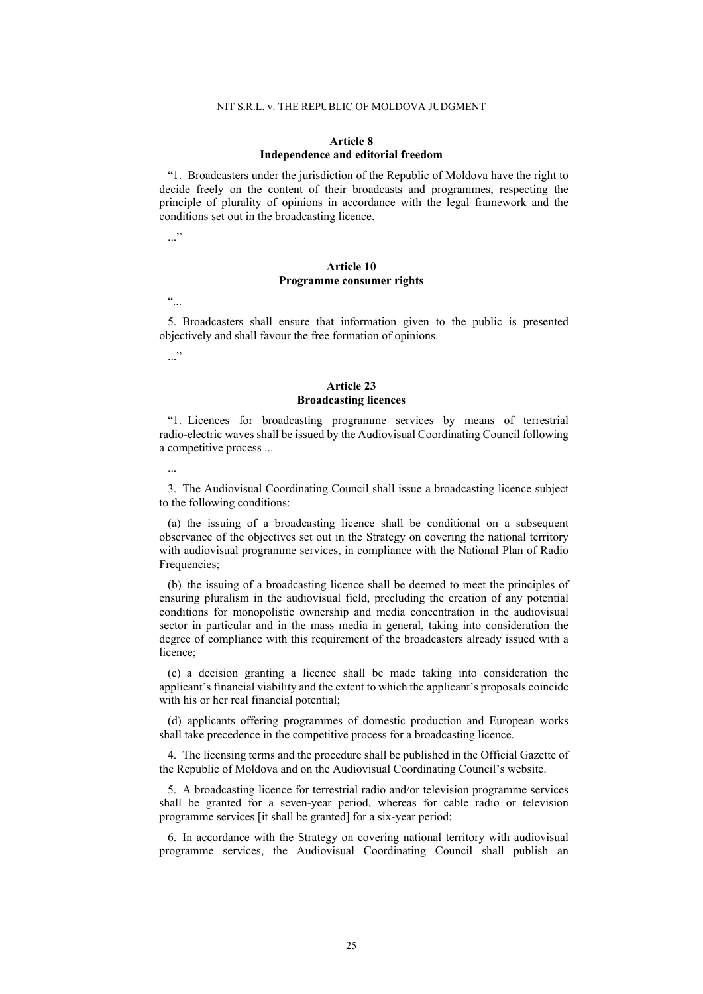#### **Article 8 Independence and editorial freedom**

"1. Broadcasters under the jurisdiction of the Republic of Moldova have the right to decide freely on the content of their broadcasts and programmes, respecting the principle of plurality of opinions in accordance with the legal framework and the conditions set out in the broadcasting licence.

 $\cdot$ ..."

#### **Article 10 Programme consumer rights**

 $^{cc}$ ...

5. Broadcasters shall ensure that information given to the public is presented objectively and shall favour the free formation of opinions.

..."

#### **Article 23 Broadcasting licences**

"1. Licences for broadcasting programme services by means of terrestrial radio-electric waves shall be issued by the Audiovisual Coordinating Council following a competitive process ...

...

3. The Audiovisual Coordinating Council shall issue a broadcasting licence subject to the following conditions:

(a) the issuing of a broadcasting licence shall be conditional on a subsequent observance of the objectives set out in the Strategy on covering the national territory with audiovisual programme services, in compliance with the National Plan of Radio Frequencies;

(b) the issuing of a broadcasting licence shall be deemed to meet the principles of ensuring pluralism in the audiovisual field, precluding the creation of any potential conditions for monopolistic ownership and media concentration in the audiovisual sector in particular and in the mass media in general, taking into consideration the degree of compliance with this requirement of the broadcasters already issued with a licence<sup>.</sup>

(c) a decision granting a licence shall be made taking into consideration the applicant's financial viability and the extent to which the applicant's proposals coincide with his or her real financial potential;

(d) applicants offering programmes of domestic production and European works shall take precedence in the competitive process for a broadcasting licence.

4. The licensing terms and the procedure shall be published in the Official Gazette of the Republic of Moldova and on the Audiovisual Coordinating Council's website.

5. A broadcasting licence for terrestrial radio and/or television programme services shall be granted for a seven-year period, whereas for cable radio or television programme services [it shall be granted] for a six-year period;

6. In accordance with the Strategy on covering national territory with audiovisual programme services, the Audiovisual Coordinating Council shall publish an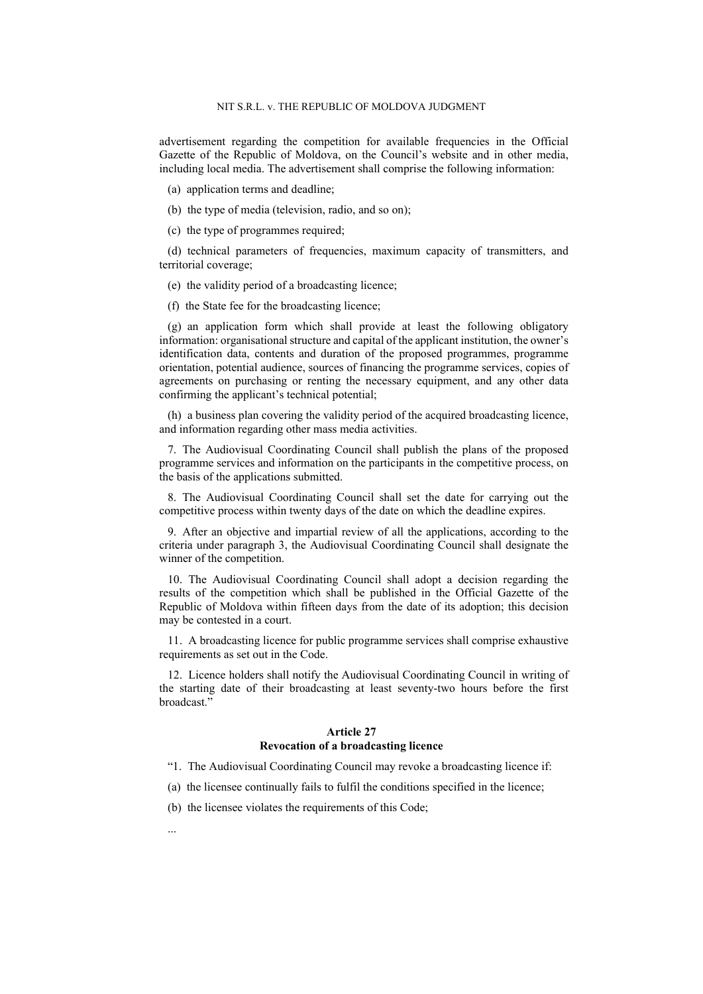advertisement regarding the competition for available frequencies in the Official Gazette of the Republic of Moldova, on the Council's website and in other media, including local media. The advertisement shall comprise the following information:

(a) application terms and deadline;

(b) the type of media (television, radio, and so on);

(c) the type of programmes required;

(d) technical parameters of frequencies, maximum capacity of transmitters, and territorial coverage;

(e) the validity period of a broadcasting licence;

(f) the State fee for the broadcasting licence;

(g) an application form which shall provide at least the following obligatory information: organisational structure and capital of the applicant institution, the owner's identification data, contents and duration of the proposed programmes, programme orientation, potential audience, sources of financing the programme services, copies of agreements on purchasing or renting the necessary equipment, and any other data confirming the applicant's technical potential;

(h) a business plan covering the validity period of the acquired broadcasting licence, and information regarding other mass media activities.

7. The Audiovisual Coordinating Council shall publish the plans of the proposed programme services and information on the participants in the competitive process, on the basis of the applications submitted.

8. The Audiovisual Coordinating Council shall set the date for carrying out the competitive process within twenty days of the date on which the deadline expires.

9. After an objective and impartial review of all the applications, according to the criteria under paragraph 3, the Audiovisual Coordinating Council shall designate the winner of the competition.

10. The Audiovisual Coordinating Council shall adopt a decision regarding the results of the competition which shall be published in the Official Gazette of the Republic of Moldova within fifteen days from the date of its adoption; this decision may be contested in a court.

11. A broadcasting licence for public programme services shall comprise exhaustive requirements as set out in the Code.

12. Licence holders shall notify the Audiovisual Coordinating Council in writing of the starting date of their broadcasting at least seventy-two hours before the first broadcast."

### **Article 27**

## **Revocation of a broadcasting licence**

"1. The Audiovisual Coordinating Council may revoke a broadcasting licence if:

- (a) the licensee continually fails to fulfil the conditions specified in the licence;
- (b) the licensee violates the requirements of this Code;
- ...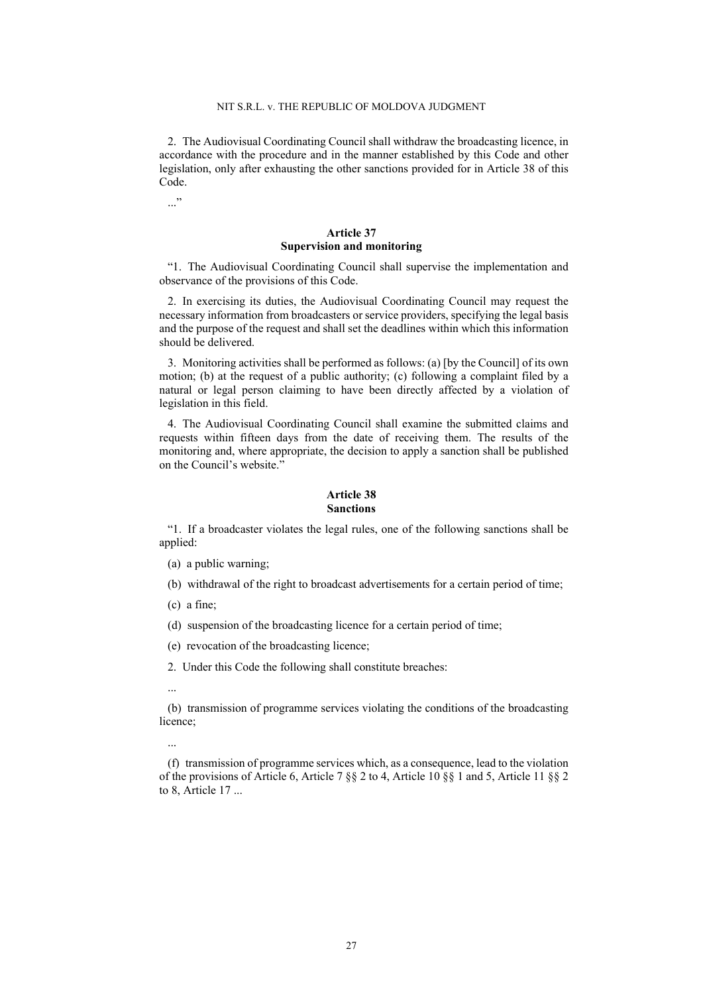2. The Audiovisual Coordinating Council shall withdraw the broadcasting licence, in accordance with the procedure and in the manner established by this Code and other legislation, only after exhausting the other sanctions provided for in Article 38 of this Code.

 $\cdot$ 

# **Article 37**

### **Supervision and monitoring**

"1. The Audiovisual Coordinating Council shall supervise the implementation and observance of the provisions of this Code.

2. In exercising its duties, the Audiovisual Coordinating Council may request the necessary information from broadcasters or service providers, specifying the legal basis and the purpose of the request and shall set the deadlines within which this information should be delivered.

3. Monitoring activities shall be performed as follows: (a) [by the Council] of its own motion; (b) at the request of a public authority; (c) following a complaint filed by a natural or legal person claiming to have been directly affected by a violation of legislation in this field.

4. The Audiovisual Coordinating Council shall examine the submitted claims and requests within fifteen days from the date of receiving them. The results of the monitoring and, where appropriate, the decision to apply a sanction shall be published on the Council's website."

#### **Article 38 Sanctions**

"1. If a broadcaster violates the legal rules, one of the following sanctions shall be applied:

(a) a public warning;

(b) withdrawal of the right to broadcast advertisements for a certain period of time;

(c) a fine;

(d) suspension of the broadcasting licence for a certain period of time;

(e) revocation of the broadcasting licence;

2. Under this Code the following shall constitute breaches:

...

(b) transmission of programme services violating the conditions of the broadcasting licence;

<sup>...</sup>

<sup>(</sup>f) transmission of programme services which, as a consequence, lead to the violation of the provisions of Article 6, Article 7 §§ 2 to 4, Article 10 §§ 1 and 5, Article 11 §§ 2 to 8, Article 17 ...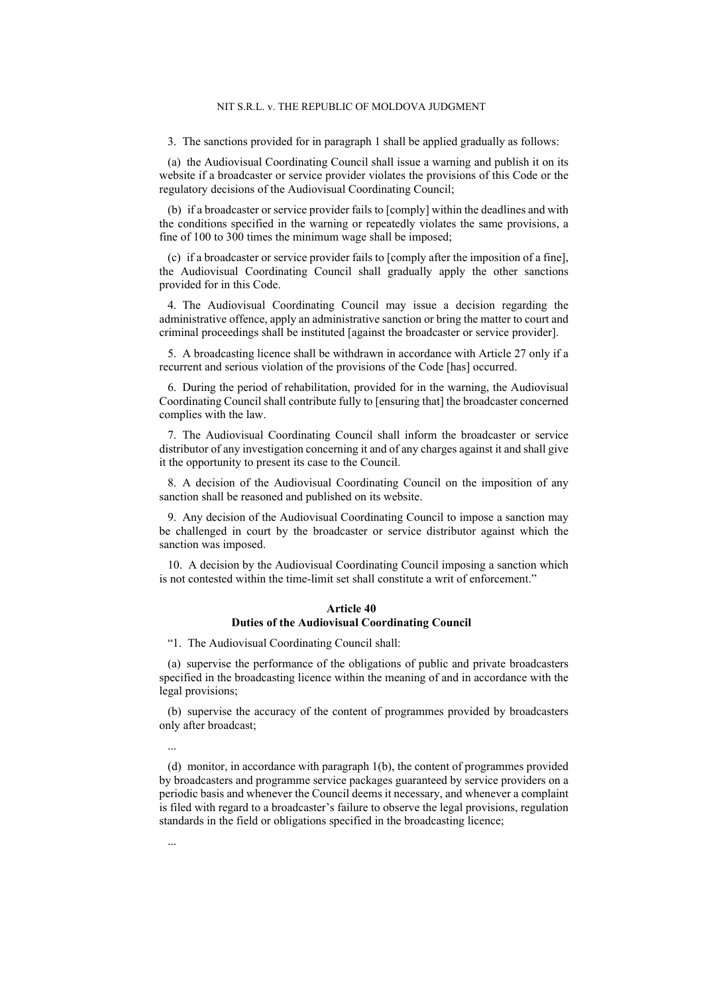3. The sanctions provided for in paragraph 1 shall be applied gradually as follows:

(a) the Audiovisual Coordinating Council shall issue a warning and publish it on its website if a broadcaster or service provider violates the provisions of this Code or the regulatory decisions of the Audiovisual Coordinating Council;

(b) if a broadcaster or service provider fails to [comply] within the deadlines and with the conditions specified in the warning or repeatedly violates the same provisions, a fine of 100 to 300 times the minimum wage shall be imposed;

(c) if a broadcaster or service provider fails to [comply after the imposition of a fine], the Audiovisual Coordinating Council shall gradually apply the other sanctions provided for in this Code.

4. The Audiovisual Coordinating Council may issue a decision regarding the administrative offence, apply an administrative sanction or bring the matter to court and criminal proceedings shall be instituted [against the broadcaster or service provider].

5. A broadcasting licence shall be withdrawn in accordance with Article 27 only if a recurrent and serious violation of the provisions of the Code [has] occurred.

6. During the period of rehabilitation, provided for in the warning, the Audiovisual Coordinating Council shall contribute fully to [ensuring that] the broadcaster concerned complies with the law.

7. The Audiovisual Coordinating Council shall inform the broadcaster or service distributor of any investigation concerning it and of any charges against it and shall give it the opportunity to present its case to the Council.

8. A decision of the Audiovisual Coordinating Council on the imposition of any sanction shall be reasoned and published on its website.

9. Any decision of the Audiovisual Coordinating Council to impose a sanction may be challenged in court by the broadcaster or service distributor against which the sanction was imposed.

10. A decision by the Audiovisual Coordinating Council imposing a sanction which is not contested within the time-limit set shall constitute a writ of enforcement."

#### **Article 40 Duties of the Audiovisual Coordinating Council**

"1. The Audiovisual Coordinating Council shall:

(a) supervise the performance of the obligations of public and private broadcasters specified in the broadcasting licence within the meaning of and in accordance with the legal provisions;

(b) supervise the accuracy of the content of programmes provided by broadcasters only after broadcast;

(d) monitor, in accordance with paragraph 1(b), the content of programmes provided by broadcasters and programme service packages guaranteed by service providers on a periodic basis and whenever the Council deems it necessary, and whenever a complaint is filed with regard to a broadcaster's failure to observe the legal provisions, regulation standards in the field or obligations specified in the broadcasting licence;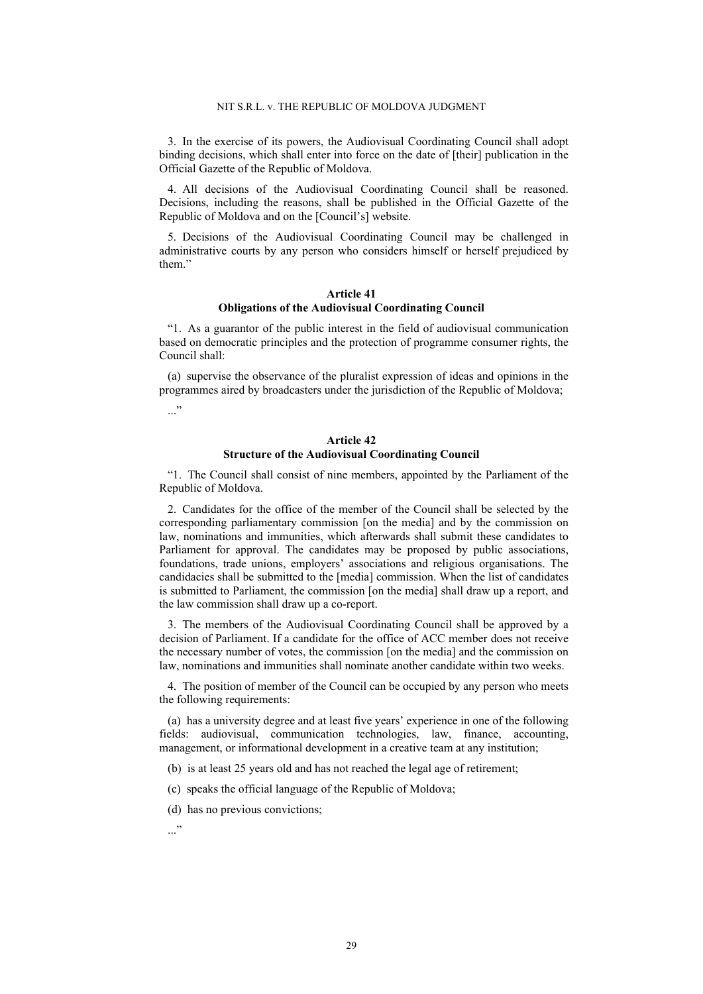3. In the exercise of its powers, the Audiovisual Coordinating Council shall adopt binding decisions, which shall enter into force on the date of [their] publication in the Official Gazette of the Republic of Moldova.

4. All decisions of the Audiovisual Coordinating Council shall be reasoned. Decisions, including the reasons, shall be published in the Official Gazette of the Republic of Moldova and on the [Council's] website.

5. Decisions of the Audiovisual Coordinating Council may be challenged in administrative courts by any person who considers himself or herself prejudiced by them."

#### **Article 41 Obligations of the Audiovisual Coordinating Council**

"1. As a guarantor of the public interest in the field of audiovisual communication based on democratic principles and the protection of programme consumer rights, the Council shall:

(a) supervise the observance of the pluralist expression of ideas and opinions in the programmes aired by broadcasters under the jurisdiction of the Republic of Moldova;

 $\ddots$ "

## **Article 42 Structure of the Audiovisual Coordinating Council**

"1. The Council shall consist of nine members, appointed by the Parliament of the Republic of Moldova.

2. Candidates for the office of the member of the Council shall be selected by the corresponding parliamentary commission [on the media] and by the commission on law, nominations and immunities, which afterwards shall submit these candidates to Parliament for approval. The candidates may be proposed by public associations, foundations, trade unions, employers' associations and religious organisations. The candidacies shall be submitted to the [media] commission. When the list of candidates is submitted to Parliament, the commission [on the media] shall draw up a report, and the law commission shall draw up a co-report.

3. The members of the Audiovisual Coordinating Council shall be approved by a decision of Parliament. If a candidate for the office of ACC member does not receive the necessary number of votes, the commission [on the media] and the commission on law, nominations and immunities shall nominate another candidate within two weeks.

4. The position of member of the Council can be occupied by any person who meets the following requirements:

(a) has a university degree and at least five years' experience in one of the following fields: audiovisual, communication technologies, law, finance, accounting, management, or informational development in a creative team at any institution;

- (b) is at least 25 years old and has not reached the legal age of retirement;
- (c) speaks the official language of the Republic of Moldova;
- (d) has no previous convictions;
- $\cdot$ ..."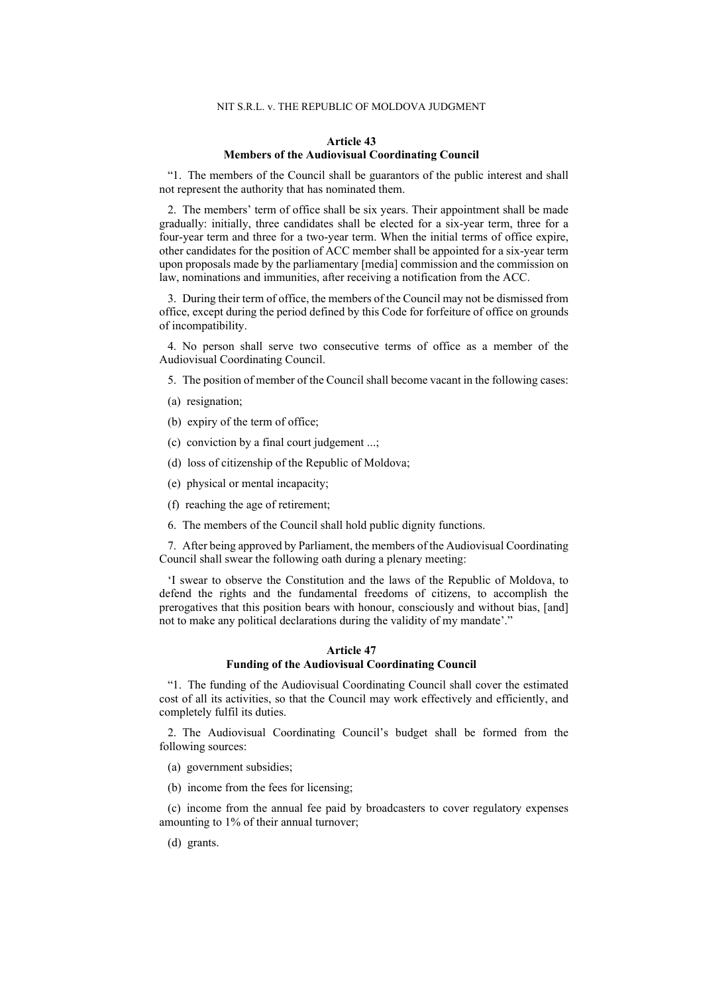#### NIT S.R.L. v. THE REPUBLIC OF MOLDOVA JUDGMENT

#### **Article 43 Members of the Audiovisual Coordinating Council**

"1. The members of the Council shall be guarantors of the public interest and shall not represent the authority that has nominated them.

2. The members' term of office shall be six years. Their appointment shall be made gradually: initially, three candidates shall be elected for a six-year term, three for a four-year term and three for a two-year term. When the initial terms of office expire, other candidates for the position of ACC member shall be appointed for a six-year term upon proposals made by the parliamentary [media] commission and the commission on law, nominations and immunities, after receiving a notification from the ACC.

3. During their term of office, the members of the Council may not be dismissed from office, except during the period defined by this Code for forfeiture of office on grounds of incompatibility.

4. No person shall serve two consecutive terms of office as a member of the Audiovisual Coordinating Council.

5. The position of member of the Council shall become vacant in the following cases:

- (a) resignation;
- (b) expiry of the term of office;
- (c) conviction by a final court judgement ...;
- (d) loss of citizenship of the Republic of Moldova;
- (e) physical or mental incapacity;
- (f) reaching the age of retirement;
- 6. The members of the Council shall hold public dignity functions.

7. After being approved by Parliament, the members of the Audiovisual Coordinating Council shall swear the following oath during a plenary meeting:

'I swear to observe the Constitution and the laws of the Republic of Moldova, to defend the rights and the fundamental freedoms of citizens, to accomplish the prerogatives that this position bears with honour, consciously and without bias, [and] not to make any political declarations during the validity of my mandate'."

#### **Article 47 Funding of the Audiovisual Coordinating Council**

"1. The funding of the Audiovisual Coordinating Council shall cover the estimated cost of all its activities, so that the Council may work effectively and efficiently, and completely fulfil its duties.

2. The Audiovisual Coordinating Council's budget shall be formed from the following sources:

- (a) government subsidies;
- (b) income from the fees for licensing;

(c) income from the annual fee paid by broadcasters to cover regulatory expenses amounting to 1% of their annual turnover;

(d) grants.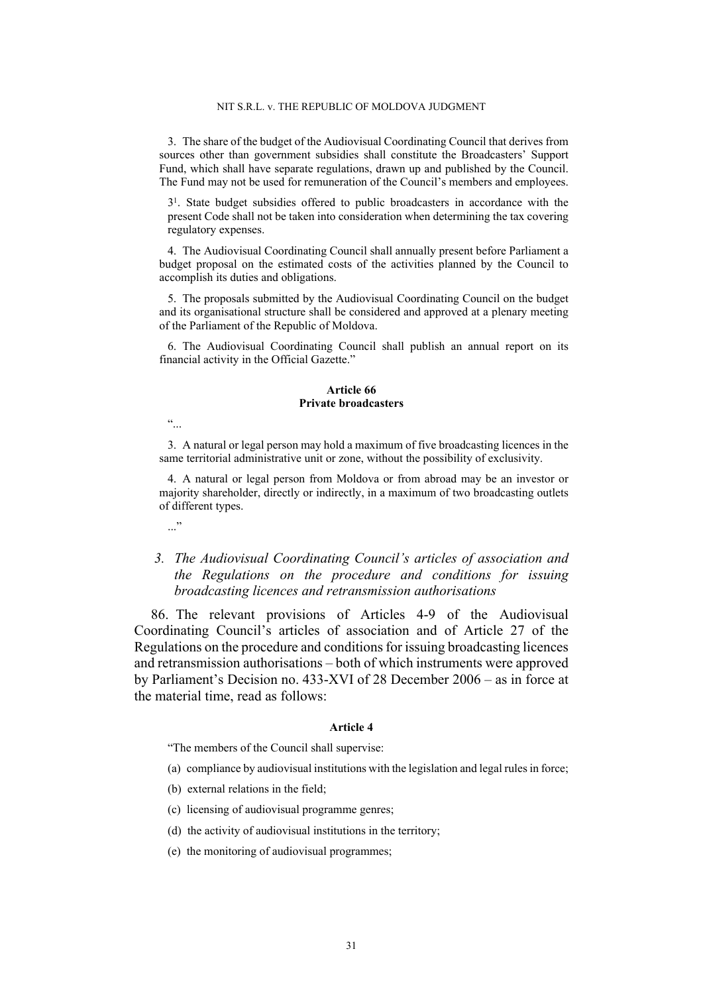#### NIT S.R.L. v. THE REPUBLIC OF MOLDOVA JUDGMENT

3. The share of the budget of the Audiovisual Coordinating Council that derives from sources other than government subsidies shall constitute the Broadcasters' Support Fund, which shall have separate regulations, drawn up and published by the Council. The Fund may not be used for remuneration of the Council's members and employees.

3 1 . State budget subsidies offered to public broadcasters in accordance with the present Code shall not be taken into consideration when determining the tax covering regulatory expenses.

4. The Audiovisual Coordinating Council shall annually present before Parliament a budget proposal on the estimated costs of the activities planned by the Council to accomplish its duties and obligations.

5. The proposals submitted by the Audiovisual Coordinating Council on the budget and its organisational structure shall be considered and approved at a plenary meeting of the Parliament of the Republic of Moldova.

6. The Audiovisual Coordinating Council shall publish an annual report on its financial activity in the Official Gazette."

#### **Article 66 Private broadcasters**

"...

3. A natural or legal person may hold a maximum of five broadcasting licences in the same territorial administrative unit or zone, without the possibility of exclusivity.

4. A natural or legal person from Moldova or from abroad may be an investor or majority shareholder, directly or indirectly, in a maximum of two broadcasting outlets of different types.

..."

# *3. The Audiovisual Coordinating Council's articles of association and the Regulations on the procedure and conditions for issuing broadcasting licences and retransmission authorisations*

<span id="page-32-0"></span>86. The relevant provisions of Articles 4-9 of the Audiovisual Coordinating Council's articles of association and of Article 27 of the Regulations on the procedure and conditions for issuing broadcasting licences and retransmission authorisations – both of which instruments were approved by Parliament's Decision no. 433-XVI of 28 December 2006 – as in force at the material time, read as follows:

### **Article 4**

"The members of the Council shall supervise:

- (a) compliance by audiovisual institutions with the legislation and legal rules in force;
- (b) external relations in the field;
- (c) licensing of audiovisual programme genres;
- (d) the activity of audiovisual institutions in the territory;
- (e) the monitoring of audiovisual programmes;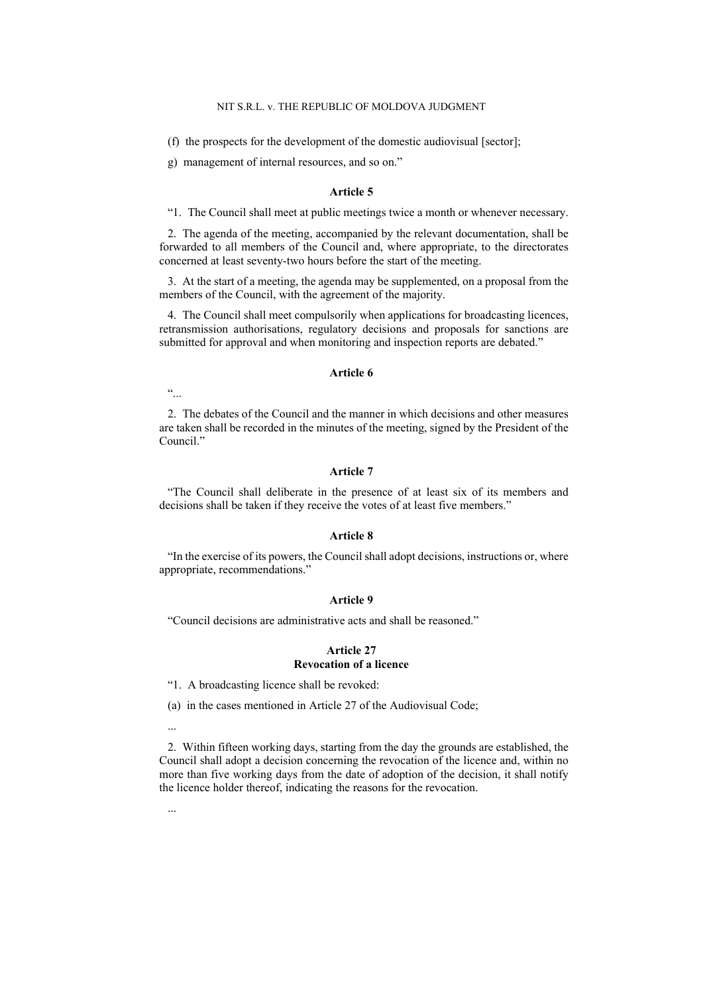(f) the prospects for the development of the domestic audiovisual [sector];

g) management of internal resources, and so on."

#### **Article 5**

"1. The Council shall meet at public meetings twice a month or whenever necessary.

2. The agenda of the meeting, accompanied by the relevant documentation, shall be forwarded to all members of the Council and, where appropriate, to the directorates concerned at least seventy-two hours before the start of the meeting.

3. At the start of a meeting, the agenda may be supplemented, on a proposal from the members of the Council, with the agreement of the majority.

4. The Council shall meet compulsorily when applications for broadcasting licences, retransmission authorisations, regulatory decisions and proposals for sanctions are submitted for approval and when monitoring and inspection reports are debated."

## **Article 6**

 $\ddot{\cdot}$  ...

2. The debates of the Council and the manner in which decisions and other measures are taken shall be recorded in the minutes of the meeting, signed by the President of the Council."

### **Article 7**

"The Council shall deliberate in the presence of at least six of its members and decisions shall be taken if they receive the votes of at least five members."

#### **Article 8**

"In the exercise of its powers, the Council shall adopt decisions, instructions or, where appropriate, recommendations."

#### **Article 9**

"Council decisions are administrative acts and shall be reasoned."

#### **Article 27 Revocation of a licence**

"1. A broadcasting licence shall be revoked:

(a) in the cases mentioned in Article 27 of the Audiovisual Code;

...

2. Within fifteen working days, starting from the day the grounds are established, the Council shall adopt a decision concerning the revocation of the licence and, within no more than five working days from the date of adoption of the decision, it shall notify the licence holder thereof, indicating the reasons for the revocation.

...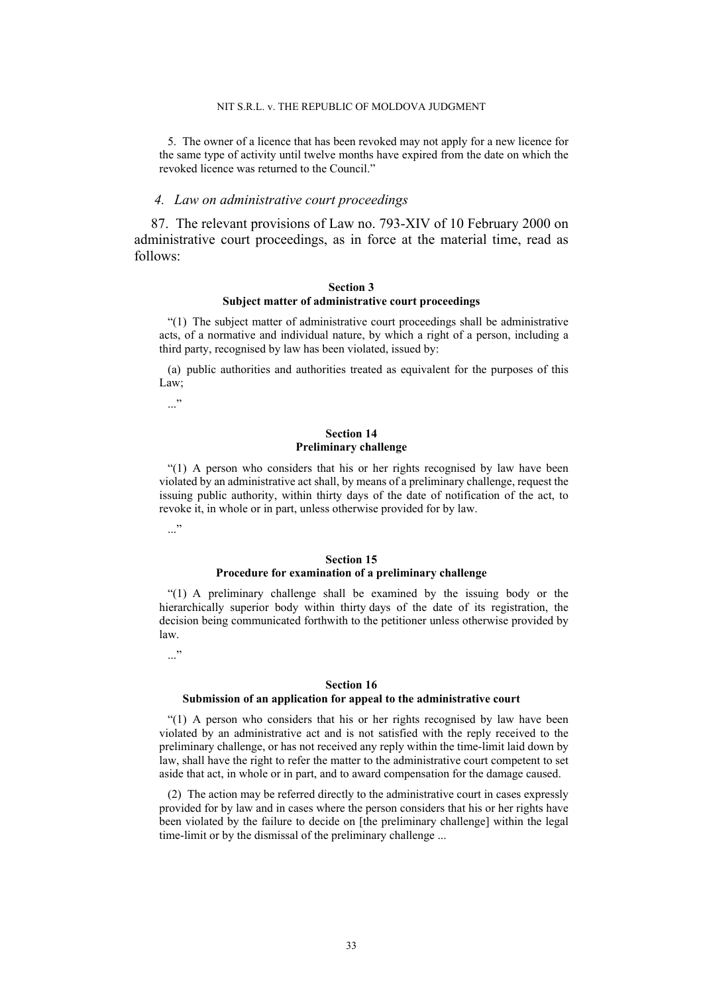#### NIT S.R.L. v. THE REPUBLIC OF MOLDOVA JUDGMENT

5. The owner of a licence that has been revoked may not apply for a new licence for the same type of activity until twelve months have expired from the date on which the revoked licence was returned to the Council."

# *4. Law on administrative court proceedings*

<span id="page-34-0"></span>87. The relevant provisions of Law no. 793-XIV of 10 February 2000 on administrative court proceedings, as in force at the material time, read as follows:

#### **Section 3 Subject matter of administrative court proceedings**

"(1) The subject matter of administrative court proceedings shall be administrative acts, of a normative and individual nature, by which a right of a person, including a third party, recognised by law has been violated, issued by:

(a) public authorities and authorities treated as equivalent for the purposes of this Law;

..."

## **Section 14 Preliminary challenge**

"(1) A person who considers that his or her rights recognised by law have been violated by an administrative act shall, by means of a preliminary challenge, request the issuing public authority, within thirty days of the date of notification of the act, to revoke it, in whole or in part, unless otherwise provided for by law.

 $\ddots$ "

### **Section 15 Procedure for examination of a preliminary challenge**

"(1) A preliminary challenge shall be examined by the issuing body or the hierarchically superior body within thirty days of the date of its registration, the decision being communicated forthwith to the petitioner unless otherwise provided by law.

..."

#### **Section 16**

## **Submission of an application for appeal to the administrative court**

"(1) A person who considers that his or her rights recognised by law have been violated by an administrative act and is not satisfied with the reply received to the preliminary challenge, or has not received any reply within the time-limit laid down by law, shall have the right to refer the matter to the administrative court competent to set aside that act, in whole or in part, and to award compensation for the damage caused.

(2) The action may be referred directly to the administrative court in cases expressly provided for by law and in cases where the person considers that his or her rights have been violated by the failure to decide on [the preliminary challenge] within the legal time-limit or by the dismissal of the preliminary challenge ...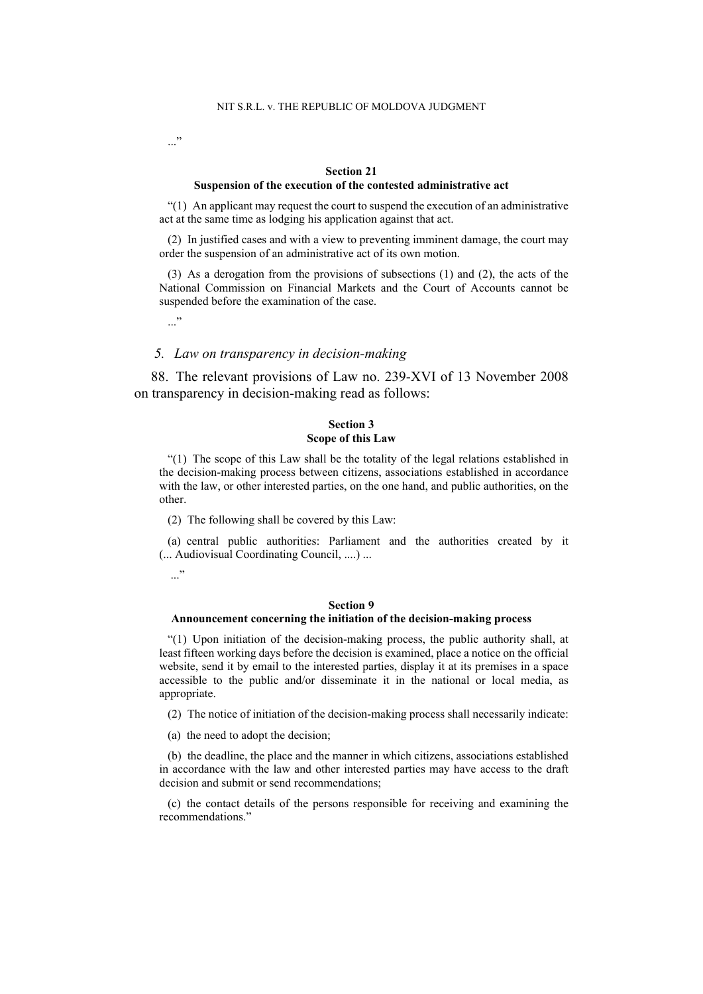..."

#### **Section 21**

#### **Suspension of the execution of the contested administrative act**

"(1) An applicant may request the court to suspend the execution of an administrative act at the same time as lodging his application against that act.

(2) In justified cases and with a view to preventing imminent damage, the court may order the suspension of an administrative act of its own motion.

(3) As a derogation from the provisions of subsections (1) and (2), the acts of the National Commission on Financial Markets and the Court of Accounts cannot be suspended before the examination of the case.

..."

# *5. Law on transparency in decision-making*

<span id="page-35-0"></span>88. The relevant provisions of Law no. 239-XVI of 13 November 2008 on transparency in decision-making read as follows:

### **Section 3 Scope of this Law**

"(1) The scope of this Law shall be the totality of the legal relations established in the decision-making process between citizens, associations established in accordance with the law, or other interested parties, on the one hand, and public authorities, on the other.

(2) The following shall be covered by this Law:

(a) central public authorities: Parliament and the authorities created by it (... Audiovisual Coordinating Council, ....) ...

# ..."

### **Section 9**

### **Announcement concerning the initiation of the decision-making process**

"(1) Upon initiation of the decision-making process, the public authority shall, at least fifteen working days before the decision is examined, place a notice on the official website, send it by email to the interested parties, display it at its premises in a space accessible to the public and/or disseminate it in the national or local media, as appropriate.

(2) The notice of initiation of the decision-making process shall necessarily indicate:

(a) the need to adopt the decision;

(b) the deadline, the place and the manner in which citizens, associations established in accordance with the law and other interested parties may have access to the draft decision and submit or send recommendations;

(c) the contact details of the persons responsible for receiving and examining the recommendations."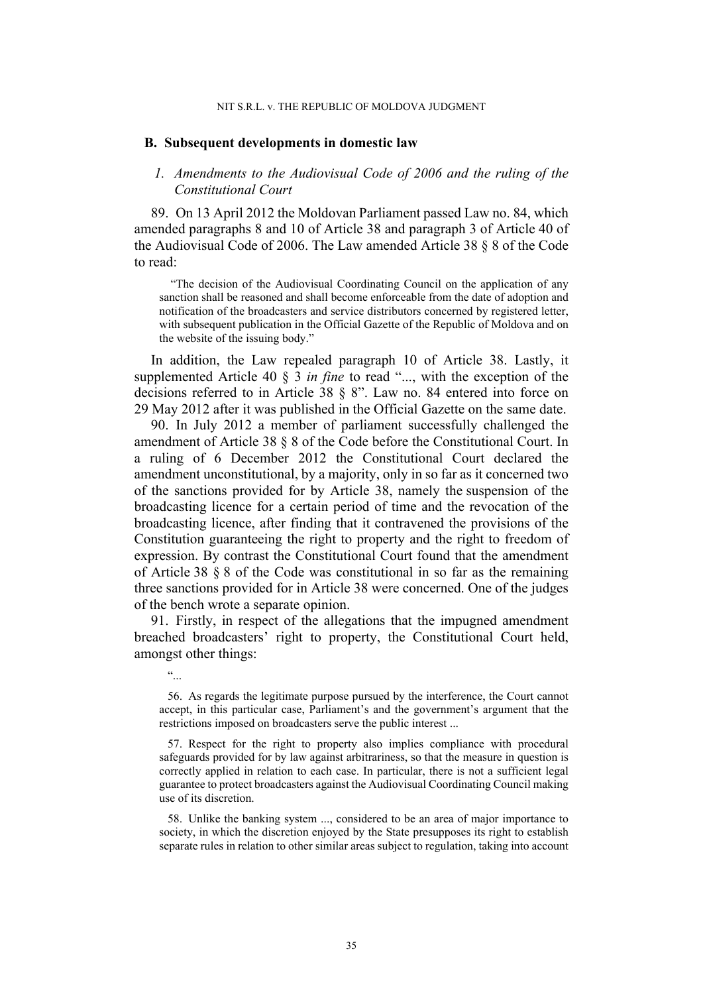#### NIT S.R.L. v. THE REPUBLIC OF MOLDOVA JUDGMENT

### **B. Subsequent developments in domestic law**

## *1. Amendments to the Audiovisual Code of 2006 and the ruling of the Constitutional Court*

<span id="page-36-0"></span>89. On 13 April 2012 the Moldovan Parliament passed Law no. 84, which amended paragraphs 8 and 10 of Article 38 and paragraph 3 of Article 40 of the Audiovisual Code of 2006. The Law amended Article 38 § 8 of the Code to read:

 "The decision of the Audiovisual Coordinating Council on the application of any sanction shall be reasoned and shall become enforceable from the date of adoption and notification of the broadcasters and service distributors concerned by registered letter, with subsequent publication in the Official Gazette of the Republic of Moldova and on the website of the issuing body."

In addition, the Law repealed paragraph 10 of Article 38. Lastly, it supplemented Article 40 § 3 *in fine* to read "..., with the exception of the decisions referred to in Article 38 § 8". Law no. 84 entered into force on 29 May 2012 after it was published in the Official Gazette on the same date.

90. In July 2012 a member of parliament successfully challenged the amendment of Article 38 § 8 of the Code before the Constitutional Court. In a ruling of 6 December 2012 the Constitutional Court declared the amendment unconstitutional, by a majority, only in so far as it concerned two of the sanctions provided for by Article 38, namely the suspension of the broadcasting licence for a certain period of time and the revocation of the broadcasting licence, after finding that it contravened the provisions of the Constitution guaranteeing the right to property and the right to freedom of expression. By contrast the Constitutional Court found that the amendment of Article 38 § 8 of the Code was constitutional in so far as the remaining three sanctions provided for in Article 38 were concerned. One of the judges of the bench wrote a separate opinion.

91. Firstly, in respect of the allegations that the impugned amendment breached broadcasters' right to property, the Constitutional Court held, amongst other things:

 $\ddot{\phantom{a}}$ 

56. As regards the legitimate purpose pursued by the interference, the Court cannot accept, in this particular case, Parliament's and the government's argument that the restrictions imposed on broadcasters serve the public interest ...

57. Respect for the right to property also implies compliance with procedural safeguards provided for by law against arbitrariness, so that the measure in question is correctly applied in relation to each case. In particular, there is not a sufficient legal guarantee to protect broadcasters against the Audiovisual Coordinating Council making use of its discretion.

58. Unlike the banking system ..., considered to be an area of major importance to society, in which the discretion enjoyed by the State presupposes its right to establish separate rules in relation to other similar areas subject to regulation, taking into account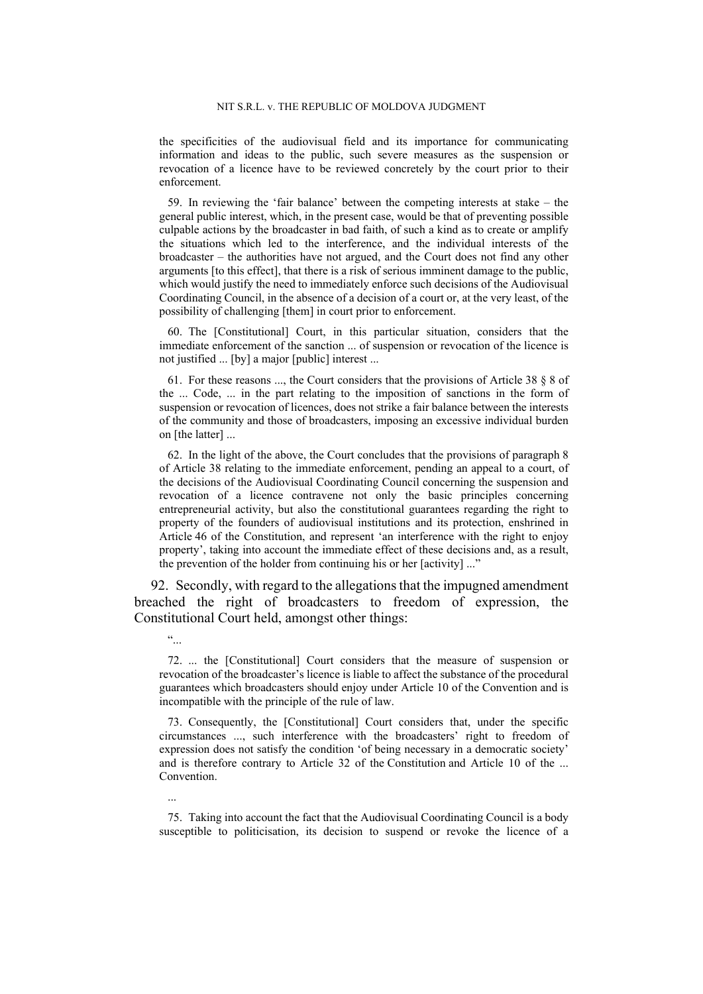the specificities of the audiovisual field and its importance for communicating information and ideas to the public, such severe measures as the suspension or revocation of a licence have to be reviewed concretely by the court prior to their enforcement.

59. In reviewing the 'fair balance' between the competing interests at stake – the general public interest, which, in the present case, would be that of preventing possible culpable actions by the broadcaster in bad faith, of such a kind as to create or amplify the situations which led to the interference, and the individual interests of the broadcaster – the authorities have not argued, and the Court does not find any other arguments [to this effect], that there is a risk of serious imminent damage to the public, which would justify the need to immediately enforce such decisions of the Audiovisual Coordinating Council, in the absence of a decision of a court or, at the very least, of the possibility of challenging [them] in court prior to enforcement.

60. The [Constitutional] Court, in this particular situation, considers that the immediate enforcement of the sanction ... of suspension or revocation of the licence is not justified ... [by] a major [public] interest ...

61. For these reasons ..., the Court considers that the provisions of Article 38 § 8 of the ... Code, ... in the part relating to the imposition of sanctions in the form of suspension or revocation of licences, does not strike a fair balance between the interests of the community and those of broadcasters, imposing an excessive individual burden on [the latter] ...

62. In the light of the above, the Court concludes that the provisions of paragraph 8 of Article 38 relating to the immediate enforcement, pending an appeal to a court, of the decisions of the Audiovisual Coordinating Council concerning the suspension and revocation of a licence contravene not only the basic principles concerning entrepreneurial activity, but also the constitutional guarantees regarding the right to property of the founders of audiovisual institutions and its protection, enshrined in Article 46 of the Constitution, and represent 'an interference with the right to enjoy property', taking into account the immediate effect of these decisions and, as a result, the prevention of the holder from continuing his or her [activity] ..."

<span id="page-37-0"></span>92. Secondly, with regard to the allegations that the impugned amendment breached the right of broadcasters to freedom of expression, the Constitutional Court held, amongst other things:

 $\ddot{\cdot}$ 

72. ... the [Constitutional] Court considers that the measure of suspension or revocation of the broadcaster's licence is liable to affect the substance of the procedural guarantees which broadcasters should enjoy under Article 10 of the Convention and is incompatible with the principle of the rule of law.

73. Consequently, the [Constitutional] Court considers that, under the specific circumstances ..., such interference with the broadcasters' right to freedom of expression does not satisfy the condition 'of being necessary in a democratic society' and is therefore contrary to Article 32 of the [Constitution](https://weblex.md/item/view/id/12adc619a51e7199e80580bc6b7c21d5) and Article 10 of the ... Convention.

...

75. Taking into account the fact that the Audiovisual Coordinating Council is a body susceptible to politicisation, its decision to suspend or revoke the licence of a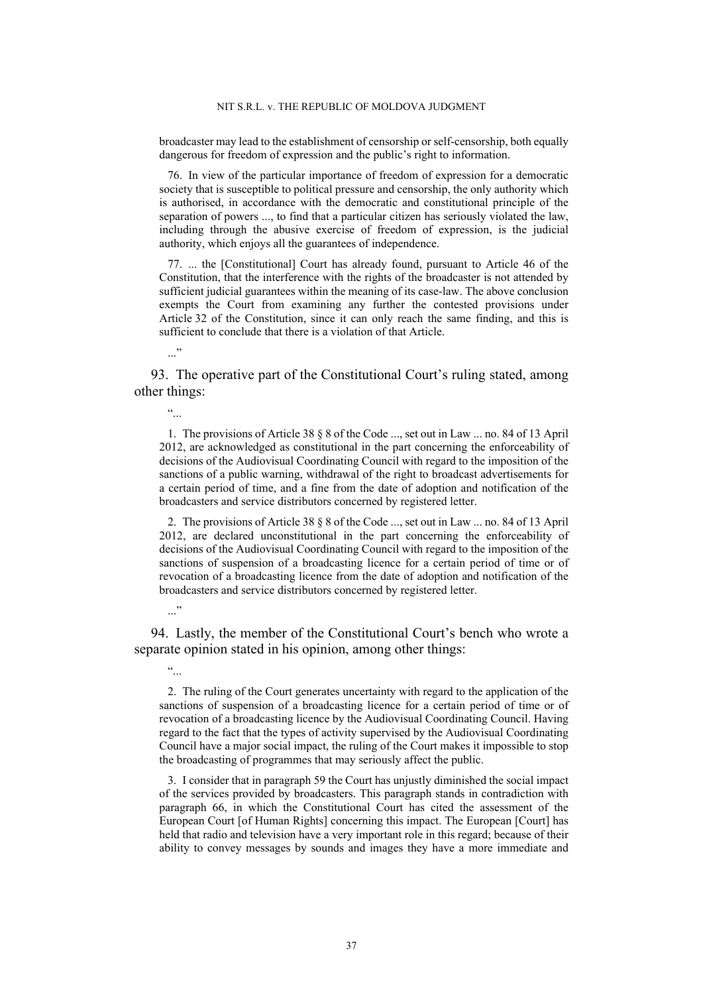broadcaster may lead to the establishment of censorship or self-censorship, both equally dangerous for freedom of expression and the public's right to information.

76. In view of the particular importance of freedom of expression for a democratic society that is susceptible to political pressure and censorship, the only authority which is authorised, in accordance with the democratic and constitutional principle of the separation of powers ..., to find that a particular citizen has seriously violated the law, including through the abusive exercise of freedom of expression, is the judicial authority, which enjoys all the guarantees of independence.

77. ... the [Constitutional] Court has already found, pursuant to Article 46 of the Constitution, that the interference with the rights of the broadcaster is not attended by sufficient judicial guarantees within the meaning of its case-law. The above conclusion exempts the Court from examining any further the contested provisions under Article 32 of the Constitution, since it can only reach the same finding, and this is sufficient to conclude that there is a violation of that Article.

..."

93. The operative part of the Constitutional Court's ruling stated, among other things:

"...

1. The provisions of Article 38 § 8 of the Code ..., set out in Law ... no. 84 of 13 April 2012, are acknowledged as constitutional in the part concerning the enforceability of decisions of the Audiovisual Coordinating Council with regard to the imposition of the sanctions of a public warning, withdrawal of the right to broadcast advertisements for a certain period of time, and a fine from the date of adoption and notification of the broadcasters and service distributors concerned by registered letter.

2. The provisions of Article 38 § 8 of the Code ..., set out in Law ... no. 84 of 13 April 2012, are declared unconstitutional in the part concerning the enforceability of decisions of the Audiovisual Coordinating Council with regard to the imposition of the sanctions of suspension of a broadcasting licence for a certain period of time or of revocation of a broadcasting licence from the date of adoption and notification of the broadcasters and service distributors concerned by registered letter.

..."

94. Lastly, the member of the Constitutional Court's bench who wrote a separate opinion stated in his opinion, among other things:

 $\epsilon\epsilon$ 

2. The ruling of the Court generates uncertainty with regard to the application of the sanctions of suspension of a broadcasting licence for a certain period of time or of revocation of a broadcasting licence by the Audiovisual Coordinating Council. Having regard to the fact that the types of activity supervised by the Audiovisual Coordinating Council have a major social impact, the ruling of the Court makes it impossible to stop the broadcasting of programmes that may seriously affect the public.

3. I consider that in paragraph 59 the Court has unjustly diminished the social impact of the services provided by broadcasters. This paragraph stands in contradiction with paragraph 66, in which the Constitutional Court has cited the assessment of the European Court [of Human Rights] concerning this impact. The European [Court] has held that radio and television have a very important role in this regard; because of their ability to convey messages by sounds and images they have a more immediate and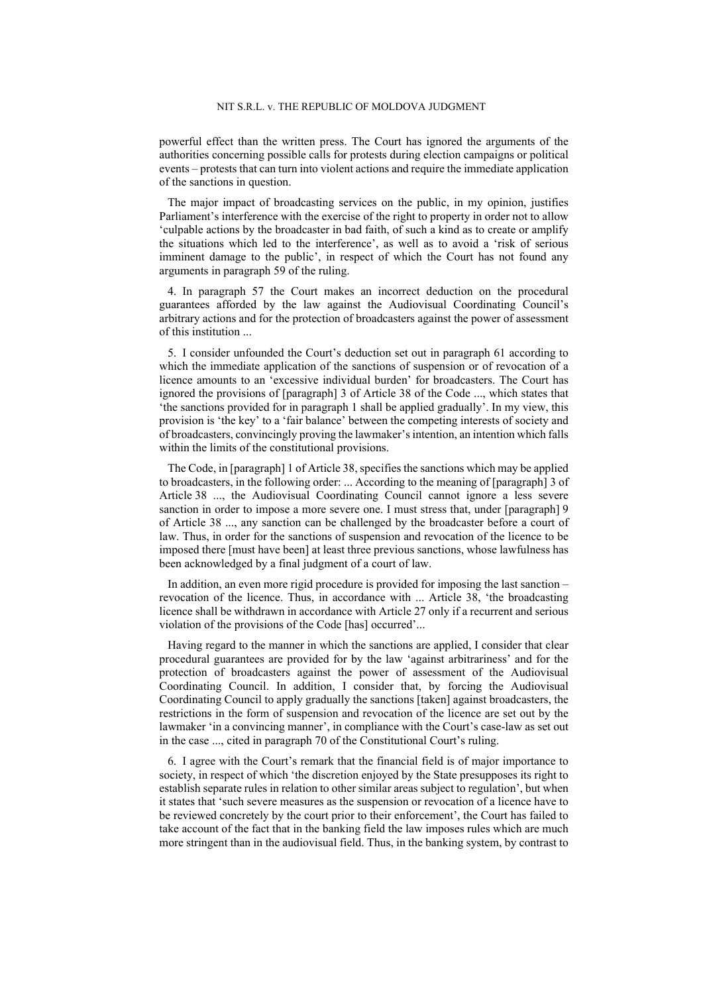powerful effect than the written press. The Court has ignored the arguments of the authorities concerning possible calls for protests during election campaigns or political events – protests that can turn into violent actions and require the immediate application of the sanctions in question.

The major impact of broadcasting services on the public, in my opinion, justifies Parliament's interference with the exercise of the right to property in order not to allow 'culpable actions by the broadcaster in bad faith, of such a kind as to create or amplify the situations which led to the interference', as well as to avoid a 'risk of serious imminent damage to the public', in respect of which the Court has not found any arguments in paragraph 59 of the ruling.

4. In paragraph 57 the Court makes an incorrect deduction on the procedural guarantees afforded by the law against the Audiovisual Coordinating Council's arbitrary actions and for the protection of broadcasters against the power of assessment of this institution ...

5. I consider unfounded the Court's deduction set out in paragraph 61 according to which the immediate application of the sanctions of suspension or of revocation of a licence amounts to an 'excessive individual burden' for broadcasters. The Court has ignored the provisions of [paragraph] 3 of Article 38 of the Code ..., which states that 'the sanctions provided for in paragraph 1 shall be applied gradually'. In my view, this provision is 'the key' to a 'fair balance' between the competing interests of society and of broadcasters, convincingly proving the lawmaker's intention, an intention which falls within the limits of the constitutional provisions.

The Code, in [paragraph] 1 of Article 38, specifies the sanctions which may be applied to broadcasters, in the following order: ... According to the meaning of [paragraph] 3 of Article 38 ..., the Audiovisual Coordinating Council cannot ignore a less severe sanction in order to impose a more severe one. I must stress that, under [paragraph] 9 of Article 38 ..., any sanction can be challenged by the broadcaster before a court of law. Thus, in order for the sanctions of suspension and revocation of the licence to be imposed there [must have been] at least three previous sanctions, whose lawfulness has been acknowledged by a final judgment of a court of law.

In addition, an even more rigid procedure is provided for imposing the last sanction – revocation of the licence. Thus, in accordance with ... Article 38, 'the broadcasting licence shall be withdrawn in accordance with Article 27 only if a recurrent and serious violation of the provisions of the Code [has] occurred'...

Having regard to the manner in which the sanctions are applied, I consider that clear procedural guarantees are provided for by the law 'against arbitrariness' and for the protection of broadcasters against the power of assessment of the Audiovisual Coordinating Council. In addition, I consider that, by forcing the Audiovisual Coordinating Council to apply gradually the sanctions [taken] against broadcasters, the restrictions in the form of suspension and revocation of the licence are set out by the lawmaker 'in a convincing manner', in compliance with the Court's case-law as set out in the case ..., cited in paragraph 70 of the Constitutional Court's ruling.

6. I agree with the Court's remark that the financial field is of major importance to society, in respect of which 'the discretion enjoyed by the State presupposes its right to establish separate rules in relation to other similar areas subject to regulation', but when it states that 'such severe measures as the suspension or revocation of a licence have to be reviewed concretely by the court prior to their enforcement', the Court has failed to take account of the fact that in the banking field the law imposes rules which are much more stringent than in the audiovisual field. Thus, in the banking system, by contrast to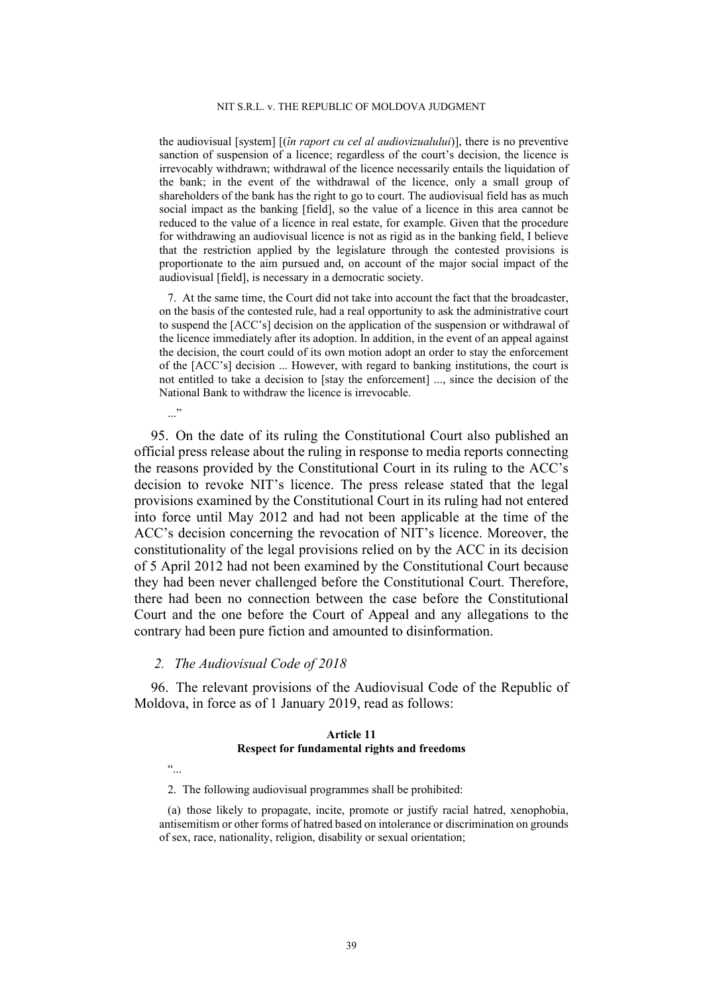the audiovisual [system] [(*ȋn raport cu cel al audiovizualului*)], there is no preventive sanction of suspension of a licence; regardless of the court's decision, the licence is irrevocably withdrawn; withdrawal of the licence necessarily entails the liquidation of the bank; in the event of the withdrawal of the licence, only a small group of shareholders of the bank has the right to go to court. The audiovisual field has as much social impact as the banking [field], so the value of a licence in this area cannot be reduced to the value of a licence in real estate, for example. Given that the procedure for withdrawing an audiovisual licence is not as rigid as in the banking field, I believe that the restriction applied by the legislature through the contested provisions is proportionate to the aim pursued and, on account of the major social impact of the audiovisual [field], is necessary in a democratic society.

7. At the same time, the Court did not take into account the fact that the broadcaster, on the basis of the contested rule, had a real opportunity to ask the administrative court to suspend the [ACC's] decision on the application of the suspension or withdrawal of the licence immediately after its adoption. In addition, in the event of an appeal against the decision, the court could of its own motion adopt an order to stay the enforcement of the [ACC's] decision ... However, with regard to banking institutions, the court is not entitled to take a decision to [stay the enforcement] ..., since the decision of the National Bank to withdraw the licence is irrevocable.

<span id="page-40-0"></span>95. On the date of its ruling the Constitutional Court also published an official press release about the ruling in response to media reports connecting the reasons provided by the Constitutional Court in its ruling to the ACC's decision to revoke NIT's licence. The press release stated that the legal provisions examined by the Constitutional Court in its ruling had not entered into force until May 2012 and had not been applicable at the time of the ACC's decision concerning the revocation of NIT's licence. Moreover, the constitutionality of the legal provisions relied on by the ACC in its decision of 5 April 2012 had not been examined by the Constitutional Court because they had been never challenged before the Constitutional Court. Therefore, there had been no connection between the case before the Constitutional Court and the one before the Court of Appeal and any allegations to the contrary had been pure fiction and amounted to disinformation.

## *2. The Audiovisual Code of 2018*

..."

"...

96. The relevant provisions of the Audiovisual Code of the Republic of Moldova, in force as of 1 January 2019, read as follows:

#### **Article 11 Respect for fundamental rights and freedoms**

2. The following audiovisual programmes shall be prohibited:

(a) those likely to propagate, incite, promote or justify racial hatred, xenophobia, antisemitism or other forms of hatred based on intolerance or discrimination on grounds of sex, race, nationality, religion, disability or sexual orientation;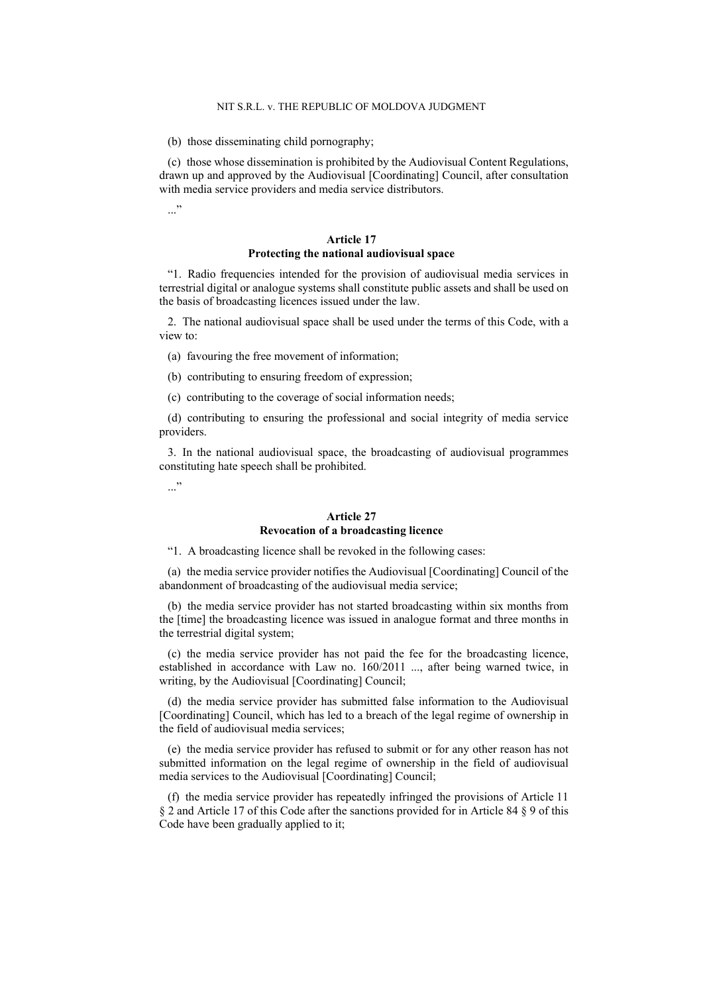(b) those disseminating child pornography;

(c) those whose dissemination is prohibited by the Audiovisual Content Regulations, drawn up and approved by the Audiovisual [Coordinating] Council, after consultation with media service providers and media service distributors.

 $\cdot$ ..."

### **Article 17 Protecting the national audiovisual space**

"1. Radio frequencies intended for the provision of audiovisual media services in terrestrial digital or analogue systems shall constitute public assets and shall be used on the basis of broadcasting licences issued under the law.

2. The national audiovisual space shall be used under the terms of this Code, with a view to:

(a) favouring the free movement of information;

(b) contributing to ensuring freedom of expression;

(c) contributing to the coverage of social information needs;

(d) contributing to ensuring the professional and social integrity of media service providers.

3. In the national audiovisual space, the broadcasting of audiovisual programmes constituting hate speech shall be prohibited.

 $\ddot{\phantom{0}}$ 

#### **Article 27 Revocation of a broadcasting licence**

"1. A broadcasting licence shall be revoked in the following cases:

(a) the media service provider notifies the Audiovisual [Coordinating] Council of the abandonment of broadcasting of the audiovisual media service;

(b) the media service provider has not started broadcasting within six months from the [time] the broadcasting licence was issued in analogue format and three months in the terrestrial digital system;

(c) the media service provider has not paid the fee for the broadcasting licence, established in accordance with [Law no. 160/2011](https://weblex.md/item/view/id/21b53a22ad9ea8e01f2a1dae5fee809c) ..., after being warned twice, in writing, by the Audiovisual [Coordinating] Council;

(d) the media service provider has submitted false information to the Audiovisual [Coordinating] Council, which has led to a breach of the legal regime of ownership in the field of audiovisual media services;

(e) the media service provider has refused to submit or for any other reason has not submitted information on the legal regime of ownership in the field of audiovisual media services to the Audiovisual [Coordinating] Council;

(f) the media service provider has repeatedly infringed the provisions of Article 11 § 2 and Article 17 of this Code after the sanctions provided for in Article 84 § 9 of this Code have been gradually applied to it;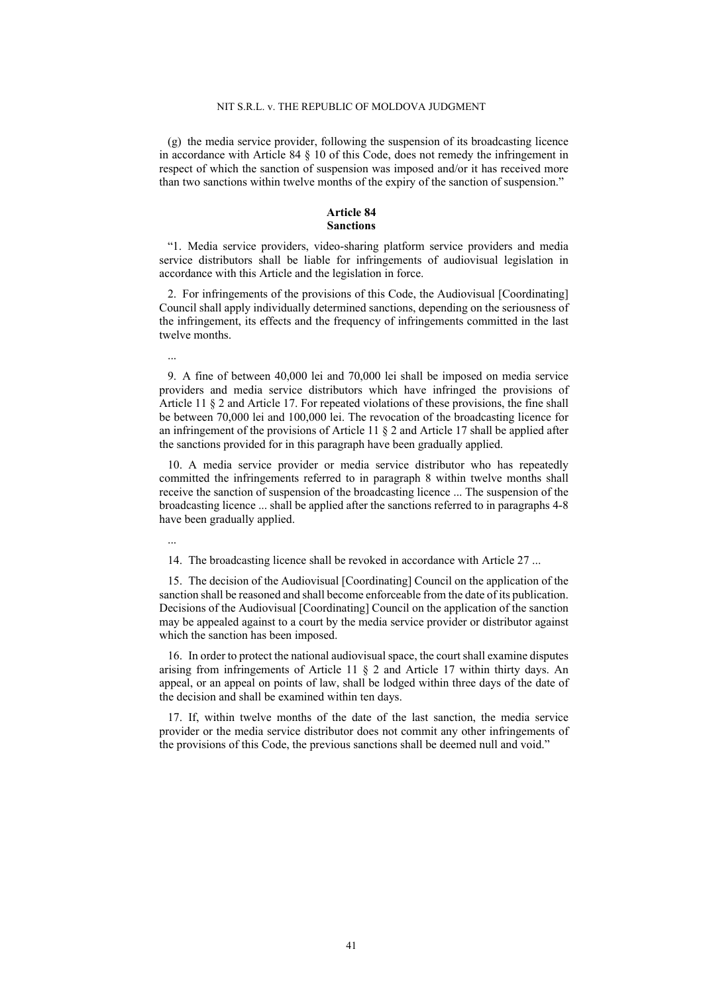(g) the media service provider, following the suspension of its broadcasting licence in accordance with Article 84 § 10 of this Code, does not remedy the infringement in respect of which the sanction of suspension was imposed and/or it has received more than two sanctions within twelve months of the expiry of the sanction of suspension."

#### **Article 84 Sanctions**

"1. Media service providers, video-sharing platform service providers and media service distributors shall be liable for infringements of audiovisual legislation in accordance with this Article and the legislation in force.

2. For infringements of the provisions of this Code, the Audiovisual [Coordinating] Council shall apply individually determined sanctions, depending on the seriousness of the infringement, its effects and the frequency of infringements committed in the last twelve months.

...

9. A fine of between 40,000 lei and 70,000 lei shall be imposed on media service providers and media service distributors which have infringed the provisions of Article 11 § 2 and Article 17. For repeated violations of these provisions, the fine shall be between 70,000 lei and 100,000 lei. The revocation of the broadcasting licence for an infringement of the provisions of Article 11  $\S$  2 and Article 17 shall be applied after the sanctions provided for in this paragraph have been gradually applied.

10. A media service provider or media service distributor who has repeatedly committed the infringements referred to in paragraph 8 within twelve months shall receive the sanction of suspension of the broadcasting licence ... The suspension of the broadcasting licence ... shall be applied after the sanctions referred to in paragraphs 4-8 have been gradually applied.

...

14. The broadcasting licence shall be revoked in accordance with Article 27 ...

15. The decision of the Audiovisual [Coordinating] Council on the application of the sanction shall be reasoned and shall become enforceable from the date of its publication. Decisions of the Audiovisual [Coordinating] Council on the application of the sanction may be appealed against to a court by the media service provider or distributor against which the sanction has been imposed.

16. In order to protect the national audiovisual space, the court shall examine disputes arising from infringements of Article 11 § 2 and Article 17 within thirty days. An appeal, or an appeal on points of law, shall be lodged within three days of the date of the decision and shall be examined within ten days.

17. If, within twelve months of the date of the last sanction, the media service provider or the media service distributor does not commit any other infringements of the provisions of this Code, the previous sanctions shall be deemed null and void."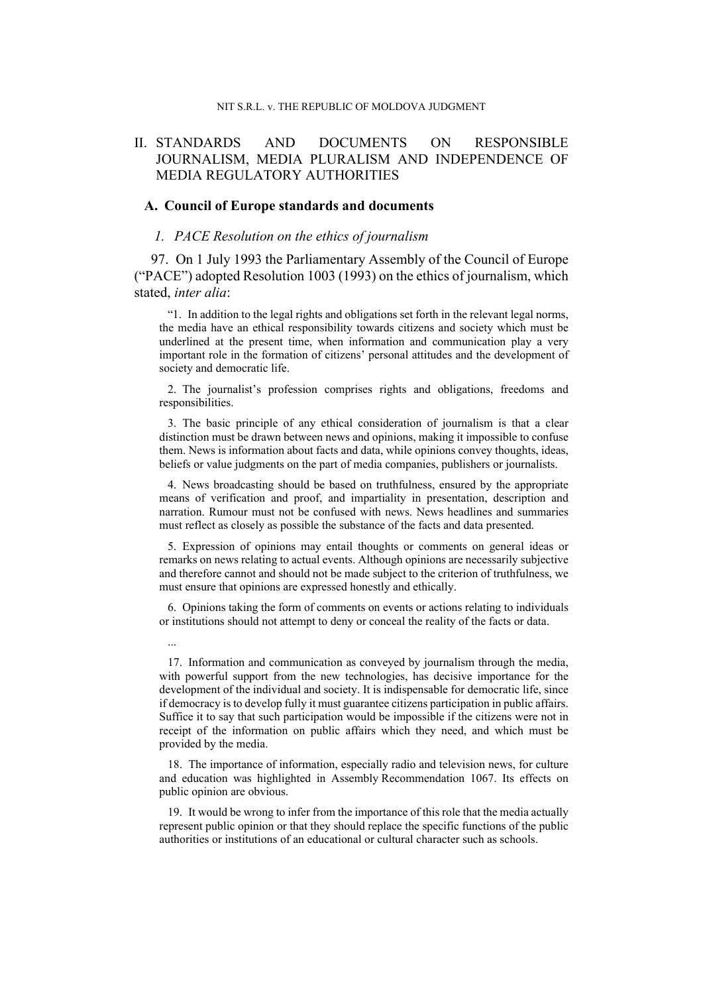# II. STANDARDS AND DOCUMENTS ON RESPONSIBLE JOURNALISM, MEDIA PLURALISM AND INDEPENDENCE OF MEDIA REGULATORY AUTHORITIES

## **A. Council of Europe standards and documents**

### *1. PACE Resolution on the ethics of journalism*

97. On 1 July 1993 the Parliamentary Assembly of the Council of Europe ("PACE") adopted Resolution 1003 (1993) on the ethics of journalism, which stated, *inter alia*:

"1. In addition to the legal rights and obligations set forth in the relevant legal norms, the media have an ethical responsibility towards citizens and society which must be underlined at the present time, when information and communication play a very important role in the formation of citizens' personal attitudes and the development of society and democratic life.

2. The journalist's profession comprises rights and obligations, freedoms and responsibilities.

3. The basic principle of any ethical consideration of journalism is that a clear distinction must be drawn between news and opinions, making it impossible to confuse them. News is information about facts and data, while opinions convey thoughts, ideas, beliefs or value judgments on the part of media companies, publishers or journalists.

4. News broadcasting should be based on truthfulness, ensured by the appropriate means of verification and proof, and impartiality in presentation, description and narration. Rumour must not be confused with news. News headlines and summaries must reflect as closely as possible the substance of the facts and data presented.

5. Expression of opinions may entail thoughts or comments on general ideas or remarks on news relating to actual events. Although opinions are necessarily subjective and therefore cannot and should not be made subject to the criterion of truthfulness, we must ensure that opinions are expressed honestly and ethically.

6. Opinions taking the form of comments on events or actions relating to individuals or institutions should not attempt to deny or conceal the reality of the facts or data.

...

17. Information and communication as conveyed by journalism through the media, with powerful support from the new technologies, has decisive importance for the development of the individual and society. It is indispensable for democratic life, since if democracy is to develop fully it must guarantee citizens participation in public affairs. Suffice it to say that such participation would be impossible if the citizens were not in receipt of the information on public affairs which they need, and which must be provided by the media.

18. The importance of information, especially radio and television news, for culture and education was highlighted in Assembly [Recommendation 1067](https://assembly.coe.int/nw/xml/XRef/Xref-DocDetails-en.asp?FileID=15101&lang=en). Its effects on public opinion are obvious.

19. It would be wrong to infer from the importance of this role that the media actually represent public opinion or that they should replace the specific functions of the public authorities or institutions of an educational or cultural character such as schools.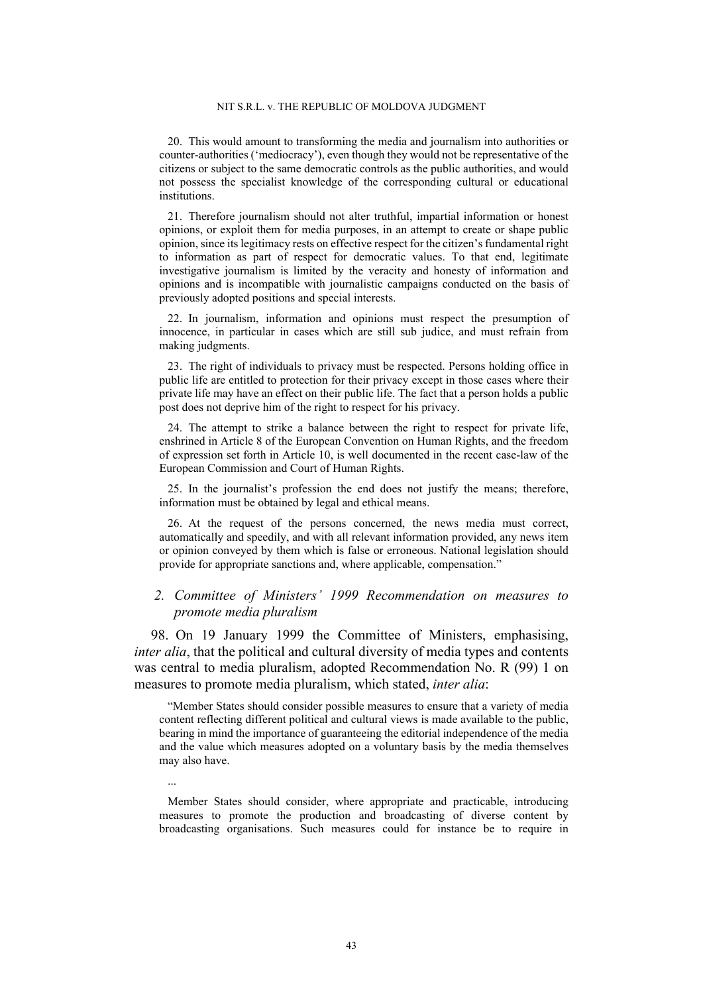20. This would amount to transforming the media and journalism into authorities or counter-authorities ('mediocracy'), even though they would not be representative of the citizens or subject to the same democratic controls as the public authorities, and would not possess the specialist knowledge of the corresponding cultural or educational institutions.

21. Therefore journalism should not alter truthful, impartial information or honest opinions, or exploit them for media purposes, in an attempt to create or shape public opinion, since its legitimacy rests on effective respect for the citizen's fundamental right to information as part of respect for democratic values. To that end, legitimate investigative journalism is limited by the veracity and honesty of information and opinions and is incompatible with journalistic campaigns conducted on the basis of previously adopted positions and special interests.

22. In journalism, information and opinions must respect the presumption of innocence, in particular in cases which are still sub judice, and must refrain from making judgments.

23. The right of individuals to privacy must be respected. Persons holding office in public life are entitled to protection for their privacy except in those cases where their private life may have an effect on their public life. The fact that a person holds a public post does not deprive him of the right to respect for his privacy.

24. The attempt to strike a balance between the right to respect for private life, enshrined in Article 8 of the European Convention on Human Rights, and the freedom of expression set forth in Article 10, is well documented in the recent case-law of the European Commission and Court of Human Rights.

25. In the journalist's profession the end does not justify the means; therefore, information must be obtained by legal and ethical means.

26. At the request of the persons concerned, the news media must correct, automatically and speedily, and with all relevant information provided, any news item or opinion conveyed by them which is false or erroneous. National legislation should provide for appropriate sanctions and, where applicable, compensation."

# *2. Committee of Ministers' 1999 Recommendation on measures to promote media pluralism*

98. On 19 January 1999 the Committee of Ministers, emphasising, *inter alia*, that the political and cultural diversity of media types and contents was central to media pluralism, adopted Recommendation No. R (99) 1 on measures to promote media pluralism, which stated, *inter alia*:

"Member States should consider possible measures to ensure that a variety of media content reflecting different political and cultural views is made available to the public, bearing in mind the importance of guaranteeing the editorial independence of the media and the value which measures adopted on a voluntary basis by the media themselves may also have.

Member States should consider, where appropriate and practicable, introducing measures to promote the production and broadcasting of diverse content by broadcasting organisations. Such measures could for instance be to require in

...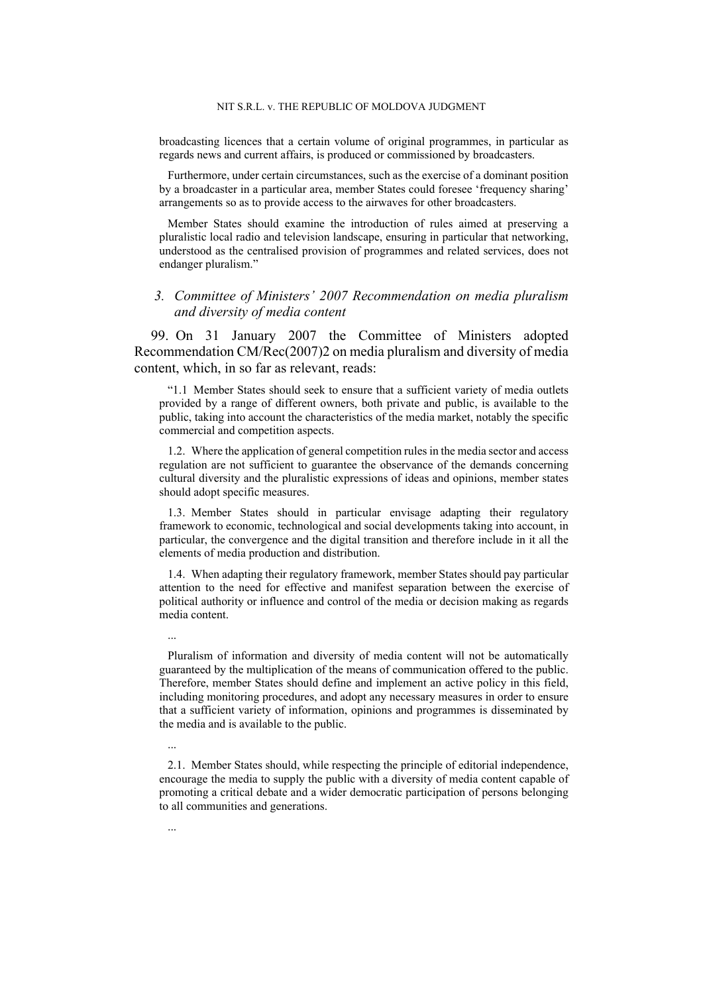broadcasting licences that a certain volume of original programmes, in particular as regards news and current affairs, is produced or commissioned by broadcasters.

Furthermore, under certain circumstances, such as the exercise of a dominant position by a broadcaster in a particular area, member States could foresee 'frequency sharing' arrangements so as to provide access to the airwaves for other broadcasters.

Member States should examine the introduction of rules aimed at preserving a pluralistic local radio and television landscape, ensuring in particular that networking, understood as the centralised provision of programmes and related services, does not endanger pluralism."

## *3. Committee of Ministers' 2007 Recommendation on media pluralism and diversity of media content*

<span id="page-45-0"></span>99. On 31 January 2007 the Committee of Ministers adopted Recommendation CM/Rec(2007)2 on media pluralism and diversity of media content, which, in so far as relevant, reads:

"1.1 Member States should seek to ensure that a sufficient variety of media outlets provided by a range of different owners, both private and public, is available to the public, taking into account the characteristics of the media market, notably the specific commercial and competition aspects.

1.2. Where the application of general competition rules in the media sector and access regulation are not sufficient to guarantee the observance of the demands concerning cultural diversity and the pluralistic expressions of ideas and opinions, member states should adopt specific measures.

1.3. Member States should in particular envisage adapting their regulatory framework to economic, technological and social developments taking into account, in particular, the convergence and the digital transition and therefore include in it all the elements of media production and distribution.

1.4. When adapting their regulatory framework, member States should pay particular attention to the need for effective and manifest separation between the exercise of political authority or influence and control of the media or decision making as regards media content.

Pluralism of information and diversity of media content will not be automatically guaranteed by the multiplication of the means of communication offered to the public. Therefore, member States should define and implement an active policy in this field, including monitoring procedures, and adopt any necessary measures in order to ensure that a sufficient variety of information, opinions and programmes is disseminated by the media and is available to the public.

...

2.1. Member States should, while respecting the principle of editorial independence, encourage the media to supply the public with a diversity of media content capable of promoting a critical debate and a wider democratic participation of persons belonging to all communities and generations.

<sup>...</sup>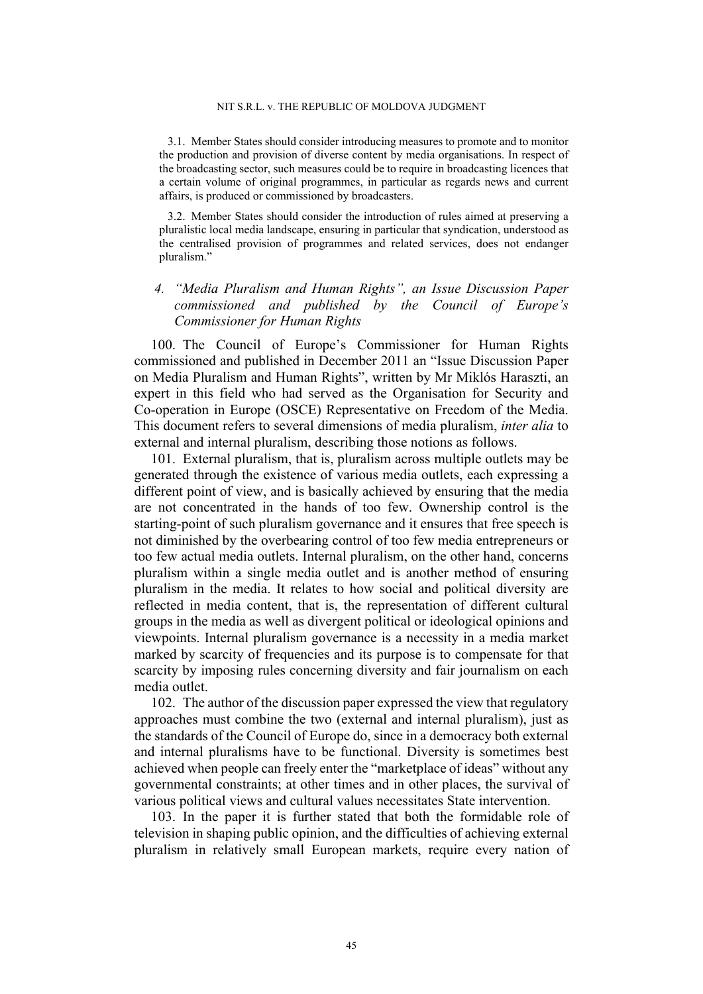3.1. Member States should consider introducing measures to promote and to monitor the production and provision of diverse content by media organisations. In respect of the broadcasting sector, such measures could be to require in broadcasting licences that a certain volume of original programmes, in particular as regards news and current affairs, is produced or commissioned by broadcasters.

3.2. Member States should consider the introduction of rules aimed at preserving a pluralistic local media landscape, ensuring in particular that syndication, understood as the centralised provision of programmes and related services, does not endanger pluralism."

# *4. "Media Pluralism and Human Rights", an Issue Discussion Paper commissioned and published by the Council of Europe's Commissioner for Human Rights*

100. The Council of Europe's Commissioner for Human Rights commissioned and published in December 2011 an "Issue Discussion Paper on Media Pluralism and Human Rights", written by Mr Miklós Haraszti, an expert in this field who had served as the Organisation for Security and Co-operation in Europe (OSCE) Representative on Freedom of the Media. This document refers to several dimensions of media pluralism, *inter alia* to external and internal pluralism, describing those notions as follows.

<span id="page-46-0"></span>101. External pluralism, that is, pluralism across multiple outlets may be generated through the existence of various media outlets, each expressing a different point of view, and is basically achieved by ensuring that the media are not concentrated in the hands of too few. Ownership control is the starting-point of such pluralism governance and it ensures that free speech is not diminished by the overbearing control of too few media entrepreneurs or too few actual media outlets. Internal pluralism, on the other hand, concerns pluralism within a single media outlet and is another method of ensuring pluralism in the media. It relates to how social and political diversity are reflected in media content, that is, the representation of different cultural groups in the media as well as divergent political or ideological opinions and viewpoints. Internal pluralism governance is a necessity in a media market marked by scarcity of frequencies and its purpose is to compensate for that scarcity by imposing rules concerning diversity and fair journalism on each media outlet.

102. The author of the discussion paper expressed the view that regulatory approaches must combine the two (external and internal pluralism), just as the standards of the Council of Europe do, since in a democracy both external and internal pluralisms have to be functional. Diversity is sometimes best achieved when people can freely enter the "marketplace of ideas" without any governmental constraints; at other times and in other places, the survival of various political views and cultural values necessitates State intervention.

103. In the paper it is further stated that both the formidable role of television in shaping public opinion, and the difficulties of achieving external pluralism in relatively small European markets, require every nation of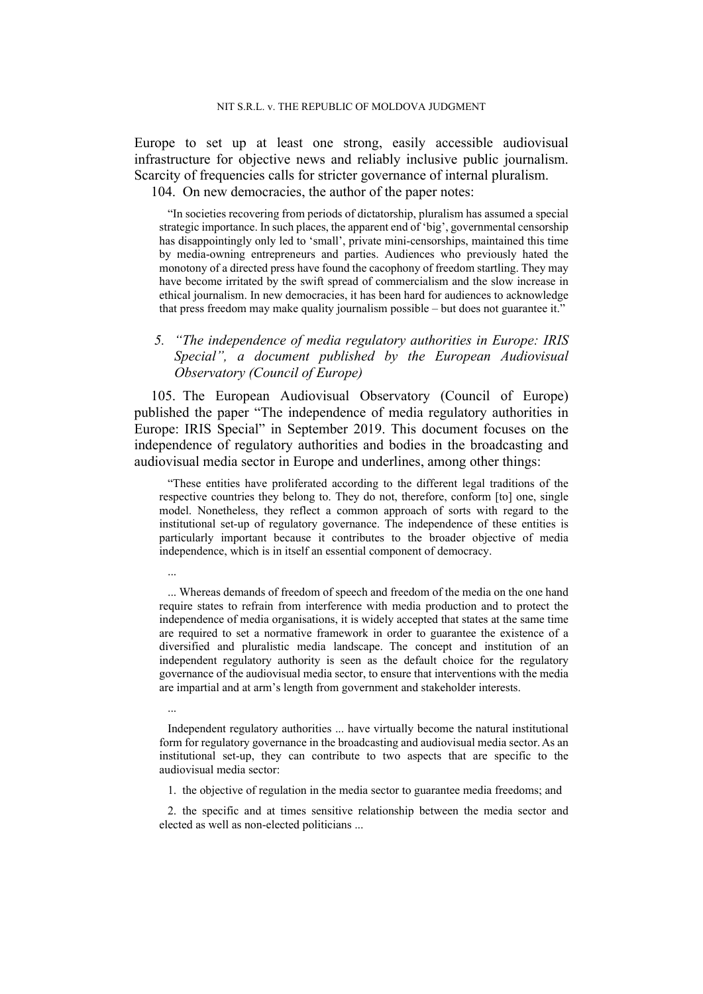Europe to set up at least one strong, easily accessible audiovisual infrastructure for objective news and reliably inclusive public journalism. Scarcity of frequencies calls for stricter governance of internal pluralism.

104. On new democracies, the author of the paper notes:

"In societies recovering from periods of dictatorship, pluralism has assumed a special strategic importance. In such places, the apparent end of 'big', governmental censorship has disappointingly only led to 'small', private mini-censorships, maintained this time by media-owning entrepreneurs and parties. Audiences who previously hated the monotony of a directed press have found the cacophony of freedom startling. They may have become irritated by the swift spread of commercialism and the slow increase in ethical journalism. In new democracies, it has been hard for audiences to acknowledge that press freedom may make quality journalism possible – but does not guarantee it."

## *5. "The independence of media regulatory authorities in Europe: IRIS Special", a document published by the European Audiovisual Observatory (Council of Europe)*

105. The European Audiovisual Observatory (Council of Europe) published the paper "The independence of media regulatory authorities in Europe: IRIS Special" in September 2019. This document focuses on the independence of regulatory authorities and bodies in the broadcasting and audiovisual media sector in Europe and underlines, among other things:

"These entities have proliferated according to the different legal traditions of the respective countries they belong to. They do not, therefore, conform [to] one, single model. Nonetheless, they reflect a common approach of sorts with regard to the institutional set-up of regulatory governance. The independence of these entities is particularly important because it contributes to the broader objective of media independence, which is in itself an essential component of democracy.

...

...

... Whereas demands of freedom of speech and freedom of the media on the one hand require states to refrain from interference with media production and to protect the independence of media organisations, it is widely accepted that states at the same time are required to set a normative framework in order to guarantee the existence of a diversified and pluralistic media landscape. The concept and institution of an independent regulatory authority is seen as the default choice for the regulatory governance of the audiovisual media sector, to ensure that interventions with the media are impartial and at arm's length from government and stakeholder interests.

Independent regulatory authorities ... have virtually become the natural institutional form for regulatory governance in the broadcasting and audiovisual media sector.As an institutional set-up, they can contribute to two aspects that are specific to the audiovisual media sector:

1. the objective of regulation in the media sector to guarantee media freedoms; and

2. the specific and at times sensitive relationship between the media sector and elected as well as non-elected politicians ...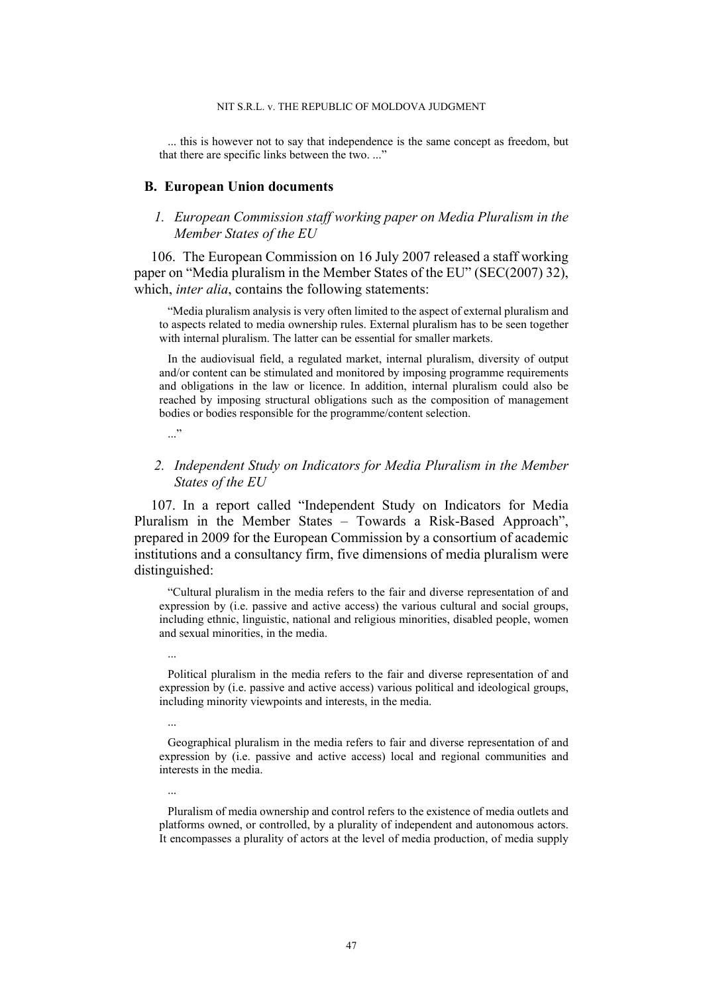#### NIT S.R.L. v. THE REPUBLIC OF MOLDOVA JUDGMENT

... this is however not to say that independence is the same concept as freedom, but that there are specific links between the two. ..."

### **B. European Union documents**

# *1. European Commission staff working paper on Media Pluralism in the Member States of the EU*

<span id="page-48-0"></span>106. The European Commission on 16 July 2007 released a staff working paper on "Media pluralism in the Member States of the EU" (SEC(2007) 32), which, *inter alia*, contains the following statements:

"Media pluralism analysis is very often limited to the aspect of external pluralism and to aspects related to media ownership rules. External pluralism has to be seen together with internal pluralism. The latter can be essential for smaller markets.

In the audiovisual field, a regulated market, internal pluralism, diversity of output and/or content can be stimulated and monitored by imposing programme requirements and obligations in the law or licence. In addition, internal pluralism could also be reached by imposing structural obligations such as the composition of management bodies or bodies responsible for the programme/content selection.

..."

...

...

...

# *2. Independent Study on Indicators for Media Pluralism in the Member States of the EU*

<span id="page-48-1"></span>107. In a report called "Independent Study on Indicators for Media Pluralism in the Member States – Towards a Risk-Based Approach", prepared in 2009 for the European Commission by a consortium of academic institutions and a consultancy firm, five dimensions of media pluralism were distinguished:

"Cultural pluralism in the media refers to the fair and diverse representation of and expression by (i.e. passive and active access) the various cultural and social groups, including ethnic, linguistic, national and religious minorities, disabled people, women and sexual minorities, in the media.

Political pluralism in the media refers to the fair and diverse representation of and expression by (i.e. passive and active access) various political and ideological groups, including minority viewpoints and interests, in the media.

Geographical pluralism in the media refers to fair and diverse representation of and expression by (i.e. passive and active access) local and regional communities and interests in the media.

Pluralism of media ownership and control refers to the existence of media outlets and platforms owned, or controlled, by a plurality of independent and autonomous actors. It encompasses a plurality of actors at the level of media production, of media supply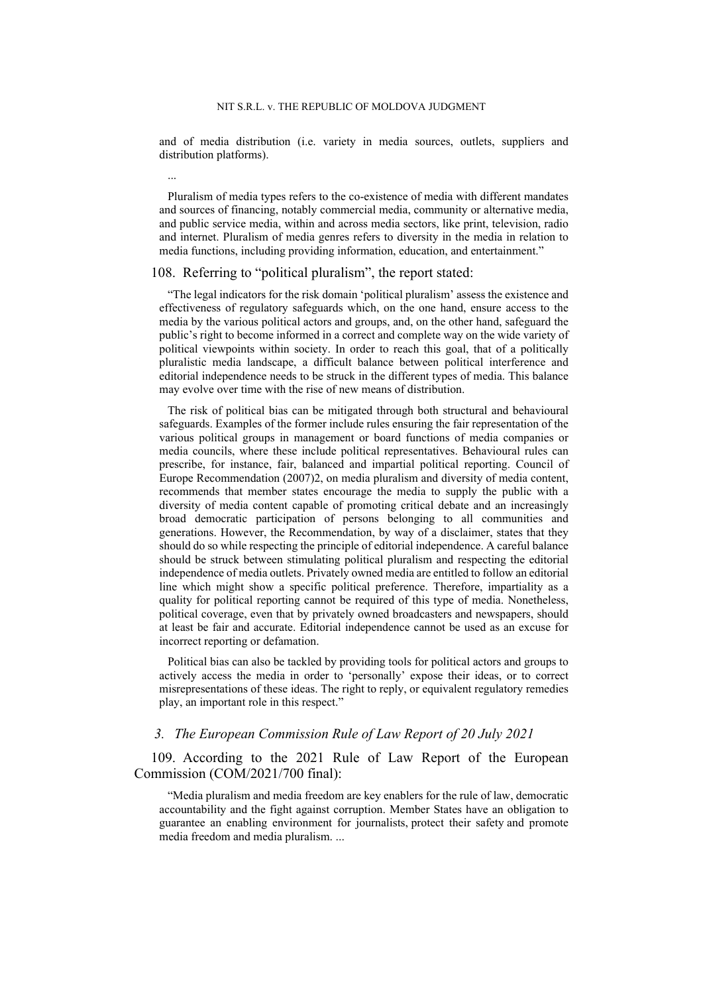and of media distribution (i.e. variety in media sources, outlets, suppliers and distribution platforms).

Pluralism of media types refers to the co-existence of media with different mandates and sources of financing, notably commercial media, community or alternative media, and public service media, within and across media sectors, like print, television, radio and internet. Pluralism of media genres refers to diversity in the media in relation to media functions, including providing information, education, and entertainment."

### <span id="page-49-0"></span>108. Referring to "political pluralism", the report stated:

...

"The legal indicators for the risk domain 'political pluralism' assess the existence and effectiveness of regulatory safeguards which, on the one hand, ensure access to the media by the various political actors and groups, and, on the other hand, safeguard the public's right to become informed in a correct and complete way on the wide variety of political viewpoints within society. In order to reach this goal, that of a politically pluralistic media landscape, a difficult balance between political interference and editorial independence needs to be struck in the different types of media. This balance may evolve over time with the rise of new means of distribution.

The risk of political bias can be mitigated through both structural and behavioural safeguards. Examples of the former include rules ensuring the fair representation of the various political groups in management or board functions of media companies or media councils, where these include political representatives. Behavioural rules can prescribe, for instance, fair, balanced and impartial political reporting. Council of Europe Recommendation (2007)2, on media pluralism and diversity of media content, recommends that member states encourage the media to supply the public with a diversity of media content capable of promoting critical debate and an increasingly broad democratic participation of persons belonging to all communities and generations. However, the Recommendation, by way of a disclaimer, states that they should do so while respecting the principle of editorial independence. A careful balance should be struck between stimulating political pluralism and respecting the editorial independence of media outlets. Privately owned media are entitled to follow an editorial line which might show a specific political preference. Therefore, impartiality as a quality for political reporting cannot be required of this type of media. Nonetheless, political coverage, even that by privately owned broadcasters and newspapers, should at least be fair and accurate. Editorial independence cannot be used as an excuse for incorrect reporting or defamation.

Political bias can also be tackled by providing tools for political actors and groups to actively access the media in order to 'personally' expose their ideas, or to correct misrepresentations of these ideas. The right to reply, or equivalent regulatory remedies play, an important role in this respect."

## *3. The European Commission Rule of Law Report of 20 July 2021*

109. According to the 2021 Rule of Law Report of the European Commission (COM/2021/700 final):

"Media pluralism and media freedom are key enablers for the rule of law, democratic accountability and the fight against corruption. Member States have an obligation to guarantee an enabling environment for journalists, protect their safety and promote media freedom and media pluralism. ...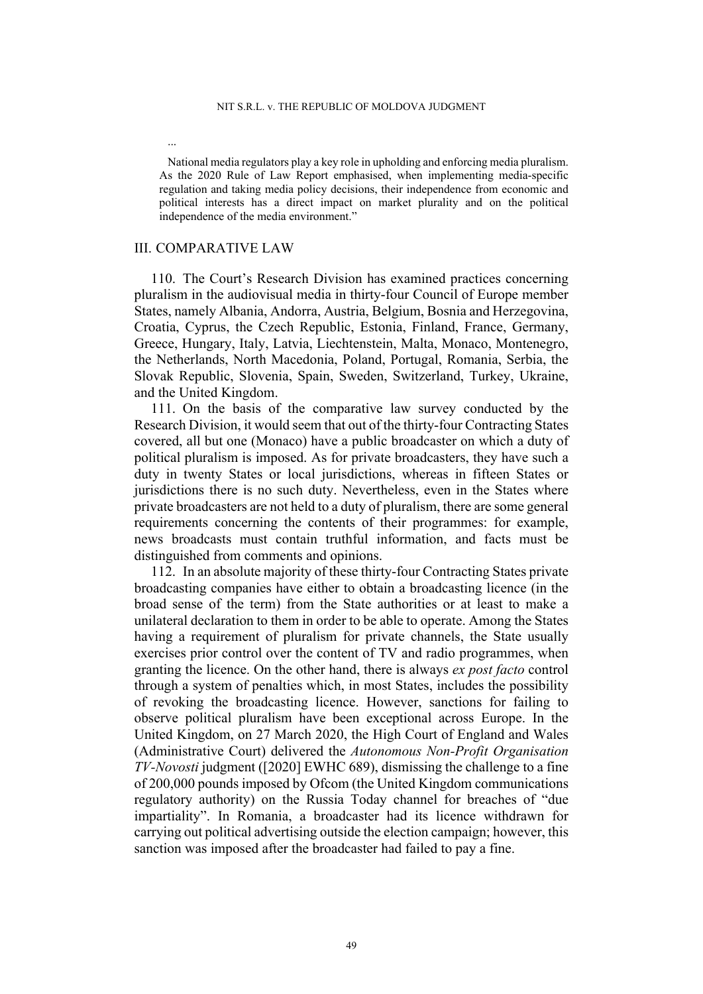National media regulators play a key role in upholding and enforcing media pluralism. As the 2020 Rule of Law Report emphasised, when implementing media-specific regulation and taking media policy decisions, their independence from economic and political interests has a direct impact on market plurality and on the political independence of the media environment."

## III. COMPARATIVE LAW

...

110. The Court's Research Division has examined practices concerning pluralism in the audiovisual media in thirty-four Council of Europe member States, namely Albania, Andorra, Austria, Belgium, Bosnia and Herzegovina, Croatia, Cyprus, the Czech Republic, Estonia, Finland, France, Germany, Greece, Hungary, Italy, Latvia, Liechtenstein, Malta, Monaco, Montenegro, the Netherlands, North Macedonia, Poland, Portugal, Romania, Serbia, the Slovak Republic, Slovenia, Spain, Sweden, Switzerland, Turkey, Ukraine, and the United Kingdom.

<span id="page-50-0"></span>111. On the basis of the comparative law survey conducted by the Research Division, it would seem that out of the thirty-four Contracting States covered, all but one (Monaco) have a public broadcaster on which a duty of political pluralism is imposed. As for private broadcasters, they have such a duty in twenty States or local jurisdictions, whereas in fifteen States or jurisdictions there is no such duty. Nevertheless, even in the States where private broadcasters are not held to a duty of pluralism, there are some general requirements concerning the contents of their programmes: for example, news broadcasts must contain truthful information, and facts must be distinguished from comments and opinions.

<span id="page-50-1"></span>112. In an absolute majority of these thirty-four Contracting States private broadcasting companies have either to obtain a broadcasting licence (in the broad sense of the term) from the State authorities or at least to make a unilateral declaration to them in order to be able to operate. Among the States having a requirement of pluralism for private channels, the State usually exercises prior control over the content of TV and radio programmes, when granting the licence. On the other hand, there is always *ex post facto* control through a system of penalties which, in most States, includes the possibility of revoking the broadcasting licence. However, sanctions for failing to observe political pluralism have been exceptional across Europe. In the United Kingdom, on 27 March 2020, the High Court of England and Wales (Administrative Court) delivered the *Autonomous Non-Profit Organisation TV-Novosti* judgment ([2020] EWHC 689), dismissing the challenge to a fine of 200,000 pounds imposed by Ofcom (the United Kingdom communications regulatory authority) on the Russia Today channel for breaches of "due impartiality". In Romania, a broadcaster had its licence withdrawn for carrying out political advertising outside the election campaign; however, this sanction was imposed after the broadcaster had failed to pay a fine.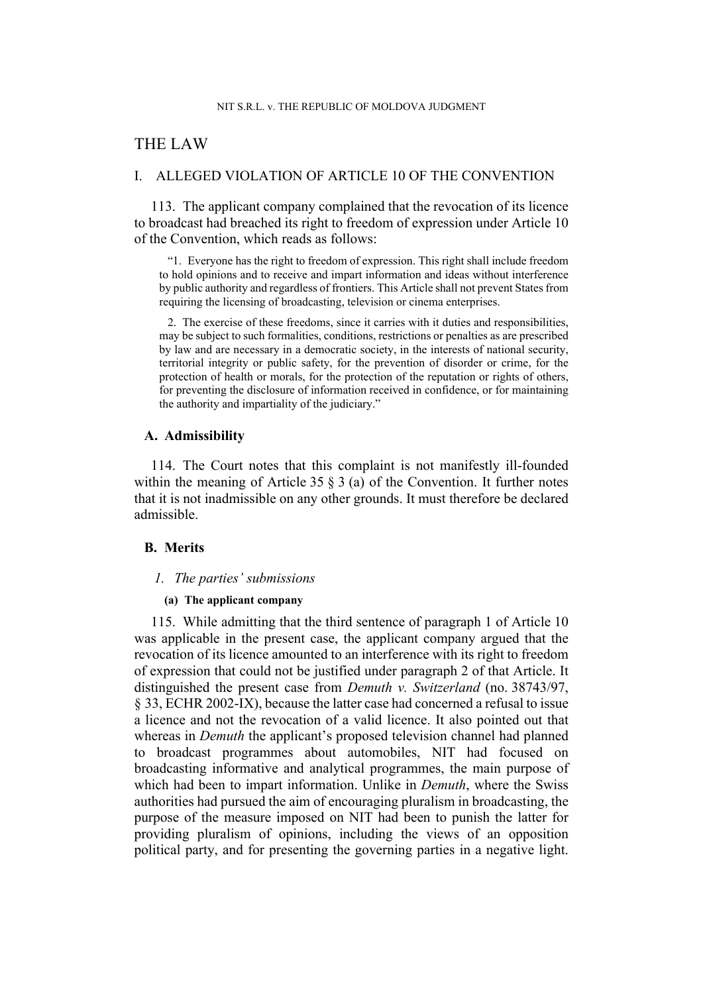# THE LAW

# I. ALLEGED VIOLATION OF ARTICLE 10 OF THE CONVENTION

113. The applicant company complained that the revocation of its licence to broadcast had breached its right to freedom of expression under Article 10 of the Convention, which reads as follows:

"1. Everyone has the right to freedom of expression. This right shall include freedom to hold opinions and to receive and impart information and ideas without interference by public authority and regardless of frontiers. This Article shall not prevent States from requiring the licensing of broadcasting, television or cinema enterprises.

2. The exercise of these freedoms, since it carries with it duties and responsibilities, may be subject to such formalities, conditions, restrictions or penalties as are prescribed by law and are necessary in a democratic society, in the interests of national security, territorial integrity or public safety, for the prevention of disorder or crime, for the protection of health or morals, for the protection of the reputation or rights of others, for preventing the disclosure of information received in confidence, or for maintaining the authority and impartiality of the judiciary."

## **A. Admissibility**

114. The Court notes that this complaint is not manifestly ill-founded within the meaning of Article 35  $\S$  3 (a) of the Convention. It further notes that it is not inadmissible on any other grounds. It must therefore be declared admissible.

## **B. Merits**

### *1. The parties' submissions*

### **(a) The applicant company**

<span id="page-51-0"></span>115. While admitting that the third sentence of paragraph 1 of Article 10 was applicable in the present case, the applicant company argued that the revocation of its licence amounted to an interference with its right to freedom of expression that could not be justified under paragraph 2 of that Article. It distinguished the present case from *Demuth v. Switzerland* (no. 38743/97, § 33, ECHR 2002-IX), because the latter case had concerned a refusal to issue a licence and not the revocation of a valid licence. It also pointed out that whereas in *Demuth* the applicant's proposed television channel had planned to broadcast programmes about automobiles, NIT had focused on broadcasting informative and analytical programmes, the main purpose of which had been to impart information. Unlike in *Demuth*, where the Swiss authorities had pursued the aim of encouraging pluralism in broadcasting, the purpose of the measure imposed on NIT had been to punish the latter for providing pluralism of opinions, including the views of an opposition political party, and for presenting the governing parties in a negative light.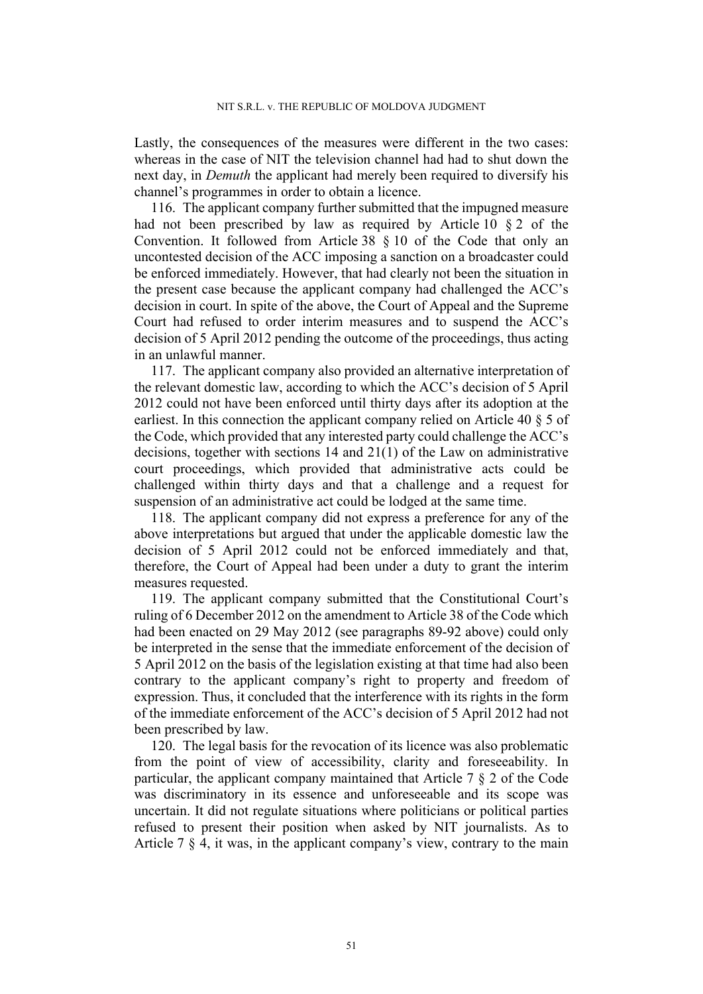Lastly, the consequences of the measures were different in the two cases: whereas in the case of NIT the television channel had had to shut down the next day, in *Demuth* the applicant had merely been required to diversify his channel's programmes in order to obtain a licence.

<span id="page-52-0"></span>116. The applicant company further submitted that the impugned measure had not been prescribed by law as required by Article 10 § 2 of the Convention. It followed from Article 38 § 10 of the Code that only an uncontested decision of the ACC imposing a sanction on a broadcaster could be enforced immediately. However, that had clearly not been the situation in the present case because the applicant company had challenged the ACC's decision in court. In spite of the above, the Court of Appeal and the Supreme Court had refused to order interim measures and to suspend the ACC's decision of 5 April 2012 pending the outcome of the proceedings, thus acting in an unlawful manner.

117. The applicant company also provided an alternative interpretation of the relevant domestic law, according to which the ACC's decision of 5 April 2012 could not have been enforced until thirty days after its adoption at the earliest. In this connection the applicant company relied on Article 40 § 5 of the Code, which provided that any interested party could challenge the ACC's decisions, together with sections 14 and 21(1) of the Law on administrative court proceedings, which provided that administrative acts could be challenged within thirty days and that a challenge and a request for suspension of an administrative act could be lodged at the same time.

118. The applicant company did not express a preference for any of the above interpretations but argued that under the applicable domestic law the decision of 5 April 2012 could not be enforced immediately and that, therefore, the Court of Appeal had been under a duty to grant the interim measures requested.

119. The applicant company submitted that the Constitutional Court's ruling of 6 December 2012 on the amendment to Article 38 of the Code which had been enacted on 29 May 2012 (see paragraphs [89-](#page-36-0)[92](#page-37-0) above) could only be interpreted in the sense that the immediate enforcement of the decision of 5 April 2012 on the basis of the legislation existing at that time had also been contrary to the applicant company's right to property and freedom of expression. Thus, it concluded that the interference with its rights in the form of the immediate enforcement of the ACC's decision of 5 April 2012 had not been prescribed by law.

<span id="page-52-1"></span>120. The legal basis for the revocation of its licence was also problematic from the point of view of accessibility, clarity and foreseeability. In particular, the applicant company maintained that Article 7 § 2 of the Code was discriminatory in its essence and unforeseeable and its scope was uncertain. It did not regulate situations where politicians or political parties refused to present their position when asked by NIT journalists. As to Article 7 § 4, it was, in the applicant company's view, contrary to the main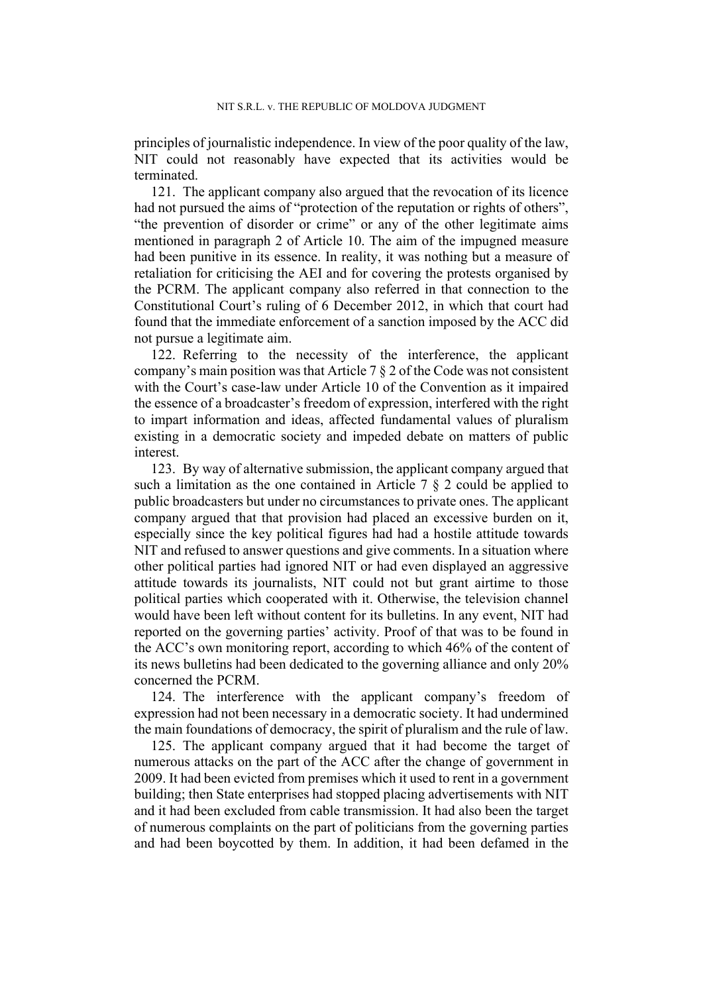principles of journalistic independence. In view of the poor quality of the law, NIT could not reasonably have expected that its activities would be terminated.

<span id="page-53-0"></span>121. The applicant company also argued that the revocation of its licence had not pursued the aims of "protection of the reputation or rights of others", "the prevention of disorder or crime" or any of the other legitimate aims mentioned in paragraph 2 of Article 10. The aim of the impugned measure had been punitive in its essence. In reality, it was nothing but a measure of retaliation for criticising the AEI and for covering the protests organised by the PCRM. The applicant company also referred in that connection to the Constitutional Court's ruling of 6 December 2012, in which that court had found that the immediate enforcement of a sanction imposed by the ACC did not pursue a legitimate aim.

<span id="page-53-1"></span>122. Referring to the necessity of the interference, the applicant company's main position was that Article 7 § 2 of the Code was not consistent with the Court's case-law under Article 10 of the Convention as it impaired the essence of a broadcaster's freedom of expression, interfered with the right to impart information and ideas, affected fundamental values of pluralism existing in a democratic society and impeded debate on matters of public interest.

123. By way of alternative submission, the applicant company argued that such a limitation as the one contained in Article 7 § 2 could be applied to public broadcasters but under no circumstances to private ones. The applicant company argued that that provision had placed an excessive burden on it, especially since the key political figures had had a hostile attitude towards NIT and refused to answer questions and give comments. In a situation where other political parties had ignored NIT or had even displayed an aggressive attitude towards its journalists, NIT could not but grant airtime to those political parties which cooperated with it. Otherwise, the television channel would have been left without content for its bulletins. In any event, NIT had reported on the governing parties' activity. Proof of that was to be found in the ACC's own monitoring report, according to which 46% of the content of its news bulletins had been dedicated to the governing alliance and only 20% concerned the PCRM.

124. The interference with the applicant company's freedom of expression had not been necessary in a democratic society. It had undermined the main foundations of democracy, the spirit of pluralism and the rule of law.

125. The applicant company argued that it had become the target of numerous attacks on the part of the ACC after the change of government in 2009. It had been evicted from premises which it used to rent in a government building; then State enterprises had stopped placing advertisements with NIT and it had been excluded from cable transmission. It had also been the target of numerous complaints on the part of politicians from the governing parties and had been boycotted by them. In addition, it had been defamed in the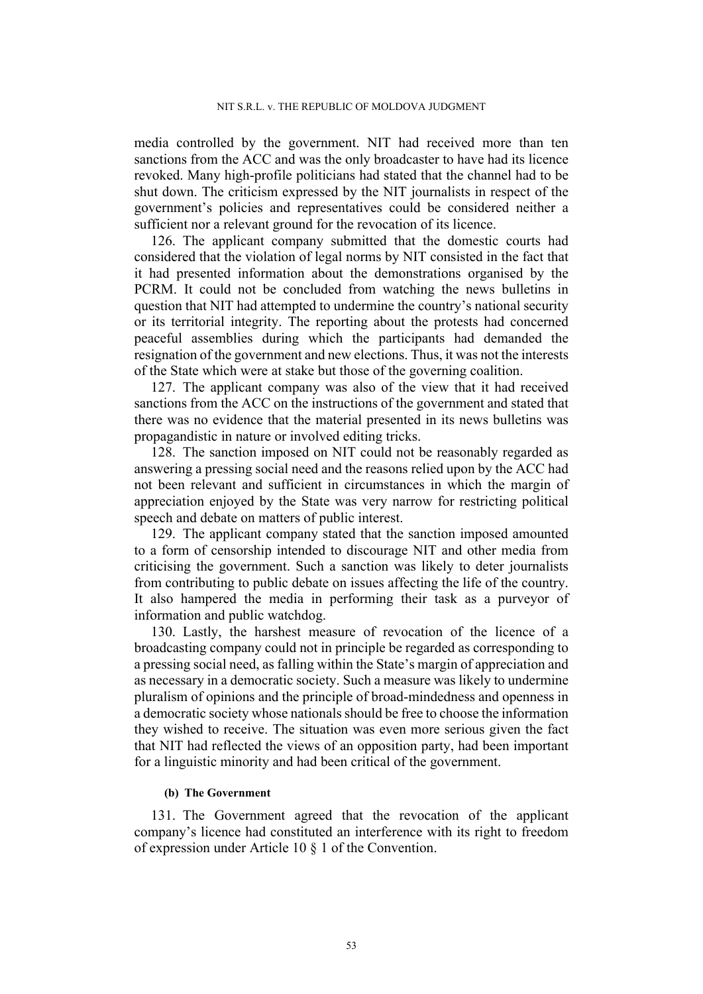media controlled by the government. NIT had received more than ten sanctions from the ACC and was the only broadcaster to have had its licence revoked. Many high-profile politicians had stated that the channel had to be shut down. The criticism expressed by the NIT journalists in respect of the government's policies and representatives could be considered neither a sufficient nor a relevant ground for the revocation of its licence.

126. The applicant company submitted that the domestic courts had considered that the violation of legal norms by NIT consisted in the fact that it had presented information about the demonstrations organised by the PCRM. It could not be concluded from watching the news bulletins in question that NIT had attempted to undermine the country's national security or its territorial integrity. The reporting about the protests had concerned peaceful assemblies during which the participants had demanded the resignation of the government and new elections. Thus, it was not the interests of the State which were at stake but those of the governing coalition.

127. The applicant company was also of the view that it had received sanctions from the ACC on the instructions of the government and stated that there was no evidence that the material presented in its news bulletins was propagandistic in nature or involved editing tricks.

128. The sanction imposed on NIT could not be reasonably regarded as answering a pressing social need and the reasons relied upon by the ACC had not been relevant and sufficient in circumstances in which the margin of appreciation enjoyed by the State was very narrow for restricting political speech and debate on matters of public interest.

129. The applicant company stated that the sanction imposed amounted to a form of censorship intended to discourage NIT and other media from criticising the government. Such a sanction was likely to deter journalists from contributing to public debate on issues affecting the life of the country. It also hampered the media in performing their task as a purveyor of information and public watchdog.

130. Lastly, the harshest measure of revocation of the licence of a broadcasting company could not in principle be regarded as corresponding to a pressing social need, as falling within the State's margin of appreciation and as necessary in a democratic society. Such a measure was likely to undermine pluralism of opinions and the principle of broad-mindedness and openness in a democratic society whose nationals should be free to choose the information they wished to receive. The situation was even more serious given the fact that NIT had reflected the views of an opposition party, had been important for a linguistic minority and had been critical of the government.

### **(b) The Government**

<span id="page-54-0"></span>131. The Government agreed that the revocation of the applicant company's licence had constituted an interference with its right to freedom of expression under Article 10 § 1 of the Convention.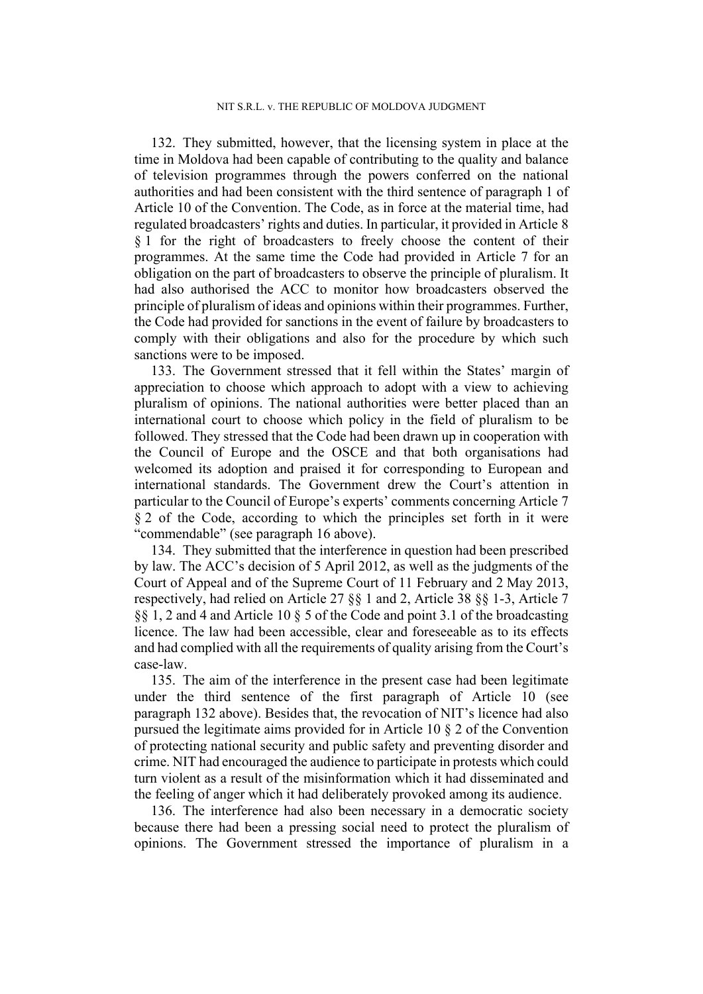<span id="page-55-0"></span>132. They submitted, however, that the licensing system in place at the time in Moldova had been capable of contributing to the quality and balance of television programmes through the powers conferred on the national authorities and had been consistent with the third sentence of paragraph 1 of Article 10 of the Convention. The Code, as in force at the material time, had regulated broadcasters' rights and duties. In particular, it provided in Article 8 § 1 for the right of broadcasters to freely choose the content of their programmes. At the same time the Code had provided in Article 7 for an obligation on the part of broadcasters to observe the principle of pluralism. It had also authorised the ACC to monitor how broadcasters observed the principle of pluralism of ideas and opinions within their programmes. Further, the Code had provided for sanctions in the event of failure by broadcasters to comply with their obligations and also for the procedure by which such sanctions were to be imposed.

133. The Government stressed that it fell within the States' margin of appreciation to choose which approach to adopt with a view to achieving pluralism of opinions. The national authorities were better placed than an international court to choose which policy in the field of pluralism to be followed. They stressed that the Code had been drawn up in cooperation with the Council of Europe and the OSCE and that both organisations had welcomed its adoption and praised it for corresponding to European and international standards. The Government drew the Court's attention in particular to the Council of Europe's experts' comments concerning Article 7 § 2 of the Code, according to which the principles set forth in it were "commendable" (see paragraph [16](#page-5-0) above).

<span id="page-55-1"></span>134. They submitted that the interference in question had been prescribed by law. The ACC's decision of 5 April 2012, as well as the judgments of the Court of Appeal and of the Supreme Court of 11 February and 2 May 2013, respectively, had relied on Article 27 §§ 1 and 2, Article 38 §§ 1-3, Article 7 §§ 1, 2 and 4 and Article 10 § 5 of the Code and point 3.1 of the broadcasting licence. The law had been accessible, clear and foreseeable as to its effects and had complied with all the requirements of quality arising from the Court's case-law.

<span id="page-55-2"></span>135. The aim of the interference in the present case had been legitimate under the third sentence of the first paragraph of Article 10 (see paragraph [132](#page-55-0) above). Besides that, the revocation of NIT's licence had also pursued the legitimate aims provided for in Article 10 § 2 of the Convention of protecting national security and public safety and preventing disorder and crime. NIT had encouraged the audience to participate in protests which could turn violent as a result of the misinformation which it had disseminated and the feeling of anger which it had deliberately provoked among its audience.

136. The interference had also been necessary in a democratic society because there had been a pressing social need to protect the pluralism of opinions. The Government stressed the importance of pluralism in a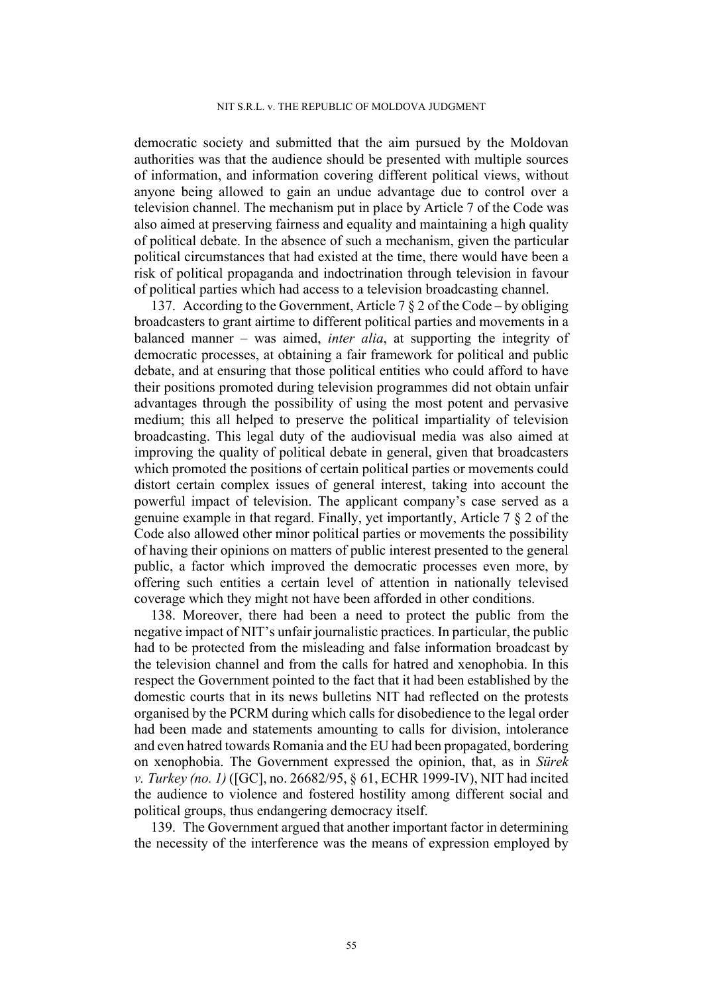democratic society and submitted that the aim pursued by the Moldovan authorities was that the audience should be presented with multiple sources of information, and information covering different political views, without anyone being allowed to gain an undue advantage due to control over a television channel. The mechanism put in place by Article 7 of the Code was also aimed at preserving fairness and equality and maintaining a high quality of political debate. In the absence of such a mechanism, given the particular political circumstances that had existed at the time, there would have been a risk of political propaganda and indoctrination through television in favour of political parties which had access to a television broadcasting channel.

137. According to the Government, Article 7 § 2 of the Code – by obliging broadcasters to grant airtime to different political parties and movements in a balanced manner – was aimed, *inter alia*, at supporting the integrity of democratic processes, at obtaining a fair framework for political and public debate, and at ensuring that those political entities who could afford to have their positions promoted during television programmes did not obtain unfair advantages through the possibility of using the most potent and pervasive medium; this all helped to preserve the political impartiality of television broadcasting. This legal duty of the audiovisual media was also aimed at improving the quality of political debate in general, given that broadcasters which promoted the positions of certain political parties or movements could distort certain complex issues of general interest, taking into account the powerful impact of television. The applicant company's case served as a genuine example in that regard. Finally, yet importantly, Article 7 § 2 of the Code also allowed other minor political parties or movements the possibility of having their opinions on matters of public interest presented to the general public, a factor which improved the democratic processes even more, by offering such entities a certain level of attention in nationally televised coverage which they might not have been afforded in other conditions.

138. Moreover, there had been a need to protect the public from the negative impact of NIT's unfair journalistic practices. In particular, the public had to be protected from the misleading and false information broadcast by the television channel and from the calls for hatred and xenophobia. In this respect the Government pointed to the fact that it had been established by the domestic courts that in its news bulletins NIT had reflected on the protests organised by the PCRM during which calls for disobedience to the legal order had been made and statements amounting to calls for division, intolerance and even hatred towards Romania and the EU had been propagated, bordering on xenophobia. The Government expressed the opinion, that, as in *Sürek v. Turkey (no. 1)* ([GC], no. 26682/95, § 61, ECHR 1999-IV), NIT had incited the audience to violence and fostered hostility among different social and political groups, thus endangering democracy itself.

139. The Government argued that another important factor in determining the necessity of the interference was the means of expression employed by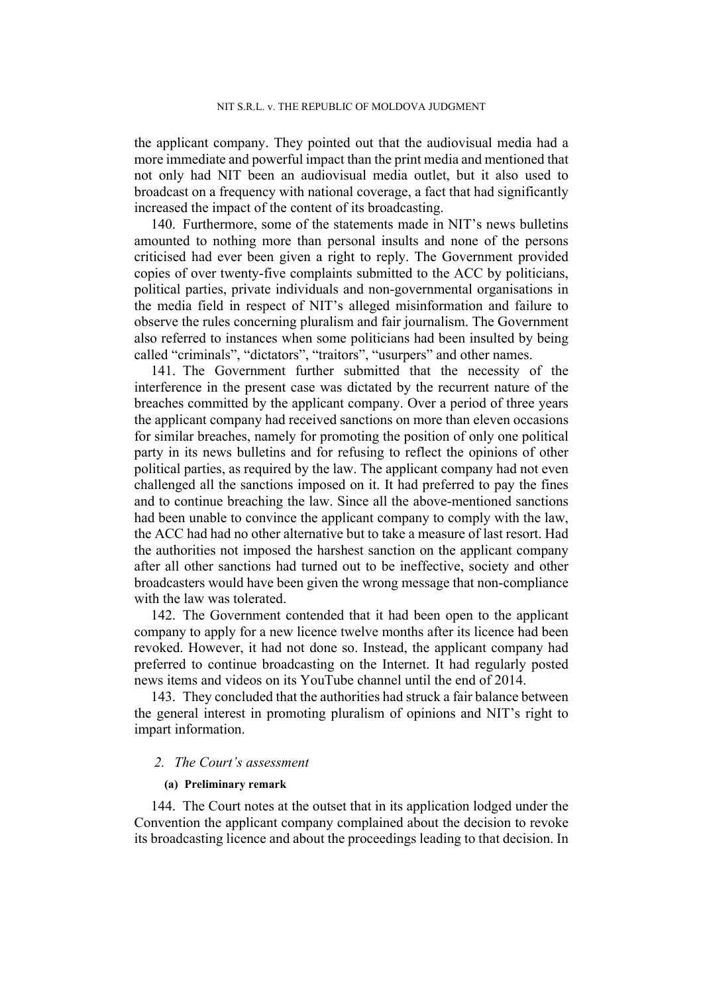the applicant company. They pointed out that the audiovisual media had a more immediate and powerful impact than the print media and mentioned that not only had NIT been an audiovisual media outlet, but it also used to broadcast on a frequency with national coverage, a fact that had significantly increased the impact of the content of its broadcasting.

140. Furthermore, some of the statements made in NIT's news bulletins amounted to nothing more than personal insults and none of the persons criticised had ever been given a right to reply. The Government provided copies of over twenty-five complaints submitted to the ACC by politicians, political parties, private individuals and non-governmental organisations in the media field in respect of NIT's alleged misinformation and failure to observe the rules concerning pluralism and fair journalism. The Government also referred to instances when some politicians had been insulted by being called "criminals", "dictators", "traitors", "usurpers" and other names.

141. The Government further submitted that the necessity of the interference in the present case was dictated by the recurrent nature of the breaches committed by the applicant company. Over a period of three years the applicant company had received sanctions on more than eleven occasions for similar breaches, namely for promoting the position of only one political party in its news bulletins and for refusing to reflect the opinions of other political parties, as required by the law. The applicant company had not even challenged all the sanctions imposed on it. It had preferred to pay the fines and to continue breaching the law. Since all the above-mentioned sanctions had been unable to convince the applicant company to comply with the law, the ACC had had no other alternative but to take a measure of last resort. Had the authorities not imposed the harshest sanction on the applicant company after all other sanctions had turned out to be ineffective, society and other broadcasters would have been given the wrong message that non-compliance with the law was tolerated.

142. The Government contended that it had been open to the applicant company to apply for a new licence twelve months after its licence had been revoked. However, it had not done so. Instead, the applicant company had preferred to continue broadcasting on the Internet. It had regularly posted news items and videos on its YouTube channel until the end of 2014.

143. They concluded that the authorities had struck a fair balance between the general interest in promoting pluralism of opinions and NIT's right to impart information.

### *2. The Court's assessment*

### **(a) Preliminary remark**

144. The Court notes at the outset that in its application lodged under the Convention the applicant company complained about the decision to revoke its broadcasting licence and about the proceedings leading to that decision. In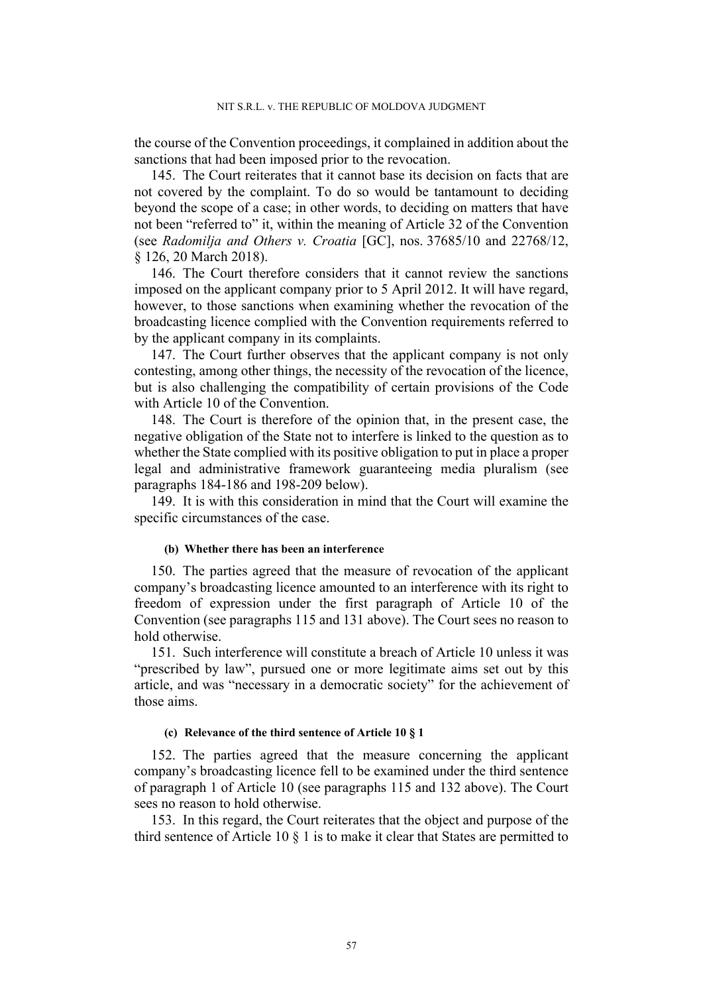the course of the Convention proceedings, it complained in addition about the sanctions that had been imposed prior to the revocation.

145. The Court reiterates that it cannot base its decision on facts that are not covered by the complaint. To do so would be tantamount to deciding beyond the scope of a case; in other words, to deciding on matters that have not been "referred to" it, within the meaning of Article 32 of the Convention (see *Radomilja and Others v. Croatia* [GC], nos. 37685/10 and 22768/12, § 126, 20 March 2018).

146. The Court therefore considers that it cannot review the sanctions imposed on the applicant company prior to 5 April 2012. It will have regard, however, to those sanctions when examining whether the revocation of the broadcasting licence complied with the Convention requirements referred to by the applicant company in its complaints.

147. The Court further observes that the applicant company is not only contesting, among other things, the necessity of the revocation of the licence, but is also challenging the compatibility of certain provisions of the Code with Article 10 of the Convention.

148. The Court is therefore of the opinion that, in the present case, the negative obligation of the State not to interfere is linked to the question as to whether the State complied with its positive obligation to put in place a proper legal and administrative framework guaranteeing media pluralism (see paragraphs [184](#page-67-0)[-186](#page-68-0) and [198-](#page-71-0)[209](#page-73-0) below).

149. It is with this consideration in mind that the Court will examine the specific circumstances of the case.

### **(b) Whether there has been an interference**

150. The parties agreed that the measure of revocation of the applicant company's broadcasting licence amounted to an interference with its right to freedom of expression under the first paragraph of Article 10 of the Convention (see paragraphs [115](#page-51-0) and [131](#page-54-0) above). The Court sees no reason to hold otherwise.

<span id="page-58-0"></span>151. Such interference will constitute a breach of Article 10 unless it was "prescribed by law", pursued one or more legitimate aims set out by this article, and was "necessary in a democratic society" for the achievement of those aims.

### **(c) Relevance of the third sentence of Article 10 § 1**

152. The parties agreed that the measure concerning the applicant company's broadcasting licence fell to be examined under the third sentence of paragraph 1 of Article 10 (see paragraphs [115](#page-51-0) and [132](#page-55-0) above). The Court sees no reason to hold otherwise.

153. In this regard, the Court reiterates that the object and purpose of the third sentence of Article 10 § 1 is to make it clear that States are permitted to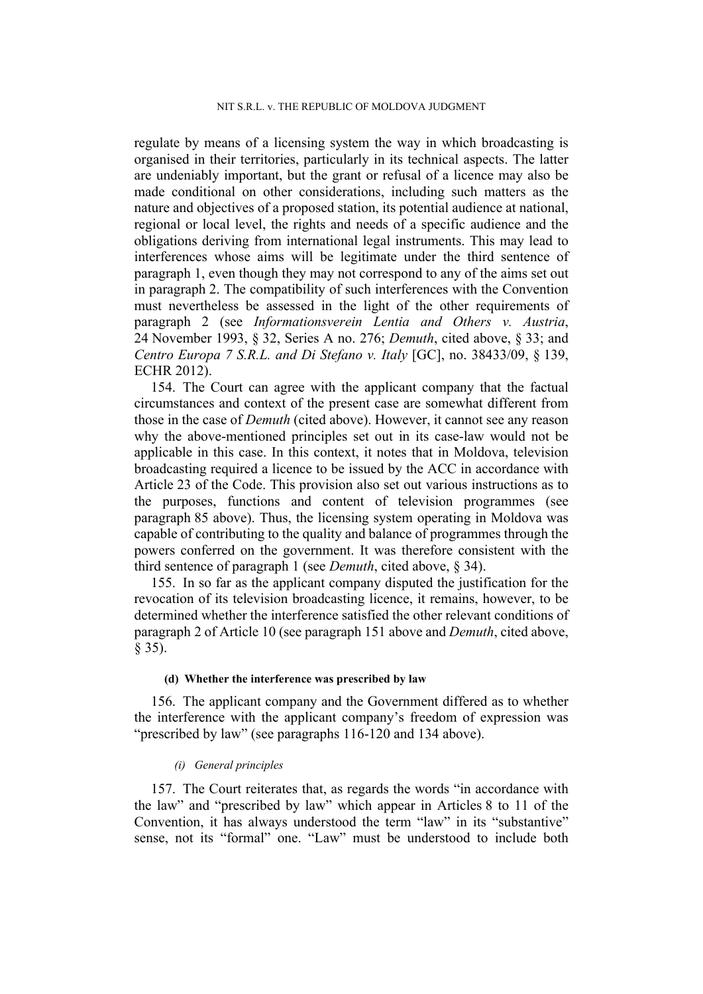regulate by means of a licensing system the way in which broadcasting is organised in their territories, particularly in its technical aspects. The latter are undeniably important, but the grant or refusal of a licence may also be made conditional on other considerations, including such matters as the nature and objectives of a proposed station, its potential audience at national, regional or local level, the rights and needs of a specific audience and the obligations deriving from international legal instruments. This may lead to interferences whose aims will be legitimate under the third sentence of paragraph 1, even though they may not correspond to any of the aims set out in paragraph 2. The compatibility of such interferences with the Convention must nevertheless be assessed in the light of the other requirements of paragraph 2 (see *Informationsverein Lentia and Others v. Austria*, 24 November 1993, § 32, Series A no. 276; *Demuth*, cited above, § 33; and *Centro Europa 7 S.R.L. and Di Stefano v. Italy* [GC], no. 38433/09, § 139, ECHR 2012).

<span id="page-59-0"></span>154. The Court can agree with the applicant company that the factual circumstances and context of the present case are somewhat different from those in the case of *Demuth* (cited above). However, it cannot see any reason why the above-mentioned principles set out in its case-law would not be applicable in this case. In this context, it notes that in Moldova, television broadcasting required a licence to be issued by the ACC in accordance with Article 23 of the Code. This provision also set out various instructions as to the purposes, functions and content of television programmes (see paragraph [85](#page-25-0) above). Thus, the licensing system operating in Moldova was capable of contributing to the quality and balance of programmes through the powers conferred on the government. It was therefore consistent with the third sentence of paragraph 1 (see *Demuth*, cited above, § 34).

155. In so far as the applicant company disputed the justification for the revocation of its television broadcasting licence, it remains, however, to be determined whether the interference satisfied the other relevant conditions of paragraph 2 of Article 10 (see paragraph [151](#page-58-0) above and *Demuth*, cited above, § 35).

### **(d) Whether the interference was prescribed by law**

156. The applicant company and the Government differed as to whether the interference with the applicant company's freedom of expression was "prescribed by law" (see paragraphs [116-](#page-52-0)[120](#page-52-1) and [134](#page-55-1) above).

#### *(i) General principles*

157. The Court reiterates that, as regards the words "in accordance with the law" and "prescribed by law" which appear in Articles 8 to 11 of the Convention, it has always understood the term "law" in its "substantive" sense, not its "formal" one. "Law" must be understood to include both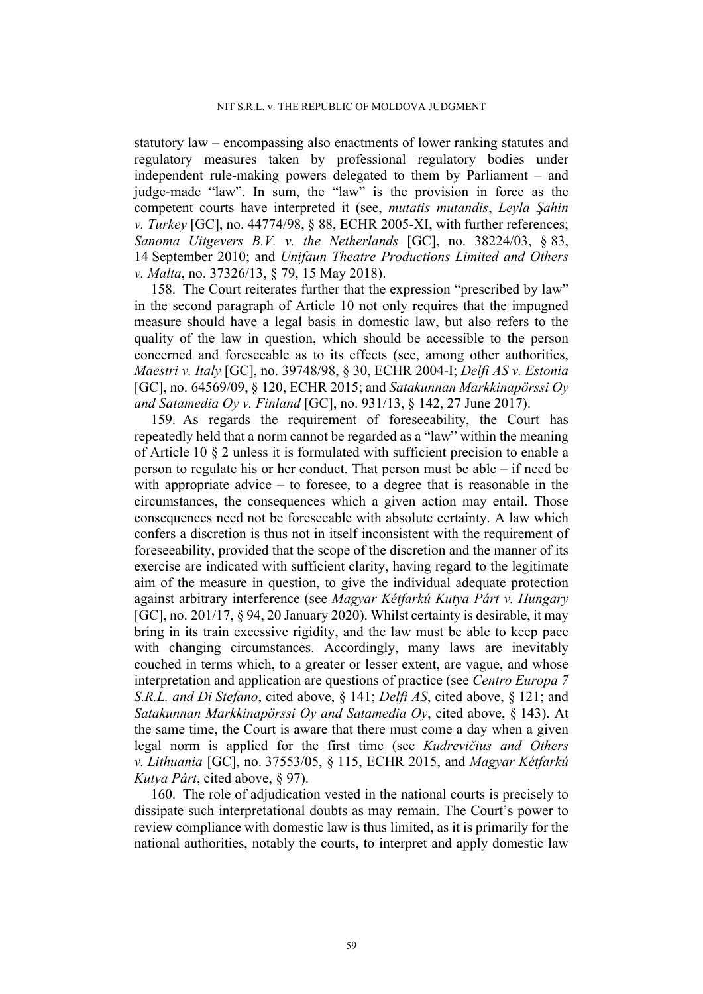statutory law – encompassing also enactments of lower ranking statutes and regulatory measures taken by professional regulatory bodies under independent rule-making powers delegated to them by Parliament – and judge-made "law". In sum, the "law" is the provision in force as the competent courts have interpreted it (see, *mutatis mutandis*, *Leyla Şahin v. Turkey* [GC], no. 44774/98, § 88, ECHR 2005-XI, with further references; *Sanoma Uitgevers B.V. v. the Netherlands* [GC], no. 38224/03, § 83, 14 September 2010; and *Unifaun Theatre Productions Limited and Others v. Malta*, no. 37326/13, § 79, 15 May 2018).

158. The Court reiterates further that the expression "prescribed by law" in the second paragraph of Article 10 not only requires that the impugned measure should have a legal basis in domestic law, but also refers to the quality of the law in question, which should be accessible to the person concerned and foreseeable as to its effects (see, among other authorities, *Maestri v. Italy* [GC], no. 39748/98, § 30, ECHR 2004-I; *Delfi AS v. Estonia* [GC], no. 64569/09, § 120, ECHR 2015; and *Satakunnan Markkinapörssi Oy and Satamedia Oy v. Finland* [GC], no. 931/13, § 142, 27 June 2017).

159. As regards the requirement of foreseeability, the Court has repeatedly held that a norm cannot be regarded as a "law" within the meaning of Article 10 § 2 unless it is formulated with sufficient precision to enable a person to regulate his or her conduct. That person must be able – if need be with appropriate advice – to foresee, to a degree that is reasonable in the circumstances, the consequences which a given action may entail. Those consequences need not be foreseeable with absolute certainty. A law which confers a discretion is thus not in itself inconsistent with the requirement of foreseeability, provided that the scope of the discretion and the manner of its exercise are indicated with sufficient clarity, having regard to the legitimate aim of the measure in question, to give the individual adequate protection against arbitrary interference (see *Magyar Kétfarkú Kutya Párt v. Hungary* [GC], no. 201/17, § 94, 20 January 2020). Whilst certainty is desirable, it may bring in its train excessive rigidity, and the law must be able to keep pace with changing circumstances. Accordingly, many laws are inevitably couched in terms which, to a greater or lesser extent, are vague, and whose interpretation and application are questions of practice (see *Centro Europa 7 S.R.L. and Di Stefano*, cited above, § 141; *Delfi AS*, cited above, § 121; and *Satakunnan Markkinapörssi Oy and Satamedia Oy*, cited above, § 143). At the same time, the Court is aware that there must come a day when a given legal norm is applied for the first time (see *Kudrevičius and Others v. Lithuania* [GC], no. 37553/05, § 115, ECHR 2015, and *Magyar Kétfarkú Kutya Párt*, cited above, § 97).

<span id="page-60-0"></span>160. The role of adjudication vested in the national courts is precisely to dissipate such interpretational doubts as may remain. The Court's power to review compliance with domestic law is thus limited, as it is primarily for the national authorities, notably the courts, to interpret and apply domestic law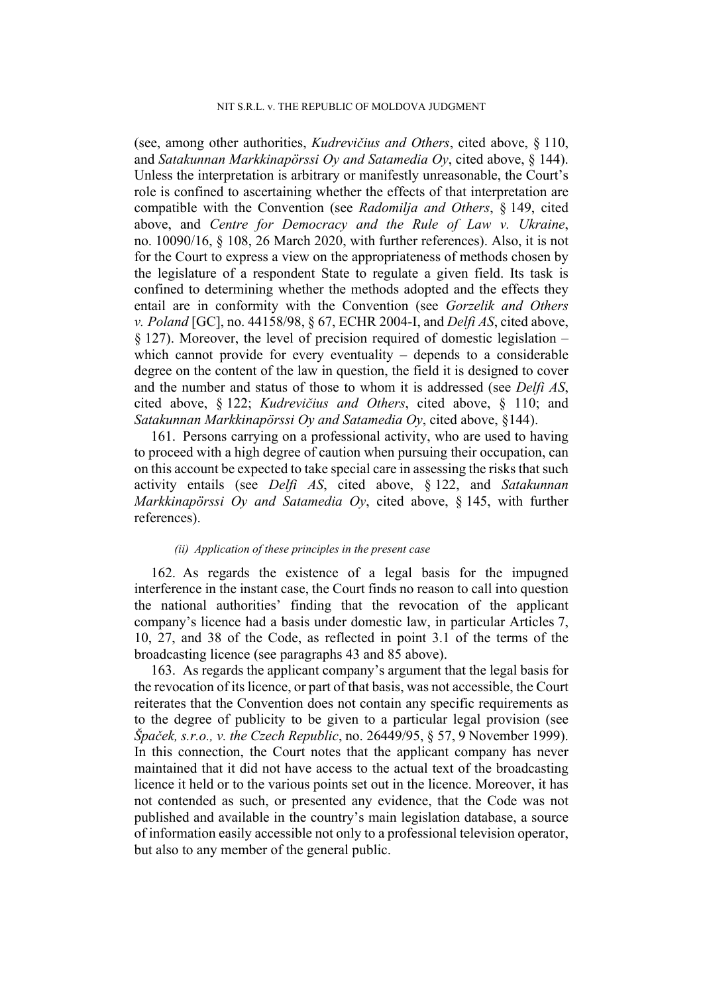(see, among other authorities, *Kudrevičius and Others*, cited above, § 110, and *Satakunnan Markkinapörssi Oy and Satamedia Oy*, cited above, § 144). Unless the interpretation is arbitrary or manifestly unreasonable, the Court's role is confined to ascertaining whether the effects of that interpretation are compatible with the Convention (see *Radomilja and Others*, § 149, cited above, and *Centre for Democracy and the Rule of Law v. Ukraine*, no. 10090/16, § 108, 26 March 2020, with further references). Also, it is not for the Court to express a view on the appropriateness of methods chosen by the legislature of a respondent State to regulate a given field. Its task is confined to determining whether the methods adopted and the effects they entail are in conformity with the Convention (see *Gorzelik and Others v. Poland* [GC], no. 44158/98, § 67, ECHR 2004-I, and *Delfi AS*, cited above, § 127). Moreover, the level of precision required of domestic legislation – which cannot provide for every eventuality – depends to a considerable degree on the content of the law in question, the field it is designed to cover and the number and status of those to whom it is addressed (see *Delfi AS*, cited above, § 122; *Kudrevičius and Others*, cited above, § 110; and *Satakunnan Markkinapörssi Oy and Satamedia Oy*, cited above, §144).

161. Persons carrying on a professional activity, who are used to having to proceed with a high degree of caution when pursuing their occupation, can on this account be expected to take special care in assessing the risks that such activity entails (see *Delfi AS*, cited above, § 122, and *Satakunnan Markkinapörssi Oy and Satamedia Oy*, cited above, § 145, with further references).

#### *(ii) Application of these principles in the present case*

162. As regards the existence of a legal basis for the impugned interference in the instant case, the Court finds no reason to call into question the national authorities' finding that the revocation of the applicant company's licence had a basis under domestic law, in particular Articles 7, 10, 27, and 38 of the Code, as reflected in point 3.1 of the terms of the broadcasting licence (see paragraphs [43](#page-12-0) and [85](#page-25-0) above).

<span id="page-61-0"></span>163. As regards the applicant company's argument that the legal basis for the revocation of its licence, or part of that basis, was not accessible, the Court reiterates that the Convention does not contain any specific requirements as to the degree of publicity to be given to a particular legal provision (see *Špaček, s.r.o., v. the Czech Republic*, no. 26449/95, § 57, 9 November 1999). In this connection, the Court notes that the applicant company has never maintained that it did not have access to the actual text of the broadcasting licence it held or to the various points set out in the licence. Moreover, it has not contended as such, or presented any evidence, that the Code was not published and available in the country's main legislation database, a source of information easily accessible not only to a professional television operator, but also to any member of the general public.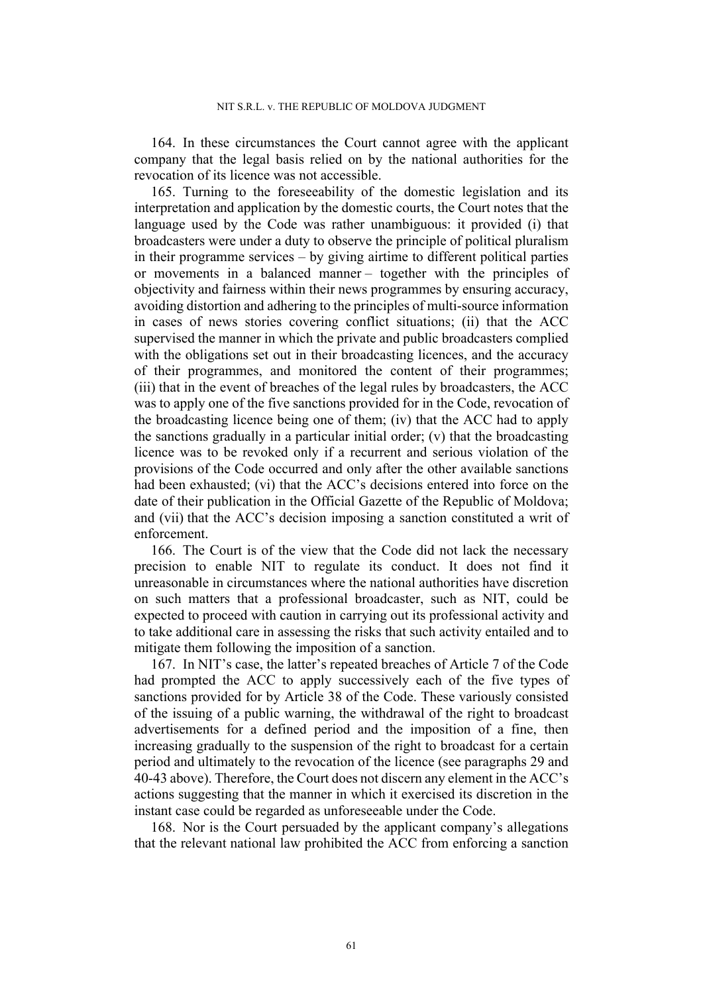164. In these circumstances the Court cannot agree with the applicant company that the legal basis relied on by the national authorities for the revocation of its licence was not accessible.

165. Turning to the foreseeability of the domestic legislation and its interpretation and application by the domestic courts, the Court notes that the language used by the Code was rather unambiguous: it provided (i) that broadcasters were under a duty to observe the principle of political pluralism in their programme services – by giving airtime to different political parties or movements in a balanced manner – together with the principles of objectivity and fairness within their news programmes by ensuring accuracy, avoiding distortion and adhering to the principles of multi-source information in cases of news stories covering conflict situations; (ii) that the ACC supervised the manner in which the private and public broadcasters complied with the obligations set out in their broadcasting licences, and the accuracy of their programmes, and monitored the content of their programmes; (iii) that in the event of breaches of the legal rules by broadcasters, the ACC was to apply one of the five sanctions provided for in the Code, revocation of the broadcasting licence being one of them; (iv) that the ACC had to apply the sanctions gradually in a particular initial order; (v) that the broadcasting licence was to be revoked only if a recurrent and serious violation of the provisions of the Code occurred and only after the other available sanctions had been exhausted; (vi) that the ACC's decisions entered into force on the date of their publication in the Official Gazette of the Republic of Moldova; and (vii) that the ACC's decision imposing a sanction constituted a writ of enforcement.

166. The Court is of the view that the Code did not lack the necessary precision to enable NIT to regulate its conduct. It does not find it unreasonable in circumstances where the national authorities have discretion on such matters that a professional broadcaster, such as NIT, could be expected to proceed with caution in carrying out its professional activity and to take additional care in assessing the risks that such activity entailed and to mitigate them following the imposition of a sanction.

167. In NIT's case, the latter's repeated breaches of Article 7 of the Code had prompted the ACC to apply successively each of the five types of sanctions provided for by Article 38 of the Code. These variously consisted of the issuing of a public warning, the withdrawal of the right to broadcast advertisements for a defined period and the imposition of a fine, then increasing gradually to the suspension of the right to broadcast for a certain period and ultimately to the revocation of the licence (see paragraphs [29](#page-8-0) and [40-](#page-11-0)[43](#page-12-0) above). Therefore, the Court does not discern any element in the ACC's actions suggesting that the manner in which it exercised its discretion in the instant case could be regarded as unforeseeable under the Code.

168. Nor is the Court persuaded by the applicant company's allegations that the relevant national law prohibited the ACC from enforcing a sanction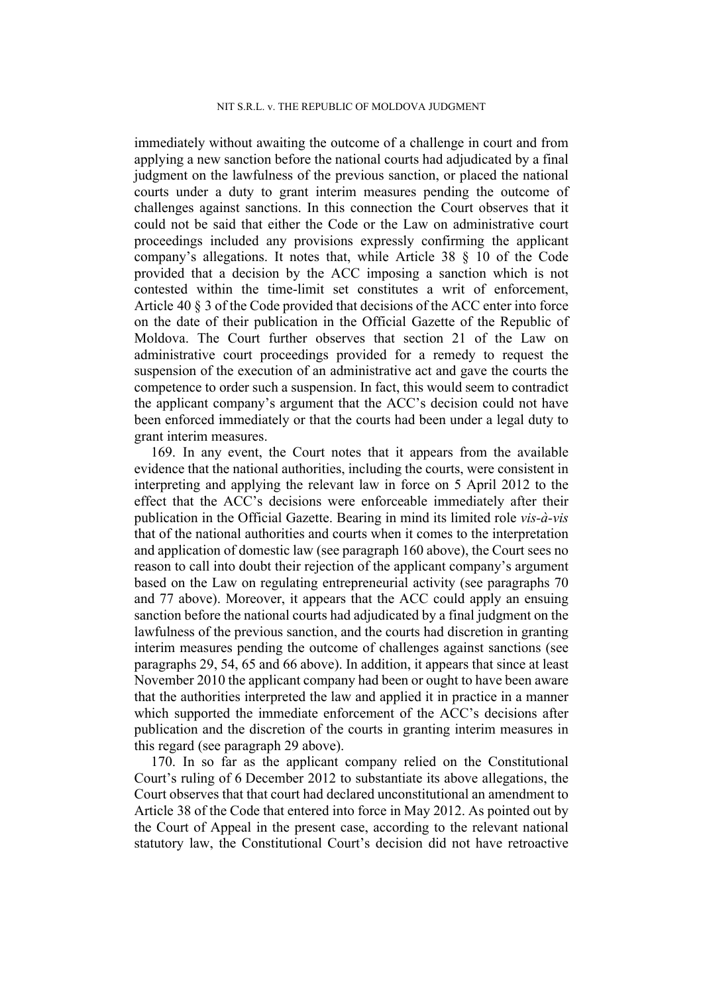immediately without awaiting the outcome of a challenge in court and from applying a new sanction before the national courts had adjudicated by a final judgment on the lawfulness of the previous sanction, or placed the national courts under a duty to grant interim measures pending the outcome of challenges against sanctions. In this connection the Court observes that it could not be said that either the Code or the Law on administrative court proceedings included any provisions expressly confirming the applicant company's allegations. It notes that, while Article 38 § 10 of the Code provided that a decision by the ACC imposing a sanction which is not contested within the time-limit set constitutes a writ of enforcement, Article 40 § 3 of the Code provided that decisions of the ACC enter into force on the date of their publication in the Official Gazette of the Republic of Moldova. The Court further observes that section 21 of the Law on administrative court proceedings provided for a remedy to request the suspension of the execution of an administrative act and gave the courts the competence to order such a suspension. In fact, this would seem to contradict the applicant company's argument that the ACC's decision could not have been enforced immediately or that the courts had been under a legal duty to grant interim measures.

169. In any event, the Court notes that it appears from the available evidence that the national authorities, including the courts, were consistent in interpreting and applying the relevant law in force on 5 April 2012 to the effect that the ACC's decisions were enforceable immediately after their publication in the Official Gazette. Bearing in mind its limited role *vis-à-vis* that of the national authorities and courts when it comes to the interpretation and application of domestic law (see paragraph [160](#page-60-0) above), the Court sees no reason to call into doubt their rejection of the applicant company's argument based on the Law on regulating entrepreneurial activity (see paragraphs [70](#page-21-0)  and [77](#page-23-0) above). Moreover, it appears that the ACC could apply an ensuing sanction before the national courts had adjudicated by a final judgment on the lawfulness of the previous sanction, and the courts had discretion in granting interim measures pending the outcome of challenges against sanctions (see paragraphs [29](#page-8-0), [54,](#page-15-0) [65](#page-19-0) and [66](#page-20-0) above). In addition, it appears that since at least November 2010 the applicant company had been or ought to have been aware that the authorities interpreted the law and applied it in practice in a manner which supported the immediate enforcement of the ACC's decisions after publication and the discretion of the courts in granting interim measures in this regard (see paragraph [29](#page-8-0) above).

170. In so far as the applicant company relied on the Constitutional Court's ruling of 6 December 2012 to substantiate its above allegations, the Court observes that that court had declared unconstitutional an amendment to Article 38 of the Code that entered into force in May 2012. As pointed out by the Court of Appeal in the present case, according to the relevant national statutory law, the Constitutional Court's decision did not have retroactive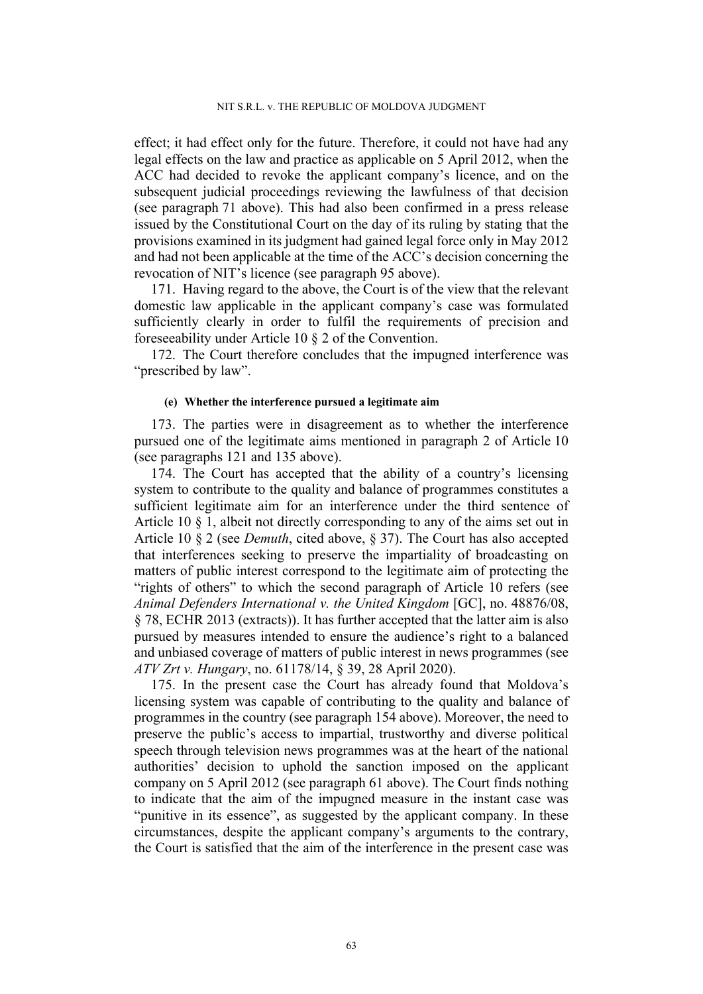effect; it had effect only for the future. Therefore, it could not have had any legal effects on the law and practice as applicable on 5 April 2012, when the ACC had decided to revoke the applicant company's licence, and on the subsequent judicial proceedings reviewing the lawfulness of that decision (see paragraph [71](#page-21-1) above). This had also been confirmed in a press release issued by the Constitutional Court on the day of its ruling by stating that the provisions examined in its judgment had gained legal force only in May 2012 and had not been applicable at the time of the ACC's decision concerning the revocation of NIT's licence (see paragraph [95](#page-40-0) above).

171. Having regard to the above, the Court is of the view that the relevant domestic law applicable in the applicant company's case was formulated sufficiently clearly in order to fulfil the requirements of precision and foreseeability under Article 10 § 2 of the Convention.

172. The Court therefore concludes that the impugned interference was "prescribed by law".

### **(e) Whether the interference pursued a legitimate aim**

173. The parties were in disagreement as to whether the interference pursued one of the legitimate aims mentioned in paragraph 2 of Article 10 (see paragraphs [121](#page-53-0) and [135](#page-55-2) above).

174. The Court has accepted that the ability of a country's licensing system to contribute to the quality and balance of programmes constitutes a sufficient legitimate aim for an interference under the third sentence of Article 10 § 1, albeit not directly corresponding to any of the aims set out in Article 10 § 2 (see *Demuth*, cited above, § 37). The Court has also accepted that interferences seeking to preserve the impartiality of broadcasting on matters of public interest correspond to the legitimate aim of protecting the "rights of others" to which the second paragraph of Article 10 refers (see *Animal Defenders International v. the United Kingdom* [GC], no. 48876/08, § 78, ECHR 2013 (extracts)). It has further accepted that the latter aim is also pursued by measures intended to ensure the audience's right to a balanced and unbiased coverage of matters of public interest in news programmes (see *ATV Zrt v. Hungary*, no. 61178/14, § 39, 28 April 2020).

175. In the present case the Court has already found that Moldova's licensing system was capable of contributing to the quality and balance of programmes in the country (see paragraph [154](#page-59-0) above). Moreover, the need to preserve the public's access to impartial, trustworthy and diverse political speech through television news programmes was at the heart of the national authorities' decision to uphold the sanction imposed on the applicant company on 5 April 2012 (see paragraph [61](#page-18-0) above). The Court finds nothing to indicate that the aim of the impugned measure in the instant case was "punitive in its essence", as suggested by the applicant company. In these circumstances, despite the applicant company's arguments to the contrary, the Court is satisfied that the aim of the interference in the present case was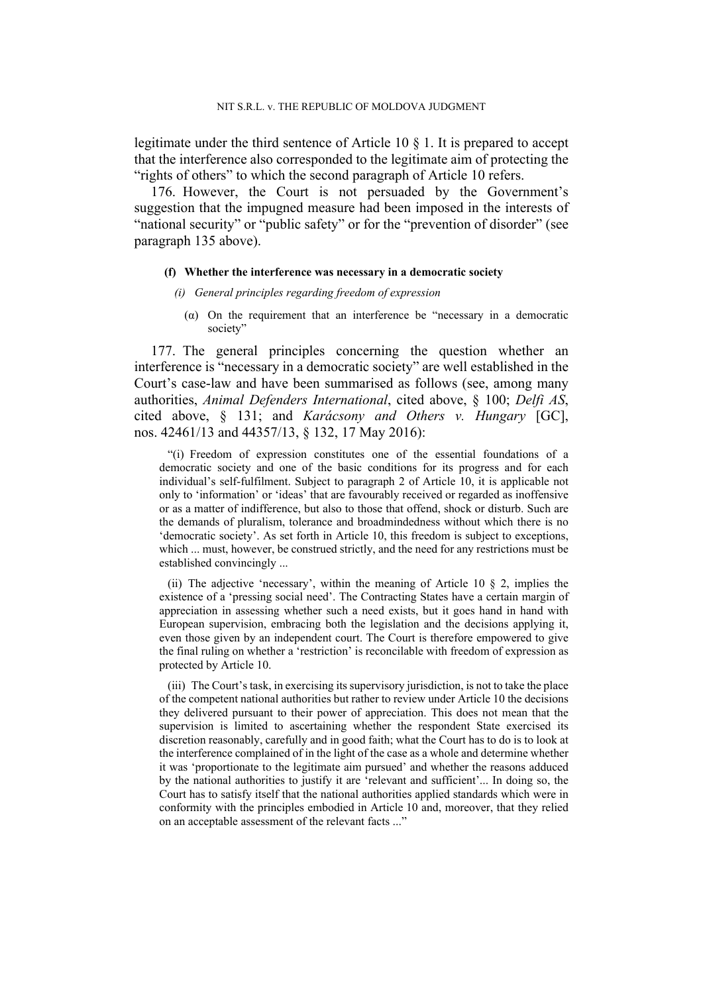legitimate under the third sentence of Article 10 § 1. It is prepared to accept that the interference also corresponded to the legitimate aim of protecting the "rights of others" to which the second paragraph of Article 10 refers.

176. However, the Court is not persuaded by the Government's suggestion that the impugned measure had been imposed in the interests of "national security" or "public safety" or for the "prevention of disorder" (see paragraph [135](#page-55-2) above).

#### **(f) Whether the interference was necessary in a democratic society**

- *(i) General principles regarding freedom of expression*
	- ( $\alpha$ ) On the requirement that an interference be "necessary in a democratic society"

177. The general principles concerning the question whether an interference is "necessary in a democratic society" are well established in the Court's case-law and have been summarised as follows (see, among many authorities, *Animal Defenders International*, cited above, § 100; *Delfi AS*, cited above, § 131; and *Karácsony and Others v. Hungary* [GC], nos. 42461/13 and 44357/13, § 132, 17 May 2016):

"(i) Freedom of expression constitutes one of the essential foundations of a democratic society and one of the basic conditions for its progress and for each individual's self-fulfilment. Subject to paragraph 2 of Article 10, it is applicable not only to 'information' or 'ideas' that are favourably received or regarded as inoffensive or as a matter of indifference, but also to those that offend, shock or disturb. Such are the demands of pluralism, tolerance and broadmindedness without which there is no 'democratic society'. As set forth in Article 10, this freedom is subject to exceptions, which ... must, however, be construed strictly, and the need for any restrictions must be established convincingly ...

(ii) The adjective 'necessary', within the meaning of Article 10 § 2, implies the existence of a 'pressing social need'. The Contracting States have a certain margin of appreciation in assessing whether such a need exists, but it goes hand in hand with European supervision, embracing both the legislation and the decisions applying it, even those given by an independent court. The Court is therefore empowered to give the final ruling on whether a 'restriction' is reconcilable with freedom of expression as protected by Article 10.

(iii) The Court's task, in exercising its supervisory jurisdiction, is not to take the place of the competent national authorities but rather to review under Article 10 the decisions they delivered pursuant to their power of appreciation. This does not mean that the supervision is limited to ascertaining whether the respondent State exercised its discretion reasonably, carefully and in good faith; what the Court has to do is to look at the interference complained of in the light of the case as a whole and determine whether it was 'proportionate to the legitimate aim pursued' and whether the reasons adduced by the national authorities to justify it are 'relevant and sufficient'... In doing so, the Court has to satisfy itself that the national authorities applied standards which were in conformity with the principles embodied in Article 10 and, moreover, that they relied on an acceptable assessment of the relevant facts ..."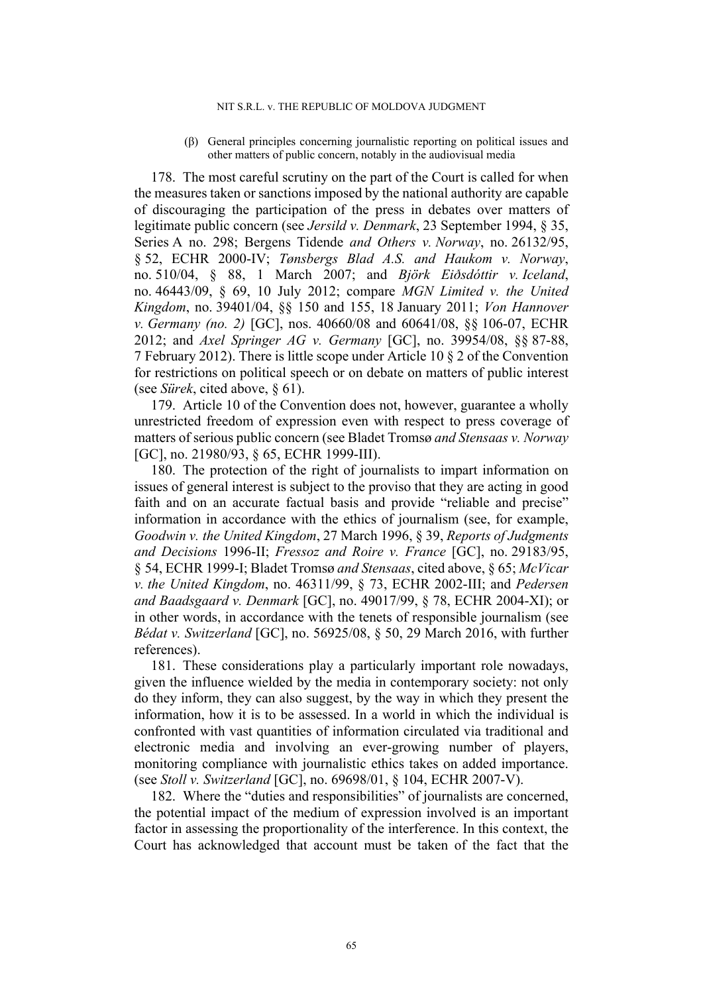(β) General principles concerning journalistic reporting on political issues and other matters of public concern, notably in the audiovisual media

178. The most careful scrutiny on the part of the Court is called for when the measures taken or sanctions imposed by the national authority are capable of discouraging the participation of the press in debates over matters of legitimate public concern (see *Jersild v. Denmark*, 23 September 1994, § 35, Series A no. 298; Bergens Tidende *and Others v. Norway*, no. 26132/95, § 52, ECHR 2000-IV; *Tønsbergs Blad A.S. and Haukom v. Norway*, no. 510/04, § 88, 1 March 2007; and *Björk Eiðsdóttir v. Iceland*, no. 46443/09, § 69, 10 July 2012; compare *MGN Limited v. the United Kingdom*, no. 39401/04, §§ 150 and 155, 18 January 2011; *Von Hannover v. Germany (no. 2)* [GC], nos. 40660/08 and 60641/08, §§ 106-07, ECHR 2012; and *Axel Springer AG v. Germany* [GC], no. 39954/08, §§ 87-88, 7 February 2012). There is little scope under Article 10 § 2 of the Convention for restrictions on political speech or on debate on matters of public interest (see *Sürek*, cited above, § 61).

<span id="page-66-1"></span>179. Article 10 of the Convention does not, however, guarantee a wholly unrestricted freedom of expression even with respect to press coverage of matters of serious public concern (see Bladet Tromsø *and Stensaas v. Norway* [GC], no. 21980/93, § 65, ECHR 1999-III).

<span id="page-66-2"></span>180. The protection of the right of journalists to impart information on issues of general interest is subject to the proviso that they are acting in good faith and on an accurate factual basis and provide "reliable and precise" information in accordance with the ethics of journalism (see, for example, *Goodwin v. the United Kingdom*, 27 March 1996, § 39, *Reports of Judgments and Decisions* 1996-II; *Fressoz and Roire v. France* [GC], no. 29183/95, § 54, ECHR 1999-I; Bladet Tromsø *and Stensaas*, cited above, § 65; *McVicar v. the United Kingdom*, no. 46311/99, § 73, ECHR 2002-III; and *Pedersen and Baadsgaard v. Denmark* [GC], no. 49017/99, § 78, ECHR 2004-XI); or in other words, in accordance with the tenets of responsible journalism (see *Bédat v. Switzerland* [GC], no. 56925/08, § 50, 29 March 2016, with further references).

181. These considerations play a particularly important role nowadays, given the influence wielded by the media in contemporary society: not only do they inform, they can also suggest, by the way in which they present the information, how it is to be assessed. In a world in which the individual is confronted with vast quantities of information circulated via traditional and electronic media and involving an ever-growing number of players, monitoring compliance with journalistic ethics takes on added importance. (see *Stoll v. Switzerland* [GC], no. 69698/01, § 104, ECHR 2007-V).

<span id="page-66-0"></span>182. Where the "duties and responsibilities" of journalists are concerned, the potential impact of the medium of expression involved is an important factor in assessing the proportionality of the interference. In this context, the Court has acknowledged that account must be taken of the fact that the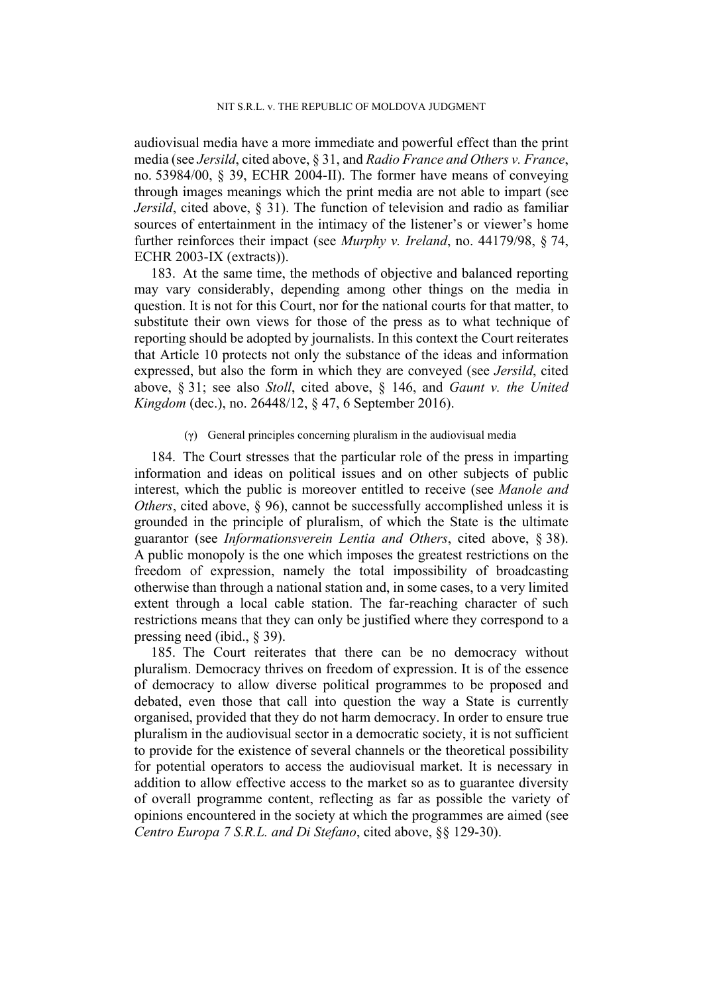audiovisual media have a more immediate and powerful effect than the print media (see *Jersild*, cited above, § 31, and *Radio France and Others v. France*, no. 53984/00, § 39, ECHR 2004-II). The former have means of conveying through images meanings which the print media are not able to impart (see *Jersild*, cited above, § 31). The function of television and radio as familiar sources of entertainment in the intimacy of the listener's or viewer's home further reinforces their impact (see *Murphy v. Ireland*, no. 44179/98, § 74, ECHR 2003-IX (extracts)).

<span id="page-67-2"></span>183. At the same time, the methods of objective and balanced reporting may vary considerably, depending among other things on the media in question. It is not for this Court, nor for the national courts for that matter, to substitute their own views for those of the press as to what technique of reporting should be adopted by journalists. In this context the Court reiterates that Article 10 protects not only the substance of the ideas and information expressed, but also the form in which they are conveyed (see *Jersild*, cited above, § 31; see also *Stoll*, cited above, § 146, and *Gaunt v. the United Kingdom* (dec.), no. 26448/12, § 47, 6 September 2016).

### (γ) General principles concerning pluralism in the audiovisual media

<span id="page-67-0"></span>184. The Court stresses that the particular role of the press in imparting information and ideas on political issues and on other subjects of public interest, which the public is moreover entitled to receive (see *Manole and Others*, cited above, § 96), cannot be successfully accomplished unless it is grounded in the principle of pluralism, of which the State is the ultimate guarantor (see *Informationsverein Lentia and Others*, cited above, § 38). A public monopoly is the one which imposes the greatest restrictions on the freedom of expression, namely the total impossibility of broadcasting otherwise than through a national station and, in some cases, to a very limited extent through a local cable station. The far-reaching character of such restrictions means that they can only be justified where they correspond to a pressing need (ibid., § 39).

<span id="page-67-1"></span>185. The Court reiterates that there can be no democracy without pluralism. Democracy thrives on freedom of expression. It is of the essence of democracy to allow diverse political programmes to be proposed and debated, even those that call into question the way a State is currently organised, provided that they do not harm democracy. In order to ensure true pluralism in the audiovisual sector in a democratic society, it is not sufficient to provide for the existence of several channels or the theoretical possibility for potential operators to access the audiovisual market. It is necessary in addition to allow effective access to the market so as to guarantee diversity of overall programme content, reflecting as far as possible the variety of opinions encountered in the society at which the programmes are aimed (see *Centro Europa 7 S.R.L. and Di Stefano*, cited above, §§ 129-30).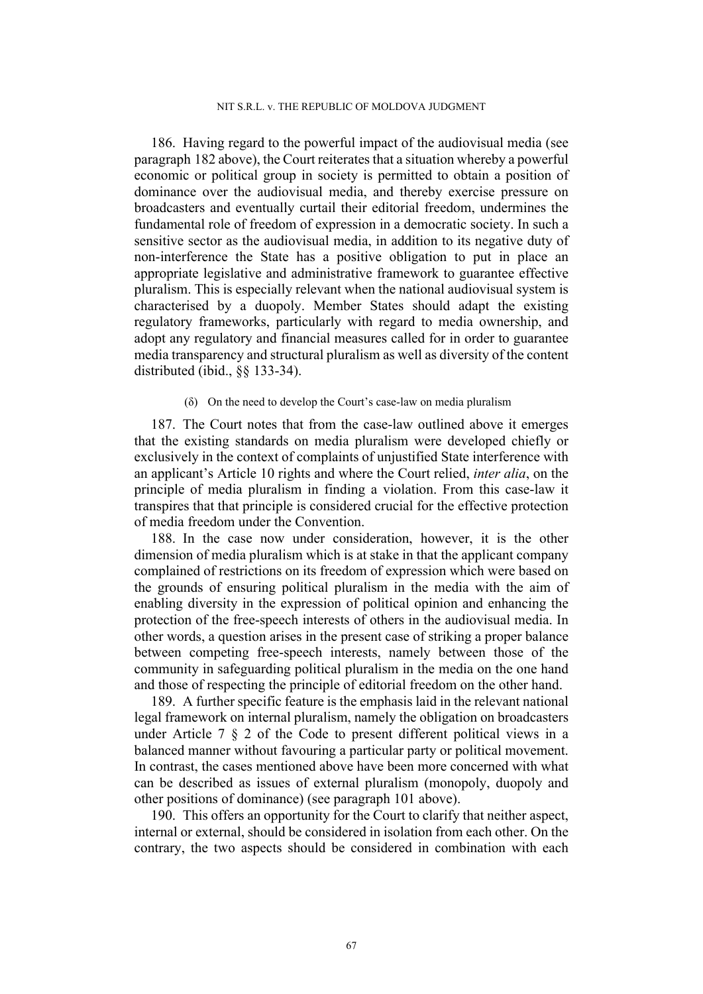<span id="page-68-0"></span>186. Having regard to the powerful impact of the audiovisual media (see paragraph [182](#page-66-0) above), the Court reiterates that a situation whereby a powerful economic or political group in society is permitted to obtain a position of dominance over the audiovisual media, and thereby exercise pressure on broadcasters and eventually curtail their editorial freedom, undermines the fundamental role of freedom of expression in a democratic society. In such a sensitive sector as the audiovisual media, in addition to its negative duty of non-interference the State has a positive obligation to put in place an appropriate legislative and administrative framework to guarantee effective pluralism. This is especially relevant when the national audiovisual system is characterised by a duopoly. Member States should adapt the existing regulatory frameworks, particularly with regard to media ownership, and adopt any regulatory and financial measures called for in order to guarantee media transparency and structural pluralism as well as diversity of the content distributed (ibid., §§ 133-34).

### (δ) On the need to develop the Court's case-law on media pluralism

187. The Court notes that from the case-law outlined above it emerges that the existing standards on media pluralism were developed chiefly or exclusively in the context of complaints of unjustified State interference with an applicant's Article 10 rights and where the Court relied, *inter alia*, on the principle of media pluralism in finding a violation. From this case-law it transpires that that principle is considered crucial for the effective protection of media freedom under the Convention.

188. In the case now under consideration, however, it is the other dimension of media pluralism which is at stake in that the applicant company complained of restrictions on its freedom of expression which were based on the grounds of ensuring political pluralism in the media with the aim of enabling diversity in the expression of political opinion and enhancing the protection of the free-speech interests of others in the audiovisual media. In other words, a question arises in the present case of striking a proper balance between competing free-speech interests, namely between those of the community in safeguarding political pluralism in the media on the one hand and those of respecting the principle of editorial freedom on the other hand.

189. A further specific feature is the emphasis laid in the relevant national legal framework on internal pluralism, namely the obligation on broadcasters under Article 7 § 2 of the Code to present different political views in a balanced manner without favouring a particular party or political movement. In contrast, the cases mentioned above have been more concerned with what can be described as issues of external pluralism (monopoly, duopoly and other positions of dominance) (see paragraph [101](#page-46-0) above).

190. This offers an opportunity for the Court to clarify that neither aspect, internal or external, should be considered in isolation from each other. On the contrary, the two aspects should be considered in combination with each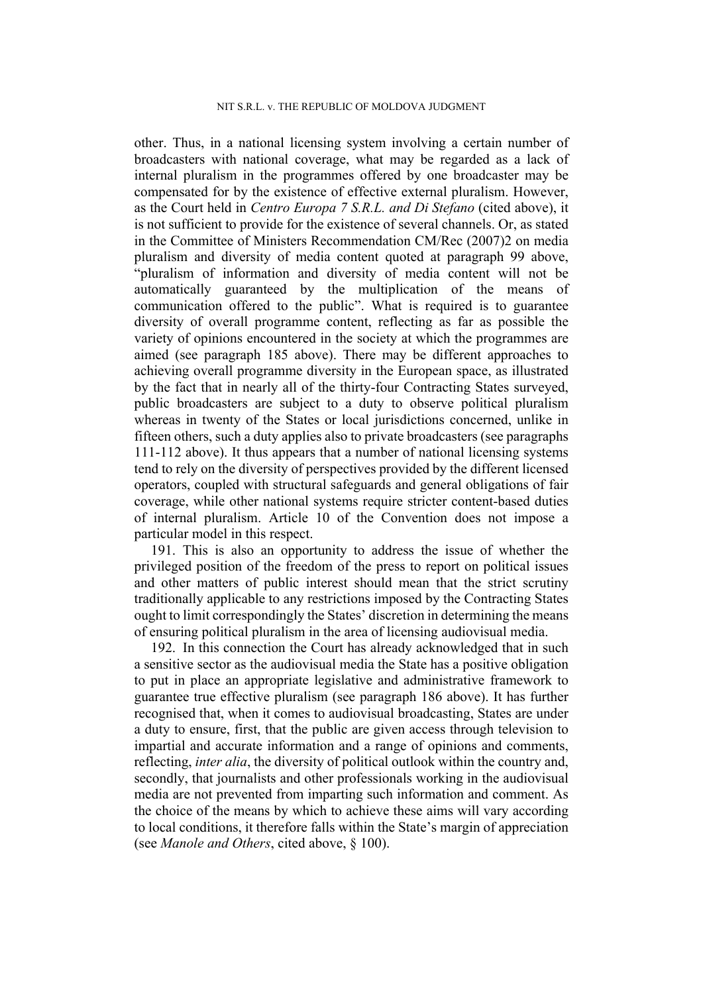other. Thus, in a national licensing system involving a certain number of broadcasters with national coverage, what may be regarded as a lack of internal pluralism in the programmes offered by one broadcaster may be compensated for by the existence of effective external pluralism. However, as the Court held in *Centro Europa 7 S.R.L. and Di Stefano* (cited above), it is not sufficient to provide for the existence of several channels. Or, as stated in the Committee of Ministers Recommendation CM/Rec (2007)2 on media pluralism and diversity of media content quoted at paragraph [99](#page-45-0) above, "pluralism of information and diversity of media content will not be automatically guaranteed by the multiplication of the means of communication offered to the public". What is required is to guarantee diversity of overall programme content, reflecting as far as possible the variety of opinions encountered in the society at which the programmes are aimed (see paragraph [185](#page-67-1) above). There may be different approaches to achieving overall programme diversity in the European space, as illustrated by the fact that in nearly all of the thirty-four Contracting States surveyed, public broadcasters are subject to a duty to observe political pluralism whereas in twenty of the States or local jurisdictions concerned, unlike in fifteen others, such a duty applies also to private broadcasters (see paragraphs [111-](#page-50-0)[112](#page-50-1) above). It thus appears that a number of national licensing systems tend to rely on the diversity of perspectives provided by the different licensed operators, coupled with structural safeguards and general obligations of fair coverage, while other national systems require stricter content-based duties of internal pluralism. Article 10 of the Convention does not impose a particular model in this respect.

<span id="page-69-0"></span>191. This is also an opportunity to address the issue of whether the privileged position of the freedom of the press to report on political issues and other matters of public interest should mean that the strict scrutiny traditionally applicable to any restrictions imposed by the Contracting States ought to limit correspondingly the States' discretion in determining the means of ensuring political pluralism in the area of licensing audiovisual media.

192. In this connection the Court has already acknowledged that in such a sensitive sector as the audiovisual media the State has a positive obligation to put in place an appropriate legislative and administrative framework to guarantee true effective pluralism (see paragraph [186](#page-68-0) above). It has further recognised that, when it comes to audiovisual broadcasting, States are under a duty to ensure, first, that the public are given access through television to impartial and accurate information and a range of opinions and comments, reflecting, *inter alia*, the diversity of political outlook within the country and, secondly, that journalists and other professionals working in the audiovisual media are not prevented from imparting such information and comment. As the choice of the means by which to achieve these aims will vary according to local conditions, it therefore falls within the State's margin of appreciation (see *Manole and Others*, cited above, § 100).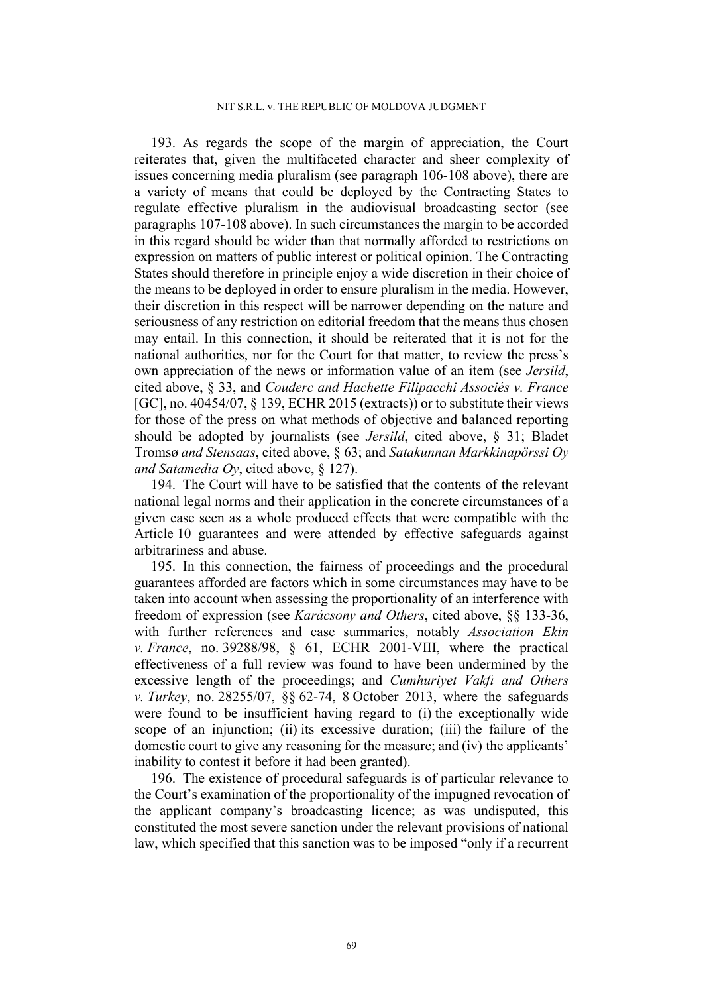193. As regards the scope of the margin of appreciation, the Court reiterates that, given the multifaceted character and sheer complexity of issues concerning media pluralism (see paragraph [106](#page-48-0)[-108](#page-49-0) above), there are a variety of means that could be deployed by the Contracting States to regulate effective pluralism in the audiovisual broadcasting sector (see paragraphs [107](#page-48-1)[-108](#page-49-0) above). In such circumstances the margin to be accorded in this regard should be wider than that normally afforded to restrictions on expression on matters of public interest or political opinion. The Contracting States should therefore in principle enjoy a wide discretion in their choice of the means to be deployed in order to ensure pluralism in the media. However, their discretion in this respect will be narrower depending on the nature and seriousness of any restriction on editorial freedom that the means thus chosen may entail. In this connection, it should be reiterated that it is not for the national authorities, nor for the Court for that matter, to review the press's own appreciation of the news or information value of an item (see *Jersild*, cited above, § 33, and *Couderc and Hachette Filipacchi Associés v. France* [GC], no. 40454/07, § 139, ECHR 2015 (extracts)) or to substitute their views for those of the press on what methods of objective and balanced reporting should be adopted by journalists (see *Jersild*, cited above, § 31; Bladet Tromsø *and Stensaas*, cited above, § 63; and *Satakunnan Markkinapörssi Oy and Satamedia Oy*, cited above, § 127).

194. The Court will have to be satisfied that the contents of the relevant national legal norms and their application in the concrete circumstances of a given case seen as a whole produced effects that were compatible with the Article 10 guarantees and were attended by effective safeguards against arbitrariness and abuse.

195. In this connection, the fairness of proceedings and the procedural guarantees afforded are factors which in some circumstances may have to be taken into account when assessing the proportionality of an interference with freedom of expression (see *Karácsony and Others*, cited above, §§ 133-36, with further references and case summaries, notably *Association Ekin v. France*, no. 39288/98, § 61, ECHR 2001-VIII, where the practical effectiveness of a full review was found to have been undermined by the excessive length of the proceedings; and *Cumhuriyet Vakfı and Others v. Turkey*, no. 28255/07, §§ 62-74, 8 October 2013, where the safeguards were found to be insufficient having regard to (i) the exceptionally wide scope of an injunction; (ii) its excessive duration; (iii) the failure of the domestic court to give any reasoning for the measure; and (iv) the applicants' inability to contest it before it had been granted).

196. The existence of procedural safeguards is of particular relevance to the Court's examination of the proportionality of the impugned revocation of the applicant company's broadcasting licence; as was undisputed, this constituted the most severe sanction under the relevant provisions of national law, which specified that this sanction was to be imposed "only if a recurrent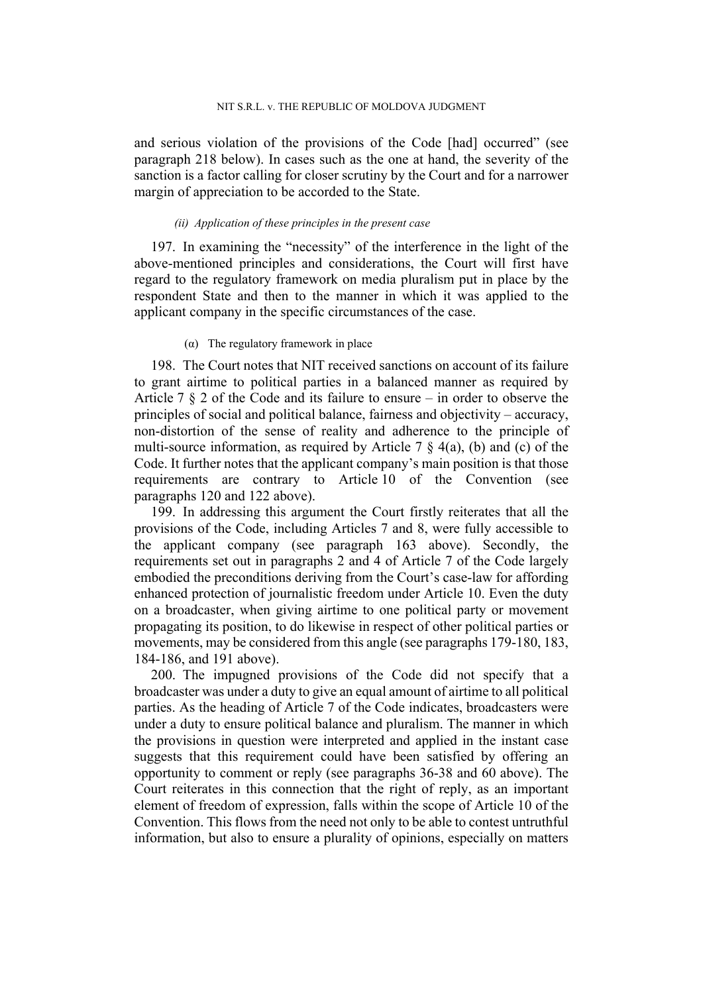and serious violation of the provisions of the Code [had] occurred" (see paragraph [218](#page-76-0) below). In cases such as the one at hand, the severity of the sanction is a factor calling for closer scrutiny by the Court and for a narrower margin of appreciation to be accorded to the State.

### *(ii) Application of these principles in the present case*

197. In examining the "necessity" of the interference in the light of the above-mentioned principles and considerations, the Court will first have regard to the regulatory framework on media pluralism put in place by the respondent State and then to the manner in which it was applied to the applicant company in the specific circumstances of the case.

# (α) The regulatory framework in place

<span id="page-71-0"></span>198. The Court notes that NIT received sanctions on account of its failure to grant airtime to political parties in a balanced manner as required by Article 7 § 2 of the Code and its failure to ensure – in order to observe the principles of social and political balance, fairness and objectivity – accuracy, non-distortion of the sense of reality and adherence to the principle of multi-source information, as required by Article 7  $\S$  4(a), (b) and (c) of the Code. It further notes that the applicant company's main position is that those requirements are contrary to Article 10 of the Convention (see paragraphs [120](#page-52-1) and [122](#page-53-1) above).

199. In addressing this argument the Court firstly reiterates that all the provisions of the Code, including Articles 7 and 8, were fully accessible to the applicant company (see paragraph [163](#page-61-0) above). Secondly, the requirements set out in paragraphs 2 and 4 of Article 7 of the Code largely embodied the preconditions deriving from the Court's case-law for affording enhanced protection of journalistic freedom under Article 10. Even the duty on a broadcaster, when giving airtime to one political party or movement propagating its position, to do likewise in respect of other political parties or movements, may be considered from this angle (see paragraphs [179](#page-66-1)[-180](#page-66-2), [183,](#page-67-2) [184-](#page-67-0)[186,](#page-68-0) and [191](#page-69-0) above).

200. The impugned provisions of the Code did not specify that a broadcaster was under a duty to give an equal amount of airtime to all political parties. As the heading of Article 7 of the Code indicates, broadcasters were under a duty to ensure political balance and pluralism. The manner in which the provisions in question were interpreted and applied in the instant case suggests that this requirement could have been satisfied by offering an opportunity to comment or reply (see paragraphs [36-](#page-10-0)[38](#page-11-1) and [60](#page-18-1) above). The Court reiterates in this connection that the right of reply, as an important element of freedom of expression, falls within the scope of Article 10 of the Convention. This flows from the need not only to be able to contest untruthful information, but also to ensure a plurality of opinions, especially on matters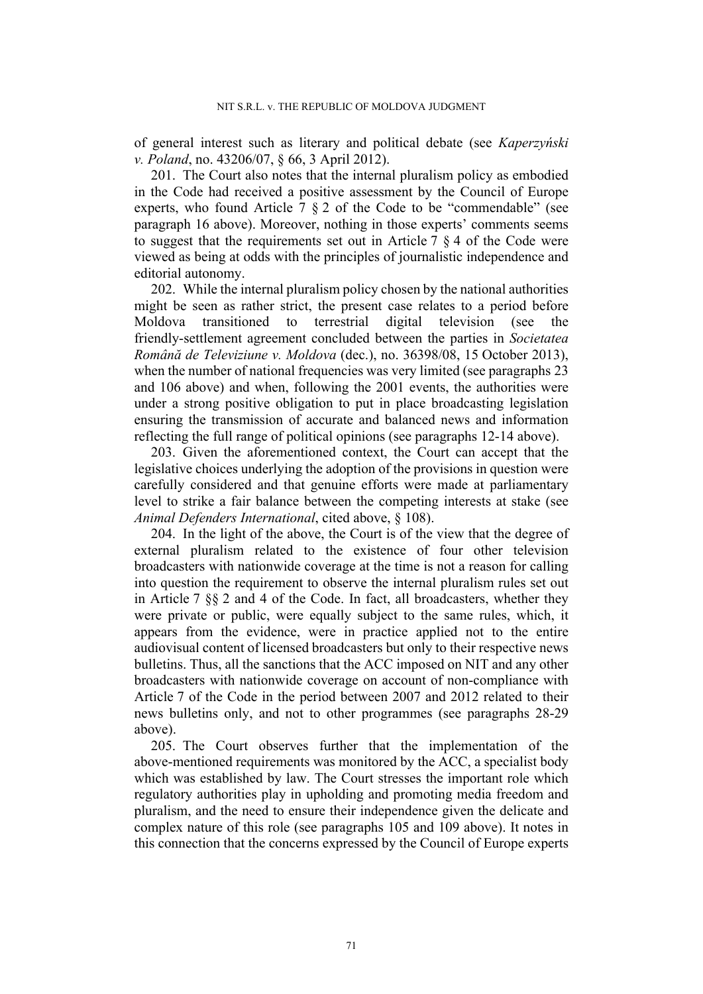of general interest such as literary and political debate (see *Kaperzyński v. Poland*, no. 43206/07, § 66, 3 April 2012).

201. The Court also notes that the internal pluralism policy as embodied in the Code had received a positive assessment by the Council of Europe experts, who found Article 7 § 2 of the Code to be "commendable" (see paragraph [16](#page-5-0) above). Moreover, nothing in those experts' comments seems to suggest that the requirements set out in Article 7 § 4 of the Code were viewed as being at odds with the principles of journalistic independence and editorial autonomy.

<span id="page-72-2"></span>202. While the internal pluralism policy chosen by the national authorities might be seen as rather strict, the present case relates to a period before Moldova transitioned to terrestrial digital television (see the friendly-settlement agreement concluded between the parties in *Societatea Română de Televiziune v. Moldova* (dec.), no. 36398/08, 15 October 2013), when the number of national frequencies was very limited (see paragraphs 23) and [106](#page-48-0) above) and when, following the 2001 events, the authorities were under a strong positive obligation to put in place broadcasting legislation ensuring the transmission of accurate and balanced news and information reflecting the full range of political opinions (see paragraphs [12](#page-4-0)[-14](#page-5-1) above).

203. Given the aforementioned context, the Court can accept that the legislative choices underlying the adoption of the provisions in question were carefully considered and that genuine efforts were made at parliamentary level to strike a fair balance between the competing interests at stake (see *Animal Defenders International*, cited above, § 108).

<span id="page-72-0"></span>204. In the light of the above, the Court is of the view that the degree of external pluralism related to the existence of four other television broadcasters with nationwide coverage at the time is not a reason for calling into question the requirement to observe the internal pluralism rules set out in Article 7 §§ 2 and 4 of the Code. In fact, all broadcasters, whether they were private or public, were equally subject to the same rules, which, it appears from the evidence, were in practice applied not to the entire audiovisual content of licensed broadcasters but only to their respective news bulletins. Thus, all the sanctions that the ACC imposed on NIT and any other broadcasters with nationwide coverage on account of non-compliance with Article 7 of the Code in the period between 2007 and 2012 related to their news bulletins only, and not to other programmes (see paragraphs [28-](#page-7-1)[29](#page-8-0)  above).

<span id="page-72-1"></span>205. The Court observes further that the implementation of the above-mentioned requirements was monitored by the ACC, a specialist body which was established by law. The Court stresses the important role which regulatory authorities play in upholding and promoting media freedom and pluralism, and the need to ensure their independence given the delicate and complex nature of this role (see paragraphs [105](#page-47-0) and [109](#page-49-0) above). It notes in this connection that the concerns expressed by the Council of Europe experts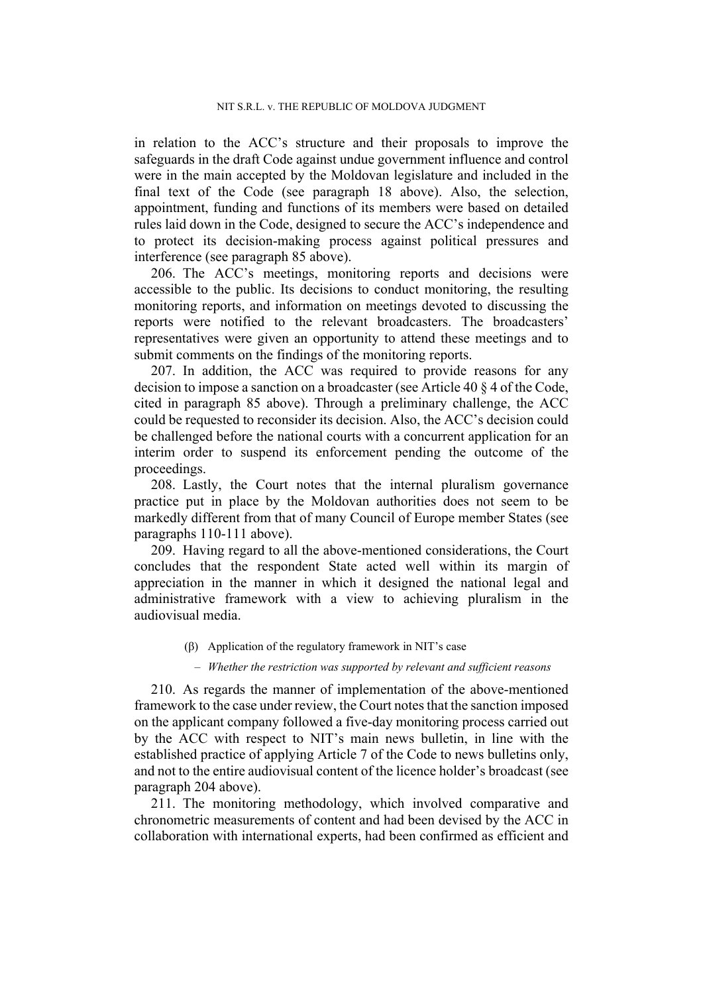in relation to the ACC's structure and their proposals to improve the safeguards in the draft Code against undue government influence and control were in the main accepted by the Moldovan legislature and included in the final text of the Code (see paragraph [18](#page-5-2) above). Also, the selection, appointment, funding and functions of its members were based on detailed rules laid down in the Code, designed to secure the ACC's independence and to protect its decision-making process against political pressures and interference (see paragraph [85](#page-25-0) above).

206. The ACC's meetings, monitoring reports and decisions were accessible to the public. Its decisions to conduct monitoring, the resulting monitoring reports, and information on meetings devoted to discussing the reports were notified to the relevant broadcasters. The broadcasters' representatives were given an opportunity to attend these meetings and to submit comments on the findings of the monitoring reports.

207. In addition, the ACC was required to provide reasons for any decision to impose a sanction on a broadcaster (see Article 40 § 4 of the Code, cited in paragraph [85](#page-25-0) above). Through a preliminary challenge, the ACC could be requested to reconsider its decision. Also, the ACC's decision could be challenged before the national courts with a concurrent application for an interim order to suspend its enforcement pending the outcome of the proceedings.

208. Lastly, the Court notes that the internal pluralism governance practice put in place by the Moldovan authorities does not seem to be markedly different from that of many Council of Europe member States (see paragraphs [110](#page-50-0)[-111](#page-50-1) above).

209. Having regard to all the above-mentioned considerations, the Court concludes that the respondent State acted well within its margin of appreciation in the manner in which it designed the national legal and administrative framework with a view to achieving pluralism in the audiovisual media.

- (β) Application of the regulatory framework in NIT's case
- ‒ *Whether the restriction was supported by relevant and sufficient reasons*

210. As regards the manner of implementation of the above-mentioned framework to the case under review, the Court notes that the sanction imposed on the applicant company followed a five-day monitoring process carried out by the ACC with respect to NIT's main news bulletin, in line with the established practice of applying Article 7 of the Code to news bulletins only, and not to the entire audiovisual content of the licence holder's broadcast (see paragraph [204](#page-72-0) above).

211. The monitoring methodology, which involved comparative and chronometric measurements of content and had been devised by the ACC in collaboration with international experts, had been confirmed as efficient and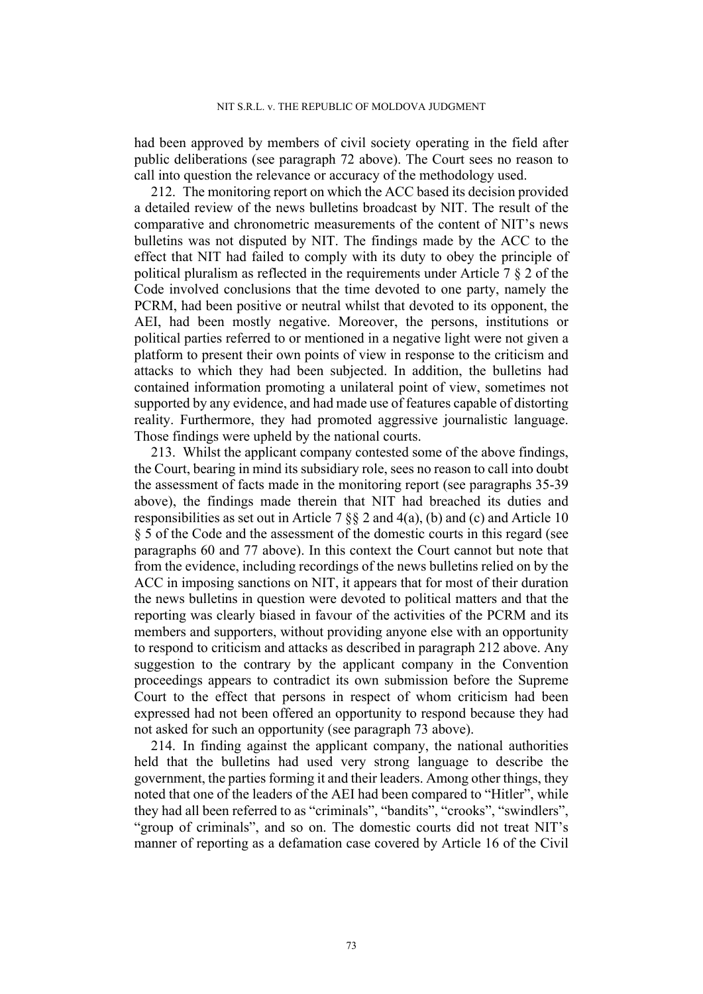had been approved by members of civil society operating in the field after public deliberations (see paragraph [72](#page-22-0) above). The Court sees no reason to call into question the relevance or accuracy of the methodology used.

<span id="page-74-0"></span>212. The monitoring report on which the ACC based its decision provided a detailed review of the news bulletins broadcast by NIT. The result of the comparative and chronometric measurements of the content of NIT's news bulletins was not disputed by NIT. The findings made by the ACC to the effect that NIT had failed to comply with its duty to obey the principle of political pluralism as reflected in the requirements under Article 7 § 2 of the Code involved conclusions that the time devoted to one party, namely the PCRM, had been positive or neutral whilst that devoted to its opponent, the AEI, had been mostly negative. Moreover, the persons, institutions or political parties referred to or mentioned in a negative light were not given a platform to present their own points of view in response to the criticism and attacks to which they had been subjected. In addition, the bulletins had contained information promoting a unilateral point of view, sometimes not supported by any evidence, and had made use of features capable of distorting reality. Furthermore, they had promoted aggressive journalistic language. Those findings were upheld by the national courts.

213. Whilst the applicant company contested some of the above findings, the Court, bearing in mind its subsidiary role, sees no reason to call into doubt the assessment of facts made in the monitoring report (see paragraphs [35-](#page-10-0)[39](#page-11-0)  above), the findings made therein that NIT had breached its duties and responsibilities as set out in Article 7  $\S$  2 and 4(a), (b) and (c) and Article 10 § 5 of the Code and the assessment of the domestic courts in this regard (see paragraphs [60](#page-18-0) and [77](#page-23-0) above). In this context the Court cannot but note that from the evidence, including recordings of the news bulletins relied on by the ACC in imposing sanctions on NIT, it appears that for most of their duration the news bulletins in question were devoted to political matters and that the reporting was clearly biased in favour of the activities of the PCRM and its members and supporters, without providing anyone else with an opportunity to respond to criticism and attacks as described in paragraph [212](#page-74-0) above. Any suggestion to the contrary by the applicant company in the Convention proceedings appears to contradict its own submission before the Supreme Court to the effect that persons in respect of whom criticism had been expressed had not been offered an opportunity to respond because they had not asked for such an opportunity (see paragraph [73](#page-22-1) above).

214. In finding against the applicant company, the national authorities held that the bulletins had used very strong language to describe the government, the parties forming it and their leaders. Among other things, they noted that one of the leaders of the AEI had been compared to "Hitler", while they had all been referred to as "criminals", "bandits", "crooks", "swindlers", "group of criminals", and so on. The domestic courts did not treat NIT's manner of reporting as a defamation case covered by Article 16 of the Civil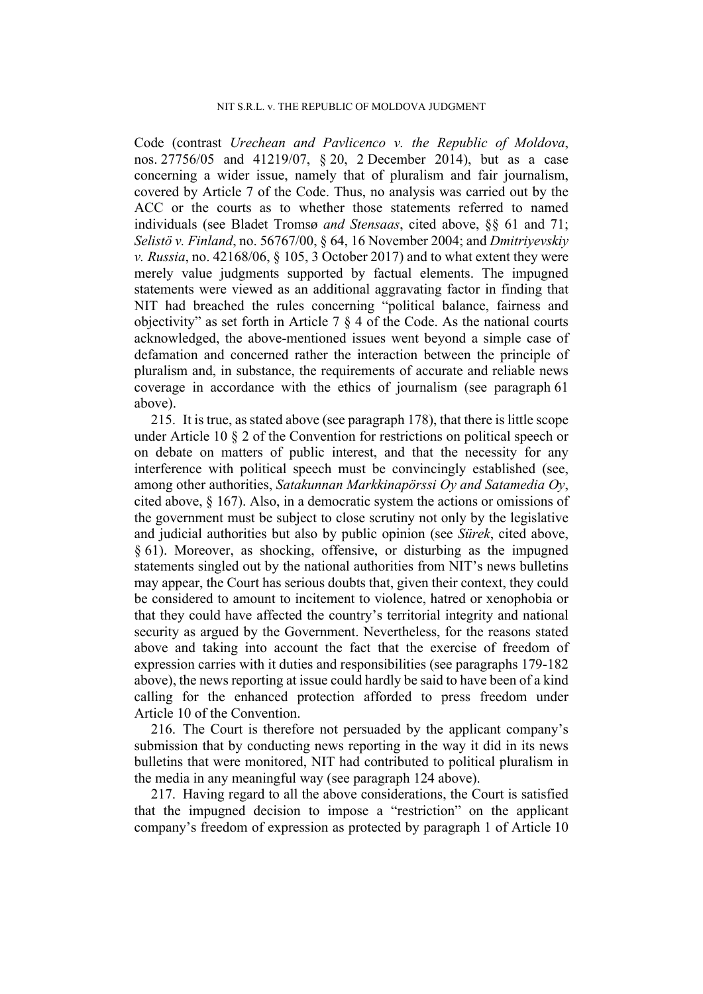#### NIT S.R.L. v. THE REPUBLIC OF MOLDOVA JUDGMENT

Code (contrast *Urechean and Pavlicenco v. the Republic of Moldova*, nos. 27756/05 and 41219/07, § 20, 2 December 2014), but as a case concerning a wider issue, namely that of pluralism and fair journalism, covered by Article 7 of the Code. Thus, no analysis was carried out by the ACC or the courts as to whether those statements referred to named individuals (see Bladet Tromsø *and Stensaas*, cited above, §§ 61 and 71; *Selistö v. Finland*, no. 56767/00, § 64, 16 November 2004; and *Dmitriyevskiy v. Russia*, no. 42168/06, § 105, 3 October 2017) and to what extent they were merely value judgments supported by factual elements. The impugned statements were viewed as an additional aggravating factor in finding that NIT had breached the rules concerning "political balance, fairness and objectivity" as set forth in Article 7 § 4 of the Code. As the national courts acknowledged, the above-mentioned issues went beyond a simple case of defamation and concerned rather the interaction between the principle of pluralism and, in substance, the requirements of accurate and reliable news coverage in accordance with the ethics of journalism (see paragraph [61](#page-18-1)  above).

215. It is true, as stated above (see paragraph [178](#page-66-0)), that there is little scope under Article 10 § 2 of the Convention for restrictions on political speech or on debate on matters of public interest, and that the necessity for any interference with political speech must be convincingly established (see, among other authorities, *Satakunnan Markkinapörssi Oy and Satamedia Oy*, cited above, § 167). Also, in a democratic system the actions or omissions of the government must be subject to close scrutiny not only by the legislative and judicial authorities but also by public opinion (see *Sürek*, cited above, § 61). Moreover, as shocking, offensive, or disturbing as the impugned statements singled out by the national authorities from NIT's news bulletins may appear, the Court has serious doubts that, given their context, they could be considered to amount to incitement to violence, hatred or xenophobia or that they could have affected the country's territorial integrity and national security as argued by the Government. Nevertheless, for the reasons stated above and taking into account the fact that the exercise of freedom of expression carries with it duties and responsibilities (see paragraphs [179-](#page-66-1)[182](#page-66-2)  above), the news reporting at issue could hardly be said to have been of a kind calling for the enhanced protection afforded to press freedom under Article 10 of the Convention.

216. The Court is therefore not persuaded by the applicant company's submission that by conducting news reporting in the way it did in its news bulletins that were monitored, NIT had contributed to political pluralism in the media in any meaningful way (see paragraph [124](#page-53-0) above).

217. Having regard to all the above considerations, the Court is satisfied that the impugned decision to impose a "restriction" on the applicant company's freedom of expression as protected by paragraph 1 of Article 10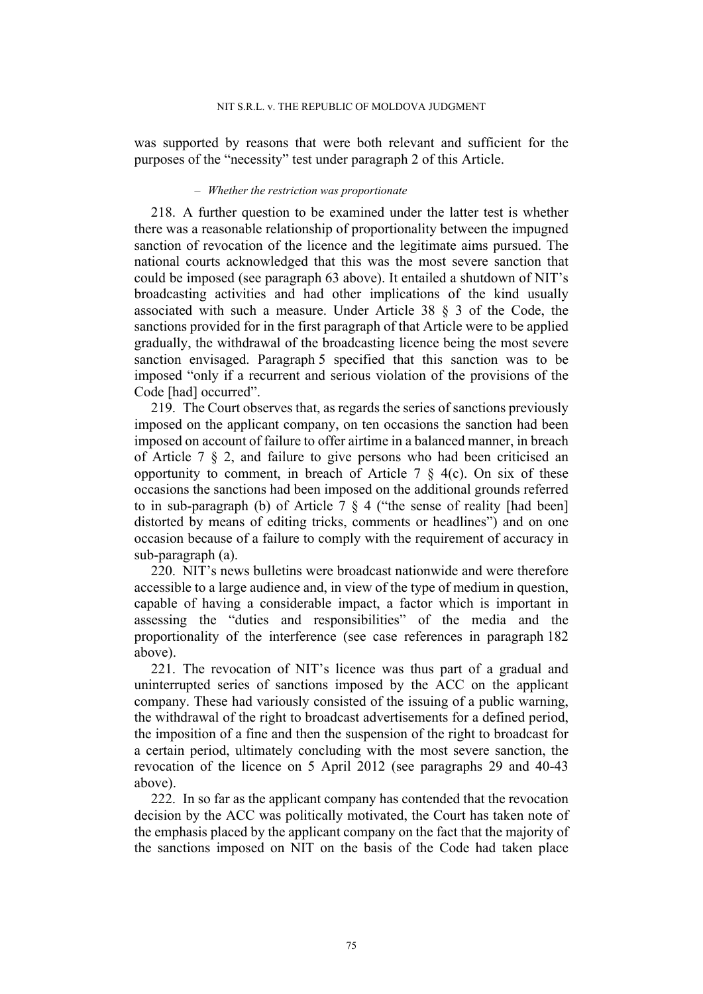was supported by reasons that were both relevant and sufficient for the purposes of the "necessity" test under paragraph 2 of this Article.

#### ‒ *Whether the restriction was proportionate*

218. A further question to be examined under the latter test is whether there was a reasonable relationship of proportionality between the impugned sanction of revocation of the licence and the legitimate aims pursued. The national courts acknowledged that this was the most severe sanction that could be imposed (see paragraph [63](#page-19-0) above). It entailed a shutdown of NIT's broadcasting activities and had other implications of the kind usually associated with such a measure. Under Article 38 § 3 of the Code, the sanctions provided for in the first paragraph of that Article were to be applied gradually, the withdrawal of the broadcasting licence being the most severe sanction envisaged. Paragraph 5 specified that this sanction was to be imposed "only if a recurrent and serious violation of the provisions of the Code [had] occurred".

219. The Court observes that, as regards the series of sanctions previously imposed on the applicant company, on ten occasions the sanction had been imposed on account of failure to offer airtime in a balanced manner, in breach of Article 7 § 2, and failure to give persons who had been criticised an opportunity to comment, in breach of Article  $7 \& 4(c)$ . On six of these occasions the sanctions had been imposed on the additional grounds referred to in sub-paragraph (b) of Article 7  $\S$  4 ("the sense of reality [had been] distorted by means of editing tricks, comments or headlines") and on one occasion because of a failure to comply with the requirement of accuracy in sub-paragraph (a).

220. NIT's news bulletins were broadcast nationwide and were therefore accessible to a large audience and, in view of the type of medium in question, capable of having a considerable impact, a factor which is important in assessing the "duties and responsibilities" of the media and the proportionality of the interference (see case references in paragraph [182](#page-66-2)  above).

221. The revocation of NIT's licence was thus part of a gradual and uninterrupted series of sanctions imposed by the ACC on the applicant company. These had variously consisted of the issuing of a public warning, the withdrawal of the right to broadcast advertisements for a defined period, the imposition of a fine and then the suspension of the right to broadcast for a certain period, ultimately concluding with the most severe sanction, the revocation of the licence on 5 April 2012 (see paragraphs [29](#page-8-0) and [40-](#page-11-1)[43](#page-12-0)  above).

222. In so far as the applicant company has contended that the revocation decision by the ACC was politically motivated, the Court has taken note of the emphasis placed by the applicant company on the fact that the majority of the sanctions imposed on NIT on the basis of the Code had taken place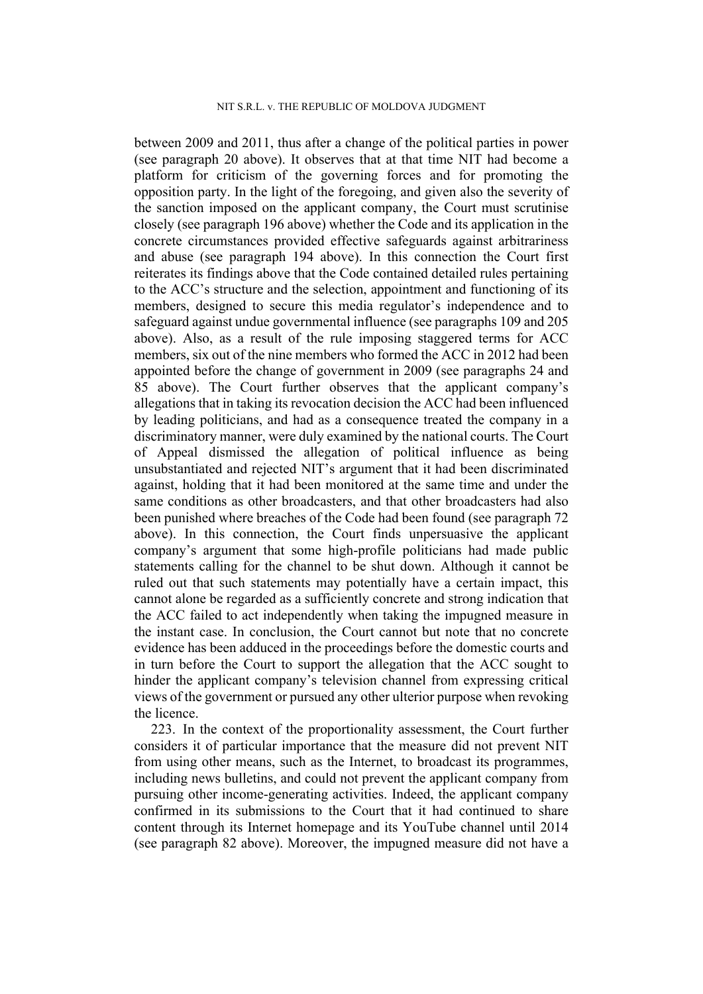between 2009 and 2011, thus after a change of the political parties in power (see paragraph [20](#page-6-0) above). It observes that at that time NIT had become a platform for criticism of the governing forces and for promoting the opposition party. In the light of the foregoing, and given also the severity of the sanction imposed on the applicant company, the Court must scrutinise closely (see paragraph [196](#page-70-0) above) whether the Code and its application in the concrete circumstances provided effective safeguards against arbitrariness and abuse (see paragraph [194](#page-70-1) above). In this connection the Court first reiterates its findings above that the Code contained detailed rules pertaining to the ACC's structure and the selection, appointment and functioning of its members, designed to secure this media regulator's independence and to safeguard against undue governmental influence (see paragraphs [109](#page-49-0) and [205](#page-72-1)  above). Also, as a result of the rule imposing staggered terms for ACC members, six out of the nine members who formed the ACC in 2012 had been appointed before the change of government in 2009 (see paragraphs [24](#page-7-2) and [85](#page-25-0) above). The Court further observes that the applicant company's allegations that in taking its revocation decision the ACC had been influenced by leading politicians, and had as a consequence treated the company in a discriminatory manner, were duly examined by the national courts. The Court of Appeal dismissed the allegation of political influence as being unsubstantiated and rejected NIT's argument that it had been discriminated against, holding that it had been monitored at the same time and under the same conditions as other broadcasters, and that other broadcasters had also been punished where breaches of the Code had been found (see paragraph [72](#page-22-0)  above). In this connection, the Court finds unpersuasive the applicant company's argument that some high-profile politicians had made public statements calling for the channel to be shut down. Although it cannot be ruled out that such statements may potentially have a certain impact, this cannot alone be regarded as a sufficiently concrete and strong indication that the ACC failed to act independently when taking the impugned measure in the instant case. In conclusion, the Court cannot but note that no concrete evidence has been adduced in the proceedings before the domestic courts and in turn before the Court to support the allegation that the ACC sought to hinder the applicant company's television channel from expressing critical views of the government or pursued any other ulterior purpose when revoking the licence.

223. In the context of the proportionality assessment, the Court further considers it of particular importance that the measure did not prevent NIT from using other means, such as the Internet, to broadcast its programmes, including news bulletins, and could not prevent the applicant company from pursuing other income-generating activities. Indeed, the applicant company confirmed in its submissions to the Court that it had continued to share content through its Internet homepage and its YouTube channel until 2014 (see paragraph [82](#page-24-0) above). Moreover, the impugned measure did not have a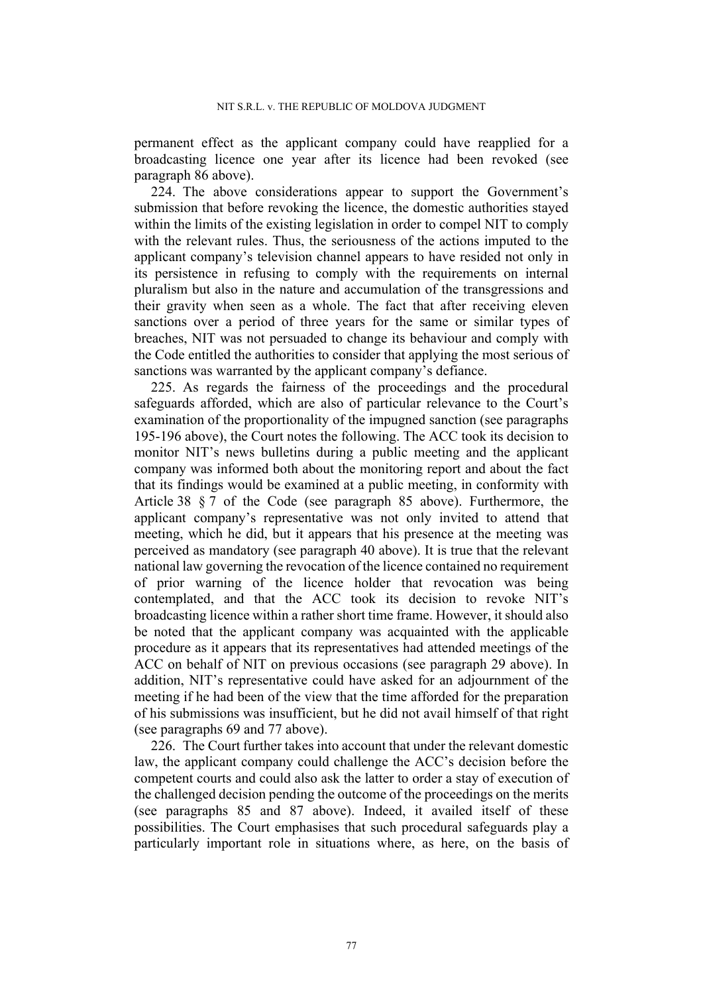permanent effect as the applicant company could have reapplied for a broadcasting licence one year after its licence had been revoked (see paragraph [86](#page-32-0) above).

224. The above considerations appear to support the Government's submission that before revoking the licence, the domestic authorities stayed within the limits of the existing legislation in order to compel NIT to comply with the relevant rules. Thus, the seriousness of the actions imputed to the applicant company's television channel appears to have resided not only in its persistence in refusing to comply with the requirements on internal pluralism but also in the nature and accumulation of the transgressions and their gravity when seen as a whole. The fact that after receiving eleven sanctions over a period of three years for the same or similar types of breaches, NIT was not persuaded to change its behaviour and comply with the Code entitled the authorities to consider that applying the most serious of sanctions was warranted by the applicant company's defiance.

225. As regards the fairness of the proceedings and the procedural safeguards afforded, which are also of particular relevance to the Court's examination of the proportionality of the impugned sanction (see paragraphs [195-](#page-70-2)[196](#page-70-0) above), the Court notes the following. The ACC took its decision to monitor NIT's news bulletins during a public meeting and the applicant company was informed both about the monitoring report and about the fact that its findings would be examined at a public meeting, in conformity with Article 38 § 7 of the Code (see paragraph [85](#page-25-0) above). Furthermore, the applicant company's representative was not only invited to attend that meeting, which he did, but it appears that his presence at the meeting was perceived as mandatory (see paragraph [40](#page-11-1) above). It is true that the relevant national law governing the revocation of the licence contained no requirement of prior warning of the licence holder that revocation was being contemplated, and that the ACC took its decision to revoke NIT's broadcasting licence within a rather short time frame. However, it should also be noted that the applicant company was acquainted with the applicable procedure as it appears that its representatives had attended meetings of the ACC on behalf of NIT on previous occasions (see paragraph [29](#page-8-0) above). In addition, NIT's representative could have asked for an adjournment of the meeting if he had been of the view that the time afforded for the preparation of his submissions was insufficient, but he did not avail himself of that right (see paragraphs [69](#page-20-0) and [77](#page-23-0) above).

226. The Court further takes into account that under the relevant domestic law, the applicant company could challenge the ACC's decision before the competent courts and could also ask the latter to order a stay of execution of the challenged decision pending the outcome of the proceedings on the merits (see paragraphs [85](#page-25-0) and [87](#page-34-0) above). Indeed, it availed itself of these possibilities. The Court emphasises that such procedural safeguards play a particularly important role in situations where, as here, on the basis of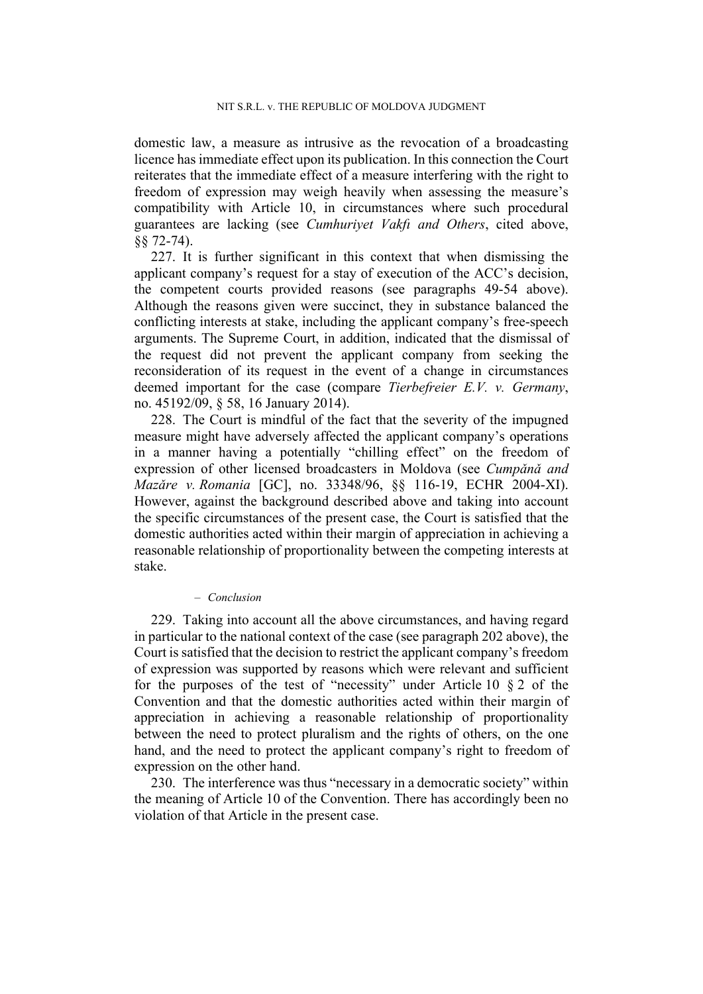domestic law, a measure as intrusive as the revocation of a broadcasting licence has immediate effect upon its publication. In this connection the Court reiterates that the immediate effect of a measure interfering with the right to freedom of expression may weigh heavily when assessing the measure's compatibility with Article 10, in circumstances where such procedural guarantees are lacking (see *Cumhuriyet Vakfı and Others*, cited above, §§ 72-74).

227. It is further significant in this context that when dismissing the applicant company's request for a stay of execution of the ACC's decision, the competent courts provided reasons (see paragraphs [49](#page-14-0)[-54](#page-15-0) above). Although the reasons given were succinct, they in substance balanced the conflicting interests at stake, including the applicant company's free-speech arguments. The Supreme Court, in addition, indicated that the dismissal of the request did not prevent the applicant company from seeking the reconsideration of its request in the event of a change in circumstances deemed important for the case (compare *Tierbefreier E.V. v. Germany*, no. 45192/09, § 58, 16 January 2014).

228. The Court is mindful of the fact that the severity of the impugned measure might have adversely affected the applicant company's operations in a manner having a potentially "chilling effect" on the freedom of expression of other licensed broadcasters in Moldova (see *Cumpǎnǎ and Mazǎre v. Romania* [GC], no. 33348/96, §§ 116-19, ECHR 2004-XI). However, against the background described above and taking into account the specific circumstances of the present case, the Court is satisfied that the domestic authorities acted within their margin of appreciation in achieving a reasonable relationship of proportionality between the competing interests at stake.

#### ‒ *Conclusion*

229. Taking into account all the above circumstances, and having regard in particular to the national context of the case (see paragraph [202](#page-72-2) above), the Court is satisfied that the decision to restrict the applicant company's freedom of expression was supported by reasons which were relevant and sufficient for the purposes of the test of "necessity" under Article 10 § 2 of the Convention and that the domestic authorities acted within their margin of appreciation in achieving a reasonable relationship of proportionality between the need to protect pluralism and the rights of others, on the one hand, and the need to protect the applicant company's right to freedom of expression on the other hand.

230. The interference was thus "necessary in a democratic society" within the meaning of Article 10 of the Convention. There has accordingly been no violation of that Article in the present case.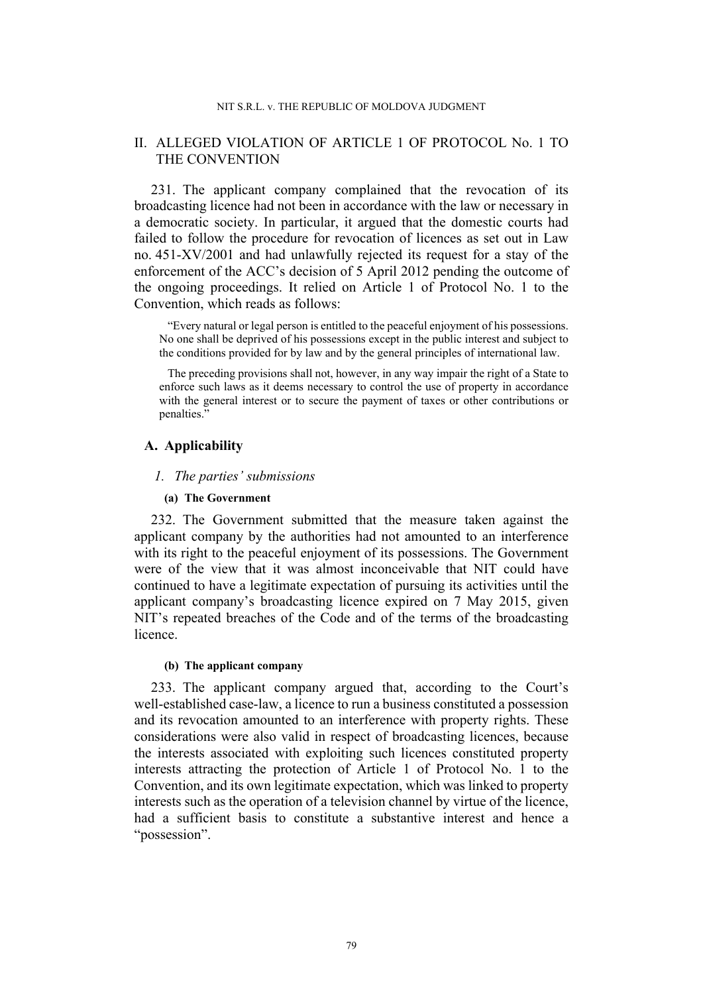# II. ALLEGED VIOLATION OF ARTICLE 1 OF PROTOCOL No. 1 TO THE CONVENTION

231. The applicant company complained that the revocation of its broadcasting licence had not been in accordance with the law or necessary in a democratic society. In particular, it argued that the domestic courts had failed to follow the procedure for revocation of licences as set out in Law no. 451-XV/2001 and had unlawfully rejected its request for a stay of the enforcement of the ACC's decision of 5 April 2012 pending the outcome of the ongoing proceedings. It relied on Article 1 of Protocol No. 1 to the Convention, which reads as follows:

"Every natural or legal person is entitled to the peaceful enjoyment of his possessions. No one shall be deprived of his possessions except in the public interest and subject to the conditions provided for by law and by the general principles of international law.

The preceding provisions shall not, however, in any way impair the right of a State to enforce such laws as it deems necessary to control the use of property in accordance with the general interest or to secure the payment of taxes or other contributions or penalties."

## **A. Applicability**

### *1. The parties' submissions*

### **(a) The Government**

232. The Government submitted that the measure taken against the applicant company by the authorities had not amounted to an interference with its right to the peaceful enjoyment of its possessions. The Government were of the view that it was almost inconceivable that NIT could have continued to have a legitimate expectation of pursuing its activities until the applicant company's broadcasting licence expired on 7 May 2015, given NIT's repeated breaches of the Code and of the terms of the broadcasting licence.

#### **(b) The applicant company**

233. The applicant company argued that, according to the Court's well-established case-law, a licence to run a business constituted a possession and its revocation amounted to an interference with property rights. These considerations were also valid in respect of broadcasting licences, because the interests associated with exploiting such licences constituted property interests attracting the protection of Article 1 of Protocol No. 1 to the Convention, and its own legitimate expectation, which was linked to property interests such as the operation of a television channel by virtue of the licence, had a sufficient basis to constitute a substantive interest and hence a "possession".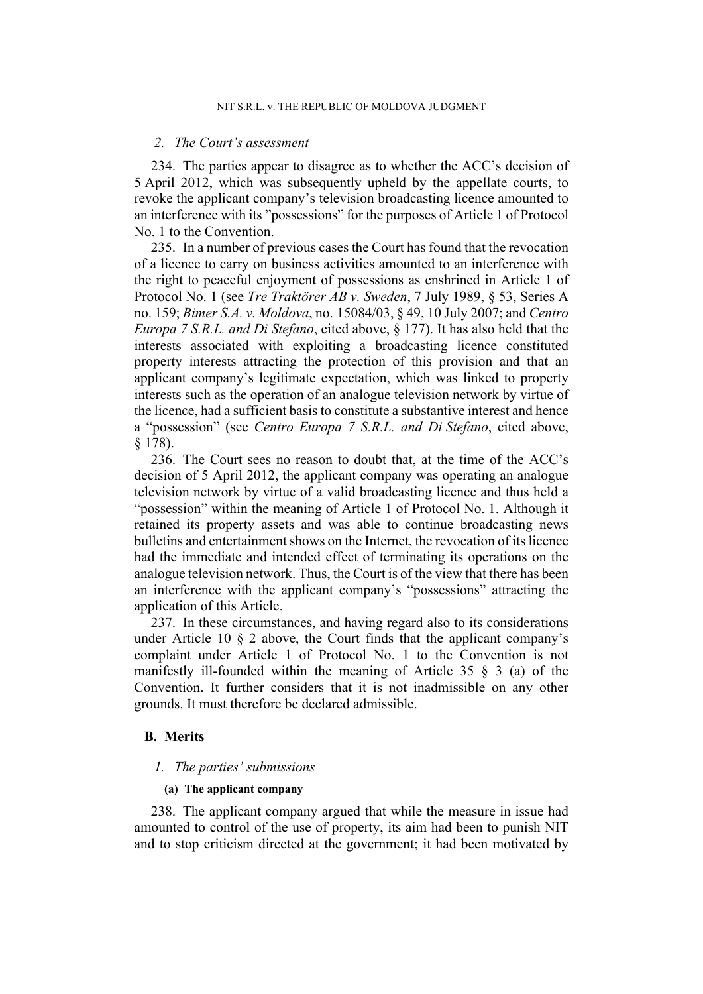#### *2. The Court's assessment*

234. The parties appear to disagree as to whether the ACC's decision of 5 April 2012, which was subsequently upheld by the appellate courts, to revoke the applicant company's television broadcasting licence amounted to an interference with its "possessions" for the purposes of Article 1 of Protocol No. 1 to the Convention.

235. In a number of previous cases the Court has found that the revocation of a licence to carry on business activities amounted to an interference with the right to peaceful enjoyment of possessions as enshrined in Article 1 of Protocol No. 1 (see *Tre Traktörer AB v. Sweden*, 7 July 1989, § 53, Series A no. 159; *Bimer S.A. v. Moldova*, no. 15084/03, § 49, 10 July 2007; and *Centro Europa 7 S.R.L. and Di Stefano*, cited above, § 177). It has also held that the interests associated with exploiting a broadcasting licence constituted property interests attracting the protection of this provision and that an applicant company's legitimate expectation, which was linked to property interests such as the operation of an analogue television network by virtue of the licence, had a sufficient basis to constitute a substantive interest and hence a "possession" (see *Centro Europa 7 S.R.L. and Di Stefano*, cited above, § 178).

236. The Court sees no reason to doubt that, at the time of the ACC's decision of 5 April 2012, the applicant company was operating an analogue television network by virtue of a valid broadcasting licence and thus held a "possession" within the meaning of Article 1 of Protocol No. 1. Although it retained its property assets and was able to continue broadcasting news bulletins and entertainment shows on the Internet, the revocation of its licence had the immediate and intended effect of terminating its operations on the analogue television network. Thus, the Court is of the view that there has been an interference with the applicant company's "possessions" attracting the application of this Article.

237. In these circumstances, and having regard also to its considerations under Article 10  $\S$  2 above, the Court finds that the applicant company's complaint under Article 1 of Protocol No. 1 to the Convention is not manifestly ill-founded within the meaning of Article 35 § 3 (a) of the Convention. It further considers that it is not inadmissible on any other grounds. It must therefore be declared admissible.

#### **B. Merits**

#### *1. The parties' submissions*

## **(a) The applicant company**

238. The applicant company argued that while the measure in issue had amounted to control of the use of property, its aim had been to punish NIT and to stop criticism directed at the government; it had been motivated by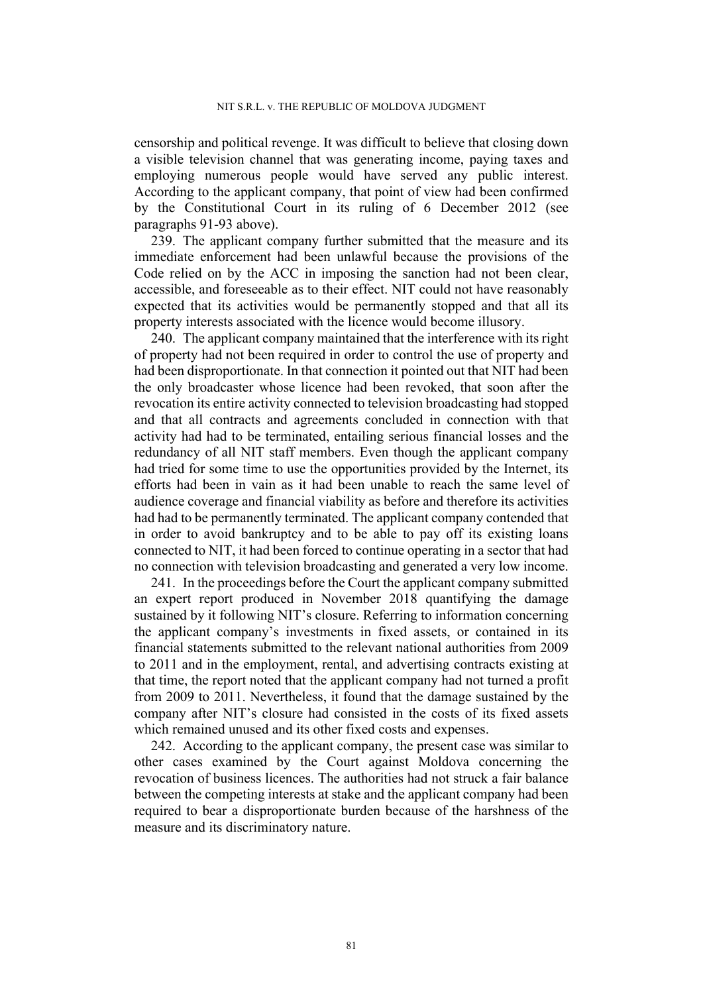censorship and political revenge. It was difficult to believe that closing down a visible television channel that was generating income, paying taxes and employing numerous people would have served any public interest. According to the applicant company, that point of view had been confirmed by the Constitutional Court in its ruling of 6 December 2012 (see paragraphs [91](#page-36-0)[-93](#page-38-0) above).

239. The applicant company further submitted that the measure and its immediate enforcement had been unlawful because the provisions of the Code relied on by the ACC in imposing the sanction had not been clear, accessible, and foreseeable as to their effect. NIT could not have reasonably expected that its activities would be permanently stopped and that all its property interests associated with the licence would become illusory.

240. The applicant company maintained that the interference with its right of property had not been required in order to control the use of property and had been disproportionate. In that connection it pointed out that NIT had been the only broadcaster whose licence had been revoked, that soon after the revocation its entire activity connected to television broadcasting had stopped and that all contracts and agreements concluded in connection with that activity had had to be terminated, entailing serious financial losses and the redundancy of all NIT staff members. Even though the applicant company had tried for some time to use the opportunities provided by the Internet, its efforts had been in vain as it had been unable to reach the same level of audience coverage and financial viability as before and therefore its activities had had to be permanently terminated. The applicant company contended that in order to avoid bankruptcy and to be able to pay off its existing loans connected to NIT, it had been forced to continue operating in a sector that had no connection with television broadcasting and generated a very low income.

<span id="page-82-0"></span>241. In the proceedings before the Court the applicant company submitted an expert report produced in November 2018 quantifying the damage sustained by it following NIT's closure. Referring to information concerning the applicant company's investments in fixed assets, or contained in its financial statements submitted to the relevant national authorities from 2009 to 2011 and in the employment, rental, and advertising contracts existing at that time, the report noted that the applicant company had not turned a profit from 2009 to 2011. Nevertheless, it found that the damage sustained by the company after NIT's closure had consisted in the costs of its fixed assets which remained unused and its other fixed costs and expenses.

242. According to the applicant company, the present case was similar to other cases examined by the Court against Moldova concerning the revocation of business licences. The authorities had not struck a fair balance between the competing interests at stake and the applicant company had been required to bear a disproportionate burden because of the harshness of the measure and its discriminatory nature.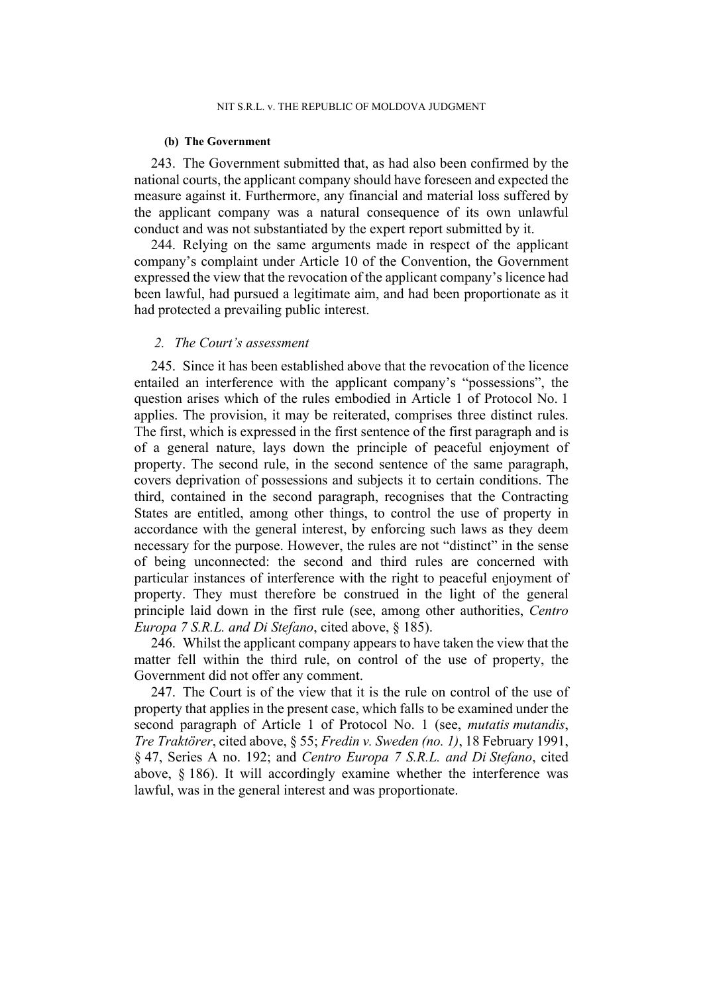#### **(b) The Government**

243. The Government submitted that, as had also been confirmed by the national courts, the applicant company should have foreseen and expected the measure against it. Furthermore, any financial and material loss suffered by the applicant company was a natural consequence of its own unlawful conduct and was not substantiated by the expert report submitted by it.

244. Relying on the same arguments made in respect of the applicant company's complaint under Article 10 of the Convention, the Government expressed the view that the revocation of the applicant company's licence had been lawful, had pursued a legitimate aim, and had been proportionate as it had protected a prevailing public interest.

# *2. The Court's assessment*

245. Since it has been established above that the revocation of the licence entailed an interference with the applicant company's "possessions", the question arises which of the rules embodied in Article 1 of Protocol No. 1 applies. The provision, it may be reiterated, comprises three distinct rules. The first, which is expressed in the first sentence of the first paragraph and is of a general nature, lays down the principle of peaceful enjoyment of property. The second rule, in the second sentence of the same paragraph, covers deprivation of possessions and subjects it to certain conditions. The third, contained in the second paragraph, recognises that the Contracting States are entitled, among other things, to control the use of property in accordance with the general interest, by enforcing such laws as they deem necessary for the purpose. However, the rules are not "distinct" in the sense of being unconnected: the second and third rules are concerned with particular instances of interference with the right to peaceful enjoyment of property. They must therefore be construed in the light of the general principle laid down in the first rule (see, among other authorities, *Centro Europa 7 S.R.L. and Di Stefano*, cited above, § 185).

246. Whilst the applicant company appears to have taken the view that the matter fell within the third rule, on control of the use of property, the Government did not offer any comment.

247. The Court is of the view that it is the rule on control of the use of property that applies in the present case, which falls to be examined under the second paragraph of Article 1 of Protocol No. 1 (see, *mutatis mutandis*, *Tre Traktörer*, cited above, § 55; *Fredin v. Sweden (no. 1)*, 18 February 1991, § 47, Series A no. 192; and *Centro Europa 7 S.R.L. and Di Stefano*, cited above,  $§$  186). It will accordingly examine whether the interference was lawful, was in the general interest and was proportionate.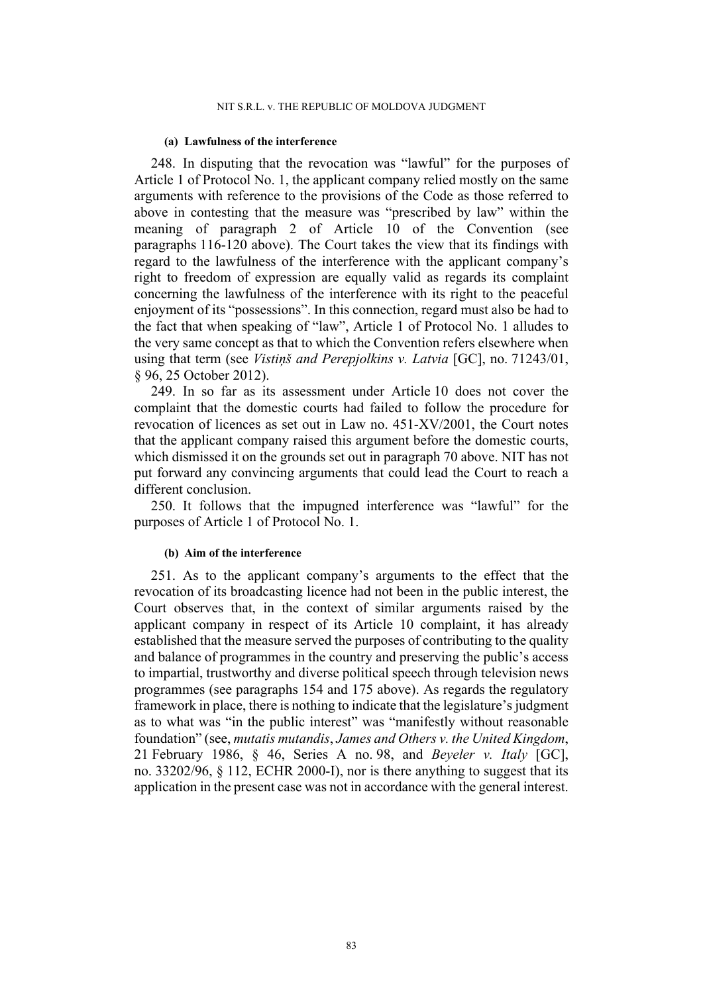#### **(a) Lawfulness of the interference**

248. In disputing that the revocation was "lawful" for the purposes of Article 1 of Protocol No. 1, the applicant company relied mostly on the same arguments with reference to the provisions of the Code as those referred to above in contesting that the measure was "prescribed by law" within the meaning of paragraph 2 of Article 10 of the Convention (see paragraphs [116](#page-52-0)[-120](#page-52-1) above). The Court takes the view that its findings with regard to the lawfulness of the interference with the applicant company's right to freedom of expression are equally valid as regards its complaint concerning the lawfulness of the interference with its right to the peaceful enjoyment of its "possessions". In this connection, regard must also be had to the fact that when speaking of "law", Article 1 of Protocol No. 1 alludes to the very same concept as that to which the Convention refers elsewhere when using that term (see *Vistiņš and Perepjolkins v. Latvia* [GC], no. 71243/01, § 96, 25 October 2012).

249. In so far as its assessment under Article 10 does not cover the complaint that the domestic courts had failed to follow the procedure for revocation of licences as set out in Law no. 451-XV/2001, the Court notes that the applicant company raised this argument before the domestic courts, which dismissed it on the grounds set out in paragraph [70](#page-21-0) above. NIT has not put forward any convincing arguments that could lead the Court to reach a different conclusion.

250. It follows that the impugned interference was "lawful" for the purposes of Article 1 of Protocol No. 1.

#### **(b) Aim of the interference**

251. As to the applicant company's arguments to the effect that the revocation of its broadcasting licence had not been in the public interest, the Court observes that, in the context of similar arguments raised by the applicant company in respect of its Article 10 complaint, it has already established that the measure served the purposes of contributing to the quality and balance of programmes in the country and preserving the public's access to impartial, trustworthy and diverse political speech through television news programmes (see paragraphs [154](#page-59-0) and [175](#page-64-0) above). As regards the regulatory framework in place, there is nothing to indicate that the legislature's judgment as to what was "in the public interest" was "manifestly without reasonable foundation" (see, *mutatis mutandis*, *James and Others v. the United Kingdom*, 21 February 1986, § 46, Series A no. 98, and *Beyeler v. Italy* [GC], no. 33202/96, § 112, ECHR 2000-I), nor is there anything to suggest that its application in the present case was not in accordance with the general interest.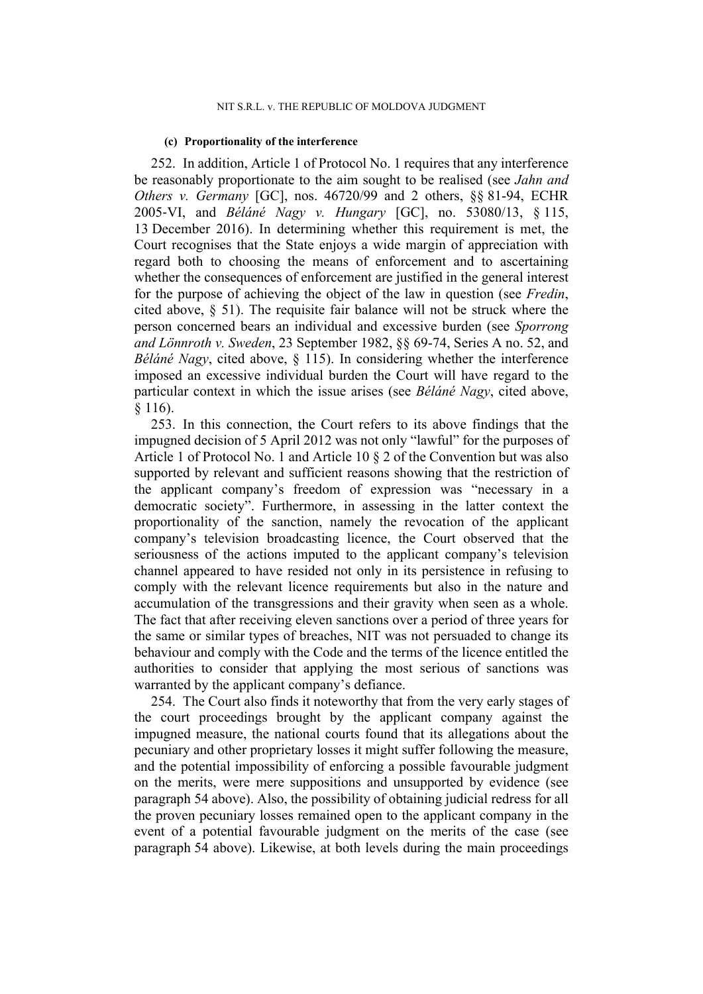#### **(c) Proportionality of the interference**

252. In addition, Article 1 of Protocol No. 1 requires that any interference be reasonably proportionate to the aim sought to be realised (see *Jahn and Others v. Germany* [GC], nos. 46720/99 and 2 others, §§ 81-94, ECHR 2005‐VI, and *Béláné Nagy v. Hungary* [GC], no. 53080/13, § 115, 13 December 2016). In determining whether this requirement is met, the Court recognises that the State enjoys a wide margin of appreciation with regard both to choosing the means of enforcement and to ascertaining whether the consequences of enforcement are justified in the general interest for the purpose of achieving the object of the law in question (see *Fredin*, cited above, § 51). The requisite fair balance will not be struck where the person concerned bears an individual and excessive burden (see *Sporrong and Lönnroth v. Sweden*, 23 September 1982, §§ 69-74, Series A no. 52, and *Béláné Nagy*, cited above, § 115). In considering whether the interference imposed an excessive individual burden the Court will have regard to the particular context in which the issue arises (see *Béláné Nagy*, cited above, § 116).

253. In this connection, the Court refers to its above findings that the impugned decision of 5 April 2012 was not only "lawful" for the purposes of Article 1 of Protocol No. 1 and Article 10 § 2 of the Convention but was also supported by relevant and sufficient reasons showing that the restriction of the applicant company's freedom of expression was "necessary in a democratic society". Furthermore, in assessing in the latter context the proportionality of the sanction, namely the revocation of the applicant company's television broadcasting licence, the Court observed that the seriousness of the actions imputed to the applicant company's television channel appeared to have resided not only in its persistence in refusing to comply with the relevant licence requirements but also in the nature and accumulation of the transgressions and their gravity when seen as a whole. The fact that after receiving eleven sanctions over a period of three years for the same or similar types of breaches, NIT was not persuaded to change its behaviour and comply with the Code and the terms of the licence entitled the authorities to consider that applying the most serious of sanctions was warranted by the applicant company's defiance.

254. The Court also finds it noteworthy that from the very early stages of the court proceedings brought by the applicant company against the impugned measure, the national courts found that its allegations about the pecuniary and other proprietary losses it might suffer following the measure, and the potential impossibility of enforcing a possible favourable judgment on the merits, were mere suppositions and unsupported by evidence (see paragraph [54](#page-15-0) above). Also, the possibility of obtaining judicial redress for all the proven pecuniary losses remained open to the applicant company in the event of a potential favourable judgment on the merits of the case (see paragraph [54](#page-15-0) above). Likewise, at both levels during the main proceedings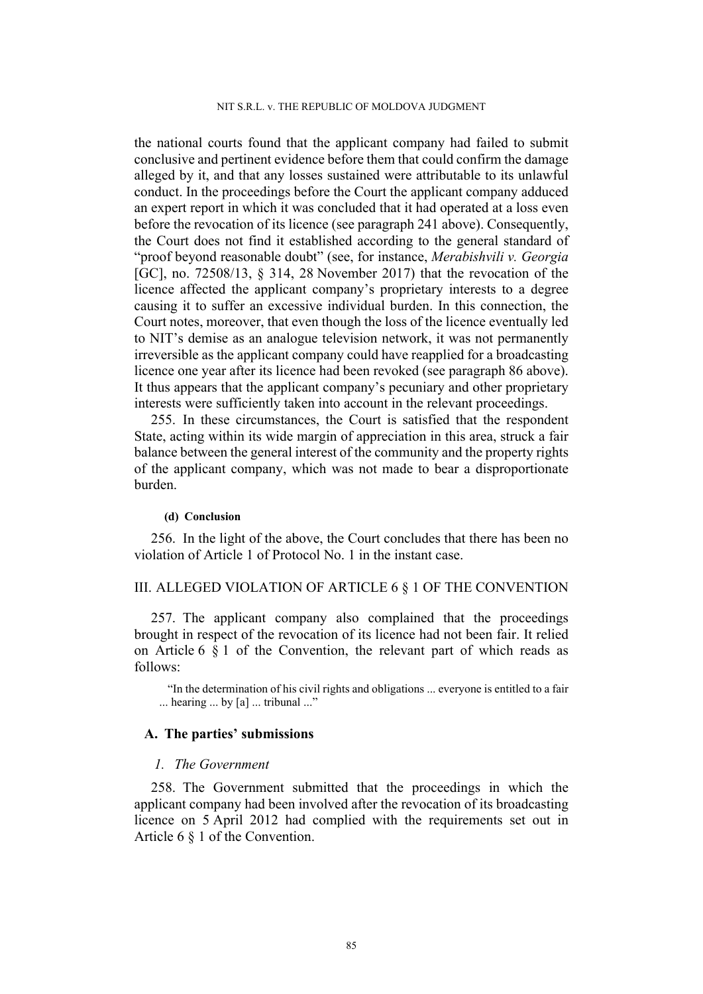the national courts found that the applicant company had failed to submit conclusive and pertinent evidence before them that could confirm the damage alleged by it, and that any losses sustained were attributable to its unlawful conduct. In the proceedings before the Court the applicant company adduced an expert report in which it was concluded that it had operated at a loss even before the revocation of its licence (see paragraph [241](#page-82-0) above). Consequently, the Court does not find it established according to the general standard of "proof beyond reasonable doubt" (see, for instance, *Merabishvili v. Georgia* [GC], no. 72508/13, § 314, 28 November 2017) that the revocation of the licence affected the applicant company's proprietary interests to a degree causing it to suffer an excessive individual burden. In this connection, the Court notes, moreover, that even though the loss of the licence eventually led to NIT's demise as an analogue television network, it was not permanently irreversible as the applicant company could have reapplied for a broadcasting licence one year after its licence had been revoked (see paragraph [86](#page-32-0) above). It thus appears that the applicant company's pecuniary and other proprietary interests were sufficiently taken into account in the relevant proceedings.

255. In these circumstances, the Court is satisfied that the respondent State, acting within its wide margin of appreciation in this area, struck a fair balance between the general interest of the community and the property rights of the applicant company, which was not made to bear a disproportionate burden.

#### **(d) Conclusion**

256. In the light of the above, the Court concludes that there has been no violation of Article 1 of Protocol No. 1 in the instant case.

## III. ALLEGED VIOLATION OF ARTICLE 6 § 1 OF THE CONVENTION

257. The applicant company also complained that the proceedings brought in respect of the revocation of its licence had not been fair. It relied on Article 6 § 1 of the Convention, the relevant part of which reads as follows:

"In the determination of his civil rights and obligations ... everyone is entitled to a fair ... hearing ... by [a] ... tribunal ..."

## **A. The parties' submissions**

#### *1. The Government*

258. The Government submitted that the proceedings in which the applicant company had been involved after the revocation of its broadcasting licence on 5 April 2012 had complied with the requirements set out in Article 6 § 1 of the Convention.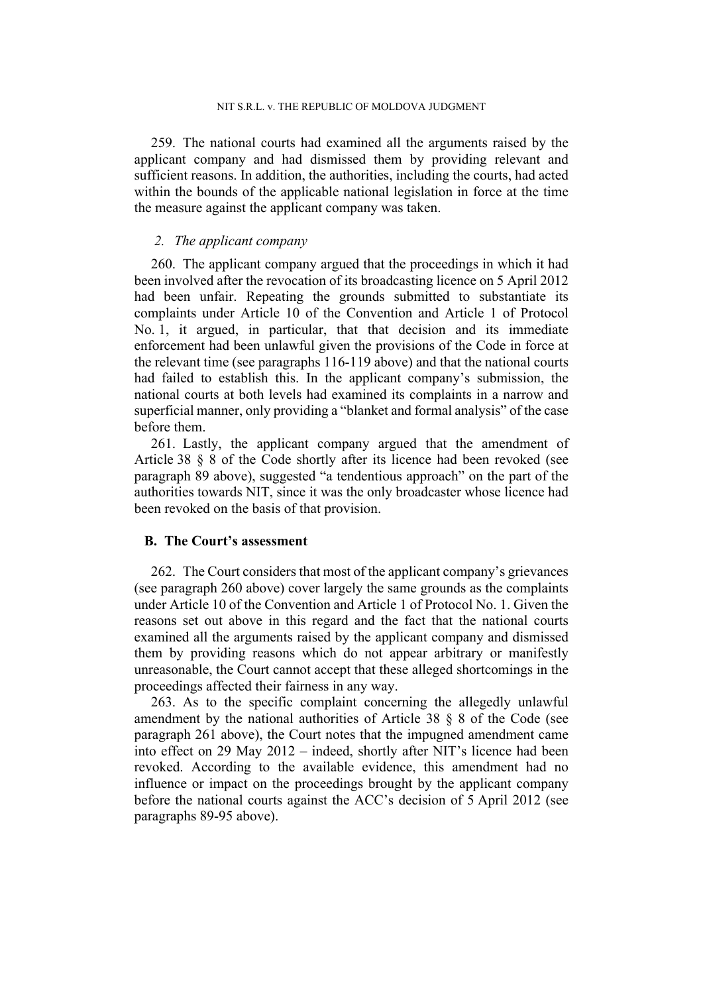259. The national courts had examined all the arguments raised by the applicant company and had dismissed them by providing relevant and sufficient reasons. In addition, the authorities, including the courts, had acted within the bounds of the applicable national legislation in force at the time the measure against the applicant company was taken.

# *2. The applicant company*

<span id="page-87-0"></span>260. The applicant company argued that the proceedings in which it had been involved after the revocation of its broadcasting licence on 5 April 2012 had been unfair. Repeating the grounds submitted to substantiate its complaints under Article 10 of the Convention and Article 1 of Protocol No. 1, it argued, in particular, that that decision and its immediate enforcement had been unlawful given the provisions of the Code in force at the relevant time (see paragraphs [116](#page-52-0)[-119](#page-52-2) above) and that the national courts had failed to establish this. In the applicant company's submission, the national courts at both levels had examined its complaints in a narrow and superficial manner, only providing a "blanket and formal analysis" of the case before them.

<span id="page-87-1"></span>261. Lastly, the applicant company argued that the amendment of Article 38 § 8 of the Code shortly after its licence had been revoked (see paragraph [89](#page-36-1) above), suggested "a tendentious approach" on the part of the authorities towards NIT, since it was the only broadcaster whose licence had been revoked on the basis of that provision.

## **B. The Court's assessment**

262. The Court considers that most of the applicant company's grievances (see paragraph [260](#page-87-0) above) cover largely the same grounds as the complaints under Article 10 of the Convention and Article 1 of Protocol No. 1. Given the reasons set out above in this regard and the fact that the national courts examined all the arguments raised by the applicant company and dismissed them by providing reasons which do not appear arbitrary or manifestly unreasonable, the Court cannot accept that these alleged shortcomings in the proceedings affected their fairness in any way.

263. As to the specific complaint concerning the allegedly unlawful amendment by the national authorities of Article 38 § 8 of the Code (see paragraph [261](#page-87-1) above), the Court notes that the impugned amendment came into effect on 29 May 2012 – indeed, shortly after NIT's licence had been revoked. According to the available evidence, this amendment had no influence or impact on the proceedings brought by the applicant company before the national courts against the ACC's decision of 5 April 2012 (see paragraphs [89](#page-36-1)[-95](#page-40-0) above).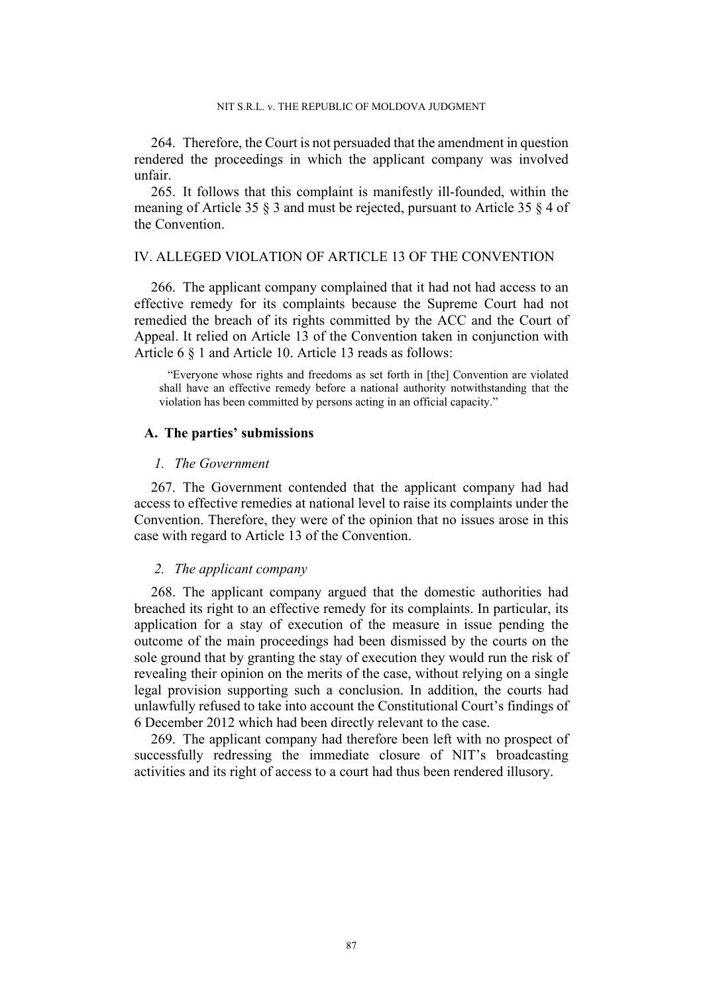264. Therefore, the Court is not persuaded that the amendment in question rendered the proceedings in which the applicant company was involved unfair.

265. It follows that this complaint is manifestly ill-founded, within the meaning of Article 35 § 3 and must be rejected, pursuant to Article 35 § 4 of the Convention.

# IV. ALLEGED VIOLATION OF ARTICLE 13 OF THE CONVENTION

266. The applicant company complained that it had not had access to an effective remedy for its complaints because the Supreme Court had not remedied the breach of its rights committed by the ACC and the Court of Appeal. It relied on Article 13 of the Convention taken in conjunction with Article 6 § 1 and Article 10. Article 13 reads as follows:

"Everyone whose rights and freedoms as set forth in [the] Convention are violated shall have an effective remedy before a national authority notwithstanding that the violation has been committed by persons acting in an official capacity."

## **A. The parties' submissions**

# *1. The Government*

267. The Government contended that the applicant company had had access to effective remedies at national level to raise its complaints under the Convention. Therefore, they were of the opinion that no issues arose in this case with regard to Article 13 of the Convention.

#### *2. The applicant company*

268. The applicant company argued that the domestic authorities had breached its right to an effective remedy for its complaints. In particular, its application for a stay of execution of the measure in issue pending the outcome of the main proceedings had been dismissed by the courts on the sole ground that by granting the stay of execution they would run the risk of revealing their opinion on the merits of the case, without relying on a single legal provision supporting such a conclusion. In addition, the courts had unlawfully refused to take into account the Constitutional Court's findings of 6 December 2012 which had been directly relevant to the case.

269. The applicant company had therefore been left with no prospect of successfully redressing the immediate closure of NIT's broadcasting activities and its right of access to a court had thus been rendered illusory.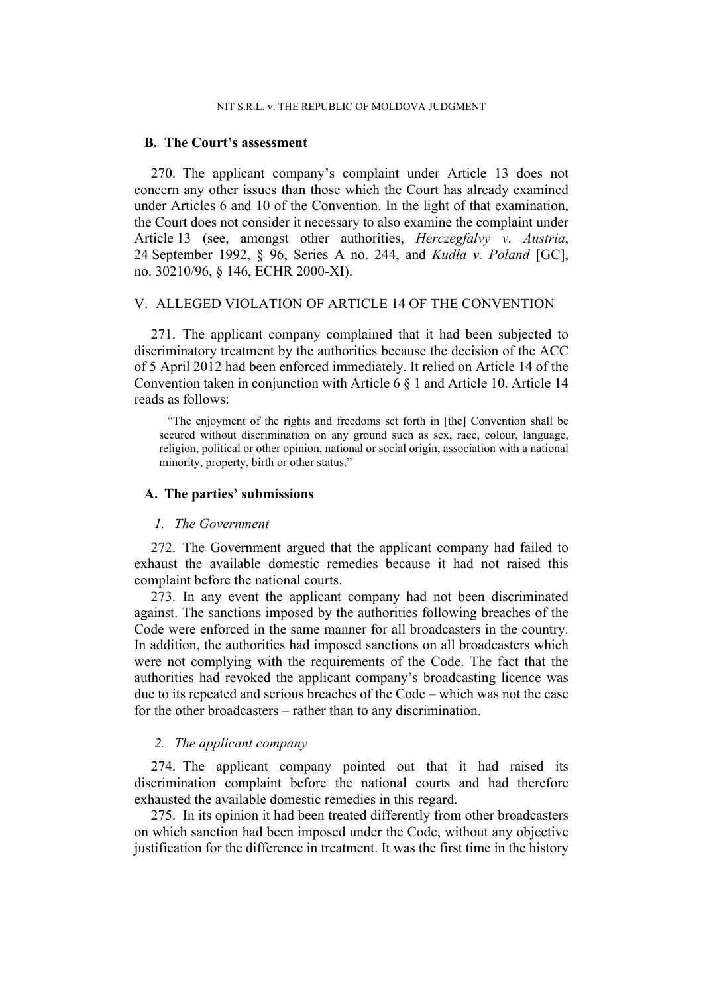#### **B. The Court's assessment**

270. The applicant company's complaint under Article 13 does not concern any other issues than those which the Court has already examined under Articles 6 and 10 of the Convention. In the light of that examination, the Court does not consider it necessary to also examine the complaint under Article 13 (see, amongst other authorities, *Herczegfalvy v. Austria*, 24 September 1992, § 96, Series A no. 244, and *Kudła v. Poland* [GC], no. 30210/96, § 146, ECHR 2000-XI).

# V. ALLEGED VIOLATION OF ARTICLE 14 OF THE CONVENTION

271. The applicant company complained that it had been subjected to discriminatory treatment by the authorities because the decision of the ACC of 5 April 2012 had been enforced immediately. It relied on Article 14 of the Convention taken in conjunction with Article 6 § 1 and Article 10. Article 14 reads as follows:

"The enjoyment of the rights and freedoms set forth in [the] Convention shall be secured without discrimination on any ground such as sex, race, colour, language, religion, political or other opinion, national or social origin, association with a national minority, property, birth or other status."

#### **A. The parties' submissions**

#### *1. The Government*

272. The Government argued that the applicant company had failed to exhaust the available domestic remedies because it had not raised this complaint before the national courts.

273. In any event the applicant company had not been discriminated against. The sanctions imposed by the authorities following breaches of the Code were enforced in the same manner for all broadcasters in the country. In addition, the authorities had imposed sanctions on all broadcasters which were not complying with the requirements of the Code. The fact that the authorities had revoked the applicant company's broadcasting licence was due to its repeated and serious breaches of the Code – which was not the case for the other broadcasters – rather than to any discrimination.

## *2. The applicant company*

274. The applicant company pointed out that it had raised its discrimination complaint before the national courts and had therefore exhausted the available domestic remedies in this regard.

275. In its opinion it had been treated differently from other broadcasters on which sanction had been imposed under the Code, without any objective justification for the difference in treatment. It was the first time in the history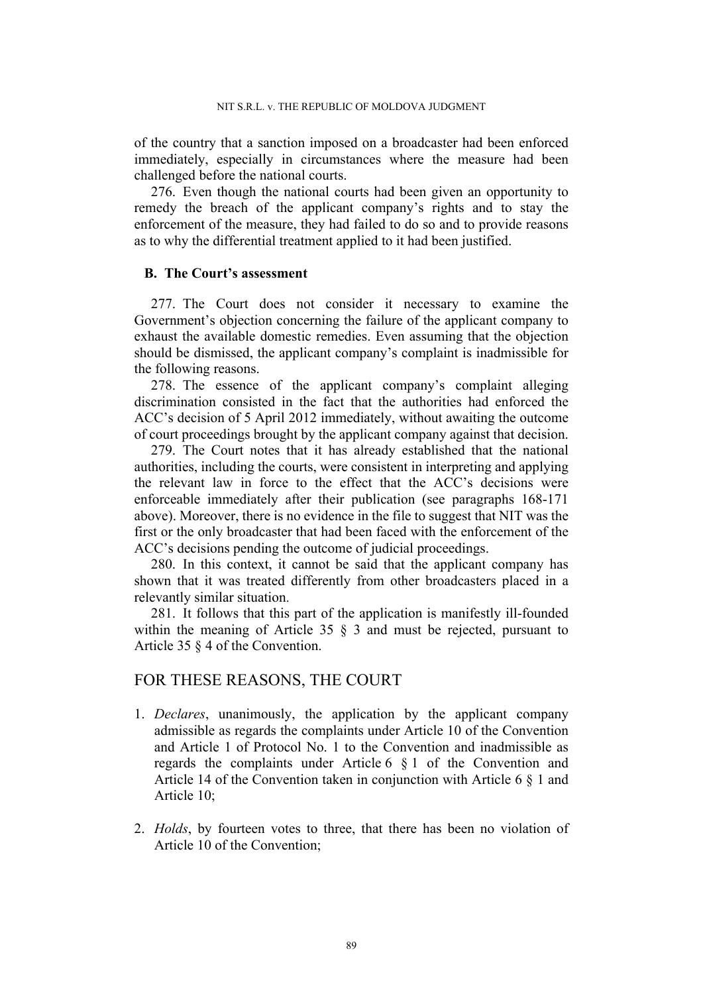of the country that a sanction imposed on a broadcaster had been enforced immediately, especially in circumstances where the measure had been challenged before the national courts.

276. Even though the national courts had been given an opportunity to remedy the breach of the applicant company's rights and to stay the enforcement of the measure, they had failed to do so and to provide reasons as to why the differential treatment applied to it had been justified.

# **B. The Court's assessment**

277. The Court does not consider it necessary to examine the Government's objection concerning the failure of the applicant company to exhaust the available domestic remedies. Even assuming that the objection should be dismissed, the applicant company's complaint is inadmissible for the following reasons.

278. The essence of the applicant company's complaint alleging discrimination consisted in the fact that the authorities had enforced the ACC's decision of 5 April 2012 immediately, without awaiting the outcome of court proceedings brought by the applicant company against that decision.

279. The Court notes that it has already established that the national authorities, including the courts, were consistent in interpreting and applying the relevant law in force to the effect that the ACC's decisions were enforceable immediately after their publication (see paragraphs [168-](#page-62-0)[171](#page-64-1)  above). Moreover, there is no evidence in the file to suggest that NIT was the first or the only broadcaster that had been faced with the enforcement of the ACC's decisions pending the outcome of judicial proceedings.

280. In this context, it cannot be said that the applicant company has shown that it was treated differently from other broadcasters placed in a relevantly similar situation.

281. It follows that this part of the application is manifestly ill-founded within the meaning of Article 35 § 3 and must be rejected, pursuant to Article 35 § 4 of the Convention.

# FOR THESE REASONS, THE COURT

- 1. *Declares*, unanimously, the application by the applicant company admissible as regards the complaints under Article 10 of the Convention and Article 1 of Protocol No. 1 to the Convention and inadmissible as regards the complaints under Article 6 § 1 of the Convention and Article 14 of the Convention taken in conjunction with Article 6 § 1 and Article 10;
- 2. *Holds*, by fourteen votes to three, that there has been no violation of Article 10 of the Convention;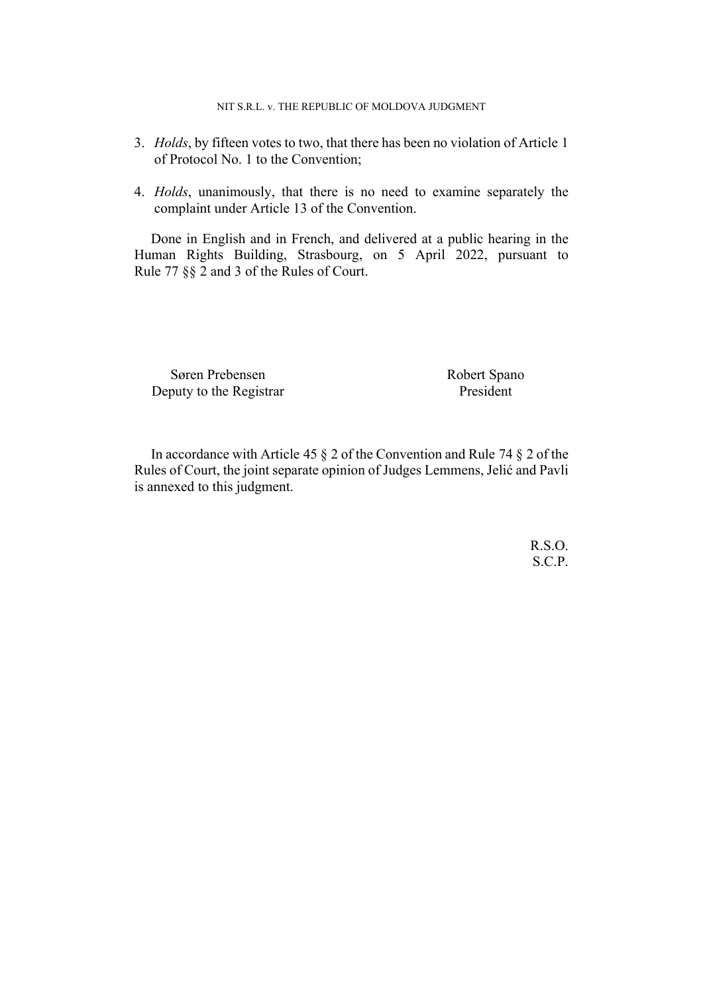- 3. *Holds*, by fifteen votes to two, that there has been no violation of Article 1 of Protocol No. 1 to the Convention;
- 4. *Holds*, unanimously, that there is no need to examine separately the complaint under Article 13 of the Convention.

Done in English and in French, and delivered at a public hearing in the Human Rights Building, Strasbourg, on 5 April 2022, pursuant to Rule 77 §§ 2 and 3 of the Rules of Court.

Søren Prebensen Robert Spano Deputy to the Registrar President

In accordance with Article 45 § 2 of the Convention and Rule 74 § 2 of the Rules of Court, the joint separate opinion of Judges Lemmens, Jelić and Pavli is annexed to this judgment.

> R.S.O. S.C.P.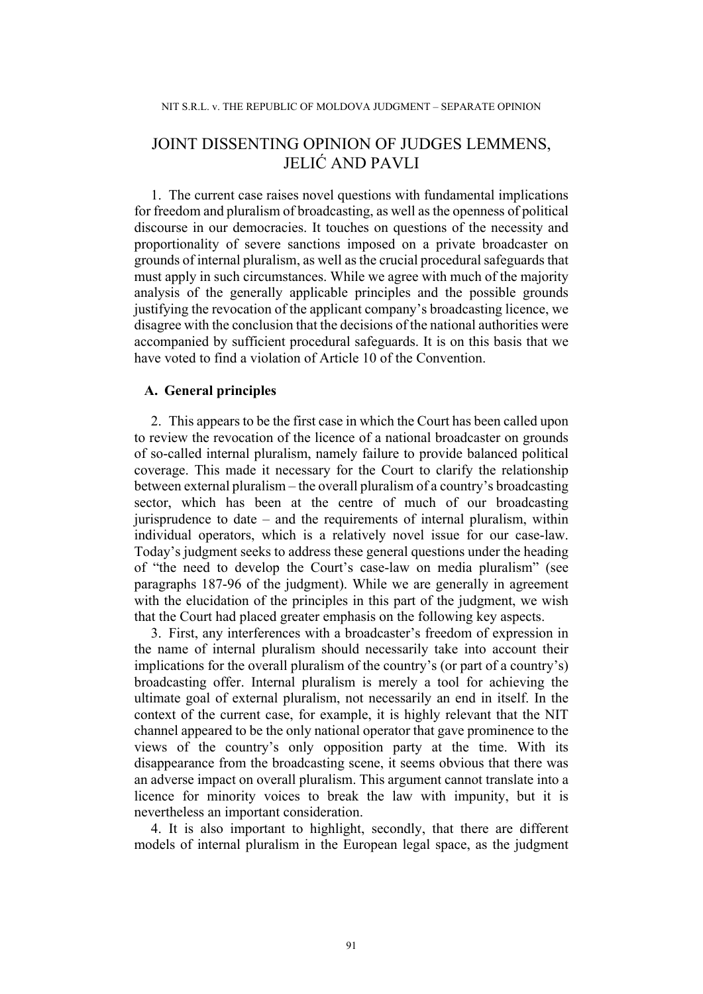# JOINT DISSENTING OPINION OF JUDGES LEMMENS, JELIĆ AND PAVLI

1. The current case raises novel questions with fundamental implications for freedom and pluralism of broadcasting, as well as the openness of political discourse in our democracies. It touches on questions of the necessity and proportionality of severe sanctions imposed on a private broadcaster on grounds of internal pluralism, as well as the crucial procedural safeguards that must apply in such circumstances. While we agree with much of the majority analysis of the generally applicable principles and the possible grounds justifying the revocation of the applicant company's broadcasting licence, we disagree with the conclusion that the decisions of the national authorities were accompanied by sufficient procedural safeguards. It is on this basis that we have voted to find a violation of Article 10 of the Convention.

# **A. General principles**

2. This appears to be the first case in which the Court has been called upon to review the revocation of the licence of a national broadcaster on grounds of so-called internal pluralism, namely failure to provide balanced political coverage. This made it necessary for the Court to clarify the relationship between external pluralism – the overall pluralism of a country's broadcasting sector, which has been at the centre of much of our broadcasting jurisprudence to date – and the requirements of internal pluralism, within individual operators, which is a relatively novel issue for our case-law. Today's judgment seeks to address these general questions under the heading of "the need to develop the Court's case-law on media pluralism" (see paragraphs 187-96 of the judgment). While we are generally in agreement with the elucidation of the principles in this part of the judgment, we wish that the Court had placed greater emphasis on the following key aspects.

3. First, any interferences with a broadcaster's freedom of expression in the name of internal pluralism should necessarily take into account their implications for the overall pluralism of the country's (or part of a country's) broadcasting offer. Internal pluralism is merely a tool for achieving the ultimate goal of external pluralism, not necessarily an end in itself. In the context of the current case, for example, it is highly relevant that the NIT channel appeared to be the only national operator that gave prominence to the views of the country's only opposition party at the time. With its disappearance from the broadcasting scene, it seems obvious that there was an adverse impact on overall pluralism. This argument cannot translate into a licence for minority voices to break the law with impunity, but it is nevertheless an important consideration.

4. It is also important to highlight, secondly, that there are different models of internal pluralism in the European legal space, as the judgment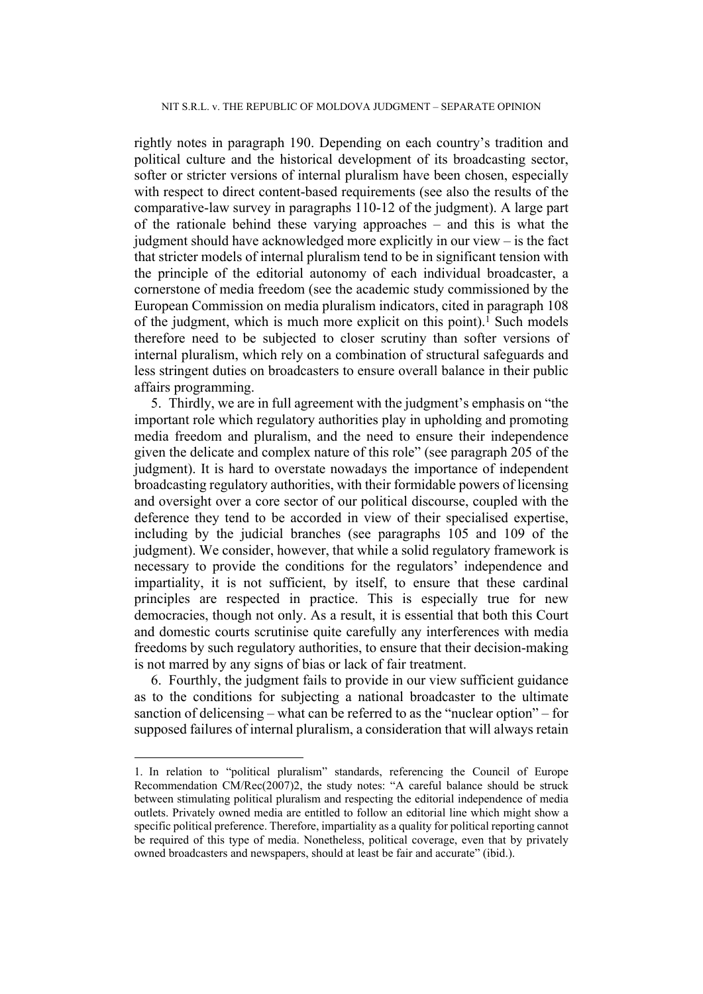rightly notes in paragraph 190. Depending on each country's tradition and political culture and the historical development of its broadcasting sector, softer or stricter versions of internal pluralism have been chosen, especially with respect to direct content-based requirements (see also the results of the comparative-law survey in paragraphs 110-12 of the judgment). A large part of the rationale behind these varying approaches – and this is what the judgment should have acknowledged more explicitly in our view – is the fact that stricter models of internal pluralism tend to be in significant tension with the principle of the editorial autonomy of each individual broadcaster, a cornerstone of media freedom (see the academic study commissioned by the European Commission on media pluralism indicators, cited in paragraph 108 of the judgment, which is much more explicit on this point).<sup>1</sup> Such models therefore need to be subjected to closer scrutiny than softer versions of internal pluralism, which rely on a combination of structural safeguards and less stringent duties on broadcasters to ensure overall balance in their public affairs programming.

5. Thirdly, we are in full agreement with the judgment's emphasis on "the important role which regulatory authorities play in upholding and promoting media freedom and pluralism, and the need to ensure their independence given the delicate and complex nature of this role" (see paragraph 205 of the judgment). It is hard to overstate nowadays the importance of independent broadcasting regulatory authorities, with their formidable powers of licensing and oversight over a core sector of our political discourse, coupled with the deference they tend to be accorded in view of their specialised expertise, including by the judicial branches (see paragraphs 105 and 109 of the judgment). We consider, however, that while a solid regulatory framework is necessary to provide the conditions for the regulators' independence and impartiality, it is not sufficient, by itself, to ensure that these cardinal principles are respected in practice. This is especially true for new democracies, though not only. As a result, it is essential that both this Court and domestic courts scrutinise quite carefully any interferences with media freedoms by such regulatory authorities, to ensure that their decision-making is not marred by any signs of bias or lack of fair treatment.

6. Fourthly, the judgment fails to provide in our view sufficient guidance as to the conditions for subjecting a national broadcaster to the ultimate sanction of delicensing – what can be referred to as the "nuclear option" – for supposed failures of internal pluralism, a consideration that will always retain

<sup>1.</sup> In relation to "political pluralism" standards, referencing the Council of Europe Recommendation CM/Rec(2007)2, the study notes: "A careful balance should be struck between stimulating political pluralism and respecting the editorial independence of media outlets. Privately owned media are entitled to follow an editorial line which might show a specific political preference. Therefore, impartiality as a quality for political reporting cannot be required of this type of media. Nonetheless, political coverage, even that by privately owned broadcasters and newspapers, should at least be fair and accurate" (ibid.).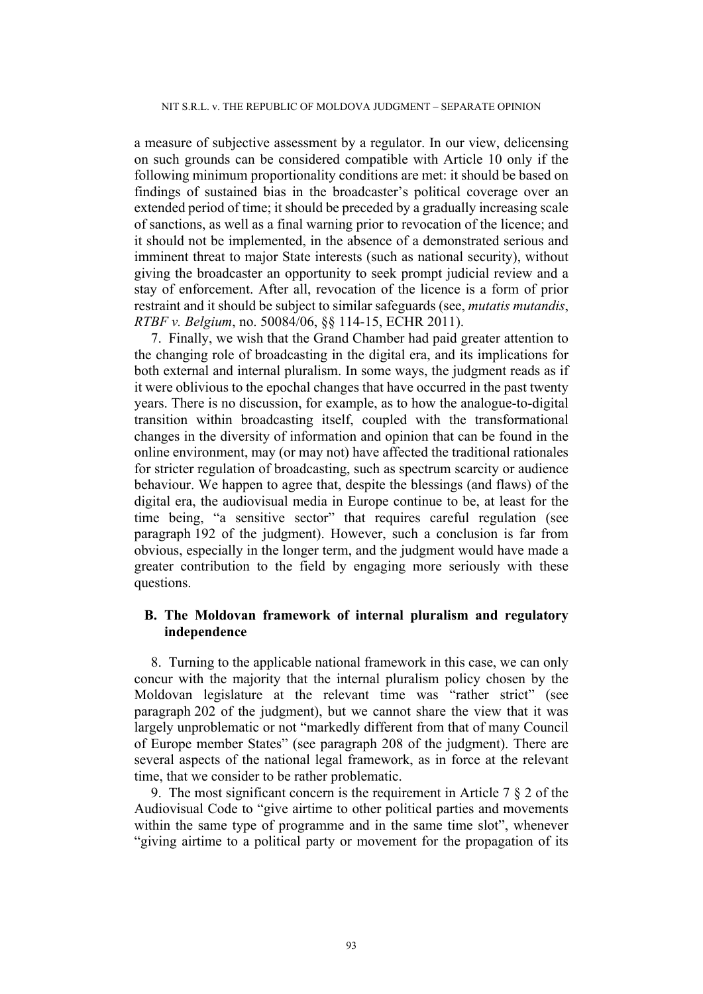a measure of subjective assessment by a regulator. In our view, delicensing on such grounds can be considered compatible with Article 10 only if the following minimum proportionality conditions are met: it should be based on findings of sustained bias in the broadcaster's political coverage over an extended period of time; it should be preceded by a gradually increasing scale of sanctions, as well as a final warning prior to revocation of the licence; and it should not be implemented, in the absence of a demonstrated serious and imminent threat to major State interests (such as national security), without giving the broadcaster an opportunity to seek prompt judicial review and a stay of enforcement. After all, revocation of the licence is a form of prior restraint and it should be subject to similar safeguards (see, *mutatis mutandis*, *RTBF v. Belgium*, no. 50084/06, §§ 114-15, ECHR 2011).

7. Finally, we wish that the Grand Chamber had paid greater attention to the changing role of broadcasting in the digital era, and its implications for both external and internal pluralism. In some ways, the judgment reads as if it were oblivious to the epochal changes that have occurred in the past twenty years. There is no discussion, for example, as to how the analogue-to-digital transition within broadcasting itself, coupled with the transformational changes in the diversity of information and opinion that can be found in the online environment, may (or may not) have affected the traditional rationales for stricter regulation of broadcasting, such as spectrum scarcity or audience behaviour. We happen to agree that, despite the blessings (and flaws) of the digital era, the audiovisual media in Europe continue to be, at least for the time being, "a sensitive sector" that requires careful regulation (see paragraph 192 of the judgment). However, such a conclusion is far from obvious, especially in the longer term, and the judgment would have made a greater contribution to the field by engaging more seriously with these questions.

# **B. The Moldovan framework of internal pluralism and regulatory independence**

8. Turning to the applicable national framework in this case, we can only concur with the majority that the internal pluralism policy chosen by the Moldovan legislature at the relevant time was "rather strict" (see paragraph 202 of the judgment), but we cannot share the view that it was largely unproblematic or not "markedly different from that of many Council of Europe member States" (see paragraph 208 of the judgment). There are several aspects of the national legal framework, as in force at the relevant time, that we consider to be rather problematic.

9. The most significant concern is the requirement in Article 7 § 2 of the Audiovisual Code to "give airtime to other political parties and movements within the same type of programme and in the same time slot", whenever "giving airtime to a political party or movement for the propagation of its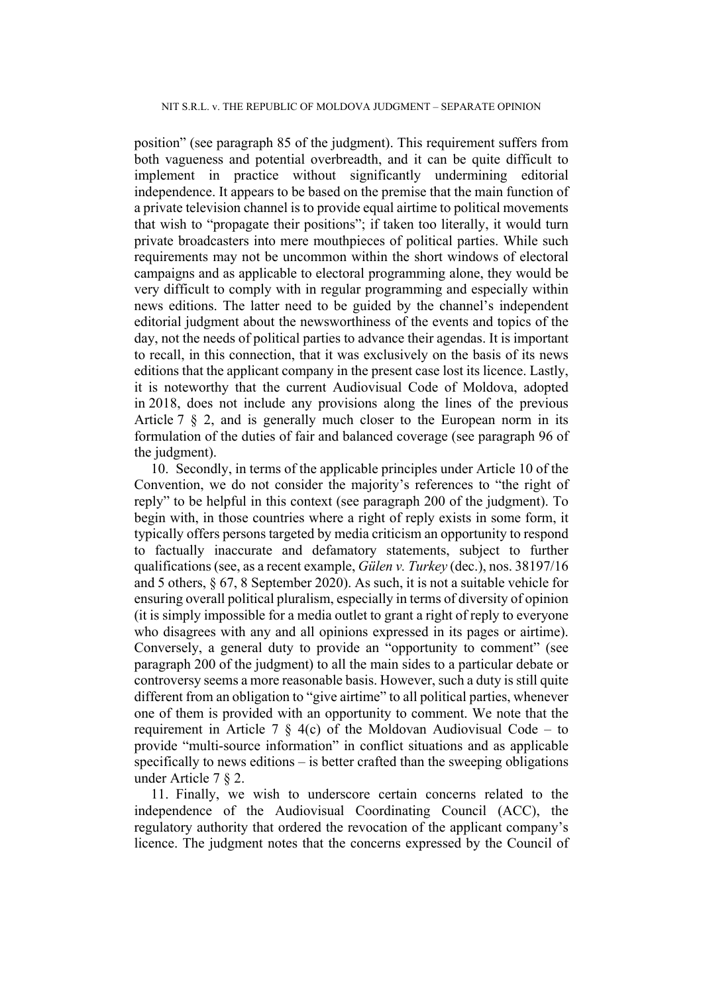position" (see paragraph 85 of the judgment). This requirement suffers from both vagueness and potential overbreadth, and it can be quite difficult to implement in practice without significantly undermining editorial independence. It appears to be based on the premise that the main function of a private television channel is to provide equal airtime to political movements that wish to "propagate their positions"; if taken too literally, it would turn private broadcasters into mere mouthpieces of political parties. While such requirements may not be uncommon within the short windows of electoral campaigns and as applicable to electoral programming alone, they would be very difficult to comply with in regular programming and especially within news editions. The latter need to be guided by the channel's independent editorial judgment about the newsworthiness of the events and topics of the day, not the needs of political parties to advance their agendas. It is important to recall, in this connection, that it was exclusively on the basis of its news editions that the applicant company in the present case lost its licence. Lastly, it is noteworthy that the current Audiovisual Code of Moldova, adopted in 2018, does not include any provisions along the lines of the previous Article 7 § 2, and is generally much closer to the European norm in its formulation of the duties of fair and balanced coverage (see paragraph 96 of the judgment).

10. Secondly, in terms of the applicable principles under Article 10 of the Convention, we do not consider the majority's references to "the right of reply" to be helpful in this context (see paragraph 200 of the judgment). To begin with, in those countries where a right of reply exists in some form, it typically offers persons targeted by media criticism an opportunity to respond to factually inaccurate and defamatory statements, subject to further qualifications (see, as a recent example, *Gülen v. Turkey* (dec.), nos. 38197/16 and 5 others, § 67, 8 September 2020). As such, it is not a suitable vehicle for ensuring overall political pluralism, especially in terms of diversity of opinion (it is simply impossible for a media outlet to grant a right of reply to everyone who disagrees with any and all opinions expressed in its pages or airtime). Conversely, a general duty to provide an "opportunity to comment" (see paragraph 200 of the judgment) to all the main sides to a particular debate or controversy seems a more reasonable basis. However, such a duty is still quite different from an obligation to "give airtime" to all political parties, whenever one of them is provided with an opportunity to comment. We note that the requirement in Article 7  $\S$  4(c) of the Moldovan Audiovisual Code – to provide "multi-source information" in conflict situations and as applicable specifically to news editions – is better crafted than the sweeping obligations under Article 7 § 2.

11. Finally, we wish to underscore certain concerns related to the independence of the Audiovisual Coordinating Council (ACC), the regulatory authority that ordered the revocation of the applicant company's licence. The judgment notes that the concerns expressed by the Council of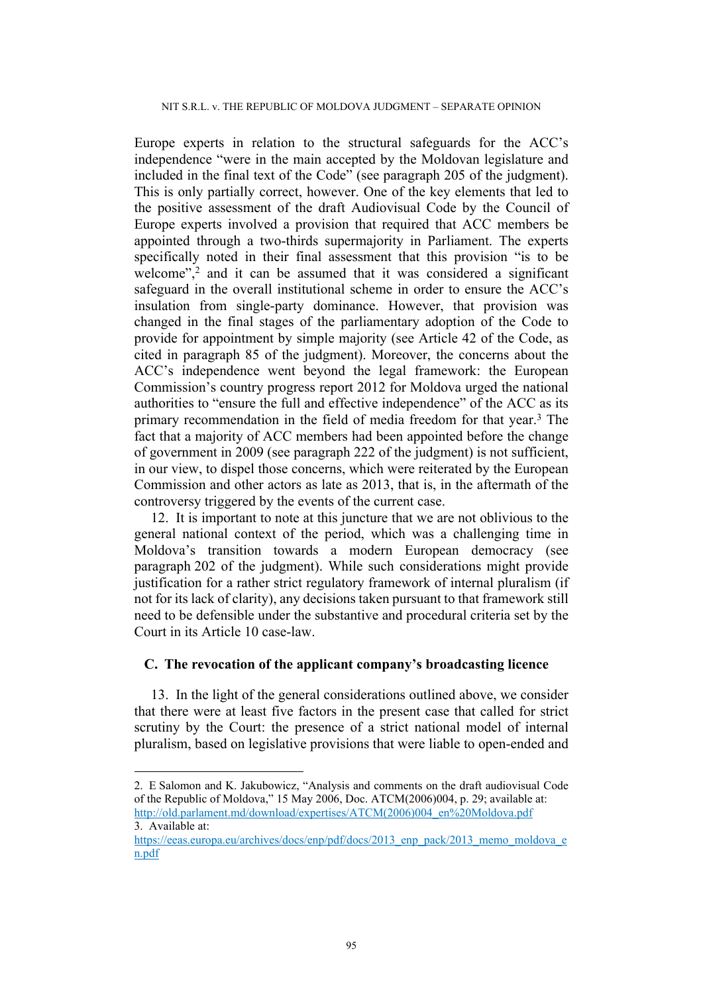Europe experts in relation to the structural safeguards for the ACC's independence "were in the main accepted by the Moldovan legislature and included in the final text of the Code" (see paragraph 205 of the judgment). This is only partially correct, however. One of the key elements that led to the positive assessment of the draft Audiovisual Code by the Council of Europe experts involved a provision that required that ACC members be appointed through a two-thirds supermajority in Parliament. The experts specifically noted in their final assessment that this provision "is to be welcome",<sup>2</sup> and it can be assumed that it was considered a significant safeguard in the overall institutional scheme in order to ensure the ACC's insulation from single-party dominance. However, that provision was changed in the final stages of the parliamentary adoption of the Code to provide for appointment by simple majority (see Article 42 of the Code, as cited in paragraph 85 of the judgment). Moreover, the concerns about the ACC's independence went beyond the legal framework: the European Commission's country progress report 2012 for Moldova urged the national authorities to "ensure the full and effective independence" of the ACC as its primary recommendation in the field of media freedom for that year.<sup>3</sup> The fact that a majority of ACC members had been appointed before the change of government in 2009 (see paragraph 222 of the judgment) is not sufficient, in our view, to dispel those concerns, which were reiterated by the European Commission and other actors as late as 2013, that is, in the aftermath of the controversy triggered by the events of the current case.

12. It is important to note at this juncture that we are not oblivious to the general national context of the period, which was a challenging time in Moldova's transition towards a modern European democracy (see paragraph 202 of the judgment). While such considerations might provide justification for a rather strict regulatory framework of internal pluralism (if not for its lack of clarity), any decisions taken pursuant to that framework still need to be defensible under the substantive and procedural criteria set by the Court in its Article 10 case-law.

# **C. The revocation of the applicant company's broadcasting licence**

13. In the light of the general considerations outlined above, we consider that there were at least five factors in the present case that called for strict scrutiny by the Court: the presence of a strict national model of internal pluralism, based on legislative provisions that were liable to open-ended and

<sup>2.</sup> E Salomon and K. Jakubowicz, "Analysis and comments on the draft audiovisual Code of the Republic of Moldova," 15 May 2006, Doc. ATCM(2006)004, p. 29; available at: [http://old.parlament.md/download/expertises/ATCM\(2006\)004\\_en%20Moldova.pdf](http://old.parlament.md/download/expertises/ATCM(2006)004_en%20Moldova.pdf) 3. Available at:

[https://eeas.europa.eu/archives/docs/enp/pdf/docs/2013\\_enp\\_pack/2013\\_memo\\_moldova\\_e](https://eeas.europa.eu/archives/docs/enp/pdf/docs/2013_enp_pack/2013_memo_moldova_en.pdf) [n.pdf](https://eeas.europa.eu/archives/docs/enp/pdf/docs/2013_enp_pack/2013_memo_moldova_en.pdf)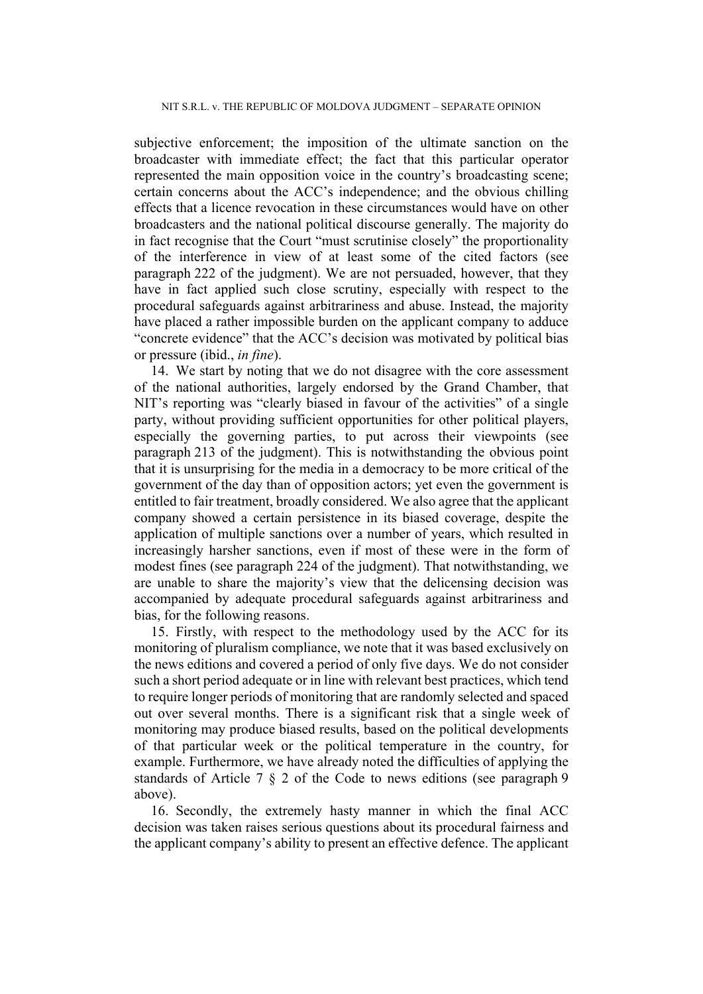subjective enforcement; the imposition of the ultimate sanction on the broadcaster with immediate effect; the fact that this particular operator represented the main opposition voice in the country's broadcasting scene; certain concerns about the ACC's independence; and the obvious chilling effects that a licence revocation in these circumstances would have on other broadcasters and the national political discourse generally. The majority do in fact recognise that the Court "must scrutinise closely" the proportionality of the interference in view of at least some of the cited factors (see paragraph 222 of the judgment). We are not persuaded, however, that they have in fact applied such close scrutiny, especially with respect to the procedural safeguards against arbitrariness and abuse. Instead, the majority have placed a rather impossible burden on the applicant company to adduce "concrete evidence" that the ACC's decision was motivated by political bias or pressure (ibid., *in fine*).

14. We start by noting that we do not disagree with the core assessment of the national authorities, largely endorsed by the Grand Chamber, that NIT's reporting was "clearly biased in favour of the activities" of a single party, without providing sufficient opportunities for other political players, especially the governing parties, to put across their viewpoints (see paragraph 213 of the judgment). This is notwithstanding the obvious point that it is unsurprising for the media in a democracy to be more critical of the government of the day than of opposition actors; yet even the government is entitled to fair treatment, broadly considered. We also agree that the applicant company showed a certain persistence in its biased coverage, despite the application of multiple sanctions over a number of years, which resulted in increasingly harsher sanctions, even if most of these were in the form of modest fines (see paragraph 224 of the judgment). That notwithstanding, we are unable to share the majority's view that the delicensing decision was accompanied by adequate procedural safeguards against arbitrariness and bias, for the following reasons.

15. Firstly, with respect to the methodology used by the ACC for its monitoring of pluralism compliance, we note that it was based exclusively on the news editions and covered a period of only five days. We do not consider such a short period adequate or in line with relevant best practices, which tend to require longer periods of monitoring that are randomly selected and spaced out over several months. There is a significant risk that a single week of monitoring may produce biased results, based on the political developments of that particular week or the political temperature in the country, for example. Furthermore, we have already noted the difficulties of applying the standards of Article 7 § 2 of the Code to news editions (see paragraph 9 above).

16. Secondly, the extremely hasty manner in which the final ACC decision was taken raises serious questions about its procedural fairness and the applicant company's ability to present an effective defence. The applicant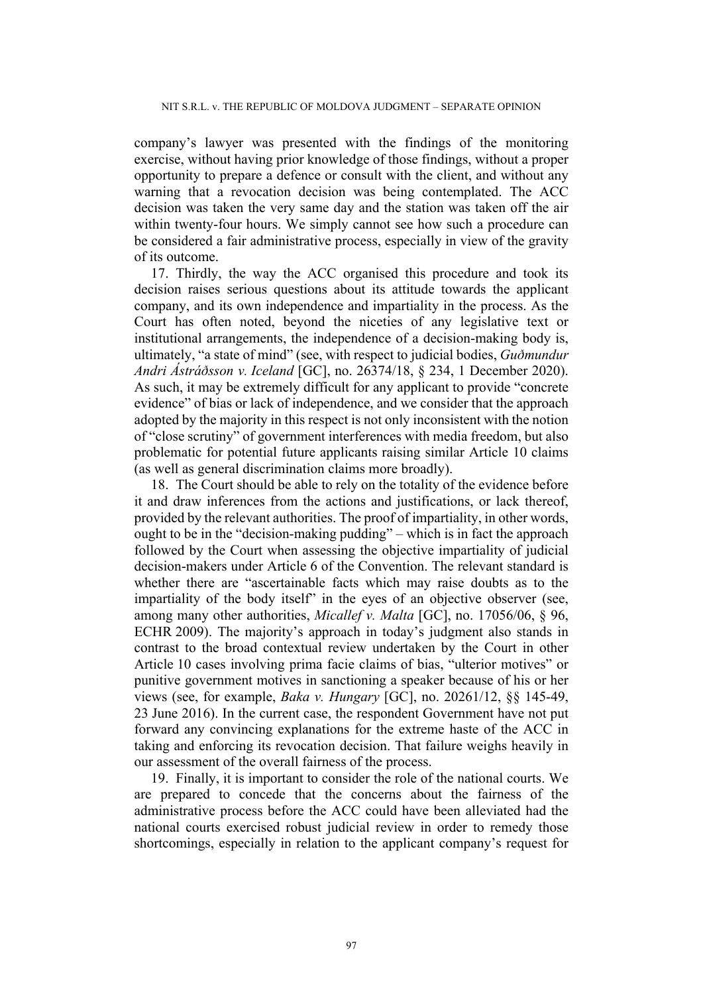company's lawyer was presented with the findings of the monitoring exercise, without having prior knowledge of those findings, without a proper opportunity to prepare a defence or consult with the client, and without any warning that a revocation decision was being contemplated. The ACC decision was taken the very same day and the station was taken off the air within twenty-four hours. We simply cannot see how such a procedure can be considered a fair administrative process, especially in view of the gravity of its outcome.

17. Thirdly, the way the ACC organised this procedure and took its decision raises serious questions about its attitude towards the applicant company, and its own independence and impartiality in the process. As the Court has often noted, beyond the niceties of any legislative text or institutional arrangements, the independence of a decision-making body is, ultimately, "a state of mind" (see, with respect to judicial bodies, *Guðmundur Andri Ástráðsson v. Iceland* [GC], no. 26374/18, § 234, 1 December 2020). As such, it may be extremely difficult for any applicant to provide "concrete evidence" of bias or lack of independence, and we consider that the approach adopted by the majority in this respect is not only inconsistent with the notion of "close scrutiny" of government interferences with media freedom, but also problematic for potential future applicants raising similar Article 10 claims (as well as general discrimination claims more broadly).

18. The Court should be able to rely on the totality of the evidence before it and draw inferences from the actions and justifications, or lack thereof, provided by the relevant authorities. The proof of impartiality, in other words, ought to be in the "decision-making pudding" – which is in fact the approach followed by the Court when assessing the objective impartiality of judicial decision-makers under Article 6 of the Convention. The relevant standard is whether there are "ascertainable facts which may raise doubts as to the impartiality of the body itself" in the eyes of an objective observer (see, among many other authorities, *Micallef v. Malta* [GC], no. 17056/06, § 96, ECHR 2009). The majority's approach in today's judgment also stands in contrast to the broad contextual review undertaken by the Court in other Article 10 cases involving prima facie claims of bias, "ulterior motives" or punitive government motives in sanctioning a speaker because of his or her views (see, for example, *Baka v. Hungary* [GC], no. 20261/12, §§ 145-49, 23 June 2016). In the current case, the respondent Government have not put forward any convincing explanations for the extreme haste of the ACC in taking and enforcing its revocation decision. That failure weighs heavily in our assessment of the overall fairness of the process.

19. Finally, it is important to consider the role of the national courts. We are prepared to concede that the concerns about the fairness of the administrative process before the ACC could have been alleviated had the national courts exercised robust judicial review in order to remedy those shortcomings, especially in relation to the applicant company's request for